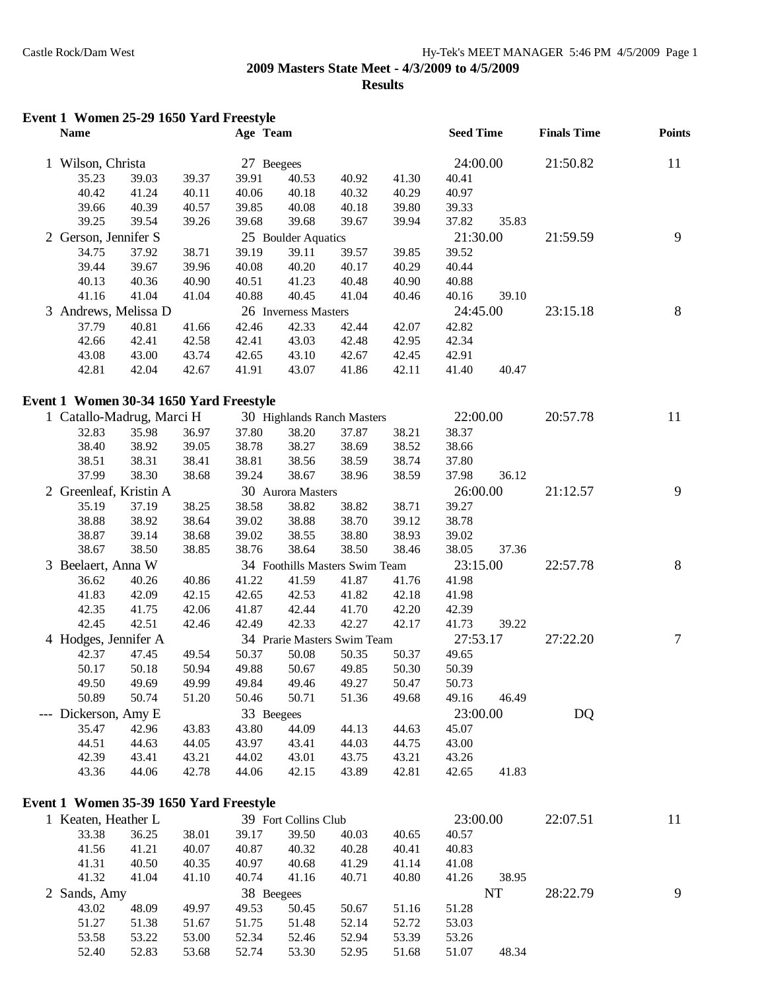| Event 1 Women 25-29 1650 Yard Freestyle |       |       |            |                      |                                |       |                  |       |                    |                |
|-----------------------------------------|-------|-------|------------|----------------------|--------------------------------|-------|------------------|-------|--------------------|----------------|
| <b>Name</b>                             |       |       | Age Team   |                      |                                |       | <b>Seed Time</b> |       | <b>Finals Time</b> | <b>Points</b>  |
| 1 Wilson, Christa                       |       |       | 27 Beegees |                      |                                |       | 24:00.00         |       | 21:50.82           | 11             |
| 35.23                                   | 39.03 | 39.37 | 39.91      | 40.53                | 40.92                          | 41.30 | 40.41            |       |                    |                |
| 40.42                                   | 41.24 | 40.11 | 40.06      | 40.18                | 40.32                          | 40.29 | 40.97            |       |                    |                |
| 39.66                                   | 40.39 | 40.57 | 39.85      | 40.08                | 40.18                          | 39.80 | 39.33            |       |                    |                |
| 39.25                                   | 39.54 | 39.26 | 39.68      | 39.68                | 39.67                          | 39.94 | 37.82            | 35.83 |                    |                |
| 2 Gerson, Jennifer S                    |       |       |            | 25 Boulder Aquatics  |                                |       | 21:30.00         |       | 21:59.59           | 9              |
| 34.75                                   | 37.92 | 38.71 | 39.19      | 39.11                | 39.57                          | 39.85 | 39.52            |       |                    |                |
| 39.44                                   | 39.67 | 39.96 | 40.08      | 40.20                | 40.17                          | 40.29 | 40.44            |       |                    |                |
| 40.13                                   | 40.36 | 40.90 | 40.51      | 41.23                | 40.48                          | 40.90 | 40.88            |       |                    |                |
| 41.16                                   | 41.04 | 41.04 | 40.88      | 40.45                | 41.04                          | 40.46 | 40.16            | 39.10 |                    |                |
| 3 Andrews, Melissa D                    |       |       |            | 26 Inverness Masters |                                |       | 24:45.00         |       | 23:15.18           | 8              |
| 37.79                                   | 40.81 | 41.66 | 42.46      | 42.33                | 42.44                          | 42.07 | 42.82            |       |                    |                |
| 42.66                                   | 42.41 | 42.58 | 42.41      | 43.03                | 42.48                          | 42.95 | 42.34            |       |                    |                |
| 43.08                                   | 43.00 | 43.74 | 42.65      | 43.10                | 42.67                          | 42.45 | 42.91            |       |                    |                |
| 42.81                                   | 42.04 | 42.67 | 41.91      | 43.07                | 41.86                          | 42.11 | 41.40            | 40.47 |                    |                |
| Event 1 Women 30-34 1650 Yard Freestyle |       |       |            |                      |                                |       |                  |       |                    |                |
| 1 Catallo-Madrug, Marci H               |       |       |            |                      | 30 Highlands Ranch Masters     |       | 22:00.00         |       | 20:57.78           | 11             |
| 32.83                                   | 35.98 | 36.97 | 37.80      | 38.20                | 37.87                          | 38.21 | 38.37            |       |                    |                |
| 38.40                                   | 38.92 | 39.05 | 38.78      | 38.27                | 38.69                          | 38.52 | 38.66            |       |                    |                |
| 38.51                                   | 38.31 | 38.41 | 38.81      | 38.56                | 38.59                          | 38.74 | 37.80            |       |                    |                |
| 37.99                                   | 38.30 | 38.68 | 39.24      | 38.67                | 38.96                          | 38.59 | 37.98            | 36.12 |                    |                |
| 2 Greenleaf, Kristin A                  |       |       |            | 30 Aurora Masters    |                                |       | 26:00.00         |       | 21:12.57           | 9              |
| 35.19                                   | 37.19 | 38.25 | 38.58      | 38.82                | 38.82                          | 38.71 | 39.27            |       |                    |                |
| 38.88                                   | 38.92 | 38.64 | 39.02      | 38.88                | 38.70                          | 39.12 | 38.78            |       |                    |                |
| 38.87                                   | 39.14 | 38.68 | 39.02      | 38.55                | 38.80                          | 38.93 | 39.02            |       |                    |                |
| 38.67                                   | 38.50 | 38.85 | 38.76      | 38.64                | 38.50                          | 38.46 | 38.05            | 37.36 |                    |                |
| 3 Beelaert, Anna W                      |       |       |            |                      | 34 Foothills Masters Swim Team |       | 23:15.00         |       | 22:57.78           | 8              |
| 36.62                                   | 40.26 | 40.86 | 41.22      | 41.59                | 41.87                          | 41.76 | 41.98            |       |                    |                |
| 41.83                                   | 42.09 | 42.15 | 42.65      | 42.53                | 41.82                          | 42.18 | 41.98            |       |                    |                |
| 42.35                                   | 41.75 | 42.06 | 41.87      | 42.44                | 41.70                          | 42.20 | 42.39            |       |                    |                |
| 42.45                                   | 42.51 | 42.46 | 42.49      | 42.33                | 42.27                          | 42.17 | 41.73            | 39.22 |                    |                |
| 4 Hodges, Jennifer A                    |       |       |            |                      | 34 Prarie Masters Swim Team    |       | 27:53.17         |       | 27:22.20           | $\overline{7}$ |
| 42.37                                   | 47.45 | 49.54 | 50.37      | 50.08                | 50.35                          | 50.37 | 49.65            |       |                    |                |
| 50.17                                   | 50.18 | 50.94 | 49.88      | 50.67                | 49.85                          | 50.30 | 50.39            |       |                    |                |
| 49.50                                   | 49.69 | 49.99 | 49.84      | 49.46                | 49.27                          | 50.47 | 50.73            |       |                    |                |
| 50.89                                   | 50.74 | 51.20 | 50.46      | 50.71                | 51.36                          | 49.68 | 49.16            | 46.49 |                    |                |
| --- Dickerson, Amy E                    |       |       | 33 Beegees |                      |                                |       | 23:00.00         |       | <b>DQ</b>          |                |
| 35.47                                   | 42.96 | 43.83 | 43.80      | 44.09                | 44.13                          | 44.63 | 45.07            |       |                    |                |
| 44.51                                   | 44.63 | 44.05 | 43.97      | 43.41                | 44.03                          | 44.75 | 43.00            |       |                    |                |
| 42.39                                   | 43.41 | 43.21 | 44.02      | 43.01                | 43.75                          | 43.21 | 43.26            |       |                    |                |
| 43.36                                   | 44.06 | 42.78 | 44.06      | 42.15                | 43.89                          | 42.81 | 42.65            | 41.83 |                    |                |
| Event 1 Women 35-39 1650 Yard Freestyle |       |       |            |                      |                                |       |                  |       |                    |                |
| 1 Keaten, Heather L                     |       |       |            | 39 Fort Collins Club |                                |       | 23:00.00         |       | 22:07.51           | 11             |
| 33.38                                   | 36.25 | 38.01 | 39.17      | 39.50                | 40.03                          | 40.65 | 40.57            |       |                    |                |
| 41.56                                   | 41.21 | 40.07 | 40.87      | 40.32                | 40.28                          | 40.41 | 40.83            |       |                    |                |
| 41.31                                   | 40.50 | 40.35 | 40.97      | 40.68                | 41.29                          | 41.14 | 41.08            |       |                    |                |
| 41.32                                   | 41.04 | 41.10 | 40.74      | 41.16                | 40.71                          | 40.80 | 41.26            | 38.95 |                    |                |
| 2 Sands, Amy                            |       |       | 38 Beegees |                      |                                |       |                  | NT    | 28:22.79           | 9              |
| 43.02                                   | 48.09 | 49.97 | 49.53      | 50.45                | 50.67                          | 51.16 | 51.28            |       |                    |                |
| 51.27                                   | 51.38 | 51.67 | 51.75      | 51.48                | 52.14                          | 52.72 | 53.03            |       |                    |                |

53.58 53.22 53.00 52.34 52.46 52.94 53.39 53.26

52.40 52.83 53.68 52.74 53.30 52.95 51.68 51.07 48.34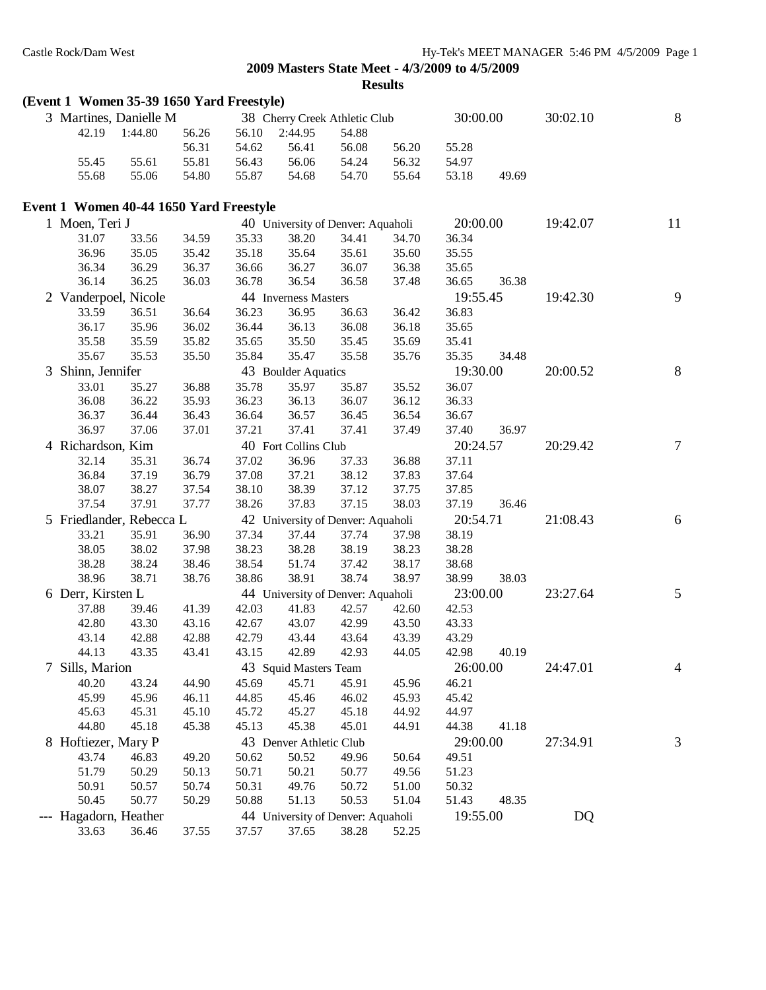|                       | (Event 1 Women 35-39 1650 Yard Freestyle) |                |                |                                            |                |                |                |       |          |                |
|-----------------------|-------------------------------------------|----------------|----------------|--------------------------------------------|----------------|----------------|----------------|-------|----------|----------------|
|                       | 3 Martines, Danielle M                    |                |                | 38 Cherry Creek Athletic Club              |                |                | 30:00.00       |       | 30:02.10 | $\, 8$         |
| 42.19                 | 1:44.80                                   | 56.26          | 56.10          | 2:44.95                                    | 54.88          |                |                |       |          |                |
|                       |                                           | 56.31          | 54.62          | 56.41                                      | 56.08          | 56.20          | 55.28          |       |          |                |
| 55.45                 | 55.61                                     | 55.81          | 56.43          | 56.06                                      | 54.24          | 56.32          | 54.97          |       |          |                |
| 55.68                 | 55.06                                     | 54.80          | 55.87          | 54.68                                      | 54.70          | 55.64          | 53.18          | 49.69 |          |                |
|                       | Event 1 Women 40-44 1650 Yard Freestyle   |                |                |                                            |                |                |                |       |          |                |
| 1 Moen, Teri J        |                                           |                |                | 40 University of Denver: Aquaholi          |                |                | 20:00.00       |       | 19:42.07 | 11             |
| 31.07                 | 33.56                                     | 34.59          | 35.33          | 38.20                                      | 34.41          | 34.70          | 36.34          |       |          |                |
| 36.96                 | 35.05                                     | 35.42          | 35.18          | 35.64                                      | 35.61          | 35.60          | 35.55          |       |          |                |
| 36.34                 | 36.29                                     | 36.37          | 36.66          | 36.27                                      | 36.07          | 36.38          | 35.65          |       |          |                |
| 36.14                 | 36.25                                     | 36.03          | 36.78          | 36.54                                      | 36.58          | 37.48          | 36.65          | 36.38 |          |                |
| 2 Vanderpoel, Nicole  |                                           |                |                | 44 Inverness Masters                       |                |                | 19:55.45       |       | 19:42.30 | 9              |
| 33.59                 | 36.51                                     | 36.64          | 36.23          | 36.95                                      | 36.63          | 36.42          | 36.83          |       |          |                |
| 36.17                 | 35.96                                     | 36.02          | 36.44          | 36.13                                      | 36.08          | 36.18          | 35.65          |       |          |                |
| 35.58                 | 35.59                                     | 35.82          | 35.65          | 35.50                                      | 35.45          | 35.69          | 35.41          |       |          |                |
| 35.67                 | 35.53                                     | 35.50          | 35.84          | 35.47                                      | 35.58          | 35.76          | 35.35          | 34.48 |          |                |
| 3 Shinn, Jennifer     |                                           |                |                | 43 Boulder Aquatics                        |                |                | 19:30.00       |       | 20:00.52 | $8\phantom{.}$ |
| 33.01                 | 35.27                                     | 36.88          | 35.78          | 35.97                                      | 35.87          | 35.52          | 36.07          |       |          |                |
| 36.08                 | 36.22                                     | 35.93          | 36.23          | 36.13                                      | 36.07          | 36.12          | 36.33          |       |          |                |
| 36.37                 | 36.44                                     | 36.43          | 36.64          | 36.57                                      | 36.45          | 36.54          | 36.67          |       |          |                |
| 36.97                 | 37.06                                     | 37.01          | 37.21          | 37.41                                      | 37.41          | 37.49          | 37.40          | 36.97 |          |                |
| 4 Richardson, Kim     |                                           |                |                | 40 Fort Collins Club                       |                |                | 20:24.57       |       | 20:29.42 | $\tau$         |
| 32.14                 | 35.31                                     | 36.74          | 37.02          | 36.96                                      | 37.33          | 36.88          | 37.11          |       |          |                |
| 36.84                 | 37.19                                     | 36.79          | 37.08          | 37.21                                      | 38.12          | 37.83          | 37.64          |       |          |                |
| 38.07                 | 38.27                                     | 37.54          | 38.10          | 38.39                                      | 37.12          | 37.75          | 37.85          |       |          |                |
| 37.54                 | 37.91                                     | 37.77          | 38.26          | 37.83                                      | 37.15          | 38.03          | 37.19          | 36.46 |          |                |
|                       | 5 Friedlander, Rebecca L                  |                |                | 42 University of Denver: Aquaholi          |                |                | 20:54.71       |       | 21:08.43 | 6              |
| 33.21                 | 35.91                                     | 36.90          | 37.34          | 37.44                                      | 37.74          | 37.98          | 38.19          |       |          |                |
| 38.05                 | 38.02                                     | 37.98          | 38.23          | 38.28                                      | 38.19          | 38.23          | 38.28          |       |          |                |
| 38.28                 | 38.24                                     | 38.46          | 38.54          | 51.74                                      | 37.42          | 38.17          | 38.68          |       |          |                |
| 38.96                 | 38.71                                     | 38.76          | 38.86          | 38.91                                      | 38.74          | 38.97          | 38.99          | 38.03 |          |                |
| 6 Derr, Kirsten L     |                                           |                |                |                                            |                |                | 23:00.00       |       | 23:27.64 | 5              |
| 37.88                 | 39.46                                     | 41.39          | 42.03          | 44 University of Denver: Aquaholi<br>41.83 | 42.57          | 42.60          | 42.53          |       |          |                |
| 42.80                 | 43.30                                     | 43.16          | 42.67          | 43.07                                      | 42.99          | 43.50          | 43.33          |       |          |                |
| 43.14                 | 42.88                                     | 42.88          | 42.79          | 43.44                                      | 43.64          | 43.39          | 43.29          |       |          |                |
| 44.13                 | 43.35                                     | 43.41          | 43.15          | 42.89                                      | 42.93          | 44.05          | 42.98          | 40.19 |          |                |
| 7 Sills, Marion       |                                           |                |                | 43 Squid Masters Team                      |                |                | 26:00.00       |       | 24:47.01 | $\overline{4}$ |
| 40.20                 | 43.24                                     | 44.90          | 45.69          | 45.71                                      | 45.91          | 45.96          | 46.21          |       |          |                |
| 45.99                 | 45.96                                     | 46.11          | 44.85          | 45.46                                      | 46.02          | 45.93          | 45.42          |       |          |                |
| 45.63                 | 45.31                                     | 45.10          | 45.72          | 45.27                                      | 45.18          | 44.92          | 44.97          |       |          |                |
| 44.80                 | 45.18                                     | 45.38          | 45.13          | 45.38                                      | 45.01          | 44.91          | 44.38          | 41.18 |          |                |
| 8 Hoftiezer, Mary P   |                                           |                |                | 43 Denver Athletic Club                    |                |                | 29:00.00       |       | 27:34.91 | 3              |
| 43.74                 | 46.83                                     | 49.20          | 50.62          | 50.52                                      | 49.96          | 50.64          | 49.51          |       |          |                |
| 51.79                 |                                           |                |                |                                            |                |                |                |       |          |                |
| 50.91                 | 50.29<br>50.57                            | 50.13<br>50.74 | 50.71<br>50.31 | 50.21<br>49.76                             | 50.77<br>50.72 | 49.56<br>51.00 | 51.23<br>50.32 |       |          |                |
| 50.45                 | 50.77                                     | 50.29          | 50.88          | 51.13                                      | 50.53          | 51.04          | 51.43          | 48.35 |          |                |
|                       |                                           |                |                |                                            |                |                | 19:55.00       |       |          |                |
| --- Hagadorn, Heather |                                           |                |                | 44 University of Denver: Aquaholi          |                |                |                |       | DQ       |                |
| 33.63                 | 36.46                                     | 37.55          | 37.57          | 37.65                                      | 38.28          | 52.25          |                |       |          |                |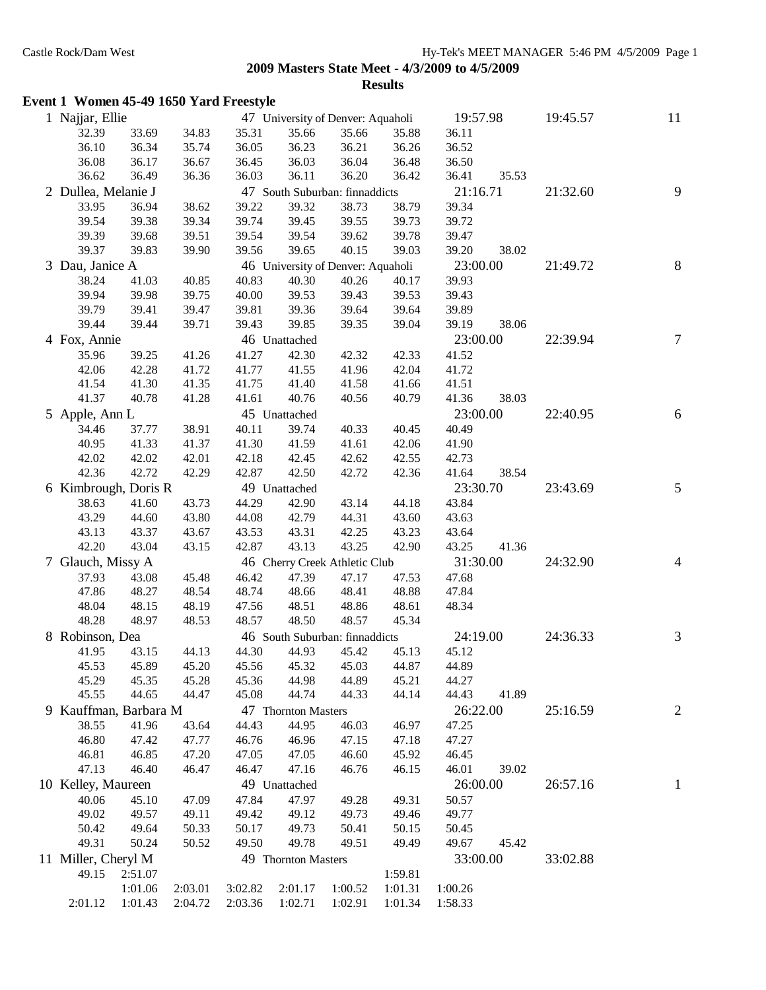**Results**

|   | Event 1 Women 45-49 1650 Yard Freestyle |                |                    |                            |                     |                                   |                    |                    |       |          |                |
|---|-----------------------------------------|----------------|--------------------|----------------------------|---------------------|-----------------------------------|--------------------|--------------------|-------|----------|----------------|
|   | 1 Najjar, Ellie                         |                |                    |                            |                     | 47 University of Denver: Aquaholi |                    | 19:57.98           |       | 19:45.57 | 11             |
|   | 32.39                                   | 33.69          | 34.83              | 35.31                      | 35.66               | 35.66                             | 35.88              | 36.11              |       |          |                |
|   | 36.10                                   | 36.34          | 35.74              | 36.05                      | 36.23               | 36.21                             | 36.26              | 36.52              |       |          |                |
|   | 36.08                                   | 36.17          | 36.67              | 36.45                      | 36.03               | 36.04                             | 36.48              | 36.50              |       |          |                |
|   | 36.62                                   | 36.49          | 36.36              | 36.03                      | 36.11               | 36.20                             | 36.42              | 36.41              | 35.53 |          |                |
|   | 2 Dullea, Melanie J                     |                |                    |                            |                     | 47 South Suburban: finnaddicts    |                    | 21:16.71           |       | 21:32.60 | 9              |
|   | 33.95                                   | 36.94          | 38.62              | 39.22                      | 39.32               | 38.73                             | 38.79              | 39.34              |       |          |                |
|   | 39.54                                   | 39.38          | 39.34              | 39.74                      | 39.45               | 39.55                             | 39.73              | 39.72              |       |          |                |
|   | 39.39                                   | 39.68          | 39.51              | 39.54                      | 39.54               | 39.62                             | 39.78              | 39.47              |       |          |                |
|   | 39.37                                   | 39.83          | 39.90              | 39.56                      | 39.65               | 40.15                             | 39.03              | 39.20              | 38.02 |          |                |
|   | 3 Dau, Janice A                         |                |                    |                            |                     | 46 University of Denver: Aquaholi |                    | 23:00.00           |       | 21:49.72 | $8\,$          |
|   | 38.24                                   | 41.03          | 40.85              | 40.83                      | 40.30               | 40.26                             | 40.17              | 39.93              |       |          |                |
|   | 39.94                                   | 39.98          | 39.75              | 40.00                      | 39.53               | 39.43                             | 39.53              | 39.43              |       |          |                |
|   | 39.79                                   | 39.41          | 39.47              | 39.81                      | 39.36               | 39.64                             | 39.64              | 39.89              |       |          |                |
|   | 39.44                                   | 39.44          | 39.71              | 39.43                      | 39.85               | 39.35                             | 39.04              | 39.19              | 38.06 |          |                |
|   | 4 Fox, Annie                            |                |                    |                            | 46 Unattached       |                                   |                    | 23:00.00           |       | 22:39.94 | $\tau$         |
|   | 35.96                                   | 39.25          | 41.26              | 41.27                      | 42.30               | 42.32                             | 42.33              | 41.52              |       |          |                |
|   | 42.06                                   | 42.28          | 41.72              | 41.77                      | 41.55               | 41.96                             | 42.04              | 41.72              |       |          |                |
|   | 41.54                                   | 41.30          | 41.35              | 41.75                      | 41.40               | 41.58                             | 41.66              | 41.51              |       |          |                |
|   | 41.37                                   | 40.78          | 41.28              | 41.61                      | 40.76               | 40.56                             | 40.79              | 41.36              | 38.03 |          |                |
|   | 5 Apple, Ann L                          |                |                    |                            | 45 Unattached       |                                   |                    | 23:00.00           |       | 22:40.95 | 6              |
|   | 34.46                                   | 37.77          | 38.91              | 40.11                      | 39.74               | 40.33                             | 40.45              | 40.49              |       |          |                |
|   | 40.95                                   | 41.33          | 41.37              | 41.30                      | 41.59               | 41.61                             | 42.06              | 41.90              |       |          |                |
|   | 42.02                                   | 42.02          | 42.01              | 42.18                      | 42.45               | 42.62                             | 42.55              | 42.73              |       |          |                |
|   | 42.36                                   | 42.72          | 42.29              | 42.87                      | 42.50               | 42.72                             | 42.36              | 41.64              | 38.54 |          |                |
|   | 6 Kimbrough, Doris R                    |                |                    |                            | 49 Unattached       |                                   |                    | 23:30.70           |       | 23:43.69 | 5              |
|   | 38.63                                   | 41.60          | 43.73              | 44.29                      | 42.90               | 43.14                             | 44.18              | 43.84              |       |          |                |
|   | 43.29                                   | 44.60          | 43.80              | 44.08                      | 42.79               | 44.31                             | 43.60              | 43.63              |       |          |                |
|   | 43.13                                   | 43.37          | 43.67              | 43.53                      | 43.31               | 42.25                             | 43.23              | 43.64              |       |          |                |
|   | 42.20                                   | 43.04          | 43.15              | 42.87                      | 43.13               | 43.25                             | 42.90              | 43.25              | 41.36 |          |                |
| 7 | Glauch, Missy A                         |                |                    |                            |                     | 46 Cherry Creek Athletic Club     |                    | 31:30.00           |       | 24:32.90 | $\overline{4}$ |
|   | 37.93                                   | 43.08          | 45.48              | 46.42                      | 47.39               | 47.17                             | 47.53              | 47.68              |       |          |                |
|   | 47.86                                   | 48.27          | 48.54              | 48.74                      | 48.66               | 48.41                             | 48.88              | 47.84              |       |          |                |
|   | 48.04                                   | 48.15          | 48.19              | 47.56                      | 48.51               | 48.86                             | 48.61              | 48.34              |       |          |                |
|   | 48.28                                   | 48.97          | 48.53              | 48.57                      | 48.50               | 48.57                             | 45.34              |                    |       |          |                |
|   | 8 Robinson, Dea                         |                |                    |                            |                     | 46 South Suburban: finnaddicts    |                    | 24:19.00           |       | 24:36.33 | 3              |
|   | 41.95                                   | 43.15          | 44.13              | 44.30                      | 44.93               | 45.42                             | 45.13              | 45.12              |       |          |                |
|   | 45.53                                   | 45.89          | 45.20              | 45.56                      | 45.32               | 45.03                             | 44.87              | 44.89              |       |          |                |
|   | 45.29                                   | 45.35          | 45.28              | 45.36                      | 44.98               | 44.89                             | 45.21              | 44.27              |       |          |                |
|   | 45.55                                   | 44.65          | 44.47              | 45.08                      | 44.74               | 44.33                             | 44.14              | 44.43              | 41.89 |          |                |
|   | 9 Kauffman, Barbara M                   |                |                    |                            | 47 Thornton Masters |                                   |                    | 26:22.00           |       | 25:16.59 | $\overline{2}$ |
|   | 38.55                                   | 41.96          | 43.64              | 44.43                      | 44.95               | 46.03                             | 46.97              | 47.25              |       |          |                |
|   | 46.80                                   | 47.42          | 47.77              | 46.76                      | 46.96               | 47.15                             | 47.18              | 47.27              |       |          |                |
|   | 46.81                                   | 46.85          | 47.20              | 47.05                      | 47.05               | 46.60                             | 45.92              | 46.45              |       |          |                |
|   | 47.13                                   | 46.40          | 46.47              | 46.47                      | 47.16               | 46.76                             | 46.15              | 46.01              | 39.02 |          |                |
|   | 10 Kelley, Maureen                      |                |                    |                            | 49 Unattached       |                                   |                    | 26:00.00           |       | 26:57.16 |                |
|   | 40.06                                   |                | 47.09              | 47.84                      | 47.97               | 49.28                             | 49.31              | 50.57              |       |          | 1              |
|   | 49.02                                   | 45.10<br>49.57 | 49.11              | 49.42                      | 49.12               | 49.73                             | 49.46              | 49.77              |       |          |                |
|   | 50.42                                   | 49.64          | 50.33              | 50.17                      | 49.73               | 50.41                             | 50.15              | 50.45              |       |          |                |
|   | 49.31                                   | 50.24          | 50.52              | 49.50                      | 49.78               | 49.51                             | 49.49              | 49.67              | 45.42 |          |                |
|   |                                         |                |                    |                            |                     |                                   |                    |                    |       |          |                |
|   | 11 Miller, Cheryl M                     |                |                    |                            | 49 Thornton Masters |                                   |                    | 33:00.00           |       | 33:02.88 |                |
|   | 49.15                                   | 2:51.07        |                    |                            |                     |                                   | 1:59.81            |                    |       |          |                |
|   | 2:01.12  1:01.43                        | 1:01.06        | 2:03.01<br>2:04.72 | 3:02.82<br>2:03.36 1:02.71 | 2:01.17 1:00.52     | 1:02.91                           | 1:01.31<br>1:01.34 | 1:00.26<br>1:58.33 |       |          |                |
|   |                                         |                |                    |                            |                     |                                   |                    |                    |       |          |                |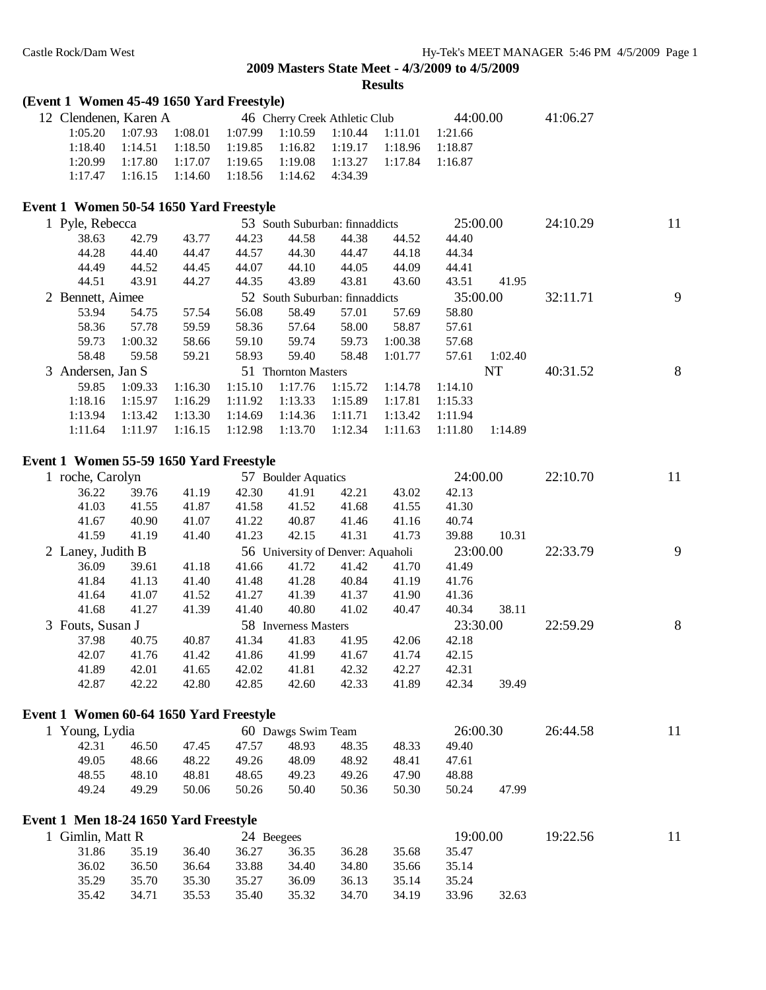# **(Event 1 Women 45-49 1650 Yard Freestyle)**

| (Event 1) women 45-49 1050 Yard Freestyle) |         |         |         |                                |         |         |          |         |          |    |
|--------------------------------------------|---------|---------|---------|--------------------------------|---------|---------|----------|---------|----------|----|
| 12 Clendenen, Karen A                      |         |         |         | 46 Cherry Creek Athletic Club  |         |         | 44:00.00 |         | 41:06.27 |    |
| 1:05.20                                    | 1:07.93 | 1:08.01 | 1:07.99 | 1:10.59                        | 1:10.44 | 1:11.01 | 1:21.66  |         |          |    |
| 1:18.40                                    | 1:14.51 | 1:18.50 | 1:19.85 | 1:16.82                        | 1:19.17 | 1:18.96 | 1:18.87  |         |          |    |
| 1:20.99                                    | 1:17.80 | 1:17.07 | 1:19.65 | 1:19.08                        | 1:13.27 | 1:17.84 | 1:16.87  |         |          |    |
| 1:17.47                                    | 1:16.15 | 1:14.60 | 1:18.56 | 1:14.62                        | 4:34.39 |         |          |         |          |    |
| Event 1 Women 50-54 1650 Yard Freestyle    |         |         |         |                                |         |         |          |         |          |    |
| 1 Pyle, Rebecca                            |         |         |         | 53 South Suburban: finnaddicts |         |         | 25:00.00 |         | 24:10.29 | 11 |
| 38.63                                      | 42.79   | 43.77   | 44.23   | 44.58                          | 44.38   | 44.52   | 44.40    |         |          |    |
| 44.28                                      | 44.40   | 44.47   | 44.57   | 44.30                          | 44.47   | 44.18   | 44.34    |         |          |    |
| 44.49                                      | 44.52   | 44.45   | 44.07   | 44.10                          | 44.05   | 44.09   | 44.41    |         |          |    |
| 44.51                                      | 43.91   | 44.27   | 44.35   | 43.89                          | 43.81   | 43.60   | 43.51    | 41.95   |          |    |
| 2 Bennett, Aimee                           |         |         |         | 52 South Suburban: finnaddicts |         |         | 35:00.00 |         | 32:11.71 | 9  |
| 53.94                                      | 54.75   | 57.54   | 56.08   | 58.49                          | 57.01   | 57.69   | 58.80    |         |          |    |
| 58.36                                      | 57.78   | 59.59   | 58.36   | 57.64                          | 58.00   | 58.87   | 57.61    |         |          |    |
| 59.73                                      | 1:00.32 | 58.66   | 59.10   | 59.74                          | 59.73   | 1:00.38 | 57.68    |         |          |    |
| 58.48                                      | 59.58   | 59.21   | 58.93   | 59.40                          | 58.48   | 1:01.77 | 57.61    | 1:02.40 |          |    |
| 3 Andersen, Jan S                          |         |         |         | 51 Thornton Masters            |         |         |          | NT      | 40:31.52 | 8  |
| 59.85                                      | 1:09.33 | 1:16.30 | 1:15.10 | 1:17.76                        | 1:15.72 | 1:14.78 | 1:14.10  |         |          |    |
| 1:18.16                                    | 1:15.97 | 1:16.29 | 1:11.92 | 1:13.33                        | 1:15.89 | 1:17.81 | 1:15.33  |         |          |    |
| 1:13.94                                    | 1:13.42 | 1:13.30 | 1:14.69 | 1:14.36                        | 1:11.71 | 1:13.42 | 1:11.94  |         |          |    |
| 1:11.64                                    | 1:11.97 | 1:16.15 | 1:12.98 | 1:13.70                        | 1:12.34 | 1:11.63 | 1:11.80  | 1:14.89 |          |    |
|                                            |         |         |         |                                |         |         |          |         |          |    |

## **Event 1 Women 55-59 1650 Yard Freestyle**

| 42.21<br>36.22<br>39.76<br>42.30<br>41.91<br>43.02<br>42.13<br>41.19           |   |
|--------------------------------------------------------------------------------|---|
|                                                                                |   |
| 41.03<br>41.30<br>41.55<br>41.87<br>41.58<br>41.52<br>41.68<br>41.55           |   |
| 41.67<br>40.90<br>41.07<br>41.22<br>40.87<br>41.46<br>41.16<br>40.74           |   |
| 41.19<br>41.40<br>39.88<br>41.59<br>41.23<br>42.15<br>41.31<br>41.73<br>10.31  |   |
| 23:00.00<br>22:33.79<br>2 Laney, Judith B<br>56 University of Denver: Aquaholi | 9 |
| 41.72<br>36.09<br>41.18<br>41.42<br>41.70<br>41.49<br>39.61<br>41.66           |   |
| 41.13<br>40.84<br>41.84<br>41.40<br>41.48<br>41.28<br>41.19<br>41.76           |   |
| 41.07<br>41.27<br>41.37<br>41.36<br>41.64<br>41.52<br>41.39<br>41.90           |   |
| 38.11<br>41.68<br>41.27<br>41.39<br>40.80<br>41.02<br>40.47<br>40.34<br>41.40  |   |
| 23:30.00<br>22:59.29<br>58 Inverness Masters<br>3 Fouts, Susan J               | 8 |
| 40.75<br>37.98<br>40.87<br>41.83<br>41.95<br>42.06<br>42.18<br>41.34           |   |
| 41.76<br>42.15<br>42.07<br>41.42<br>41.86<br>41.99<br>41.67<br>41.74           |   |
| 42.27<br>41.89<br>42.01<br>42.02<br>41.81<br>42.32<br>42.31<br>41.65           |   |
| 42.87<br>42.22<br>42.34<br>39.49<br>42.80<br>42.85<br>42.60<br>42.33<br>41.89  |   |

#### **Event 1 Women 60-64 1650 Yard Freestyle**

| 1 Young, Lydia |       |       |       | 60 Dawgs Swim Team |       |       | 26:00.30 |       | 26:44.58 | 11 |
|----------------|-------|-------|-------|--------------------|-------|-------|----------|-------|----------|----|
| 42.31          | 46.50 | 47.45 | 47.57 | 48.93              | 48.35 | 48.33 | 49.40    |       |          |    |
| 49.05          | 48.66 | 48.22 | 49.26 | 48.09              | 48.92 | 48.41 | 47.61    |       |          |    |
| 48.55          | 48.10 | 48.81 | 48.65 | 49.23              | 49.26 | 47.90 | 48.88    |       |          |    |
| 49.24          | 49.29 | 50.06 | 50.26 | 50.40              | 50.36 | 50.30 | 50.24    | 47.99 |          |    |

# **Event 1 Men 18-24 1650 Yard Freestyle**

| 1 Gimlin, Matt R |       |       | 24 Beegees |       |       |       | 19:00.00 | 19:22.56 |  |
|------------------|-------|-------|------------|-------|-------|-------|----------|----------|--|
| 31.86            | 35.19 | 36.40 | 36.27      | 36.35 | 36.28 | 35.68 | 35.47    |          |  |
| 36.02            | 36.50 | 36.64 | 33.88      | 34.40 | 34.80 | 35.66 | 35.14    |          |  |
| 35.29            | 35.70 | 35.30 | 35.27      | 36.09 | 36.13 | 35.14 | 35.24    |          |  |
| 35.42            | 34.71 | 35.53 | 35.40      | 35.32 | 34.70 | 34.19 | 33.96    | 32.63    |  |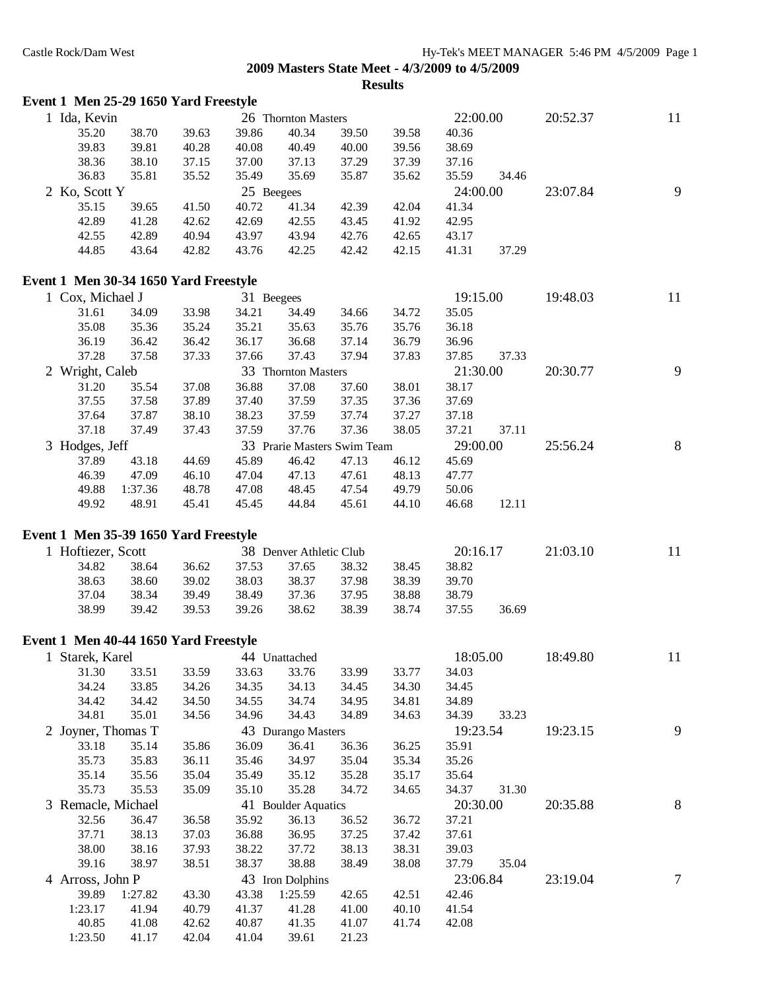|  |  |  | Event 1 Men 25-29 1650 Yard Freestyle |
|--|--|--|---------------------------------------|
|--|--|--|---------------------------------------|

| Ida, Kevin                            |       |       |            | 26 Thornton Masters |       |       | 22:00.00       |       | 20:52.37 | 11 |
|---------------------------------------|-------|-------|------------|---------------------|-------|-------|----------------|-------|----------|----|
| 35.20                                 | 38.70 | 39.63 | 39.86      | 40.34               | 39.50 | 39.58 | 40.36          |       |          |    |
| 39.83                                 | 39.81 | 40.28 | 40.08      | 40.49               | 40.00 | 39.56 | 38.69          |       |          |    |
| 38.36                                 | 38.10 | 37.15 | 37.00      | 37.13               | 37.29 | 37.39 | 37.16          |       |          |    |
| 36.83                                 | 35.81 | 35.52 | 35.49      | 35.69               | 35.87 | 35.62 | 35.59          | 34.46 |          |    |
| 2 Ko, Scott Y                         |       |       | 25 Beegees |                     |       |       | 24:00.00       |       | 23:07.84 | 9  |
| 35.15                                 | 39.65 | 41.50 | 40.72      | 41.34               | 42.39 | 42.04 | 41.34          |       |          |    |
| 42.89                                 | 41.28 | 42.62 | 42.69      | 42.55               | 43.45 | 41.92 | 42.95          |       |          |    |
| 42.55                                 | 42.89 | 40.94 | 43.97      | 43.94               | 42.76 | 42.65 | 43.17          |       |          |    |
| 44.85                                 | 43.64 | 42.82 | 43.76      | 42.25               | 42.42 | 42.15 | 41.31          | 37.29 |          |    |
| Event 1 Men 30-34 1650 Yard Freestyle |       |       |            |                     |       |       |                |       |          |    |
| $1 \text{ Cov }$ Michael I            |       |       | 21         | $D_{000000}$        |       |       | 10.15 $\Omega$ |       | 10.48.02 | 11 |

| Cox, Michael J  |         |       | 31 Beegees |                     |                             |       | 19:15.00 |       | 19:48.03 | 11 |
|-----------------|---------|-------|------------|---------------------|-----------------------------|-------|----------|-------|----------|----|
| 31.61           | 34.09   | 33.98 | 34.21      | 34.49               | 34.66                       | 34.72 | 35.05    |       |          |    |
| 35.08           | 35.36   | 35.24 | 35.21      | 35.63               | 35.76                       | 35.76 | 36.18    |       |          |    |
| 36.19           | 36.42   | 36.42 | 36.17      | 36.68               | 37.14                       | 36.79 | 36.96    |       |          |    |
| 37.28           | 37.58   | 37.33 | 37.66      | 37.43               | 37.94                       | 37.83 | 37.85    | 37.33 |          |    |
| 2 Wright, Caleb |         |       |            | 33 Thornton Masters |                             |       | 21:30.00 |       | 20:30.77 | 9  |
| 31.20           | 35.54   | 37.08 | 36.88      | 37.08               | 37.60                       | 38.01 | 38.17    |       |          |    |
| 37.55           | 37.58   | 37.89 | 37.40      | 37.59               | 37.35                       | 37.36 | 37.69    |       |          |    |
| 37.64           | 37.87   | 38.10 | 38.23      | 37.59               | 37.74                       | 37.27 | 37.18    |       |          |    |
| 37.18           | 37.49   | 37.43 | 37.59      | 37.76               | 37.36                       | 38.05 | 37.21    | 37.11 |          |    |
| 3 Hodges, Jeff  |         |       |            |                     | 33 Prarie Masters Swim Team |       | 29:00.00 |       | 25:56.24 | 8  |
| 37.89           | 43.18   | 44.69 | 45.89      | 46.42               | 47.13                       | 46.12 | 45.69    |       |          |    |
| 46.39           | 47.09   | 46.10 | 47.04      | 47.13               | 47.61                       | 48.13 | 47.77    |       |          |    |
| 49.88           | 1:37.36 | 48.78 | 47.08      | 48.45               | 47.54                       | 49.79 | 50.06    |       |          |    |
| 49.92           | 48.91   | 45.41 | 45.45      | 44.84               | 45.61                       | 44.10 | 46.68    | 12.11 |          |    |
|                 |         |       |            |                     |                             |       |          |       |          |    |

## **Event 1 Men 35-39 1650 Yard Freestyle**

| Hoftiezer, Scott |       |       |       | 38 Denver Athletic Club |       |       | 20:16.17 |       | 21:03.10 | 11 |
|------------------|-------|-------|-------|-------------------------|-------|-------|----------|-------|----------|----|
| 34.82            | 38.64 | 36.62 | 37.53 | 37.65                   | 38.32 | 38.45 | 38.82    |       |          |    |
| 38.63            | 38.60 | 39.02 | 38.03 | 38.37                   | 37.98 | 38.39 | 39.70    |       |          |    |
| 37.04            | 38.34 | 39.49 | 38.49 | 37.36                   | 37.95 | 38.88 | 38.79    |       |          |    |
| 38.99            | 39.42 | 39.53 | 39.26 | 38.62                   | 38.39 | 38.74 | 37.55    | 36.69 |          |    |
|                  |       |       |       |                         |       |       |          |       |          |    |

## **Event 1 Men 40-44 1650 Yard Freestyle**

| Starek, Karel      |         |       |       | 44 Unattached       |       |       | 18:05.00 |       | 18:49.80 | 11 |
|--------------------|---------|-------|-------|---------------------|-------|-------|----------|-------|----------|----|
| 31.30              | 33.51   | 33.59 | 33.63 | 33.76               | 33.99 | 33.77 | 34.03    |       |          |    |
| 34.24              | 33.85   | 34.26 | 34.35 | 34.13               | 34.45 | 34.30 | 34.45    |       |          |    |
| 34.42              | 34.42   | 34.50 | 34.55 | 34.74               | 34.95 | 34.81 | 34.89    |       |          |    |
| 34.81              | 35.01   | 34.56 | 34.96 | 34.43               | 34.89 | 34.63 | 34.39    | 33.23 |          |    |
| 2 Joyner, Thomas T |         |       |       | 43 Durango Masters  |       |       | 19:23.54 |       | 19:23.15 | 9  |
| 33.18              | 35.14   | 35.86 | 36.09 | 36.41               | 36.36 | 36.25 | 35.91    |       |          |    |
| 35.73              | 35.83   | 36.11 | 35.46 | 34.97               | 35.04 | 35.34 | 35.26    |       |          |    |
| 35.14              | 35.56   | 35.04 | 35.49 | 35.12               | 35.28 | 35.17 | 35.64    |       |          |    |
| 35.73              | 35.53   | 35.09 | 35.10 | 35.28               | 34.72 | 34.65 | 34.37    | 31.30 |          |    |
|                    |         |       |       |                     |       |       |          |       |          |    |
| 3 Remacle, Michael |         |       |       | 41 Boulder Aquatics |       |       | 20:30.00 |       | 20:35.88 | 8  |
| 32.56              | 36.47   | 36.58 | 35.92 | 36.13               | 36.52 | 36.72 | 37.21    |       |          |    |
| 37.71              | 38.13   | 37.03 | 36.88 | 36.95               | 37.25 | 37.42 | 37.61    |       |          |    |
| 38.00              | 38.16   | 37.93 | 38.22 | 37.72               | 38.13 | 38.31 | 39.03    |       |          |    |
| 39.16              | 38.97   | 38.51 | 38.37 | 38.88               | 38.49 | 38.08 | 37.79    | 35.04 |          |    |
| 4 Arross, John P   |         |       |       | 43 Iron Dolphins    |       |       | 23:06.84 |       | 23:19.04 | 7  |
| 39.89              | 1:27.82 | 43.30 | 43.38 | 1:25.59             | 42.65 | 42.51 | 42.46    |       |          |    |
| 1:23.17            | 41.94   | 40.79 | 41.37 | 41.28               | 41.00 | 40.10 | 41.54    |       |          |    |
| 40.85              | 41.08   | 42.62 | 40.87 | 41.35               | 41.07 | 41.74 | 42.08    |       |          |    |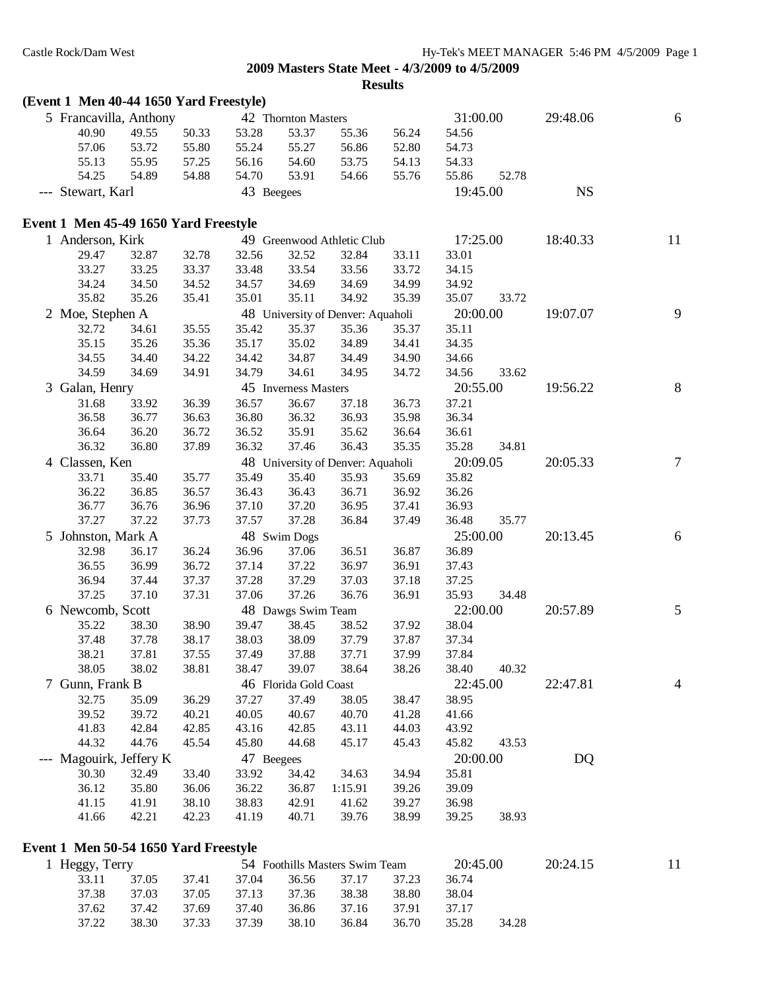| (Event 1 Men 40-44 1650 Yard Freestyle)                 |       |       |            |                       |                                   |       |          |       |           |    |
|---------------------------------------------------------|-------|-------|------------|-----------------------|-----------------------------------|-------|----------|-------|-----------|----|
| 5 Francavilla, Anthony                                  |       |       |            | 42 Thornton Masters   |                                   |       | 31:00.00 |       | 29:48.06  | 6  |
| 40.90                                                   | 49.55 | 50.33 | 53.28      | 53.37                 | 55.36                             | 56.24 | 54.56    |       |           |    |
| 57.06                                                   | 53.72 | 55.80 | 55.24      | 55.27                 | 56.86                             | 52.80 | 54.73    |       |           |    |
| 55.13                                                   | 55.95 | 57.25 | 56.16      | 54.60                 | 53.75                             | 54.13 | 54.33    |       |           |    |
| 54.25                                                   | 54.89 | 54.88 | 54.70      | 53.91                 | 54.66                             | 55.76 | 55.86    | 52.78 |           |    |
| --- Stewart, Karl                                       |       |       | 43 Beegees |                       |                                   |       | 19:45.00 |       | <b>NS</b> |    |
| Event 1 Men 45-49 1650 Yard Freestyle                   |       |       |            |                       |                                   |       |          |       |           |    |
| 1 Anderson, Kirk                                        |       |       |            |                       | 49 Greenwood Athletic Club        |       | 17:25.00 |       | 18:40.33  | 11 |
| 29.47                                                   | 32.87 | 32.78 | 32.56      | 32.52                 | 32.84                             | 33.11 | 33.01    |       |           |    |
| 33.27                                                   | 33.25 | 33.37 | 33.48      | 33.54                 | 33.56                             | 33.72 | 34.15    |       |           |    |
| 34.24                                                   | 34.50 | 34.52 | 34.57      | 34.69                 | 34.69                             | 34.99 | 34.92    |       |           |    |
| 35.82                                                   | 35.26 | 35.41 | 35.01      | 35.11                 | 34.92                             | 35.39 | 35.07    | 33.72 |           |    |
| 2 Moe, Stephen A                                        |       |       |            |                       | 48 University of Denver: Aquaholi |       | 20:00.00 |       | 19:07.07  | 9  |
| 32.72                                                   | 34.61 | 35.55 | 35.42      | 35.37                 | 35.36                             | 35.37 | 35.11    |       |           |    |
| 35.15                                                   | 35.26 | 35.36 | 35.17      | 35.02                 | 34.89                             | 34.41 | 34.35    |       |           |    |
| 34.55                                                   | 34.40 | 34.22 | 34.42      | 34.87                 | 34.49                             | 34.90 | 34.66    |       |           |    |
| 34.59                                                   | 34.69 | 34.91 | 34.79      | 34.61                 | 34.95                             | 34.72 | 34.56    | 33.62 |           |    |
| 3 Galan, Henry                                          |       |       |            | 45 Inverness Masters  |                                   |       | 20:55.00 |       | 19:56.22  | 8  |
| 31.68                                                   | 33.92 | 36.39 | 36.57      | 36.67                 | 37.18                             | 36.73 | 37.21    |       |           |    |
| 36.58                                                   | 36.77 | 36.63 | 36.80      | 36.32                 | 36.93                             | 35.98 | 36.34    |       |           |    |
| 36.64                                                   | 36.20 | 36.72 | 36.52      | 35.91                 | 35.62                             | 36.64 | 36.61    |       |           |    |
| 36.32                                                   | 36.80 | 37.89 | 36.32      | 37.46                 | 36.43                             | 35.35 | 35.28    | 34.81 |           |    |
| 4 Classen, Ken                                          |       |       |            |                       | 48 University of Denver: Aquaholi |       | 20:09.05 |       | 20:05.33  | 7  |
| 33.71                                                   | 35.40 | 35.77 | 35.49      | 35.40                 | 35.93                             | 35.69 | 35.82    |       |           |    |
| 36.22                                                   | 36.85 | 36.57 | 36.43      | 36.43                 | 36.71                             | 36.92 | 36.26    |       |           |    |
| 36.77                                                   | 36.76 | 36.96 | 37.10      | 37.20                 | 36.95                             | 37.41 | 36.93    |       |           |    |
| 37.27                                                   | 37.22 | 37.73 | 37.57      | 37.28                 | 36.84                             | 37.49 | 36.48    | 35.77 |           |    |
| 5 Johnston, Mark A                                      |       |       |            | 48 Swim Dogs          |                                   |       | 25:00.00 |       | 20:13.45  | 6  |
| 32.98                                                   | 36.17 | 36.24 | 36.96      | 37.06                 | 36.51                             | 36.87 | 36.89    |       |           |    |
| 36.55                                                   | 36.99 | 36.72 | 37.14      | 37.22                 | 36.97                             | 36.91 | 37.43    |       |           |    |
| 36.94                                                   | 37.44 | 37.37 | 37.28      | 37.29                 | 37.03                             | 37.18 | 37.25    |       |           |    |
| 37.25                                                   | 37.10 | 37.31 | 37.06      | 37.26                 | 36.76                             | 36.91 | 35.93    | 34.48 |           |    |
| 6 Newcomb, Scott                                        |       |       |            | 48 Dawgs Swim Team    |                                   |       | 22:00.00 |       | 20:57.89  | 5  |
| 35.22                                                   | 38.30 | 38.90 | 39.47      | 38.45                 | 38.52                             | 37.92 | 38.04    |       |           |    |
| 37.48                                                   | 37.78 | 38.17 | 38.03      | 38.09                 | 37.79                             | 37.87 | 37.34    |       |           |    |
| 38.21                                                   | 37.81 | 37.55 | 37.49      | 37.88                 | 37.71                             | 37.99 | 37.84    |       |           |    |
| 38.05                                                   | 38.02 | 38.81 | 38.47      | 39.07                 | 38.64                             | 38.26 | 38.40    | 40.32 |           |    |
| 7 Gunn, Frank B                                         |       |       |            | 46 Florida Gold Coast |                                   |       | 22:45.00 |       | 22:47.81  | 4  |
| 32.75                                                   | 35.09 | 36.29 | 37.27      | 37.49                 | 38.05                             | 38.47 | 38.95    |       |           |    |
| 39.52                                                   | 39.72 | 40.21 | 40.05      | 40.67                 | 40.70                             | 41.28 | 41.66    |       |           |    |
| 41.83                                                   | 42.84 | 42.85 | 43.16      | 42.85                 | 43.11                             | 44.03 | 43.92    |       |           |    |
| 44.32                                                   | 44.76 | 45.54 | 45.80      | 44.68                 | 45.17                             | 45.43 | 45.82    | 43.53 |           |    |
| --- Magouirk, Jeffery K                                 |       |       | 47 Beegees |                       |                                   |       | 20:00.00 |       | DQ        |    |
| 30.30                                                   | 32.49 | 33.40 | 33.92      | 34.42                 | 34.63                             | 34.94 | 35.81    |       |           |    |
| 36.12                                                   | 35.80 | 36.06 | 36.22      | 36.87                 | 1:15.91                           | 39.26 | 39.09    |       |           |    |
| 41.15                                                   | 41.91 | 38.10 | 38.83      | 42.91                 | 41.62                             | 39.27 | 36.98    |       |           |    |
| 41.66                                                   | 42.21 | 42.23 | 41.19      | 40.71                 | 39.76                             | 38.99 | 39.25    | 38.93 |           |    |
|                                                         |       |       |            |                       |                                   |       |          |       |           |    |
| Event 1 Men 50-54 1650 Yard Freestyle<br>1 Heggy, Terry |       |       |            |                       | 54 Foothills Masters Swim Team    |       | 20:45.00 |       | 20:24.15  | 11 |
|                                                         |       |       |            |                       |                                   |       |          |       |           |    |

| $\text{deggy}$ , $\text{I}$ erry |                                                 |  | $\overline{D}$ 24 Foothills Masters Swim Team $\overline{20.45.00}$ |       | ZU: 24. |
|----------------------------------|-------------------------------------------------|--|---------------------------------------------------------------------|-------|---------|
|                                  | 33.11 37.05 37.41 37.04 36.56 37.17 37.23       |  | 36.74                                                               |       |         |
|                                  | 37.38 37.03 37.05 37.13 37.36 38.38 38.80       |  | 38.04                                                               |       |         |
|                                  | 37.62 37.42 37.69 37.40 36.86 37.16 37.91 37.17 |  |                                                                     |       |         |
|                                  | 37.22 38.30 37.33 37.39 38.10 36.84 36.70 35.28 |  |                                                                     | 34.28 |         |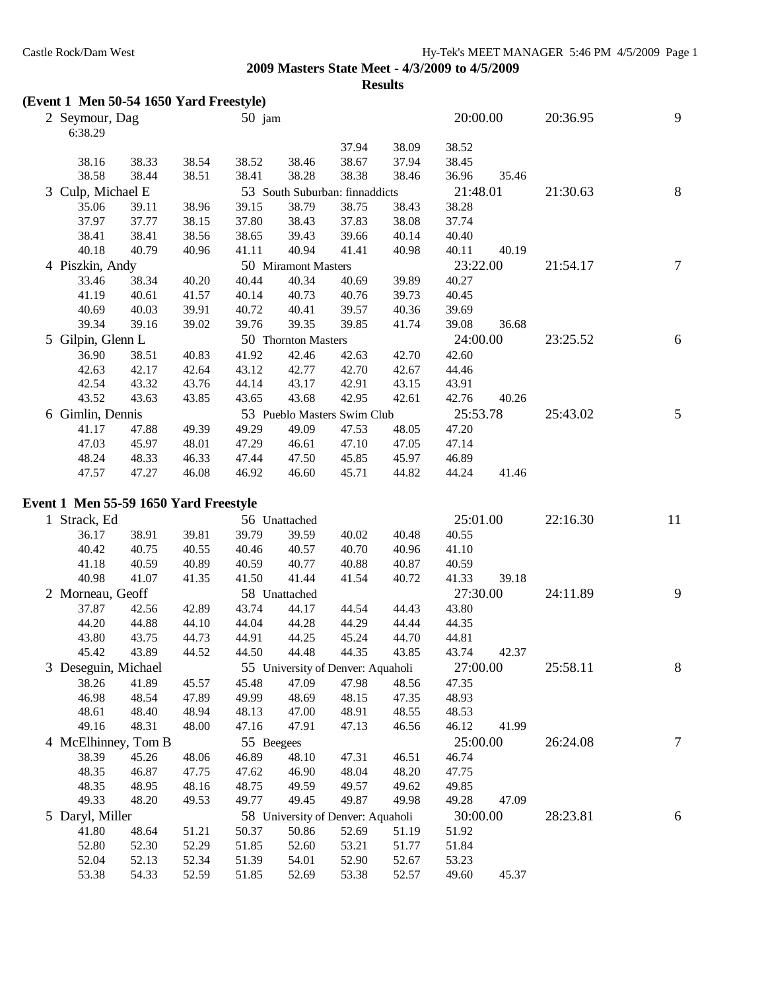**Results**

# **(Event 1 Men 50-54 1650 Yard Freestyle)**

| 2 Seymour, Dag<br>6:38.29             |       |               | $50$ jam |                     |                                |       | 20:00.00 |       | 20:36.95 | 9  |
|---------------------------------------|-------|---------------|----------|---------------------|--------------------------------|-------|----------|-------|----------|----|
|                                       |       |               |          |                     | 37.94                          | 38.09 | 38.52    |       |          |    |
| 38.16                                 | 38.33 | 38.54         | 38.52    | 38.46               | 38.67                          | 37.94 | 38.45    |       |          |    |
| 38.58                                 | 38.44 | 38.51         | 38.41    | 38.28               | 38.38                          | 38.46 | 36.96    | 35.46 |          |    |
| 3 Culp, Michael E                     |       |               |          |                     | 53 South Suburban: finnaddicts |       | 21:48.01 |       | 21:30.63 | 8  |
| 35.06                                 | 39.11 | 38.96         | 39.15    | 38.79               | 38.75                          | 38.43 | 38.28    |       |          |    |
| 37.97                                 | 37.77 | 38.15         | 37.80    | 38.43               | 37.83                          | 38.08 | 37.74    |       |          |    |
| 38.41                                 | 38.41 | 38.56         | 38.65    | 39.43               | 39.66                          | 40.14 | 40.40    |       |          |    |
| 40.18                                 | 40.79 | 40.96         | 41.11    | 40.94               | 41.41                          | 40.98 | 40.11    | 40.19 |          |    |
| 4 Piszkin, Andy                       |       |               |          | 50 Miramont Masters |                                |       | 23:22.00 |       | 21:54.17 | 7  |
| 33.46                                 | 38.34 | 40.20         | 40.44    | 40.34               | 40.69                          | 39.89 | 40.27    |       |          |    |
| 41.19                                 | 40.61 | 41.57         | 40.14    | 40.73               | 40.76                          | 39.73 | 40.45    |       |          |    |
| 40.69                                 | 40.03 | 39.91         | 40.72    | 40.41               | 39.57                          | 40.36 | 39.69    |       |          |    |
| 39.34                                 | 39.16 | 39.02         | 39.76    | 39.35               | 39.85                          | 41.74 | 39.08    | 36.68 |          |    |
| 5 Gilpin, Glenn L                     |       |               |          | 50 Thornton Masters |                                |       | 24:00.00 |       | 23:25.52 | 6  |
| 36.90                                 | 38.51 | 40.83         | 41.92    | 42.46               | 42.63                          | 42.70 | 42.60    |       |          |    |
| 42.63                                 | 42.17 | 42.64         | 43.12    | 42.77               | 42.70                          | 42.67 | 44.46    |       |          |    |
| 42.54                                 | 43.32 | 43.76         | 44.14    | 43.17               | 42.91                          | 43.15 | 43.91    |       |          |    |
| 43.52                                 | 43.63 | 43.85         | 43.65    | 43.68               | 42.95                          | 42.61 | 42.76    | 40.26 |          |    |
| 6 Gimlin, Dennis                      |       |               |          |                     | 53 Pueblo Masters Swim Club    |       | 25:53.78 |       | 25:43.02 | 5  |
| 41.17                                 | 47.88 | 49.39         | 49.29    | 49.09               | 47.53                          | 48.05 | 47.20    |       |          |    |
| 47.03                                 | 45.97 | 48.01         | 47.29    | 46.61               | 47.10                          | 47.05 | 47.14    |       |          |    |
| 48.24                                 | 48.33 | 46.33         | 47.44    | 47.50               | 45.85                          | 45.97 | 46.89    |       |          |    |
| 47.57                                 | 47.27 | 46.08         | 46.92    | 46.60               | 45.71                          | 44.82 | 44.24    | 41.46 |          |    |
| Event 1 Men 55-59 1650 Yard Freestyle |       |               |          |                     |                                |       |          |       |          |    |
| 1 Strack Ed                           |       | 56 Unattached |          |                     |                                |       | 25.01.00 |       | 22.1630  | 11 |

|       |       |                                                                            |                     |       |                                              |       |                                                                        |       | 22:16.30                                                 | 11 |
|-------|-------|----------------------------------------------------------------------------|---------------------|-------|----------------------------------------------|-------|------------------------------------------------------------------------|-------|----------------------------------------------------------|----|
| 36.17 | 38.91 | 39.81                                                                      | 39.79               | 39.59 | 40.02                                        | 40.48 | 40.55                                                                  |       |                                                          |    |
| 40.42 | 40.75 | 40.55                                                                      | 40.46               | 40.57 | 40.70                                        | 40.96 | 41.10                                                                  |       |                                                          |    |
| 41.18 | 40.59 | 40.89                                                                      | 40.59               | 40.77 | 40.88                                        | 40.87 | 40.59                                                                  |       |                                                          |    |
| 40.98 | 41.07 | 41.35                                                                      | 41.50               | 41.44 | 41.54                                        | 40.72 | 41.33                                                                  | 39.18 |                                                          |    |
|       |       |                                                                            |                     |       |                                              |       |                                                                        |       | 24:11.89                                                 | 9  |
| 37.87 | 42.56 | 42.89                                                                      | 43.74               | 44.17 | 44.54                                        | 44.43 | 43.80                                                                  |       |                                                          |    |
| 44.20 | 44.88 | 44.10                                                                      | 44.04               | 44.28 | 44.29                                        | 44.44 | 44.35                                                                  |       |                                                          |    |
| 43.80 | 43.75 | 44.73                                                                      | 44.91               | 44.25 | 45.24                                        | 44.70 | 44.81                                                                  |       |                                                          |    |
| 45.42 | 43.89 | 44.52                                                                      | 44.50               | 44.48 | 44.35                                        | 43.85 | 43.74                                                                  | 42.37 |                                                          |    |
|       |       |                                                                            |                     |       |                                              |       |                                                                        |       | 25:58.11                                                 | 8  |
| 38.26 | 41.89 | 45.57                                                                      | 45.48               | 47.09 | 47.98                                        | 48.56 | 47.35                                                                  |       |                                                          |    |
| 46.98 | 48.54 | 47.89                                                                      | 49.99               | 48.69 | 48.15                                        | 47.35 | 48.93                                                                  |       |                                                          |    |
| 48.61 | 48.40 | 48.94                                                                      | 48.13               | 47.00 | 48.91                                        | 48.55 | 48.53                                                                  |       |                                                          |    |
| 49.16 | 48.31 | 48.00                                                                      | 47.16               | 47.91 | 47.13                                        | 46.56 | 46.12                                                                  | 41.99 |                                                          |    |
|       |       |                                                                            |                     |       |                                              |       |                                                                        |       | 26:24.08                                                 | 7  |
| 38.39 | 45.26 | 48.06                                                                      | 46.89               | 48.10 | 47.31                                        | 46.51 | 46.74                                                                  |       |                                                          |    |
| 48.35 | 46.87 | 47.75                                                                      | 47.62               | 46.90 | 48.04                                        | 48.20 | 47.75                                                                  |       |                                                          |    |
| 48.35 | 48.95 | 48.16                                                                      | 48.75               | 49.59 | 49.57                                        | 49.62 | 49.85                                                                  |       |                                                          |    |
| 49.33 | 48.20 | 49.53                                                                      | 49.77               | 49.45 | 49.87                                        | 49.98 | 49.28                                                                  | 47.09 |                                                          |    |
|       |       |                                                                            |                     |       |                                              |       |                                                                        |       | 28:23.81                                                 | 6  |
| 41.80 | 48.64 | 51.21                                                                      | 50.37               | 50.86 | 52.69                                        | 51.19 | 51.92                                                                  |       |                                                          |    |
| 52.80 | 52.30 | 52.29                                                                      | 51.85               | 52.60 | 53.21                                        | 51.77 | 51.84                                                                  |       |                                                          |    |
| 52.04 | 52.13 | 52.34                                                                      | 51.39               | 54.01 | 52.90                                        | 52.67 | 53.23                                                                  |       |                                                          |    |
| 53.38 | 54.33 | 52.59                                                                      | 51.85               | 52.69 | 53.38                                        | 52.57 | 49.60                                                                  | 45.37 |                                                          |    |
|       |       | 1 Strack, Ed<br>2 Morneau, Geoff<br>3 Deseguin, Michael<br>5 Daryl, Miller | 4 McElhinney, Tom B |       | 56 Unattached<br>58 Unattached<br>55 Beegees |       | 55 University of Denver: Aquaholi<br>58 University of Denver: Aquaholi |       | 25:01.00<br>27:30.00<br>27:00.00<br>25:00.00<br>30:00.00 |    |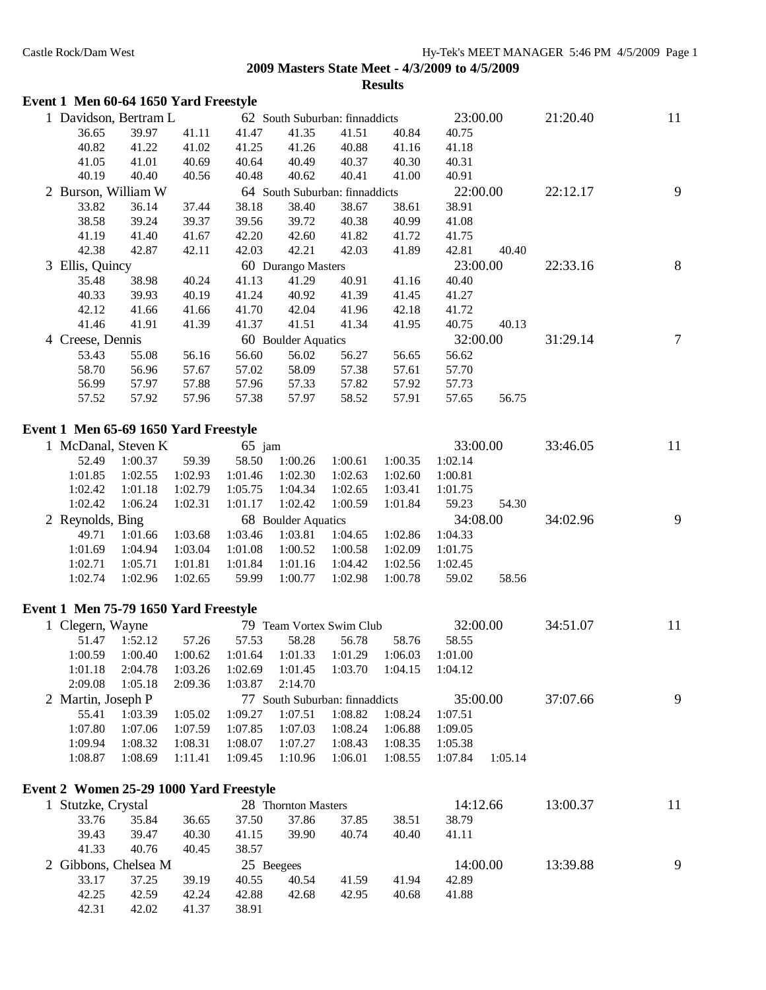#### **Event 1 Men 60-64 1650 Yard Freestyle**

| 1 Davidson, Bertram L                   |                    |                    |                    |                     | 62 South Suburban: finnaddicts          |                    | 23:00.00           |         | 21:20.40 | 11 |
|-----------------------------------------|--------------------|--------------------|--------------------|---------------------|-----------------------------------------|--------------------|--------------------|---------|----------|----|
| 36.65                                   | 39.97              | 41.11              | 41.47              | 41.35               | 41.51                                   | 40.84              | 40.75              |         |          |    |
| 40.82                                   | 41.22              | 41.02              | 41.25              | 41.26               | 40.88                                   | 41.16              | 41.18              |         |          |    |
| 41.05                                   | 41.01              | 40.69              | 40.64              | 40.49               | 40.37                                   | 40.30              | 40.31              |         |          |    |
| 40.19                                   | 40.40              | 40.56              | 40.48              | 40.62               | 40.41                                   | 41.00              | 40.91              |         |          |    |
| 2 Burson, William W                     |                    |                    |                    |                     | 64 South Suburban: finnaddicts          |                    | 22:00.00           |         | 22:12.17 | 9  |
| 33.82                                   | 36.14              | 37.44              | 38.18              | 38.40               | 38.67                                   | 38.61              | 38.91              |         |          |    |
| 38.58                                   | 39.24              | 39.37              | 39.56              | 39.72               | 40.38                                   | 40.99              | 41.08              |         |          |    |
| 41.19                                   | 41.40              | 41.67              | 42.20              | 42.60               | 41.82                                   | 41.72              | 41.75              |         |          |    |
| 42.38                                   | 42.87              | 42.11              | 42.03              | 42.21               | 42.03                                   | 41.89              | 42.81              | 40.40   |          |    |
| 3 Ellis, Quincy                         |                    |                    |                    | 60 Durango Masters  |                                         |                    | 23:00.00           |         | 22:33.16 | 8  |
| 35.48                                   | 38.98              | 40.24              | 41.13              | 41.29               | 40.91                                   | 41.16              | 40.40              |         |          |    |
| 40.33                                   | 39.93              | 40.19              | 41.24              | 40.92               | 41.39                                   | 41.45              | 41.27              |         |          |    |
| 42.12                                   | 41.66              | 41.66              | 41.70              | 42.04               | 41.96                                   | 42.18              | 41.72              |         |          |    |
| 41.46                                   | 41.91              | 41.39              | 41.37              | 41.51               | 41.34                                   | 41.95              | 40.75              | 40.13   |          |    |
| 4 Creese, Dennis                        |                    |                    |                    | 60 Boulder Aquatics |                                         |                    | 32:00.00           |         | 31:29.14 | 7  |
| 53.43                                   | 55.08              | 56.16              | 56.60              | 56.02               | 56.27                                   | 56.65              | 56.62              |         |          |    |
| 58.70                                   | 56.96              | 57.67              | 57.02              | 58.09               | 57.38                                   | 57.61              | 57.70              |         |          |    |
| 56.99                                   | 57.97              | 57.88              | 57.96              | 57.33               | 57.82                                   | 57.92              | 57.73              |         |          |    |
| 57.52                                   | 57.92              | 57.96              | 57.38              | 57.97               | 58.52                                   | 57.91              | 57.65              | 56.75   |          |    |
|                                         |                    |                    |                    |                     |                                         |                    |                    |         |          |    |
| Event 1 Men 65-69 1650 Yard Freestyle   |                    |                    |                    |                     |                                         |                    |                    |         |          |    |
| 1 McDanal, Steven K                     |                    |                    | $65$ jam           |                     |                                         |                    | 33:00.00           |         | 33:46.05 | 11 |
| 52.49                                   | 1:00.37            | 59.39              | 58.50              | 1:00.26             | 1:00.61                                 | 1:00.35            | 1:02.14            |         |          |    |
| 1:01.85                                 | 1:02.55            | 1:02.93            | 1:01.46            | 1:02.30             | 1:02.63                                 | 1:02.60            | 1:00.81            |         |          |    |
| 1:02.42                                 | 1:01.18            | 1:02.79            | 1:05.75            | 1:04.34             | 1:02.65                                 | 1:03.41            | 1:01.75            |         |          |    |
| 1:02.42                                 | 1:06.24            | 1:02.31            | 1:01.17            | 1:02.42             | 1:00.59                                 | 1:01.84            | 59.23              | 54.30   |          |    |
| 2 Reynolds, Bing                        |                    |                    |                    | 68 Boulder Aquatics |                                         |                    | 34:08.00           |         | 34:02.96 | 9  |
| 49.71                                   | 1:01.66            | 1:03.68            | 1:03.46            | 1:03.81             | 1:04.65                                 | 1:02.86            | 1:04.33            |         |          |    |
| 1:01.69<br>1:02.71                      | 1:04.94<br>1:05.71 | 1:03.04<br>1:01.81 | 1:01.08<br>1:01.84 | 1:00.52<br>1:01.16  | 1:00.58<br>1:04.42                      | 1:02.09<br>1:02.56 | 1:01.75<br>1:02.45 |         |          |    |
| 1:02.74                                 | 1:02.96            | 1:02.65            | 59.99              | 1:00.77             | 1:02.98                                 | 1:00.78            | 59.02              | 58.56   |          |    |
|                                         |                    |                    |                    |                     |                                         |                    |                    |         |          |    |
| Event 1 Men 75-79 1650 Yard Freestyle   |                    |                    |                    |                     |                                         |                    |                    |         |          |    |
| 1 Clegern, Wayne                        |                    |                    |                    |                     | 79 Team Vortex Swim Club                |                    | 32:00.00           |         | 34:51.07 | 11 |
| 51.47                                   | 1:52.12            | 57.26              | 57.53              | 58.28               | 56.78                                   | 58.76              | 58.55              |         |          |    |
| 1:00.59                                 | 1:00.40            | 1:00.62            | 1:01.64            | 1:01.33             | 1:01.29                                 | 1:06.03            | 1:01.00            |         |          |    |
|                                         | 1:01.18  2:04.78   |                    |                    |                     | 1:03.26 1:02.69 1:01.45 1:03.70 1:04.15 |                    | 1:04.12            |         |          |    |
| 2:09.08                                 | 1:05.18            | 2:09.36            | 1:03.87            | 2:14.70             |                                         |                    |                    |         |          |    |
| 2 Martin, Joseph P                      |                    |                    |                    |                     | 77 South Suburban: finnaddicts          |                    | 35:00.00           |         | 37:07.66 | 9  |
| 55.41                                   | 1:03.39            | 1:05.02            | 1:09.27            | 1:07.51             | 1:08.82                                 | 1:08.24            | 1:07.51            |         |          |    |
| 1:07.80                                 | 1:07.06            | 1:07.59            | 1:07.85            | 1:07.03             | 1:08.24                                 | 1:06.88            | 1:09.05            |         |          |    |
| 1:09.94                                 | 1:08.32            | 1:08.31            | 1:08.07            | 1:07.27             | 1:08.43                                 | 1:08.35            | 1:05.38            |         |          |    |
| 1:08.87                                 | 1:08.69            | 1:11.41            | 1:09.45            | 1:10.96             | 1:06.01                                 | 1:08.55            | 1:07.84            | 1:05.14 |          |    |
|                                         |                    |                    |                    |                     |                                         |                    |                    |         |          |    |
| Event 2 Women 25-29 1000 Yard Freestyle |                    |                    |                    |                     |                                         |                    |                    |         |          |    |
| 1 Stutzke, Crystal                      |                    |                    |                    | 28 Thornton Masters |                                         |                    | 14:12.66           |         | 13:00.37 | 11 |
| 33.76                                   | 35.84              | 36.65              | 37.50              | 37.86               | 37.85                                   | 38.51              | 38.79              |         |          |    |
| 39.43                                   | 39.47              | 40.30              | 41.15              | 39.90               | 40.74                                   | 40.40              | 41.11              |         |          |    |
| 41.33                                   | 40.76              | 40.45              | 38.57              |                     |                                         |                    |                    |         |          |    |
| 2 Gibbons, Chelsea M                    |                    |                    |                    | 25 Beegees          |                                         |                    | 14:00.00           |         | 13:39.88 | 9  |
| 33.17                                   | 37.25              | 39.19              | 40.55              | 40.54               | 41.59                                   | 41.94              | 42.89              |         |          |    |
| 42.25                                   | 42.59              | 42.24              | 42.88              | 42.68               | 42.95                                   | 40.68              | 41.88              |         |          |    |
| 42.31                                   | 42.02              | 41.37              | 38.91              |                     |                                         |                    |                    |         |          |    |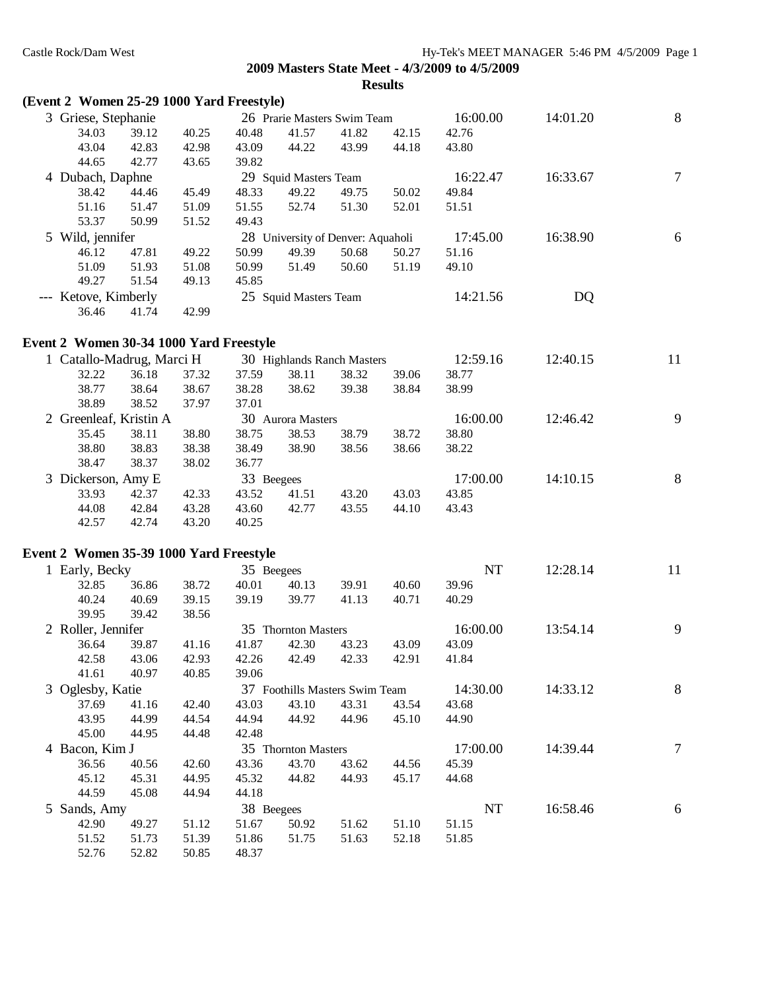| (Event 2 Women 25-29 1000 Yard Freestyle) |       |       |            |                                   |       |       |          |          |                |
|-------------------------------------------|-------|-------|------------|-----------------------------------|-------|-------|----------|----------|----------------|
| 3 Griese, Stephanie                       |       |       |            | 26 Prarie Masters Swim Team       |       |       | 16:00.00 | 14:01.20 | $\,8\,$        |
| 34.03                                     | 39.12 | 40.25 | 40.48      | 41.57                             | 41.82 | 42.15 | 42.76    |          |                |
| 43.04                                     | 42.83 | 42.98 | 43.09      | 44.22                             | 43.99 | 44.18 | 43.80    |          |                |
| 44.65                                     | 42.77 | 43.65 | 39.82      |                                   |       |       |          |          |                |
| 4 Dubach, Daphne                          |       |       |            | 29 Squid Masters Team             |       |       | 16:22.47 | 16:33.67 | $\tau$         |
| 38.42                                     | 44.46 | 45.49 | 48.33      | 49.22                             | 49.75 | 50.02 | 49.84    |          |                |
| 51.16                                     | 51.47 | 51.09 | 51.55      | 52.74                             | 51.30 | 52.01 | 51.51    |          |                |
| 53.37                                     | 50.99 | 51.52 | 49.43      |                                   |       |       |          |          |                |
| 5 Wild, jennifer                          |       |       |            | 28 University of Denver: Aquaholi |       |       | 17:45.00 | 16:38.90 | 6              |
| 46.12                                     | 47.81 | 49.22 | 50.99      | 49.39                             | 50.68 | 50.27 | 51.16    |          |                |
| 51.09                                     | 51.93 | 51.08 | 50.99      | 51.49                             | 50.60 | 51.19 | 49.10    |          |                |
| 49.27                                     | 51.54 | 49.13 | 45.85      |                                   |       |       |          |          |                |
| --- Ketove, Kimberly                      |       |       |            | 25 Squid Masters Team             |       |       | 14:21.56 | DQ       |                |
| 36.46                                     | 41.74 | 42.99 |            |                                   |       |       |          |          |                |
|                                           |       |       |            |                                   |       |       |          |          |                |
| Event 2 Women 30-34 1000 Yard Freestyle   |       |       |            |                                   |       |       |          |          |                |
| 1 Catallo-Madrug, Marci H                 |       |       |            | 30 Highlands Ranch Masters        |       |       | 12:59.16 | 12:40.15 | 11             |
| 32.22                                     | 36.18 | 37.32 | 37.59      | 38.11                             | 38.32 | 39.06 | 38.77    |          |                |
| 38.77                                     | 38.64 | 38.67 | 38.28      | 38.62                             | 39.38 | 38.84 | 38.99    |          |                |
| 38.89                                     | 38.52 | 37.97 | 37.01      |                                   |       |       |          |          |                |
| 2 Greenleaf, Kristin A                    |       |       |            | 30 Aurora Masters                 |       |       | 16:00.00 | 12:46.42 | 9              |
| 35.45                                     | 38.11 | 38.80 | 38.75      | 38.53                             | 38.79 | 38.72 | 38.80    |          |                |
| 38.80                                     | 38.83 | 38.38 | 38.49      | 38.90                             | 38.56 | 38.66 | 38.22    |          |                |
| 38.47                                     | 38.37 | 38.02 | 36.77      |                                   |       |       |          |          |                |
| 3 Dickerson, Amy E                        |       |       | 33 Beegees |                                   |       |       | 17:00.00 | 14:10.15 | $\, 8$         |
| 33.93                                     | 42.37 | 42.33 | 43.52      | 41.51                             | 43.20 | 43.03 | 43.85    |          |                |
| 44.08                                     | 42.84 | 43.28 | 43.60      | 42.77                             | 43.55 | 44.10 | 43.43    |          |                |
| 42.57                                     | 42.74 | 43.20 | 40.25      |                                   |       |       |          |          |                |
| Event 2 Women 35-39 1000 Yard Freestyle   |       |       |            |                                   |       |       |          |          |                |
| 1 Early, Becky                            |       |       | 35 Beegees |                                   |       |       | NT       | 12:28.14 | 11             |
| 32.85                                     | 36.86 | 38.72 | 40.01      | 40.13                             | 39.91 | 40.60 | 39.96    |          |                |
| 40.24                                     | 40.69 | 39.15 | 39.19      | 39.77                             | 41.13 | 40.71 | 40.29    |          |                |
| 39.95                                     | 39.42 | 38.56 |            |                                   |       |       |          |          |                |
| 2 Roller, Jennifer                        |       |       |            | 35 Thornton Masters               |       |       | 16:00.00 | 13:54.14 | 9              |
| 36.64                                     | 39.87 | 41.16 | 41.87      | 42.30                             | 43.23 | 43.09 | 43.09    |          |                |
| 42.58                                     | 43.06 | 42.93 | 42.26      | 42.49                             | 42.33 | 42.91 | 41.84    |          |                |
| 41.61                                     | 40.97 | 40.85 | 39.06      |                                   |       |       |          |          |                |
| 3 Oglesby, Katie                          |       |       |            | 37 Foothills Masters Swim Team    |       |       | 14:30.00 | 14:33.12 | 8              |
| 37.69                                     | 41.16 | 42.40 | 43.03      | 43.10                             | 43.31 | 43.54 | 43.68    |          |                |
| 43.95                                     | 44.99 | 44.54 | 44.94      | 44.92                             | 44.96 | 45.10 | 44.90    |          |                |
| 45.00                                     | 44.95 | 44.48 | 42.48      |                                   |       |       |          |          |                |
| 4 Bacon, Kim J                            |       |       |            | 35 Thornton Masters               |       |       | 17:00.00 | 14:39.44 | $\overline{7}$ |
| 36.56                                     | 40.56 | 42.60 | 43.36      | 43.70                             | 43.62 | 44.56 | 45.39    |          |                |
| 45.12                                     | 45.31 | 44.95 | 45.32      | 44.82                             | 44.93 | 45.17 | 44.68    |          |                |
| 44.59                                     | 45.08 | 44.94 | 44.18      |                                   |       |       |          |          |                |
| 5 Sands, Amy                              |       |       | 38 Beegees |                                   |       |       | NT       | 16:58.46 | 6              |
| 42.90                                     | 49.27 | 51.12 | 51.67      | 50.92                             | 51.62 | 51.10 | 51.15    |          |                |
| 51.52                                     | 51.73 | 51.39 | 51.86      | 51.75                             | 51.63 | 52.18 | 51.85    |          |                |
| 52.76                                     | 52.82 | 50.85 | 48.37      |                                   |       |       |          |          |                |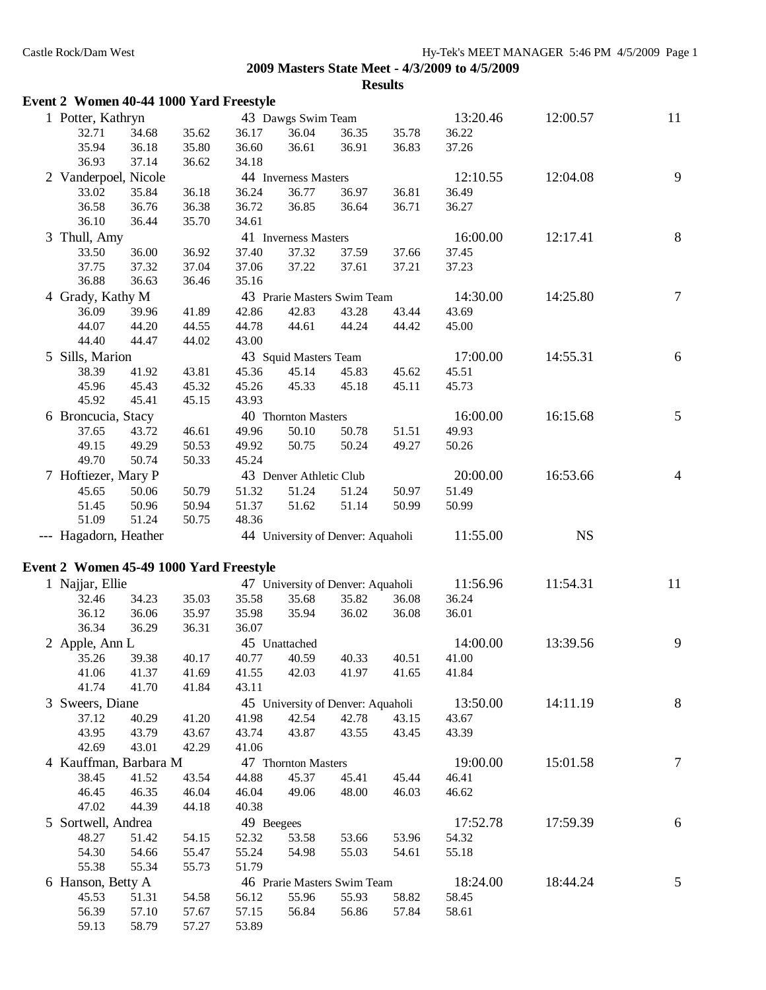| Event 2 Women 40-44 1000 Yard Freestyle |       |                |            |                         |                                   |       |          |           |                |
|-----------------------------------------|-------|----------------|------------|-------------------------|-----------------------------------|-------|----------|-----------|----------------|
| 1 Potter, Kathryn                       |       |                |            | 43 Dawgs Swim Team      |                                   |       | 13:20.46 | 12:00.57  | 11             |
| 32.71                                   | 34.68 | 35.62          | 36.17      | 36.04                   | 36.35                             | 35.78 | 36.22    |           |                |
| 35.94                                   | 36.18 | 35.80          | 36.60      | 36.61                   | 36.91                             | 36.83 | 37.26    |           |                |
| 36.93                                   | 37.14 | 36.62          | 34.18      |                         |                                   |       |          |           |                |
| 2 Vanderpoel, Nicole                    |       |                |            | 44 Inverness Masters    |                                   |       | 12:10.55 | 12:04.08  | 9              |
| 33.02                                   | 35.84 | 36.18          | 36.24      | 36.77                   | 36.97                             | 36.81 | 36.49    |           |                |
| 36.58                                   | 36.76 | 36.38          | 36.72      | 36.85                   | 36.64                             | 36.71 | 36.27    |           |                |
| 36.10                                   | 36.44 | 35.70          | 34.61      |                         |                                   |       |          |           |                |
| 3 Thull, Amy                            |       |                |            | 41 Inverness Masters    |                                   |       | 16:00.00 | 12:17.41  | $8\phantom{1}$ |
| 33.50                                   | 36.00 | 36.92          | 37.40      | 37.32                   | 37.59                             | 37.66 | 37.45    |           |                |
| 37.75                                   | 37.32 | 37.04          | 37.06      | 37.22                   | 37.61                             | 37.21 | 37.23    |           |                |
| 36.88                                   | 36.63 | 36.46          | 35.16      |                         |                                   |       |          |           |                |
| 4 Grady, Kathy M                        |       |                |            |                         | 43 Prarie Masters Swim Team       |       | 14:30.00 | 14:25.80  | 7              |
| 36.09                                   | 39.96 |                | 42.86      | 42.83                   | 43.28                             | 43.44 | 43.69    |           |                |
| 44.07                                   | 44.20 | 41.89<br>44.55 | 44.78      | 44.61                   | 44.24                             | 44.42 | 45.00    |           |                |
| 44.40                                   | 44.47 | 44.02          | 43.00      |                         |                                   |       |          |           |                |
|                                         |       |                |            |                         |                                   |       |          |           |                |
| 5 Sills, Marion                         |       |                |            | 43 Squid Masters Team   |                                   |       | 17:00.00 | 14:55.31  | 6              |
| 38.39                                   | 41.92 | 43.81          | 45.36      | 45.14                   | 45.83                             | 45.62 | 45.51    |           |                |
| 45.96                                   | 45.43 | 45.32          | 45.26      | 45.33                   | 45.18                             | 45.11 | 45.73    |           |                |
| 45.92                                   | 45.41 | 45.15          | 43.93      |                         |                                   |       |          |           |                |
| 6 Broncucia, Stacy                      |       |                |            | 40 Thornton Masters     |                                   |       | 16:00.00 | 16:15.68  | 5              |
| 37.65                                   | 43.72 | 46.61          | 49.96      | 50.10                   | 50.78                             | 51.51 | 49.93    |           |                |
| 49.15                                   | 49.29 | 50.53          | 49.92      | 50.75                   | 50.24                             | 49.27 | 50.26    |           |                |
| 49.70                                   | 50.74 | 50.33          | 45.24      |                         |                                   |       |          |           |                |
| 7 Hoftiezer, Mary P                     |       |                |            | 43 Denver Athletic Club |                                   |       | 20:00.00 | 16:53.66  | $\overline{4}$ |
| 45.65                                   | 50.06 | 50.79          | 51.32      | 51.24                   | 51.24                             | 50.97 | 51.49    |           |                |
| 51.45                                   | 50.96 | 50.94          | 51.37      | 51.62                   | 51.14                             | 50.99 | 50.99    |           |                |
|                                         |       |                |            |                         |                                   |       |          |           |                |
| 51.09                                   | 51.24 | 50.75          | 48.36      |                         |                                   |       |          |           |                |
| --- Hagadorn, Heather                   |       |                |            |                         | 44 University of Denver: Aquaholi |       | 11:55.00 | <b>NS</b> |                |
|                                         |       |                |            |                         |                                   |       |          |           |                |
| Event 2 Women 45-49 1000 Yard Freestyle |       |                |            |                         |                                   |       |          |           |                |
| 1 Najjar, Ellie                         |       |                |            |                         | 47 University of Denver: Aquaholi |       | 11:56.96 | 11:54.31  | 11             |
| 32.46                                   | 34.23 | 35.03          | 35.58      | 35.68                   | 35.82                             | 36.08 | 36.24    |           |                |
| 36.12                                   | 36.06 | 35.97          | 35.98      | 35.94                   | 36.02                             | 36.08 | 36.01    |           |                |
| 36.34                                   | 36.29 | 36.31          | 36.07      |                         |                                   |       |          |           |                |
| 2 Apple, Ann L                          |       |                |            | 45 Unattached           |                                   |       | 14:00.00 | 13:39.56  | 9              |
| 35.26                                   | 39.38 | 40.17          | 40.77      | 40.59                   | 40.33                             | 40.51 | 41.00    |           |                |
| 41.06                                   | 41.37 | 41.69          | 41.55      | 42.03                   | 41.97                             | 41.65 | 41.84    |           |                |
| 41.74                                   | 41.70 | 41.84          | 43.11      |                         |                                   |       |          |           |                |
| 3 Sweers, Diane                         |       |                |            |                         | 45 University of Denver: Aquaholi |       | 13:50.00 | 14:11.19  | $8\phantom{.}$ |
| 37.12                                   | 40.29 | 41.20          | 41.98      | 42.54                   | 42.78                             | 43.15 | 43.67    |           |                |
| 43.95                                   | 43.79 | 43.67          | 43.74      | 43.87                   | 43.55                             | 43.45 | 43.39    |           |                |
| 42.69                                   | 43.01 | 42.29          | 41.06      |                         |                                   |       |          |           |                |
| 4 Kauffman, Barbara M                   |       |                |            | 47 Thornton Masters     |                                   |       | 19:00.00 | 15:01.58  | $\tau$         |
| 38.45                                   | 41.52 | 43.54          | 44.88      | 45.37                   | 45.41                             | 45.44 | 46.41    |           |                |
| 46.45                                   | 46.35 | 46.04          | 46.04      | 49.06                   | 48.00                             | 46.03 | 46.62    |           |                |
| 47.02                                   | 44.39 | 44.18          | 40.38      |                         |                                   |       |          |           |                |
| 5 Sortwell, Andrea                      |       |                | 49 Beegees |                         |                                   |       | 17:52.78 | 17:59.39  | 6              |
| 48.27                                   | 51.42 | 54.15          | 52.32      | 53.58                   | 53.66                             | 53.96 | 54.32    |           |                |
| 54.30                                   | 54.66 | 55.47          | 55.24      | 54.98                   | 55.03                             | 54.61 | 55.18    |           |                |
| 55.38                                   | 55.34 | 55.73          | 51.79      |                         |                                   |       |          |           |                |
| 6 Hanson, Betty A                       |       |                |            |                         | 46 Prarie Masters Swim Team       |       | 18:24.00 | 18:44.24  | 5              |
| 45.53                                   | 51.31 | 54.58          | 56.12      | 55.96                   | 55.93                             | 58.82 | 58.45    |           |                |
| 56.39                                   | 57.10 | 57.67          | 57.15      | 56.84                   | 56.86                             | 57.84 | 58.61    |           |                |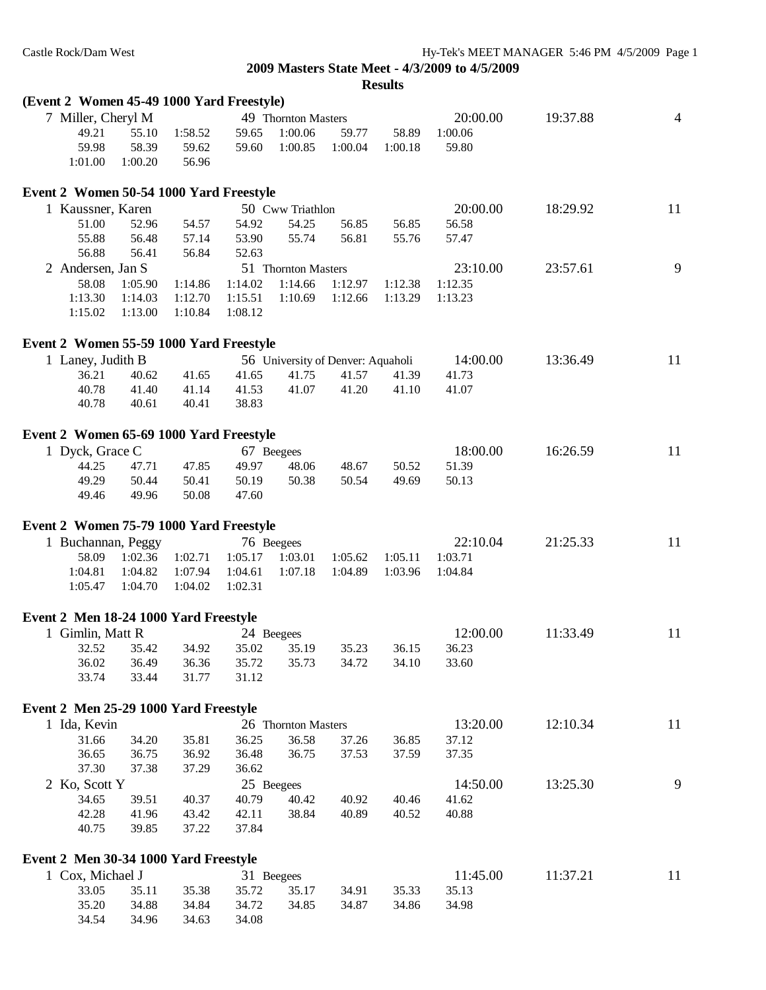| (Event 2 Women 45-49 1000 Yard Freestyle) |         |         |         |                     |                                   |         |          |          |                |
|-------------------------------------------|---------|---------|---------|---------------------|-----------------------------------|---------|----------|----------|----------------|
| 7 Miller, Cheryl M                        |         |         |         | 49 Thornton Masters |                                   |         | 20:00.00 | 19:37.88 | $\overline{4}$ |
| 49.21                                     | 55.10   | 1:58.52 | 59.65   | 1:00.06             | 59.77                             | 58.89   | 1:00.06  |          |                |
| 59.98                                     | 58.39   | 59.62   | 59.60   | 1:00.85             | 1:00.04                           | 1:00.18 | 59.80    |          |                |
| 1:01.00                                   | 1:00.20 | 56.96   |         |                     |                                   |         |          |          |                |
| Event 2 Women 50-54 1000 Yard Freestyle   |         |         |         |                     |                                   |         |          |          |                |
| 1 Kaussner, Karen                         |         |         |         | 50 Cww Triathlon    |                                   |         | 20:00.00 | 18:29.92 | 11             |
| 51.00                                     | 52.96   | 54.57   | 54.92   | 54.25               | 56.85                             | 56.85   | 56.58    |          |                |
| 55.88                                     | 56.48   | 57.14   | 53.90   | 55.74               | 56.81                             | 55.76   | 57.47    |          |                |
| 56.88                                     | 56.41   | 56.84   | 52.63   |                     |                                   |         |          |          |                |
| 2 Andersen, Jan S                         |         |         |         | 51 Thornton Masters |                                   |         | 23:10.00 | 23:57.61 | 9              |
| 58.08                                     | 1:05.90 | 1:14.86 | 1:14.02 | 1:14.66             | 1:12.97                           | 1:12.38 | 1:12.35  |          |                |
| 1:13.30                                   | 1:14.03 | 1:12.70 | 1:15.51 | 1:10.69             | 1:12.66                           | 1:13.29 | 1:13.23  |          |                |
| 1:15.02                                   | 1:13.00 | 1:10.84 | 1:08.12 |                     |                                   |         |          |          |                |
| Event 2 Women 55-59 1000 Yard Freestyle   |         |         |         |                     |                                   |         |          |          |                |
| 1 Laney, Judith B                         |         |         |         |                     | 56 University of Denver: Aquaholi |         | 14:00.00 | 13:36.49 | 11             |
| 36.21                                     | 40.62   | 41.65   | 41.65   | 41.75               | 41.57                             | 41.39   | 41.73    |          |                |
| 40.78                                     | 41.40   | 41.14   | 41.53   | 41.07               | 41.20                             | 41.10   | 41.07    |          |                |
| 40.78                                     | 40.61   | 40.41   | 38.83   |                     |                                   |         |          |          |                |
| Event 2 Women 65-69 1000 Yard Freestyle   |         |         |         |                     |                                   |         |          |          |                |
| 1 Dyck, Grace C                           |         |         |         | 67 Beegees          |                                   |         | 18:00.00 | 16:26.59 | 11             |
| 44.25                                     | 47.71   | 47.85   | 49.97   | 48.06               | 48.67                             | 50.52   | 51.39    |          |                |
| 49.29                                     | 50.44   | 50.41   | 50.19   | 50.38               | 50.54                             | 49.69   | 50.13    |          |                |
| 49.46                                     | 49.96   | 50.08   | 47.60   |                     |                                   |         |          |          |                |
| Event 2 Women 75-79 1000 Yard Freestyle   |         |         |         |                     |                                   |         |          |          |                |
| 1 Buchannan, Peggy                        |         |         |         | 76 Beegees          |                                   |         | 22:10.04 | 21:25.33 | 11             |
| 58.09                                     | 1:02.36 | 1:02.71 | 1:05.17 | 1:03.01             | 1:05.62                           | 1:05.11 | 1:03.71  |          |                |
| 1:04.81                                   | 1:04.82 | 1:07.94 | 1:04.61 | 1:07.18             | 1:04.89                           | 1:03.96 | 1:04.84  |          |                |
| 1:05.47                                   | 1:04.70 | 1:04.02 | 1:02.31 |                     |                                   |         |          |          |                |
| Event 2 Men 18-24 1000 Yard Freestyle     |         |         |         |                     |                                   |         |          |          |                |
| 1 Gimlin, Matt R                          |         |         |         | 24 Beegees          |                                   |         | 12:00.00 | 11:33.49 | 11             |
| 32.52                                     | 35.42   | 34.92   | 35.02   | 35.19               | 35.23                             | 36.15   | 36.23    |          |                |
| 36.02                                     | 36.49   | 36.36   | 35.72   | 35.73               | 34.72                             | 34.10   | 33.60    |          |                |
| 33.74                                     | 33.44   | 31.77   | 31.12   |                     |                                   |         |          |          |                |
| Event 2 Men 25-29 1000 Yard Freestyle     |         |         |         |                     |                                   |         |          |          |                |
| 1 Ida, Kevin                              |         |         |         | 26 Thornton Masters |                                   |         | 13:20.00 | 12:10.34 | 11             |
| 31.66                                     | 34.20   | 35.81   | 36.25   | 36.58               | 37.26                             | 36.85   | 37.12    |          |                |
| 36.65                                     | 36.75   | 36.92   | 36.48   | 36.75               | 37.53                             | 37.59   | 37.35    |          |                |
| 37.30                                     | 37.38   | 37.29   | 36.62   |                     |                                   |         |          |          |                |
| 2 Ko, Scott Y                             |         |         |         | 25 Beegees          |                                   |         | 14:50.00 | 13:25.30 | 9              |
| 34.65                                     | 39.51   | 40.37   | 40.79   | 40.42               | 40.92                             | 40.46   | 41.62    |          |                |
| 42.28                                     | 41.96   | 43.42   | 42.11   | 38.84               | 40.89                             | 40.52   | 40.88    |          |                |
| 40.75                                     | 39.85   | 37.22   | 37.84   |                     |                                   |         |          |          |                |
| Event 2 Men 30-34 1000 Yard Freestyle     |         |         |         |                     |                                   |         |          |          |                |
| 1 Cox, Michael J                          |         |         |         | 31 Beegees          |                                   |         | 11:45.00 | 11:37.21 | 11             |
| 33.05                                     | 35.11   | 35.38   | 35.72   | 35.17               | 34.91                             | 35.33   | 35.13    |          |                |
| 35.20                                     | 34.88   | 34.84   | 34.72   | 34.85               | 34.87                             | 34.86   | 34.98    |          |                |
| 34.54                                     | 34.96   | 34.63   | 34.08   |                     |                                   |         |          |          |                |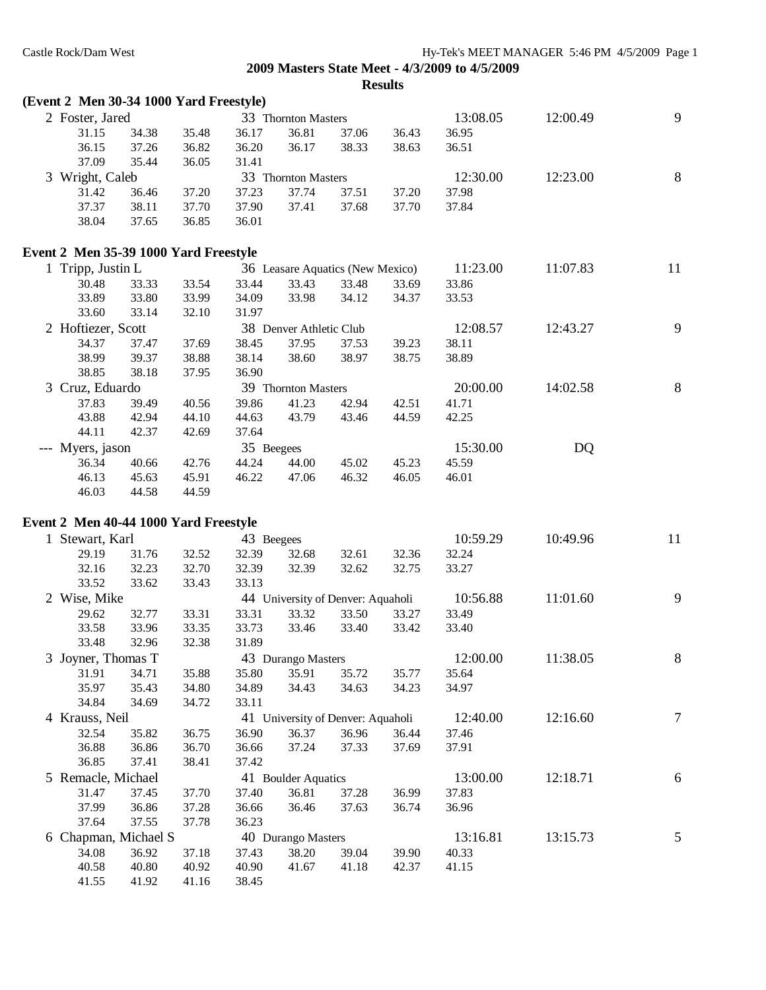| (Event 2 Men 30-34 1000 Yard Freestyle) |       |       |            |                         |                                   |       |          |          |                |
|-----------------------------------------|-------|-------|------------|-------------------------|-----------------------------------|-------|----------|----------|----------------|
| 2 Foster, Jared                         |       |       |            | 33 Thornton Masters     |                                   |       | 13:08.05 | 12:00.49 | 9              |
| 31.15                                   | 34.38 | 35.48 | 36.17      | 36.81                   | 37.06                             | 36.43 | 36.95    |          |                |
| 36.15                                   | 37.26 | 36.82 | 36.20      | 36.17                   | 38.33                             | 38.63 | 36.51    |          |                |
| 37.09                                   | 35.44 | 36.05 | 31.41      |                         |                                   |       |          |          |                |
| 3 Wright, Caleb                         |       |       |            | 33 Thornton Masters     |                                   |       | 12:30.00 | 12:23.00 | $8\,$          |
| 31.42                                   | 36.46 | 37.20 | 37.23      | 37.74                   | 37.51                             | 37.20 | 37.98    |          |                |
| 37.37                                   | 38.11 | 37.70 | 37.90      | 37.41                   | 37.68                             | 37.70 | 37.84    |          |                |
| 38.04                                   | 37.65 | 36.85 | 36.01      |                         |                                   |       |          |          |                |
| Event 2 Men 35-39 1000 Yard Freestyle   |       |       |            |                         |                                   |       |          |          |                |
| 1 Tripp, Justin L                       |       |       |            |                         | 36 Leasare Aquatics (New Mexico)  |       | 11:23.00 | 11:07.83 | 11             |
| 30.48                                   | 33.33 | 33.54 | 33.44      | 33.43                   | 33.48                             | 33.69 | 33.86    |          |                |
| 33.89                                   | 33.80 | 33.99 | 34.09      | 33.98                   | 34.12                             | 34.37 | 33.53    |          |                |
| 33.60                                   | 33.14 | 32.10 | 31.97      |                         |                                   |       |          |          |                |
| 2 Hoftiezer, Scott                      |       |       |            | 38 Denver Athletic Club |                                   |       | 12:08.57 | 12:43.27 | 9              |
| 34.37                                   | 37.47 | 37.69 | 38.45      | 37.95                   | 37.53                             | 39.23 | 38.11    |          |                |
| 38.99                                   | 39.37 | 38.88 | 38.14      | 38.60                   | 38.97                             | 38.75 | 38.89    |          |                |
| 38.85                                   | 38.18 | 37.95 | 36.90      |                         |                                   |       |          |          |                |
| 3 Cruz, Eduardo                         |       |       |            | 39 Thornton Masters     |                                   |       | 20:00.00 | 14:02.58 | $\,8\,$        |
| 37.83                                   | 39.49 | 40.56 | 39.86      | 41.23                   | 42.94                             | 42.51 | 41.71    |          |                |
| 43.88                                   | 42.94 | 44.10 | 44.63      | 43.79                   | 43.46                             | 44.59 | 42.25    |          |                |
| 44.11                                   | 42.37 | 42.69 | 37.64      |                         |                                   |       |          |          |                |
| --- Myers, jason                        |       |       | 35 Beegees |                         |                                   |       | 15:30.00 | DQ       |                |
| 36.34                                   | 40.66 | 42.76 | 44.24      | 44.00                   | 45.02                             | 45.23 | 45.59    |          |                |
| 46.13                                   | 45.63 | 45.91 | 46.22      | 47.06                   | 46.32                             | 46.05 | 46.01    |          |                |
| 46.03                                   | 44.58 | 44.59 |            |                         |                                   |       |          |          |                |
| Event 2 Men 40-44 1000 Yard Freestyle   |       |       |            |                         |                                   |       |          |          |                |
| 1 Stewart, Karl                         |       |       | 43 Beegees |                         |                                   |       | 10:59.29 | 10:49.96 | 11             |
| 29.19                                   | 31.76 | 32.52 | 32.39      | 32.68                   | 32.61                             | 32.36 | 32.24    |          |                |
| 32.16                                   | 32.23 | 32.70 | 32.39      | 32.39                   | 32.62                             | 32.75 | 33.27    |          |                |
| 33.52                                   | 33.62 | 33.43 | 33.13      |                         |                                   |       |          |          |                |
| 2 Wise, Mike                            |       |       |            |                         | 44 University of Denver: Aquaholi |       | 10:56.88 | 11:01.60 | 9              |
| 29.62                                   | 32.77 | 33.31 | 33.31      | 33.32                   | 33.50                             | 33.27 | 33.49    |          |                |
| 33.58                                   | 33.96 | 33.35 | 33.73      | 33.46                   | 33.40                             | 33.42 | 33.40    |          |                |
| 33.48                                   | 32.96 | 32.38 | 31.89      |                         |                                   |       |          |          |                |
| 3 Joyner, Thomas T                      |       |       |            | 43 Durango Masters      |                                   |       | 12:00.00 | 11:38.05 | 8              |
| 31.91                                   | 34.71 | 35.88 | 35.80      | 35.91                   | 35.72                             | 35.77 | 35.64    |          |                |
| 35.97                                   | 35.43 | 34.80 | 34.89      | 34.43                   | 34.63                             | 34.23 | 34.97    |          |                |
| 34.84                                   | 34.69 | 34.72 | 33.11      |                         |                                   |       |          |          |                |
| 4 Krauss, Neil                          |       |       |            |                         | 41 University of Denver: Aquaholi |       | 12:40.00 | 12:16.60 | $\tau$         |
| 32.54                                   | 35.82 | 36.75 | 36.90      | 36.37                   | 36.96                             | 36.44 | 37.46    |          |                |
| 36.88                                   | 36.86 | 36.70 | 36.66      | 37.24                   | 37.33                             | 37.69 | 37.91    |          |                |
| 36.85                                   | 37.41 | 38.41 | 37.42      |                         |                                   |       |          |          |                |
| 5 Remacle, Michael                      |       |       |            | 41 Boulder Aquatics     |                                   |       | 13:00.00 | 12:18.71 | 6              |
| 31.47                                   | 37.45 | 37.70 | 37.40      | 36.81                   | 37.28                             | 36.99 | 37.83    |          |                |
| 37.99                                   | 36.86 | 37.28 | 36.66      | 36.46                   | 37.63                             | 36.74 | 36.96    |          |                |
| 37.64                                   | 37.55 | 37.78 | 36.23      |                         |                                   |       |          |          |                |
| 6 Chapman, Michael S                    |       |       |            | 40 Durango Masters      |                                   |       | 13:16.81 | 13:15.73 | $\mathfrak{S}$ |
| 34.08                                   | 36.92 | 37.18 | 37.43      | 38.20                   | 39.04                             | 39.90 | 40.33    |          |                |
| 40.58                                   | 40.80 | 40.92 | 40.90      | 41.67                   | 41.18                             | 42.37 | 41.15    |          |                |
| 41.55                                   | 41.92 | 41.16 | 38.45      |                         |                                   |       |          |          |                |
|                                         |       |       |            |                         |                                   |       |          |          |                |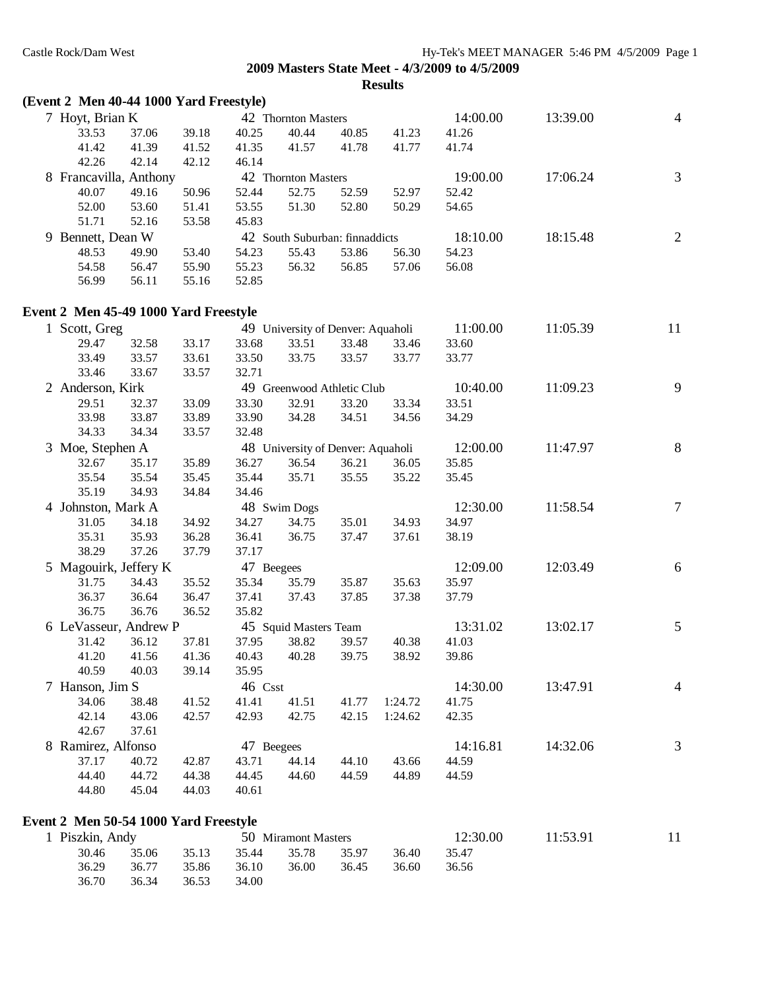| (Event 2 Men 40-44 1000 Yard Freestyle) |                |                |                |                                   |                |                |                |          |                          |
|-----------------------------------------|----------------|----------------|----------------|-----------------------------------|----------------|----------------|----------------|----------|--------------------------|
| 7 Hoyt, Brian K                         |                |                |                | 42 Thornton Masters               |                |                | 14:00.00       | 13:39.00 | $\overline{4}$           |
| 33.53                                   | 37.06          | 39.18          | 40.25          | 40.44                             | 40.85          | 41.23          | 41.26          |          |                          |
| 41.42                                   | 41.39          | 41.52          | 41.35          | 41.57                             | 41.78          | 41.77          | 41.74          |          |                          |
| 42.26                                   | 42.14          | 42.12          | 46.14          |                                   |                |                |                |          |                          |
| 8 Francavilla, Anthony                  |                |                |                | 42 Thornton Masters               |                |                | 19:00.00       | 17:06.24 | 3                        |
| 40.07                                   | 49.16          | 50.96          | 52.44          | 52.75                             | 52.59          | 52.97          | 52.42          |          |                          |
| 52.00                                   | 53.60          | 51.41          | 53.55          | 51.30                             | 52.80          | 50.29          | 54.65          |          |                          |
| 51.71                                   | 52.16          | 53.58          | 45.83          |                                   |                |                |                |          |                          |
| 9 Bennett, Dean W                       |                |                |                | 42 South Suburban: finnaddicts    |                |                | 18:10.00       | 18:15.48 | $\overline{c}$           |
| 48.53                                   | 49.90          | 53.40          | 54.23          | 55.43                             | 53.86          | 56.30          | 54.23          |          |                          |
| 54.58                                   | 56.47          | 55.90          | 55.23          | 56.32                             | 56.85          | 57.06          | 56.08          |          |                          |
| 56.99                                   | 56.11          | 55.16          | 52.85          |                                   |                |                |                |          |                          |
| Event 2 Men 45-49 1000 Yard Freestyle   |                |                |                |                                   |                |                |                |          |                          |
|                                         |                |                |                |                                   |                |                | 11:00.00       | 11:05.39 | 11                       |
| 1 Scott, Greg                           |                |                |                | 49 University of Denver: Aquaholi |                |                |                |          |                          |
| 29.47                                   | 32.58          | 33.17          | 33.68          | 33.51                             | 33.48          | 33.46          | 33.60          |          |                          |
| 33.49                                   | 33.57          | 33.61          | 33.50          | 33.75                             | 33.57          | 33.77          | 33.77          |          |                          |
| 33.46<br>2 Anderson, Kirk               | 33.67          | 33.57          | 32.71          | 49 Greenwood Athletic Club        |                |                | 10:40.00       | 11:09.23 | 9                        |
|                                         |                |                |                |                                   |                |                |                |          |                          |
| 29.51<br>33.98                          | 32.37<br>33.87 | 33.09<br>33.89 | 33.30<br>33.90 | 32.91<br>34.28                    | 33.20<br>34.51 | 33.34<br>34.56 | 33.51<br>34.29 |          |                          |
| 34.33                                   | 34.34          | 33.57          | 32.48          |                                   |                |                |                |          |                          |
|                                         |                |                |                |                                   |                |                |                |          |                          |
| 3 Moe, Stephen A                        |                |                |                | 48 University of Denver: Aquaholi |                |                | 12:00.00       | 11:47.97 | $\, 8$                   |
| 32.67                                   | 35.17          | 35.89          | 36.27          | 36.54                             | 36.21          | 36.05          | 35.85          |          |                          |
| 35.54                                   | 35.54          | 35.45          | 35.44          | 35.71                             | 35.55          | 35.22          | 35.45          |          |                          |
| 35.19                                   | 34.93          | 34.84          | 34.46          |                                   |                |                |                |          |                          |
| 4 Johnston, Mark A                      |                |                |                | 48 Swim Dogs                      |                |                | 12:30.00       | 11:58.54 | $\tau$                   |
| 31.05                                   | 34.18          | 34.92          | 34.27          | 34.75                             | 35.01          | 34.93          | 34.97          |          |                          |
| 35.31                                   | 35.93          | 36.28          | 36.41          | 36.75                             | 37.47          | 37.61          | 38.19          |          |                          |
| 38.29                                   | 37.26          | 37.79          | 37.17          |                                   |                |                |                |          |                          |
| 5 Magouirk, Jeffery K                   |                |                | 47 Beegees     |                                   |                |                | 12:09.00       | 12:03.49 | 6                        |
| 31.75                                   | 34.43          | 35.52          | 35.34          | 35.79                             | 35.87          | 35.63          | 35.97          |          |                          |
| 36.37                                   | 36.64          | 36.47          | 37.41          | 37.43                             | 37.85          | 37.38          | 37.79          |          |                          |
| 36.75                                   | 36.76          | 36.52          | 35.82          |                                   |                |                |                |          |                          |
| 6 LeVasseur, Andrew P                   |                |                |                | 45 Squid Masters Team             |                |                | 13:31.02       | 13:02.17 | 5                        |
| 31.42                                   | 36.12          | 37.81          | 37.95          | 38.82                             | 39.57          | 40.38          | 41.03          |          |                          |
|                                         | 41.20 41.56    | 41.36          |                | 40.43 40.28 39.75                 |                | 38.92          | 39.86          |          |                          |
| 40.59                                   | 40.03          | 39.14          | 35.95          |                                   |                |                |                |          |                          |
| 7 Hanson, Jim S                         |                |                | 46 Csst        |                                   |                |                | 14:30.00       | 13:47.91 | $\overline{\mathcal{A}}$ |
| 34.06                                   | 38.48          | 41.52          | 41.41          | 41.51                             | 41.77          | 1:24.72        | 41.75          |          |                          |
| 42.14                                   | 43.06          | 42.57          | 42.93          | 42.75                             | 42.15          | 1:24.62        | 42.35          |          |                          |
| 42.67                                   | 37.61          |                |                |                                   |                |                |                |          |                          |
| 8 Ramirez, Alfonso                      |                |                | 47 Beegees     |                                   |                |                | 14:16.81       | 14:32.06 | 3                        |
| 37.17                                   | 40.72          | 42.87          | 43.71          | 44.14                             | 44.10          | 43.66          | 44.59          |          |                          |
| 44.40                                   | 44.72          | 44.38          | 44.45          | 44.60                             | 44.59          | 44.89          | 44.59          |          |                          |
| 44.80                                   | 45.04          | 44.03          | 40.61          |                                   |                |                |                |          |                          |
| Event 2 Men 50-54 1000 Yard Freestyle   |                |                |                |                                   |                |                |                |          |                          |
| 1 Piszkin, Andy                         |                |                |                | 50 Miramont Masters               |                |                | 12:30.00       | 11:53.91 | 11                       |

30.46 35.06 35.13 35.44 35.78 35.97 36.40 35.47 36.29 36.77 35.86 36.10 36.00 36.45 36.60 36.56

36.70 36.34 36.53 34.00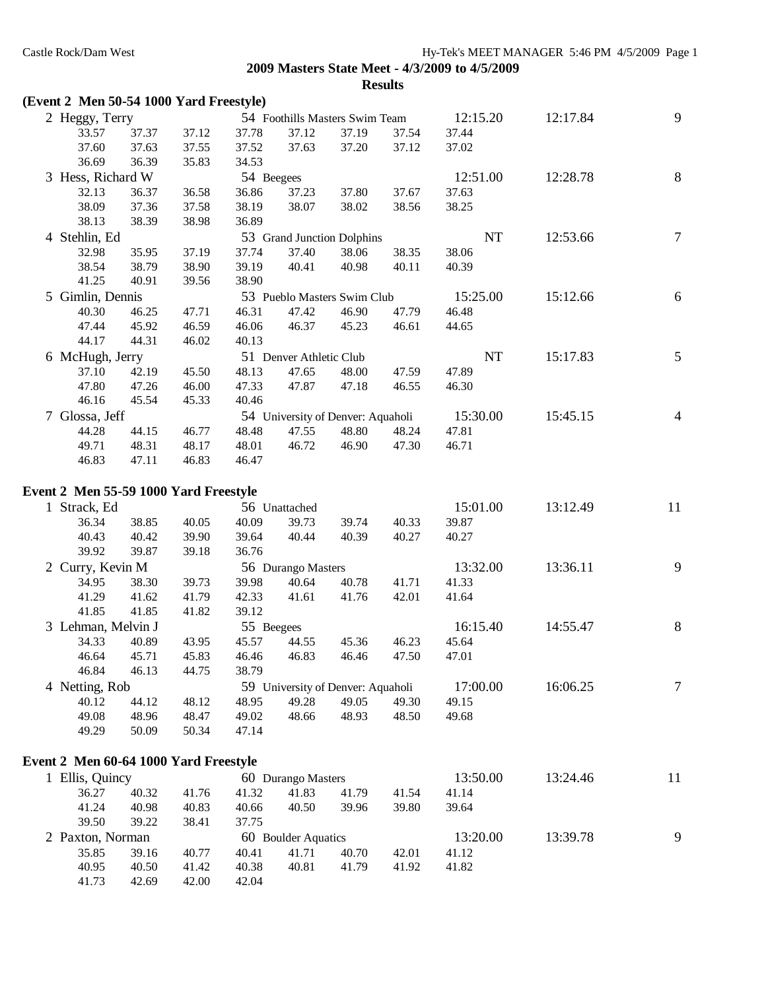| (Event 2 Men 50-54 1000 Yard Freestyle) |       |       |            |                         |                                   |       |           |          |                |
|-----------------------------------------|-------|-------|------------|-------------------------|-----------------------------------|-------|-----------|----------|----------------|
| 2 Heggy, Terry                          |       |       |            |                         | 54 Foothills Masters Swim Team    |       | 12:15.20  | 12:17.84 | 9              |
| 33.57                                   | 37.37 | 37.12 | 37.78      | 37.12                   | 37.19                             | 37.54 | 37.44     |          |                |
| 37.60                                   | 37.63 | 37.55 | 37.52      | 37.63                   | 37.20                             | 37.12 | 37.02     |          |                |
| 36.69                                   | 36.39 | 35.83 | 34.53      |                         |                                   |       |           |          |                |
| 3 Hess, Richard W                       |       |       | 54 Beegees |                         |                                   |       | 12:51.00  | 12:28.78 | $8\,$          |
| 32.13                                   | 36.37 | 36.58 | 36.86      | 37.23                   | 37.80                             | 37.67 | 37.63     |          |                |
| 38.09                                   | 37.36 | 37.58 | 38.19      | 38.07                   | 38.02                             | 38.56 | 38.25     |          |                |
| 38.13                                   | 38.39 | 38.98 | 36.89      |                         |                                   |       |           |          |                |
| 4 Stehlin, Ed                           |       |       |            |                         | 53 Grand Junction Dolphins        |       | NT        | 12:53.66 | $\tau$         |
| 32.98                                   | 35.95 | 37.19 | 37.74      | 37.40                   | 38.06                             | 38.35 | 38.06     |          |                |
| 38.54                                   | 38.79 | 38.90 | 39.19      | 40.41                   | 40.98                             | 40.11 | 40.39     |          |                |
| 41.25                                   | 40.91 | 39.56 | 38.90      |                         |                                   |       |           |          |                |
| 5 Gimlin, Dennis                        |       |       |            |                         | 53 Pueblo Masters Swim Club       |       | 15:25.00  | 15:12.66 | 6              |
| 40.30                                   | 46.25 | 47.71 | 46.31      | 47.42                   | 46.90                             | 47.79 | 46.48     |          |                |
| 47.44                                   | 45.92 | 46.59 | 46.06      | 46.37                   | 45.23                             | 46.61 | 44.65     |          |                |
| 44.17                                   | 44.31 | 46.02 | 40.13      |                         |                                   |       |           |          |                |
|                                         |       |       |            | 51 Denver Athletic Club |                                   |       | <b>NT</b> | 15:17.83 | 5              |
| 6 McHugh, Jerry                         |       |       |            |                         |                                   |       |           |          |                |
| 37.10                                   | 42.19 | 45.50 | 48.13      | 47.65                   | 48.00                             | 47.59 | 47.89     |          |                |
| 47.80                                   | 47.26 | 46.00 | 47.33      | 47.87                   | 47.18                             | 46.55 | 46.30     |          |                |
| 46.16                                   | 45.54 | 45.33 | 40.46      |                         |                                   |       |           |          |                |
| 7 Glossa, Jeff                          |       |       |            |                         | 54 University of Denver: Aquaholi |       | 15:30.00  | 15:45.15 | $\overline{4}$ |
| 44.28                                   | 44.15 | 46.77 | 48.48      | 47.55                   | 48.80                             | 48.24 | 47.81     |          |                |
| 49.71                                   | 48.31 | 48.17 | 48.01      | 46.72                   | 46.90                             | 47.30 | 46.71     |          |                |
| 46.83                                   | 47.11 | 46.83 | 46.47      |                         |                                   |       |           |          |                |
|                                         |       |       |            |                         |                                   |       |           |          |                |
| Event 2 Men 55-59 1000 Yard Freestyle   |       |       |            |                         |                                   |       |           |          |                |
| 1 Strack, Ed                            |       |       |            | 56 Unattached           |                                   |       | 15:01.00  | 13:12.49 | 11             |
| 36.34                                   | 38.85 | 40.05 | 40.09      | 39.73                   | 39.74                             | 40.33 | 39.87     |          |                |
| 40.43                                   | 40.42 | 39.90 | 39.64      | 40.44                   | 40.39                             | 40.27 | 40.27     |          |                |
| 39.92                                   | 39.87 | 39.18 | 36.76      |                         |                                   |       |           |          |                |
| 2 Curry, Kevin M                        |       |       |            | 56 Durango Masters      |                                   |       | 13:32.00  | 13:36.11 | 9              |
| 34.95                                   | 38.30 | 39.73 | 39.98      | 40.64                   | 40.78                             | 41.71 | 41.33     |          |                |
| 41.29                                   | 41.62 | 41.79 | 42.33      | 41.61                   | 41.76                             | 42.01 | 41.64     |          |                |
| 41.85                                   | 41.85 | 41.82 | 39.12      |                         |                                   |       |           |          |                |
| 3 Lehman, Melvin J                      |       |       | 55 Beegees |                         |                                   |       | 16:15.40  | 14:55.47 | $8\,$          |
| 34.33                                   | 40.89 | 43.95 | 45.57      | 44.55                   | 45.36                             | 46.23 | 45.64     |          |                |
| 46.64                                   | 45.71 | 45.83 | 46.46      | 46.83                   | 46.46                             | 47.50 | 47.01     |          |                |
| 46.84                                   | 46.13 | 44.75 | 38.79      |                         |                                   |       |           |          |                |
| 4 Netting, Rob                          |       |       |            |                         | 59 University of Denver: Aquaholi |       | 17:00.00  | 16:06.25 | $\tau$         |
| 40.12                                   | 44.12 | 48.12 | 48.95      | 49.28                   | 49.05                             | 49.30 | 49.15     |          |                |
| 49.08                                   | 48.96 | 48.47 | 49.02      | 48.66                   | 48.93                             | 48.50 | 49.68     |          |                |
| 49.29                                   | 50.09 | 50.34 | 47.14      |                         |                                   |       |           |          |                |
|                                         |       |       |            |                         |                                   |       |           |          |                |
| Event 2 Men 60-64 1000 Yard Freestyle   |       |       |            |                         |                                   |       |           |          |                |
| 1 Ellis, Quincy                         |       |       |            | 60 Durango Masters      |                                   |       | 13:50.00  | 13:24.46 | 11             |
| 36.27                                   | 40.32 | 41.76 | 41.32      | 41.83                   | 41.79                             | 41.54 | 41.14     |          |                |
| 41.24                                   | 40.98 | 40.83 | 40.66      | 40.50                   | 39.96                             | 39.80 | 39.64     |          |                |
| 39.50                                   | 39.22 | 38.41 | 37.75      |                         |                                   |       |           |          |                |
| 2 Paxton, Norman                        |       |       |            | 60 Boulder Aquatics     |                                   |       | 13:20.00  | 13:39.78 | 9              |
| 35.85                                   | 39.16 | 40.77 | 40.41      | 41.71                   | 40.70                             | 42.01 | 41.12     |          |                |
| 40.95                                   | 40.50 | 41.42 | 40.38      | 40.81                   | 41.79                             | 41.92 | 41.82     |          |                |
| 41.73                                   | 42.69 | 42.00 | 42.04      |                         |                                   |       |           |          |                |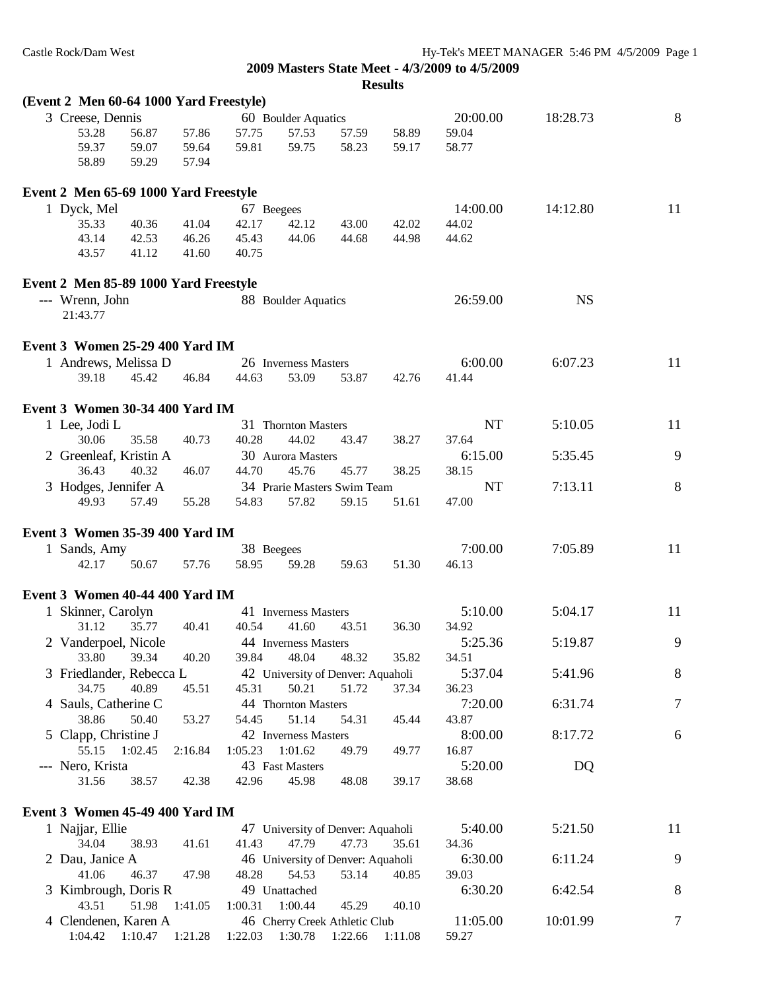| (Event 2 Men 60-64 1000 Yard Freestyle) |                   |         |                                                      |                                   |       |         |           |           |         |
|-----------------------------------------|-------------------|---------|------------------------------------------------------|-----------------------------------|-------|---------|-----------|-----------|---------|
| 3 Creese, Dennis                        |                   |         |                                                      | 60 Boulder Aquatics               |       |         | 20:00.00  | 18:28.73  | 8       |
| 53.28                                   | 56.87             | 57.86   | 57.75                                                | 57.53                             | 57.59 | 58.89   | 59.04     |           |         |
| 59.37                                   | 59.07             | 59.64   | 59.81                                                | 59.75                             | 58.23 | 59.17   | 58.77     |           |         |
| 58.89                                   | 59.29             | 57.94   |                                                      |                                   |       |         |           |           |         |
| Event 2 Men 65-69 1000 Yard Freestyle   |                   |         |                                                      |                                   |       |         |           |           |         |
| 1 Dyck, Mel                             |                   |         | 67 Beegees                                           |                                   |       |         | 14:00.00  | 14:12.80  | 11      |
| 35.33                                   | 40.36             | 41.04   | 42.17                                                | 42.12                             | 43.00 | 42.02   | 44.02     |           |         |
| 43.14                                   | 42.53             | 46.26   | 45.43                                                | 44.06                             | 44.68 | 44.98   | 44.62     |           |         |
| 43.57                                   | 41.12             | 41.60   | 40.75                                                |                                   |       |         |           |           |         |
| Event 2 Men 85-89 1000 Yard Freestyle   |                   |         |                                                      |                                   |       |         |           |           |         |
| --- Wrenn, John                         |                   |         |                                                      | 88 Boulder Aquatics               |       |         | 26:59.00  | <b>NS</b> |         |
| 21:43.77                                |                   |         |                                                      |                                   |       |         |           |           |         |
| Event 3 Women 25-29 400 Yard IM         |                   |         |                                                      |                                   |       |         |           |           |         |
| 1 Andrews, Melissa D                    |                   |         |                                                      | 26 Inverness Masters              |       |         | 6:00.00   | 6:07.23   | 11      |
| 39.18                                   | 45.42             | 46.84   | 44.63                                                | 53.09                             | 53.87 | 42.76   | 41.44     |           |         |
|                                         |                   |         |                                                      |                                   |       |         |           |           |         |
| Event 3 Women 30-34 400 Yard IM         |                   |         |                                                      |                                   |       |         |           |           |         |
| 1 Lee, Jodi L                           |                   |         |                                                      | 31 Thornton Masters               |       |         | <b>NT</b> | 5:10.05   | 11      |
| 30.06                                   | 35.58             | 40.73   | 40.28                                                | 44.02                             | 43.47 | 38.27   | 37.64     |           |         |
| 2 Greenleaf, Kristin A                  |                   |         |                                                      | 30 Aurora Masters                 |       |         | 6:15.00   | 5:35.45   | 9       |
| 36.43                                   | 40.32             | 46.07   | 44.70                                                | 45.76                             | 45.77 | 38.25   | 38.15     |           |         |
| 3 Hodges, Jennifer A                    |                   |         |                                                      | 34 Prarie Masters Swim Team       |       |         | NT        | 7:13.11   | 8       |
| 49.93                                   | 57.49             | 55.28   | 54.83                                                | 57.82                             | 59.15 | 51.61   | 47.00     |           |         |
| Event 3 Women 35-39 400 Yard IM         |                   |         |                                                      |                                   |       |         |           |           |         |
| 1 Sands, Amy                            |                   |         | 38 Beegees                                           |                                   |       |         | 7:00.00   | 7:05.89   | 11      |
| 42.17                                   | 50.67             | 57.76   | 58.95                                                | 59.28                             | 59.63 | 51.30   | 46.13     |           |         |
| Event 3 Women 40-44 400 Yard IM         |                   |         |                                                      |                                   |       |         |           |           |         |
| 1 Skinner, Carolyn                      |                   |         |                                                      | 41 Inverness Masters              |       |         | 5:10.00   | 5:04.17   | 11      |
| 31.12                                   | 35.77             | 40.41   | 40.54                                                | 41.60                             | 43.51 | 36.30   | 34.92     |           |         |
| 2 Vanderpoel, Nicole                    |                   |         |                                                      | 44 Inverness Masters              |       |         | 5:25.36   | 5:19.87   | 9       |
|                                         | 33.80 39.34 40.20 |         |                                                      | 39.84 48.04 48.32                 |       | 35.82   | 34.51     |           |         |
| 3 Friedlander, Rebecca L                |                   |         |                                                      | 42 University of Denver: Aquaholi |       |         | 5:37.04   | 5:41.96   | $\,8\,$ |
| 34.75                                   | 40.89             | 45.51   | 45.31                                                | 50.21                             | 51.72 | 37.34   | 36.23     |           |         |
| 4 Sauls, Catherine C                    |                   |         |                                                      | 44 Thornton Masters               |       |         | 7:20.00   | 6:31.74   | $\tau$  |
| 38.86                                   | 50.40             | 53.27   | 54.45                                                | 51.14                             | 54.31 | 45.44   | 43.87     |           |         |
|                                         |                   |         |                                                      | 42 Inverness Masters              |       |         | 8:00.00   | 8:17.72   | 6       |
| 5 Clapp, Christine J                    | 1:02.45           | 2:16.84 | 1:05.23                                              |                                   |       |         |           |           |         |
| 55.15                                   |                   |         |                                                      | 1:01.62                           | 49.79 | 49.77   | 16.87     |           |         |
| --- Nero, Krista                        |                   |         |                                                      | 43 Fast Masters                   |       |         | 5:20.00   | DQ        |         |
| 31.56                                   | 38.57             | 42.38   | 42.96                                                | 45.98                             | 48.08 | 39.17   | 38.68     |           |         |
| Event 3 Women 45-49 400 Yard IM         |                   |         |                                                      |                                   |       |         |           |           |         |
| 1 Najjar, Ellie                         |                   |         |                                                      | 47 University of Denver: Aquaholi |       |         | 5:40.00   | 5:21.50   | 11      |
| 34.04                                   | 38.93             | 41.61   | 41.43                                                | 47.79                             | 47.73 | 35.61   | 34.36     |           |         |
| 2 Dau, Janice A                         |                   |         |                                                      | 46 University of Denver: Aquaholi |       |         | 6:30.00   | 6:11.24   | 9       |
| 41.06                                   | 46.37             | 47.98   | 48.28                                                | 54.53                             | 53.14 | 40.85   | 39.03     |           |         |
| 3 Kimbrough, Doris R                    |                   |         |                                                      | 49 Unattached                     |       |         | 6:30.20   | 6:42.54   | 8       |
| 43.51                                   | 51.98             | 1:41.05 | 1:00.31                                              | 1:00.44                           | 45.29 | 40.10   |           |           |         |
| 4 Clendenen, Karen A                    |                   |         |                                                      | 46 Cherry Creek Athletic Club     |       |         | 11:05.00  | 10:01.99  | 7       |
|                                         |                   |         | 1:04.42  1:10.47  1:21.28  1:22.03  1:30.78  1:22.66 |                                   |       | 1:11.08 | 59.27     |           |         |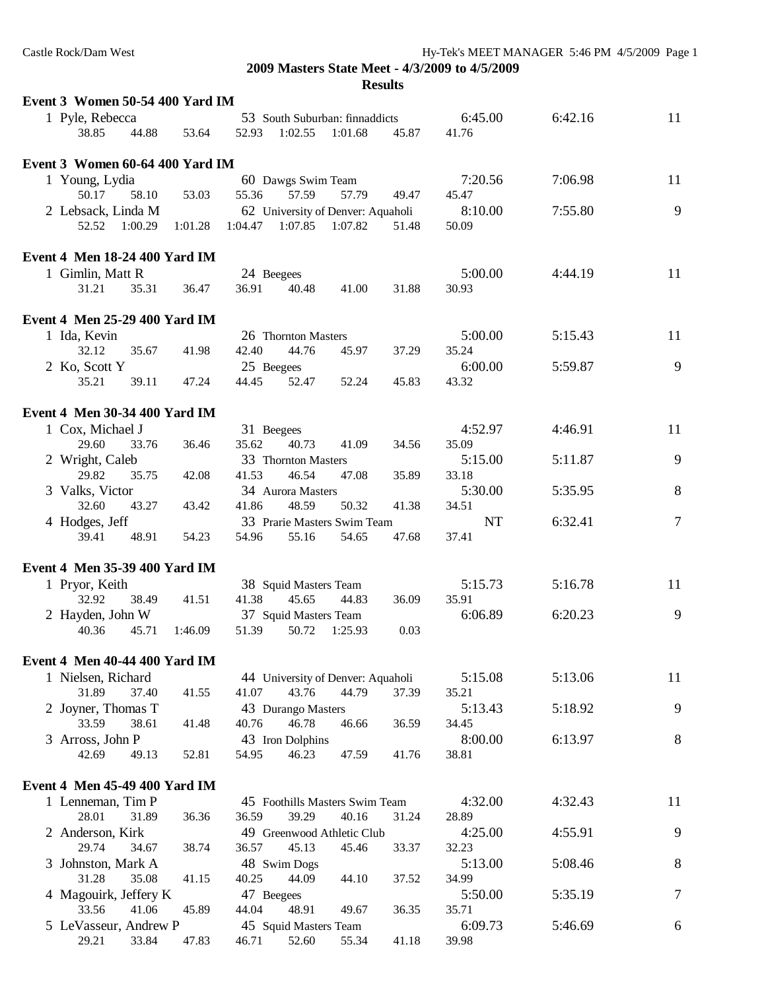| Event 3 Women 50-54 400 Yard IM      |         |         |                       |                                   |       |           |         |        |
|--------------------------------------|---------|---------|-----------------------|-----------------------------------|-------|-----------|---------|--------|
| 1 Pyle, Rebecca                      |         |         |                       | 53 South Suburban: finnaddicts    |       | 6:45.00   | 6:42.16 | 11     |
| 38.85<br>44.88                       | 53.64   | 52.93   | 1:02.55               | 1:01.68                           | 45.87 | 41.76     |         |        |
|                                      |         |         |                       |                                   |       |           |         |        |
| Event 3 Women 60-64 400 Yard IM      |         |         |                       |                                   |       |           |         |        |
| 1 Young, Lydia                       |         |         | 60 Dawgs Swim Team    |                                   |       | 7:20.56   | 7:06.98 | 11     |
| 50.17<br>58.10                       | 53.03   | 55.36   | 57.59                 | 57.79                             | 49.47 | 45.47     |         |        |
| 2 Lebsack, Linda M                   |         |         |                       | 62 University of Denver: Aquaholi |       | 8:10.00   | 7:55.80 | 9      |
| 52.52<br>1:00.29                     | 1:01.28 | 1:04.47 | 1:07.85               | 1:07.82                           | 51.48 | 50.09     |         |        |
|                                      |         |         |                       |                                   |       |           |         |        |
| <b>Event 4 Men 18-24 400 Yard IM</b> |         |         |                       |                                   |       |           |         |        |
| 1 Gimlin, Matt R                     |         |         | 24 Beegees            |                                   |       | 5:00.00   | 4:44.19 | 11     |
| 31.21<br>35.31                       | 36.47   | 36.91   | 40.48                 | 41.00                             | 31.88 | 30.93     |         |        |
|                                      |         |         |                       |                                   |       |           |         |        |
| <b>Event 4 Men 25-29 400 Yard IM</b> |         |         |                       |                                   |       |           |         |        |
| 1 Ida, Kevin                         |         |         | 26 Thornton Masters   |                                   |       | 5:00.00   | 5:15.43 | 11     |
| 32.12<br>35.67                       | 41.98   | 42.40   | 44.76                 | 45.97                             | 37.29 | 35.24     |         |        |
| 2 Ko, Scott Y                        |         |         | 25 Beegees            |                                   |       | 6:00.00   | 5:59.87 | 9      |
| 35.21<br>39.11                       | 47.24   | 44.45   | 52.47                 | 52.24                             | 45.83 | 43.32     |         |        |
|                                      |         |         |                       |                                   |       |           |         |        |
|                                      |         |         |                       |                                   |       |           |         |        |
| <b>Event 4 Men 30-34 400 Yard IM</b> |         |         |                       |                                   |       |           |         |        |
| 1 Cox, Michael J                     |         |         | 31 Beegees            |                                   |       | 4:52.97   | 4:46.91 | 11     |
| 29.60<br>33.76                       | 36.46   | 35.62   | 40.73                 | 41.09                             | 34.56 | 35.09     |         |        |
| 2 Wright, Caleb                      |         |         | 33 Thornton Masters   |                                   |       | 5:15.00   | 5:11.87 | 9      |
| 29.82<br>35.75                       | 42.08   | 41.53   | 46.54                 | 47.08                             | 35.89 | 33.18     |         |        |
| 3 Valks, Victor                      |         |         | 34 Aurora Masters     |                                   |       | 5:30.00   | 5:35.95 | 8      |
| 32.60<br>43.27                       | 43.42   | 41.86   | 48.59                 | 50.32                             | 41.38 | 34.51     |         |        |
| 4 Hodges, Jeff                       |         |         |                       | 33 Prarie Masters Swim Team       |       | <b>NT</b> | 6:32.41 | $\tau$ |
| 39.41<br>48.91                       | 54.23   | 54.96   | 55.16                 | 54.65                             | 47.68 | 37.41     |         |        |
|                                      |         |         |                       |                                   |       |           |         |        |
| Event 4 Men 35-39 400 Yard IM        |         |         |                       |                                   |       |           |         |        |
| 1 Pryor, Keith                       |         |         | 38 Squid Masters Team |                                   |       | 5:15.73   | 5:16.78 | 11     |
| 32.92<br>38.49                       | 41.51   | 41.38   | 45.65                 | 44.83                             | 36.09 | 35.91     |         |        |
| 2 Hayden, John W                     |         |         | 37 Squid Masters Team |                                   |       | 6:06.89   | 6:20.23 | 9      |
| 40.36<br>45.71                       | 1:46.09 | 51.39   | 50.72                 | 1:25.93                           | 0.03  |           |         |        |
|                                      |         |         |                       |                                   |       |           |         |        |
| <b>Event 4 Men 40-44 400 Yard IM</b> |         |         |                       |                                   |       |           |         |        |
| 1 Nielsen, Richard                   |         |         |                       | 44 University of Denver: Aquaholi |       | 5:15.08   | 5:13.06 | 11     |
| 31.89<br>37.40                       | 41.55   | 41.07   | 43.76                 | 44.79                             | 37.39 | 35.21     |         |        |
| 2 Joyner, Thomas T                   |         |         | 43 Durango Masters    |                                   |       | 5:13.43   | 5:18.92 | 9      |
| 33.59<br>38.61                       | 41.48   | 40.76   | 46.78                 | 46.66                             | 36.59 | 34.45     |         |        |
| 3 Arross, John P                     |         |         | 43 Iron Dolphins      |                                   |       | 8:00.00   | 6:13.97 | 8      |
| 42.69<br>49.13                       | 52.81   | 54.95   | 46.23                 | 47.59                             | 41.76 | 38.81     |         |        |
|                                      |         |         |                       |                                   |       |           |         |        |
| <b>Event 4 Men 45-49 400 Yard IM</b> |         |         |                       |                                   |       |           |         |        |
| 1 Lenneman, Tim P                    |         |         |                       | 45 Foothills Masters Swim Team    |       | 4:32.00   | 4:32.43 | 11     |
| 28.01<br>31.89                       | 36.36   | 36.59   | 39.29                 | 40.16                             | 31.24 | 28.89     |         |        |
| 2 Anderson, Kirk                     |         |         |                       | 49 Greenwood Athletic Club        |       | 4:25.00   | 4:55.91 | 9      |
| 29.74<br>34.67                       | 38.74   | 36.57   | 45.13                 | 45.46                             | 33.37 | 32.23     |         |        |
|                                      |         |         |                       |                                   |       |           |         |        |
| 3 Johnston, Mark A                   |         |         | 48 Swim Dogs          |                                   |       | 5:13.00   | 5:08.46 | 8      |
| 31.28<br>35.08                       | 41.15   | 40.25   | 44.09                 | 44.10                             | 37.52 | 34.99     |         |        |
| 4 Magouirk, Jeffery K                |         |         | 47 Beegees            |                                   |       | 5:50.00   | 5:35.19 | $\tau$ |
| 33.56<br>41.06                       | 45.89   | 44.04   | 48.91                 | 49.67                             | 36.35 | 35.71     |         |        |
| 5 LeVasseur, Andrew P                |         |         | 45 Squid Masters Team |                                   |       | 6:09.73   | 5:46.69 | 6      |
| 29.21<br>33.84                       | 47.83   | 46.71   | 52.60                 | 55.34                             | 41.18 | 39.98     |         |        |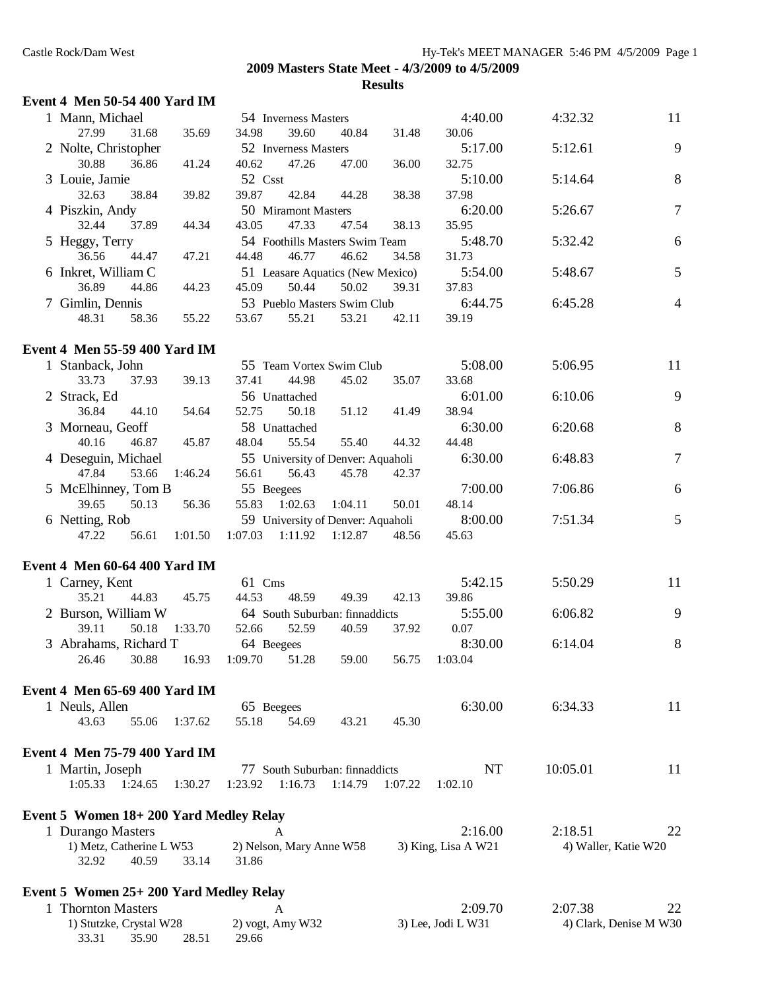## **Event 4 Men 50-54 400 Yard IM**

33.31 35.90 28.51 29.66

| 1 Mann, Michael                         |         |                       | 54 Inverness Masters     |                                   |         | 4:40.00             | 4:32.32                | 11             |
|-----------------------------------------|---------|-----------------------|--------------------------|-----------------------------------|---------|---------------------|------------------------|----------------|
| 27.99<br>31.68                          | 35.69   | 34.98                 | 39.60                    | 40.84                             | 31.48   | 30.06               |                        |                |
| 2 Nolte, Christopher                    |         |                       | 52 Inverness Masters     |                                   |         | 5:17.00             | 5:12.61                | 9              |
| 30.88<br>36.86                          | 41.24   | 40.62                 | 47.26                    | 47.00                             | 36.00   | 32.75               |                        |                |
| 3 Louie, Jamie                          |         | 52 Csst               |                          |                                   |         | 5:10.00             | 5:14.64                | $8\,$          |
| 32.63<br>38.84                          | 39.82   | 39.87                 | 42.84                    | 44.28                             | 38.38   | 37.98               |                        |                |
| 4 Piszkin, Andy                         |         |                       | 50 Miramont Masters      |                                   |         | 6:20.00             | 5:26.67                | $\tau$         |
| 32.44<br>37.89                          | 44.34   | 43.05                 | 47.33                    | 47.54                             | 38.13   | 35.95               |                        |                |
| 5 Heggy, Terry                          |         |                       |                          | 54 Foothills Masters Swim Team    |         | 5:48.70             | 5:32.42                | 6              |
| 36.56<br>44.47                          | 47.21   | 44.48                 | 46.77                    | 46.62                             | 34.58   | 31.73               |                        |                |
| 6 Inkret, William C                     |         |                       |                          | 51 Leasare Aquatics (New Mexico)  |         | 5:54.00             | 5:48.67                | 5              |
| 36.89<br>44.86                          | 44.23   | 45.09                 | 50.44                    | 50.02                             | 39.31   | 37.83               |                        |                |
| 7 Gimlin, Dennis                        |         |                       |                          | 53 Pueblo Masters Swim Club       |         | 6:44.75             | 6:45.28                | $\overline{4}$ |
| 48.31<br>58.36                          | 55.22   | 53.67                 | 55.21                    | 53.21                             | 42.11   | 39.19               |                        |                |
| <b>Event 4 Men 55-59 400 Yard IM</b>    |         |                       |                          |                                   |         |                     |                        |                |
|                                         |         |                       |                          | 55 Team Vortex Swim Club          |         | 5:08.00             | 5:06.95                | 11             |
| 1 Stanback, John<br>33.73<br>37.93      | 39.13   | 37.41                 | 44.98                    | 45.02                             | 35.07   | 33.68               |                        |                |
| 2 Strack, Ed                            |         |                       | 56 Unattached            |                                   |         | 6:01.00             | 6:10.06                | 9              |
| 36.84<br>44.10                          | 54.64   | 52.75                 | 50.18                    | 51.12                             | 41.49   | 38.94               |                        |                |
| 3 Morneau, Geoff                        |         |                       | 58 Unattached            |                                   |         | 6:30.00             | 6:20.68                | 8              |
| 40.16<br>46.87                          | 45.87   | 48.04                 | 55.54                    | 55.40                             | 44.32   | 44.48               |                        |                |
| 4 Deseguin, Michael                     |         |                       |                          | 55 University of Denver: Aquaholi |         | 6:30.00             | 6:48.83                | $\tau$         |
| 47.84<br>53.66                          | 1:46.24 | 56.61                 | 56.43                    | 45.78                             | 42.37   |                     |                        |                |
| 5 McElhinney, Tom B                     |         | 55 Beegees            |                          |                                   |         | 7:00.00             | 7:06.86                | 6              |
| 39.65<br>50.13                          | 56.36   | 55.83                 | 1:02.63                  | 1:04.11                           | 50.01   | 48.14               |                        |                |
| 6 Netting, Rob                          |         |                       |                          | 59 University of Denver: Aquaholi |         | 8:00.00             | 7:51.34                | 5              |
| 47.22<br>56.61                          | 1:01.50 | 1:07.03               | 1:11.92                  | 1:12.87                           | 48.56   | 45.63               |                        |                |
|                                         |         |                       |                          |                                   |         |                     |                        |                |
| <b>Event 4 Men 60-64 400 Yard IM</b>    |         |                       |                          |                                   |         |                     |                        |                |
| 1 Carney, Kent                          |         | 61 Cms                |                          |                                   |         | 5:42.15             | 5:50.29                | 11             |
| 35.21<br>44.83                          | 45.75   | 44.53                 | 48.59                    | 49.39                             | 42.13   | 39.86               |                        |                |
| 2 Burson, William W                     | 1:33.70 | 52.66                 | 52.59                    | 64 South Suburban: finnaddicts    |         | 5:55.00             | 6:06.82                | 9              |
| 39.11<br>50.18                          |         |                       |                          | 40.59                             | 37.92   | 0.07                |                        |                |
| 3 Abrahams, Richard T<br>30.88<br>26.46 | 16.93   | 64 Beegees<br>1:09.70 | 51.28                    | 59.00                             | 56.75   | 8:30.00<br>1:03.04  | 6:14.04                | $\, 8$         |
|                                         |         |                       |                          |                                   |         |                     |                        |                |
| Event 4 Men 65-69 400 Yard IM           |         |                       |                          |                                   |         |                     |                        |                |
| 1 Neuls, Allen                          |         | 65 Beegees            |                          |                                   |         | 6:30.00             | 6:34.33                | 11             |
| 43.63<br>55.06                          | 1:37.62 | 55.18                 | 54.69                    | 43.21                             | 45.30   |                     |                        |                |
| Event 4 Men 75-79 400 Yard IM           |         |                       |                          |                                   |         |                     |                        |                |
|                                         |         |                       |                          | 77 South Suburban: finnaddicts    |         | NT                  | 10:05.01               | 11             |
| 1 Martin, Joseph<br>1:05.33<br>1:24.65  | 1:30.27 | 1:23.92               | 1:16.73                  | 1:14.79                           | 1:07.22 | 1:02.10             |                        |                |
|                                         |         |                       |                          |                                   |         |                     |                        |                |
| Event 5 Women 18+200 Yard Medley Relay  |         |                       |                          |                                   |         |                     |                        |                |
| 1 Durango Masters                       |         |                       | A                        |                                   |         | 2:16.00             | 2:18.51                | 22             |
| 1) Metz, Catherine L W53                |         |                       | 2) Nelson, Mary Anne W58 |                                   |         | 3) King, Lisa A W21 | 4) Waller, Katie W20   |                |
| 32.92<br>40.59                          | 33.14   | 31.86                 |                          |                                   |         |                     |                        |                |
| Event 5 Women 25+ 200 Yard Medley Relay |         |                       |                          |                                   |         |                     |                        |                |
| 1 Thornton Masters                      |         |                       | A                        |                                   |         | 2:09.70             | 2:07.38                | 22             |
| 1) Stutzke, Crystal W28                 |         |                       | 2) vogt, Amy W32         |                                   |         | 3) Lee, Jodi L W31  | 4) Clark, Denise M W30 |                |
|                                         |         |                       |                          |                                   |         |                     |                        |                |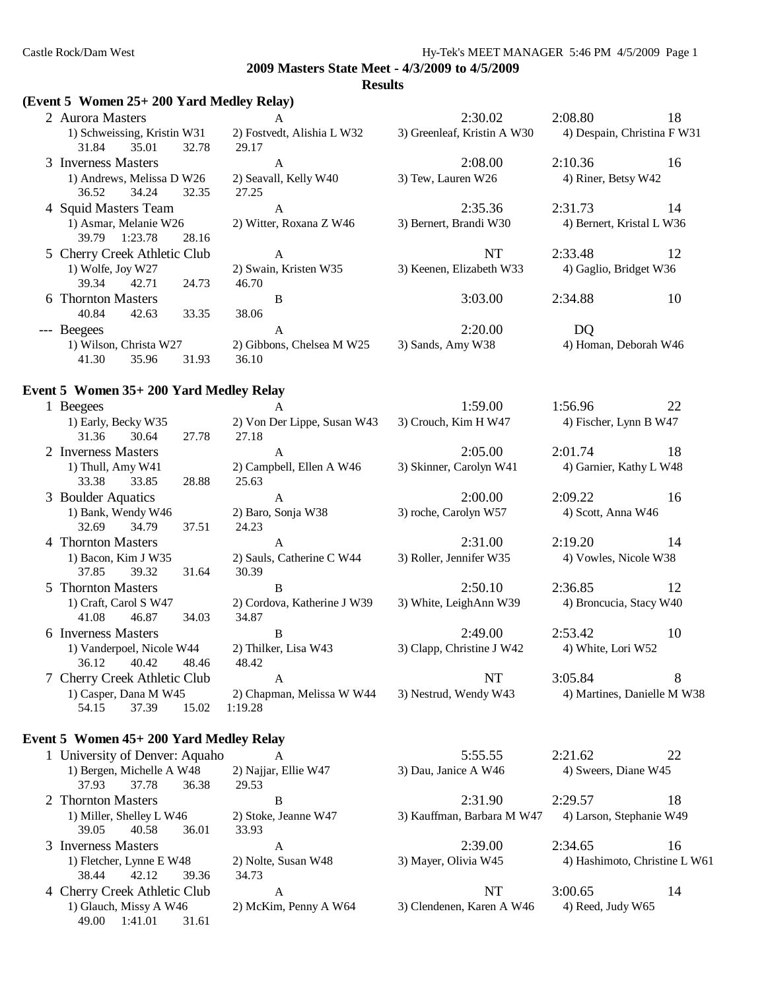#### **Results**

# **(Event 5 Women 25+ 200 Yard Medley Relay)**

39.05 40.58 36.01 33.93

38.44 42.12 39.36 34.73

49.00 1:41.01 31.61

| $($ Event 5 women $25+200$ Yard Medley Relay)          |                                      |                             |                             |    |
|--------------------------------------------------------|--------------------------------------|-----------------------------|-----------------------------|----|
| 2 Aurora Masters                                       | A                                    | 2:30.02                     | 2:08.80                     | 18 |
| 1) Schweissing, Kristin W31<br>31.84<br>35.01<br>32.78 | 2) Fostvedt, Alishia L W32<br>29.17  | 3) Greenleaf, Kristin A W30 | 4) Despain, Christina F W31 |    |
| 3 Inverness Masters                                    | $\mathbf{A}$                         | 2:08.00                     | 2:10.36                     | 16 |
| 1) Andrews, Melissa D W26<br>34.24<br>36.52<br>32.35   | 2) Seavall, Kelly W40<br>27.25       | 3) Tew, Lauren W26          | 4) Riner, Betsy W42         |    |
| 4 Squid Masters Team                                   | $\mathbf{A}$                         | 2:35.36                     | 2:31.73                     | 14 |
| 1) Asmar, Melanie W26<br>39.79<br>1:23.78<br>28.16     | 2) Witter, Roxana Z W46              | 3) Bernert, Brandi W30      | 4) Bernert, Kristal L W36   |    |
| 5 Cherry Creek Athletic Club                           | A                                    | <b>NT</b>                   | 2:33.48                     | 12 |
| 1) Wolfe, Joy W27<br>39.34<br>42.71<br>24.73           | 2) Swain, Kristen W35<br>46.70       | 3) Keenen, Elizabeth W33    | 4) Gaglio, Bridget W36      |    |
| 6 Thornton Masters                                     | B                                    | 3:03.00                     | 2:34.88                     | 10 |
| 33.35<br>40.84<br>42.63                                | 38.06                                |                             |                             |    |
| --- Beegees                                            | $\mathbf{A}$                         | 2:20.00                     | DQ                          |    |
| 1) Wilson, Christa W27                                 | 2) Gibbons, Chelsea M W25            | 3) Sands, Amy W38           | 4) Homan, Deborah W46       |    |
| 35.96<br>31.93<br>41.30                                | 36.10                                |                             |                             |    |
| Event 5 Women 35+ 200 Yard Medley Relay                |                                      |                             |                             |    |
| 1 Beegees                                              | A                                    | 1:59.00                     | 1:56.96                     | 22 |
| 1) Early, Becky W35                                    | 2) Von Der Lippe, Susan W43          | 3) Crouch, Kim H W47        | 4) Fischer, Lynn B W47      |    |
| 31.36<br>30.64<br>27.78                                | 27.18                                |                             |                             |    |
| 2 Inverness Masters                                    | $\mathbf{A}$                         | 2:05.00                     | 2:01.74                     | 18 |
| 1) Thull, Amy W41                                      | 2) Campbell, Ellen A W46             | 3) Skinner, Carolyn W41     | 4) Garnier, Kathy L W48     |    |
| 33.38<br>33.85<br>28.88                                | 25.63                                |                             |                             |    |
| 3 Boulder Aquatics                                     | $\mathbf{A}$                         | 2:00.00                     | 2:09.22                     | 16 |
| 1) Bank, Wendy W46<br>32.69<br>34.79<br>37.51          | 2) Baro, Sonja W38<br>24.23          | 3) roche, Carolyn W57       | 4) Scott, Anna W46          |    |
| 4 Thornton Masters                                     | A                                    | 2:31.00                     | 2:19.20                     | 14 |
| 1) Bacon, Kim J W35                                    | 2) Sauls, Catherine C W44            | 3) Roller, Jennifer W35     | 4) Vowles, Nicole W38       |    |
| 37.85<br>39.32<br>31.64                                | 30.39                                |                             |                             |    |
| 5 Thornton Masters                                     | B                                    | 2:50.10                     | 2:36.85                     | 12 |
| 1) Craft, Carol S W47                                  | 2) Cordova, Katherine J W39          | 3) White, LeighAnn W39      | 4) Broncucia, Stacy W40     |    |
| 41.08<br>46.87<br>34.03                                | 34.87                                |                             |                             |    |
| 6 Inverness Masters                                    | B                                    | 2:49.00                     | 2:53.42                     | 10 |
| 1) Vanderpoel, Nicole W44                              | 2) Thilker, Lisa W43                 | 3) Clapp, Christine J W42   | 4) White, Lori W52          |    |
| 36.12 40.42 48.46 48.42                                |                                      |                             |                             |    |
| 7 Cherry Creek Athletic Club                           | A                                    | <b>NT</b>                   | 3:05.84                     | 8  |
| 1) Casper, Dana M W45<br>37.39<br>15.02<br>54.15       | 2) Chapman, Melissa W W44<br>1:19.28 | 3) Nestrud, Wendy W43       | 4) Martines, Danielle M W38 |    |
| Event 5 Women 45+ 200 Yard Medley Relay                |                                      |                             |                             |    |
| 1 University of Denver: Aquaho                         | A                                    | 5:55.55                     | 2:21.62                     | 22 |
| 1) Bergen, Michelle A W48<br>37.78<br>37.93<br>36.38   | 2) Najjar, Ellie W47<br>29.53        | 3) Dau, Janice A W46        | 4) Sweers, Diane W45        |    |
| 2 Thornton Masters                                     | B                                    | 2:31.90                     | 2:29.57                     | 18 |
| 1) Miller, Shelley L W46                               | 2) Stoke, Jeanne W47                 | 3) Kauffman, Barbara M W47  | 4) Larson, Stephanie W49    |    |
|                                                        |                                      |                             |                             |    |

3 Inverness Masters A 2:39.00 2:34.65 16<br>1) Fletcher, Lynne E W48 2) Nolte, Susan W48 3) Mayer, Olivia W45 4) Hashimoto, Christine I 2) Nolte, Susan W48 3) Mayer, Olivia W45 4) Hashimoto, Christine L W61

4 Cherry Creek Athletic Club A NT 3:00.65 14 1) Glauch, Missy A W46 2) McKim, Penny A W64 3) Clendenen, Karen A W46 4) Reed, Judy W65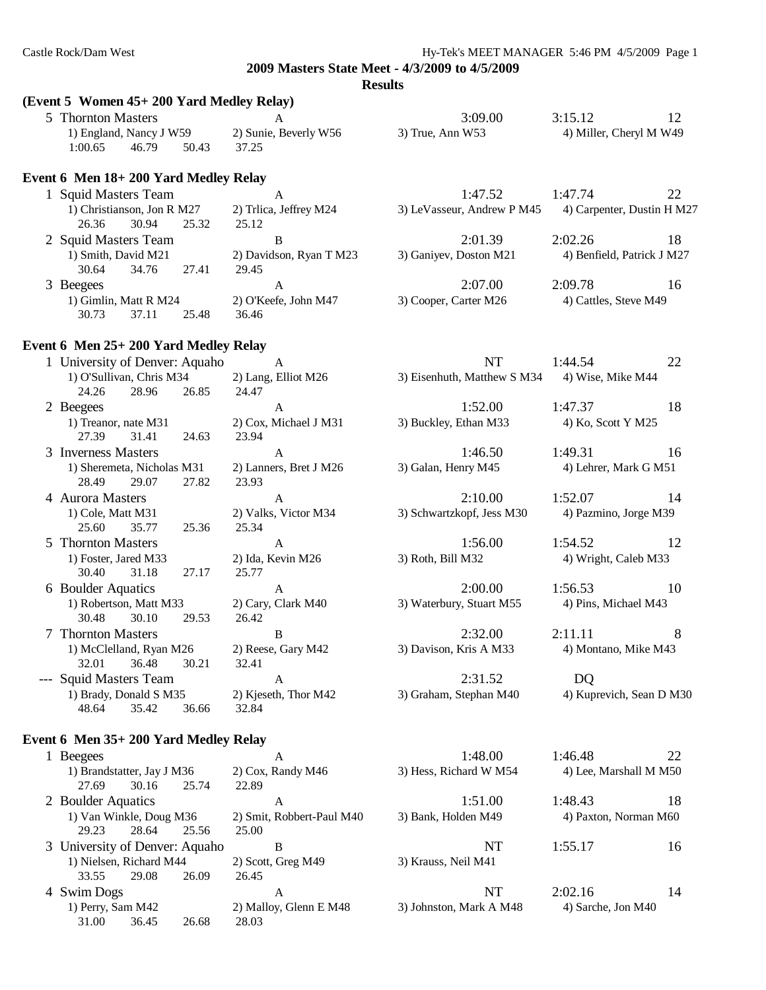#### **Results**

#### **(Event 5 Women 45+ 200 Yard Medley Relay)**

|                                      | 5 Thornton Masters                            |                        | A                          | 3:09.00                | 3:15.12                    | 12                         |
|--------------------------------------|-----------------------------------------------|------------------------|----------------------------|------------------------|----------------------------|----------------------------|
|                                      | 1) England, Nancy J W59                       |                        | 2) Sunie, Beverly W56      | $3)$ True, Ann W53     |                            | 4) Miller, Cheryl M W49    |
| 1:00.65                              | 46.79                                         | 50.43                  | 37.25                      |                        |                            |                            |
| Event 6 Men 18+200 Yard Medley Relay |                                               |                        |                            |                        |                            |                            |
| 1 Squid Masters Team                 |                                               |                        | A                          | 1:47.52                | 1:47.74                    | 22                         |
| 1) Christianson, Jon R M27           |                                               | 2) Trlica, Jeffrey M24 | 3) LeVasseur, Andrew P M45 |                        | 4) Carpenter, Dustin H M27 |                            |
| 26.36                                | 30.94                                         | 25.32                  | 25.12                      |                        |                            |                            |
| 2 Squid Masters Team                 |                                               |                        | В                          | 2:01.39                | 2:02.26                    | 18                         |
|                                      | 1) Smith, David M21                           |                        | 2) Davidson, Ryan T M23    | 3) Ganiyev, Doston M21 |                            | 4) Benfield, Patrick J M27 |
| 30.64                                | 34.76                                         | 27.41                  | 29.45                      |                        |                            |                            |
| 3 Beegees                            |                                               |                        | A                          | 2:07.00                | 2:09.78                    | 16                         |
|                                      | 1) Gimlin, Matt R M24<br>2) O'Keefe, John M47 |                        | 3) Cooper, Carter M26      | 4) Cattles, Steve M49  |                            |                            |
| 30.73                                | 37.11                                         | 25.48                  | 36.46                      |                        |                            |                            |
|                                      |                                               |                        |                            |                        |                            |                            |

#### **Event 6 Men 25+ 200 Yard Medley Relay**

27.69 30.16 25.74 22.89

29.23 28.64 25.56 25.00

33.55 29.08 26.09 26.45

31.00 36.45 26.68 28.03

| 1 University of Denver: Aquaho        |       | $\mathsf{A}$           | NT                          | 1:44.54                  | 22 |
|---------------------------------------|-------|------------------------|-----------------------------|--------------------------|----|
| 1) O'Sullivan, Chris M34              |       | 2) Lang, Elliot M26    | 3) Eisenhuth, Matthew S M34 | 4) Wise, Mike M44        |    |
| 24.26<br>28.96                        | 26.85 | 24.47                  |                             |                          |    |
| 2 Beegees                             |       | A                      | 1:52.00                     | 1:47.37                  | 18 |
| 1) Treanor, nate M31                  |       | 2) Cox, Michael J M31  | 3) Buckley, Ethan M33       | 4) Ko, Scott Y M25       |    |
| 27.39<br>31.41                        | 24.63 | 23.94                  |                             |                          |    |
| 3 Inverness Masters                   |       | $\mathsf{A}$           | 1:46.50                     | 1:49.31                  | 16 |
| 1) Sheremeta, Nicholas M31            |       | 2) Lanners, Bret J M26 | 3) Galan, Henry M45         | 4) Lehrer, Mark G M51    |    |
| 28.49<br>29.07                        | 27.82 | 23.93                  |                             |                          |    |
| 4 Aurora Masters                      |       | A                      | 2:10.00                     | 1:52.07                  | 14 |
| 1) Cole, Matt M31                     |       | 2) Valks, Victor M34   | 3) Schwartzkopf, Jess M30   | 4) Pazmino, Jorge M39    |    |
| 25.60<br>35.77                        | 25.36 | 25.34                  |                             |                          |    |
| 5 Thornton Masters                    |       | A                      | 1:56.00                     | 1:54.52                  | 12 |
| 1) Foster, Jared M33                  |       | 2) Ida, Kevin M26      | 3) Roth, Bill M32           | 4) Wright, Caleb M33     |    |
| 30.40<br>31.18                        | 27.17 | 25.77                  |                             |                          |    |
| 6 Boulder Aquatics                    |       | A                      | 2:00.00                     | 1:56.53                  | 10 |
| 1) Robertson, Matt M33                |       | 2) Cary, Clark M40     | 3) Waterbury, Stuart M55    | 4) Pins, Michael M43     |    |
| 30.48<br>30.10                        | 29.53 | 26.42                  |                             |                          |    |
| 7 Thornton Masters                    |       | B                      | 2:32.00                     | 2:11.11                  | 8  |
| 1) McClelland, Ryan M26               |       | 2) Reese, Gary M42     | 3) Davison, Kris A M33      | 4) Montano, Mike M43     |    |
| 32.01<br>36.48                        | 30.21 | 32.41                  |                             |                          |    |
| --- Squid Masters Team                |       | A                      | 2:31.52                     | DQ                       |    |
| 1) Brady, Donald S M35                |       | 2) Kjeseth, Thor M42   | 3) Graham, Stephan M40      | 4) Kuprevich, Sean D M30 |    |
| 35.42<br>48.64                        | 36.66 | 32.84                  |                             |                          |    |
| Event 6 Men 35+ 200 Yard Medley Relay |       |                        |                             |                          |    |
| 1 Beegees                             |       | A                      | 1:48.00                     | 1:46.48                  | 22 |
| 1) Brandstatter, Jay J M36            |       | 2) Cox, Randy M46      | 3) Hess, Richard W M54      | 4) Lee, Marshall M M50   |    |

2 Boulder Aquatics A 1:51.00 1:48.43 18 1) Van Winkle, Doug M36 2) Smit, Robbert-Paul M40 3) Bank, Holden M49 4) Paxton, Norman M60

3 University of Denver: Aquaho B NT 1:55.17 16

4 Swim Dogs A NT 2:02.16 14 1) Perry, Sam M42 2) Malloy, Glenn E M48 3) Johnston, Mark A M48 4) Sarche, Jon M40

1) Nielsen, Richard M44 2) Scott, Greg M49 3) Krauss, Neil M41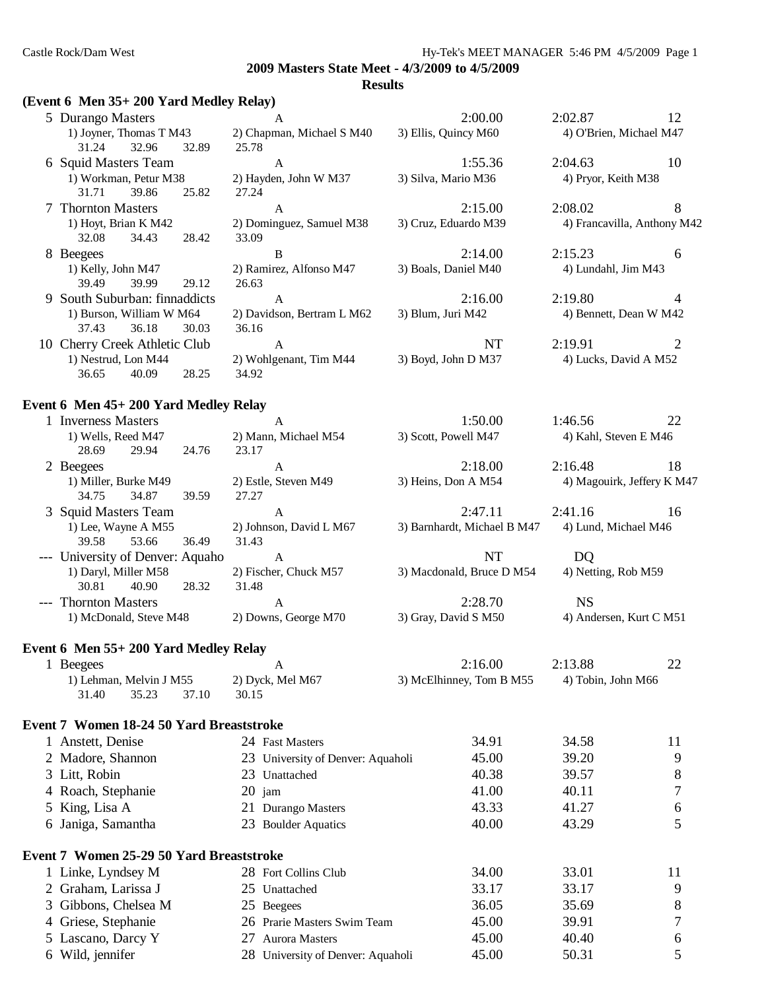#### **Results**

#### **(Event 6 Men 35+ 200 Yard Medley Relay)**

|                          | 5 Durango Masters                     |                        | $\mathsf{A}$               | 2:00.00                                                                 | 2:02.87                    | 12                          |
|--------------------------|---------------------------------------|------------------------|----------------------------|-------------------------------------------------------------------------|----------------------------|-----------------------------|
|                          | 1) Joyner, Thomas T M43               |                        | 2) Chapman, Michael S M40  | 3) Ellis, Quincy M60                                                    | 4) O'Brien, Michael M47    |                             |
|                          | 32.96<br>31.24                        | 32.89                  | 25.78                      |                                                                         |                            |                             |
|                          | 6 Squid Masters Team                  |                        | $\mathsf{A}$               | 1:55.36                                                                 | 2:04.63                    | 10                          |
|                          | 1) Workman, Petur M38                 |                        | 2) Hayden, John W M37      | 3) Silva, Mario M36                                                     | 4) Pryor, Keith M38        |                             |
|                          | 31.71<br>39.86                        | 25.82                  | 27.24                      |                                                                         |                            |                             |
|                          | 7 Thornton Masters                    |                        | A                          | 2:15.00                                                                 | 2:08.02                    | 8                           |
|                          | 1) Hoyt, Brian K M42                  |                        | 2) Dominguez, Samuel M38   | 3) Cruz, Eduardo M39                                                    |                            | 4) Francavilla, Anthony M42 |
|                          | 32.08<br>34.43                        | 28.42                  | 33.09                      |                                                                         |                            |                             |
|                          | 8 Beegees                             |                        | B                          | 2:14.00                                                                 | 2:15.23                    | 6                           |
|                          | 1) Kelly, John M47                    |                        | 2) Ramirez, Alfonso M47    | 3) Boals, Daniel M40                                                    | 4) Lundahl, Jim M43        |                             |
|                          | 39.49<br>39.99                        | 29.12                  | 26.63                      |                                                                         |                            |                             |
|                          | South Suburban: finnaddicts           |                        | A                          | 2:16.00                                                                 | 2:19.80                    | 4                           |
| 1) Burson, William W M64 |                                       |                        | 2) Davidson, Bertram L M62 | 3) Blum, Juri M42                                                       | 4) Bennett, Dean W M42     |                             |
|                          | 37.43<br>36.18                        | 30.03                  | 36.16                      |                                                                         |                            |                             |
|                          | 10 Cherry Creek Athletic Club         |                        | A                          | NT                                                                      | 2:19.91                    | 2                           |
|                          | 1) Nestrud, Lon M44                   | 2) Wohlgenant, Tim M44 |                            | 3) Boyd, John D M37                                                     | 4) Lucks, David A M52      |                             |
|                          | 36.65<br>40.09                        | 28.25                  | 34.92                      |                                                                         |                            |                             |
|                          | Event 6 Men 45+ 200 Yard Medley Relay |                        |                            |                                                                         |                            |                             |
|                          | 1 Inverness Masters                   |                        | A                          | 1:50.00                                                                 | 1:46.56                    | 22                          |
|                          | 1) Wells, Reed M47                    |                        | 2) Mann, Michael M54       | 3) Scott, Powell M47                                                    | 4) Kahl, Steven E M46      |                             |
|                          | 28.69<br>29.94                        | 24.76                  | 23.17                      |                                                                         |                            |                             |
|                          | 2 Beegees                             |                        | A                          | 2:18.00                                                                 | 2:16.48                    | 18                          |
|                          | 1) Miller, Burke M49                  |                        | 2) Estle, Steven M49       | 3) Heins, Don A M54                                                     | 4) Magouirk, Jeffery K M47 |                             |
|                          | 34.75<br>34.87                        | 39.59                  | 27.27                      |                                                                         |                            |                             |
|                          | 3 Squid Masters Team                  |                        | $\mathbf{A}$               | 2:47.11                                                                 | 2:41.16                    | 16                          |
|                          | $1\backslash$ I and Waypo A M55       |                        | $2)$ Ishneson Dovid I M67  | $\sim$ 2) Demberght Michael D $\mathbf{M47}$ $\sim$ 4) Lund Michael M46 |                            |                             |

| 1) Lee, Wayne A M55              |                        |       | 2) Johnson, David L M67 | 3) Barnhardt, Michael B M47 | 4) Lund, Michael M46    |
|----------------------------------|------------------------|-------|-------------------------|-----------------------------|-------------------------|
| 39.58                            | 53.66                  | 36.49 | 31.43                   |                             |                         |
| --- University of Denver: Aquaho |                        |       |                         | NT                          | DO.                     |
| 1) Daryl, Miller M58             |                        |       | 2) Fischer, Chuck M57   | 3) Macdonald, Bruce D M54   | 4) Netting, Rob M59     |
| 30.81                            | 40.90                  | 28.32 | 31.48                   |                             |                         |
| --- Thornton Masters             |                        |       |                         | 2:28.70                     | NS                      |
|                                  | 1) McDonald, Steve M48 |       | 2) Downs, George M70    | 3) Gray, David S M50        | 4) Andersen, Kurt C M51 |

# **Event 6 Men 55+ 200 Yard Medley Relay**

| 1 Beegees                                | A                                 | 2:16.00                  | 2:13.88            | 22 |
|------------------------------------------|-----------------------------------|--------------------------|--------------------|----|
| 1) Lehman, Melvin J M55                  | 2) Dyck, Mel M67                  | 3) McElhinney, Tom B M55 | 4) Tobin, John M66 |    |
| 31.40<br>35.23<br>37.10                  | 30.15                             |                          |                    |    |
| Event 7 Women 18-24 50 Yard Breaststroke |                                   |                          |                    |    |
| 1 Anstett, Denise                        | 24 Fast Masters                   | 34.91                    | 34.58              | 11 |
| 2 Madore, Shannon                        | 23 University of Denver: Aquaholi | 45.00                    | 39.20              | 9  |
| 3 Litt, Robin                            | Unattached<br>23                  | 40.38                    | 39.57              | 8  |
| 4 Roach, Stephanie                       | $20$ jam                          | 41.00                    | 40.11              | 7  |
| 5 King, Lisa A                           | 21 Durango Masters                | 43.33                    | 41.27              | 6  |
| 6 Janiga, Samantha                       | 23 Boulder Aquatics               | 40.00                    | 43.29              | 5  |
| Event 7 Women 25-29 50 Yard Breaststroke |                                   |                          |                    |    |
| 1 Linke, Lyndsey M                       | 28 Fort Collins Club              | 34.00                    | 33.01              | 11 |
| 2 Graham, Larissa J                      | 25 Unattached                     | 33.17                    | 33.17              | 9  |
| 3 Gibbons, Chelsea M                     | 25 Beegees                        | 36.05                    | 35.69              | 8  |
| 4 Griese, Stephanie                      | 26 Prarie Masters Swim Team       | 45.00                    | 39.91              | 7  |
| 5 Lascano, Darcy Y                       | <b>Aurora Masters</b><br>27       | 45.00                    | 40.40              | 6  |
| 6 Wild, jennifer                         | 28 University of Denver: Aquaholi | 45.00                    | 50.31              | 5  |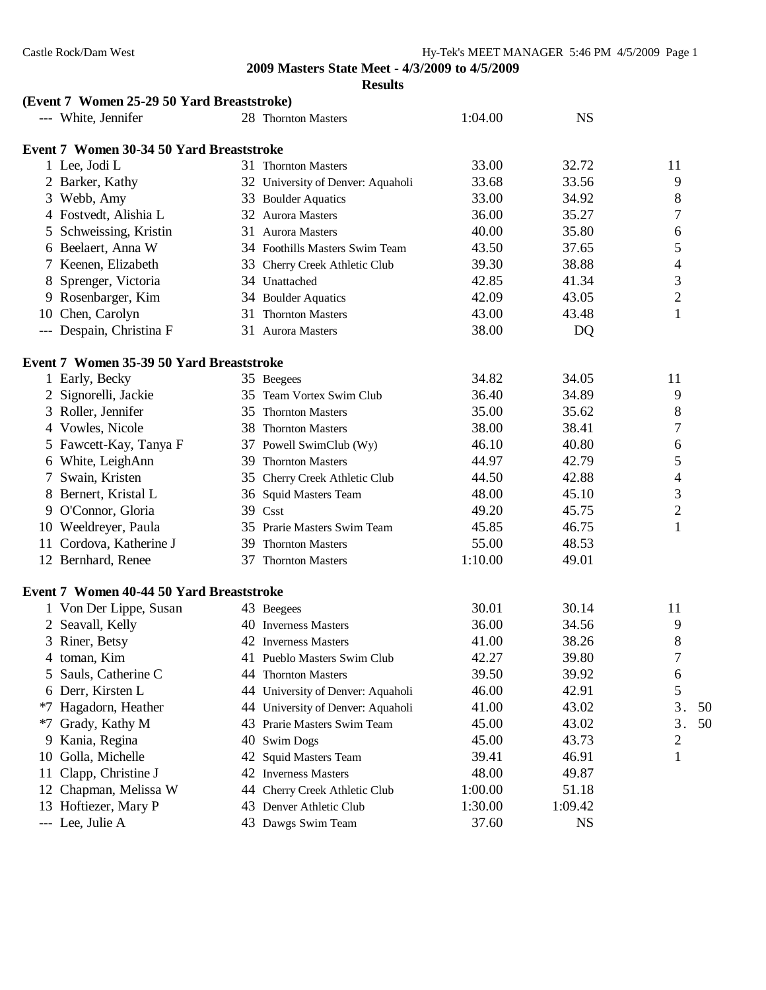|      | (Event 7 Women 25-29 50 Yard Breaststroke) |     |                                   |         |           |                |
|------|--------------------------------------------|-----|-----------------------------------|---------|-----------|----------------|
|      | --- White, Jennifer                        |     | 28 Thornton Masters               | 1:04.00 | <b>NS</b> |                |
|      | Event 7 Women 30-34 50 Yard Breaststroke   |     |                                   |         |           |                |
|      | 1 Lee, Jodi L                              |     | 31 Thornton Masters               | 33.00   | 32.72     | 11             |
|      | 2 Barker, Kathy                            |     | 32 University of Denver: Aquaholi | 33.68   | 33.56     | 9              |
|      | 3 Webb, Amy                                |     | 33 Boulder Aquatics               | 33.00   | 34.92     | 8              |
|      | 4 Fostvedt, Alishia L                      |     | 32 Aurora Masters                 | 36.00   | 35.27     | 7              |
|      | 5 Schweissing, Kristin                     |     | 31 Aurora Masters                 | 40.00   | 35.80     | 6              |
|      | 6 Beelaert, Anna W                         |     | 34 Foothills Masters Swim Team    | 43.50   | 37.65     | 5              |
|      | 7 Keenen, Elizabeth                        |     | 33 Cherry Creek Athletic Club     | 39.30   | 38.88     | 4              |
|      | 8 Sprenger, Victoria                       |     | 34 Unattached                     | 42.85   | 41.34     | 3              |
|      | 9 Rosenbarger, Kim                         |     | 34 Boulder Aquatics               | 42.09   | 43.05     | $\overline{2}$ |
|      | 10 Chen, Carolyn                           | 31- | <b>Thornton Masters</b>           | 43.00   | 43.48     | $\mathbf{1}$   |
|      | --- Despain, Christina F                   |     | 31 Aurora Masters                 | 38.00   | DQ        |                |
|      | Event 7 Women 35-39 50 Yard Breaststroke   |     |                                   |         |           |                |
|      | 1 Early, Becky                             |     | 35 Beegees                        | 34.82   | 34.05     | 11             |
|      | 2 Signorelli, Jackie                       |     | 35 Team Vortex Swim Club          | 36.40   | 34.89     | 9              |
|      | 3 Roller, Jennifer                         |     | 35 Thornton Masters               | 35.00   | 35.62     | 8              |
|      | 4 Vowles, Nicole                           |     | 38 Thornton Masters               | 38.00   | 38.41     | 7              |
|      | 5 Fawcett-Kay, Tanya F                     |     | 37 Powell SwimClub (Wy)           | 46.10   | 40.80     | 6              |
|      | 6 White, LeighAnn                          |     | 39 Thornton Masters               | 44.97   | 42.79     | 5              |
|      | 7 Swain, Kristen                           |     | 35 Cherry Creek Athletic Club     | 44.50   | 42.88     | 4              |
|      | 8 Bernert, Kristal L                       |     | 36 Squid Masters Team             | 48.00   | 45.10     | 3              |
|      | 9 O'Connor, Gloria                         |     | 39 Csst                           | 49.20   | 45.75     | $\overline{c}$ |
|      | 10 Weeldreyer, Paula                       |     | 35 Prarie Masters Swim Team       | 45.85   | 46.75     | $\mathbf{1}$   |
|      | 11 Cordova, Katherine J                    |     | 39 Thornton Masters               | 55.00   | 48.53     |                |
|      | 12 Bernhard, Renee                         |     | 37 Thornton Masters               | 1:10.00 | 49.01     |                |
|      | Event 7 Women 40-44 50 Yard Breaststroke   |     |                                   |         |           |                |
|      | 1 Von Der Lippe, Susan                     |     | 43 Beegees                        | 30.01   | 30.14     | 11             |
|      | 2 Seavall, Kelly                           |     | 40 Inverness Masters              | 36.00   | 34.56     | 9              |
|      | 3 Riner, Betsy                             |     | 42 Inverness Masters              | 41.00   | 38.26     | 8              |
| 4    | toman, Kim                                 |     | 41 Pueblo Masters Swim Club       | 42.27   | 39.80     |                |
| 5    | Sauls, Catherine C                         | 44  | <b>Thornton Masters</b>           | 39.50   | 39.92     | 6              |
|      | 6 Derr, Kirsten L                          |     | 44 University of Denver: Aquaholi | 46.00   | 42.91     | 5              |
|      | *7 Hagadorn, Heather                       |     | 44 University of Denver: Aquaholi | 41.00   | 43.02     | 3.<br>50       |
| $*7$ | Grady, Kathy M                             | 43  | Prarie Masters Swim Team          | 45.00   | 43.02     | 3.<br>50       |
| 9    | Kania, Regina                              | 40  | <b>Swim Dogs</b>                  | 45.00   | 43.73     | 2              |
| 10   | Golla, Michelle                            |     | 42 Squid Masters Team             | 39.41   | 46.91     | 1              |
| 11   | Clapp, Christine J                         |     | 42 Inverness Masters              | 48.00   | 49.87     |                |
|      | 12 Chapman, Melissa W                      |     | 44 Cherry Creek Athletic Club     | 1:00.00 | 51.18     |                |
| 13   | Hoftiezer, Mary P                          |     | 43 Denver Athletic Club           | 1:30.00 | 1:09.42   |                |
|      | --- Lee, Julie A                           |     | 43 Dawgs Swim Team                | 37.60   | <b>NS</b> |                |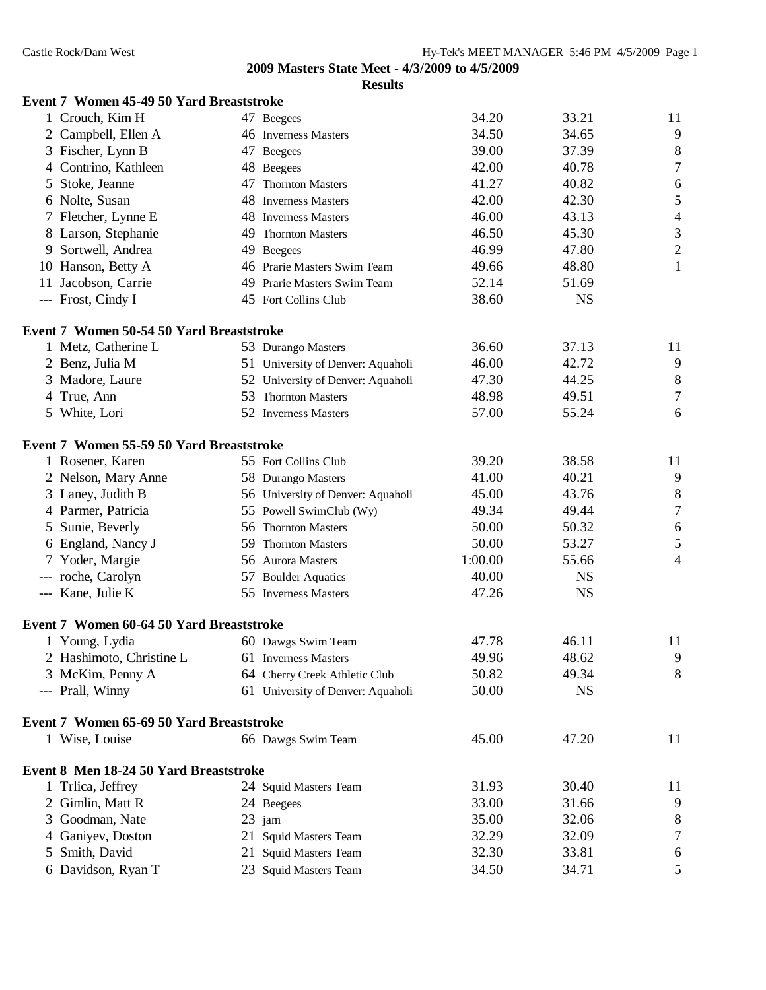**Results**

|   | Event 7 Women 45-49 50 Yard Breaststroke |                                   |         |           |                  |
|---|------------------------------------------|-----------------------------------|---------|-----------|------------------|
|   | 1 Crouch, Kim H                          | 47 Beegees                        | 34.20   | 33.21     | 11               |
|   | 2 Campbell, Ellen A                      | 46 Inverness Masters              | 34.50   | 34.65     | $\overline{9}$   |
|   | 3 Fischer, Lynn B                        | 47 Beegees                        | 39.00   | 37.39     | $\,8\,$          |
|   | 4 Contrino, Kathleen                     | 48 Beegees                        | 42.00   | 40.78     | 7                |
|   | 5 Stoke, Jeanne                          | 47 Thornton Masters               | 41.27   | 40.82     | 6                |
|   | 6 Nolte, Susan                           | 48 Inverness Masters              | 42.00   | 42.30     | $\mathfrak s$    |
|   | 7 Fletcher, Lynne E                      | 48 Inverness Masters              | 46.00   | 43.13     | $\overline{4}$   |
|   | 8 Larson, Stephanie                      | 49 Thornton Masters               | 46.50   | 45.30     | $\mathfrak 3$    |
|   | 9 Sortwell, Andrea                       | 49 Beegees                        | 46.99   | 47.80     | $\sqrt{2}$       |
|   | 10 Hanson, Betty A                       | 46 Prarie Masters Swim Team       | 49.66   | 48.80     | $\mathbf{1}$     |
|   | 11 Jacobson, Carrie                      | 49 Prarie Masters Swim Team       | 52.14   | 51.69     |                  |
|   | --- Frost, Cindy I                       | 45 Fort Collins Club              | 38.60   | <b>NS</b> |                  |
|   | Event 7 Women 50-54 50 Yard Breaststroke |                                   |         |           |                  |
|   | 1 Metz, Catherine L                      | 53 Durango Masters                | 36.60   | 37.13     | 11               |
|   | 2 Benz, Julia M                          | 51 University of Denver: Aquaholi | 46.00   | 42.72     | $\overline{9}$   |
|   | 3 Madore, Laure                          | 52 University of Denver: Aquaholi | 47.30   | 44.25     | $\,8\,$          |
|   | 4 True, Ann                              | 53 Thornton Masters               | 48.98   | 49.51     | $\tau$           |
|   | 5 White, Lori                            | 52 Inverness Masters              | 57.00   | 55.24     | 6                |
|   | Event 7 Women 55-59 50 Yard Breaststroke |                                   |         |           |                  |
|   | 1 Rosener, Karen                         | 55 Fort Collins Club              | 39.20   | 38.58     | 11               |
|   | 2 Nelson, Mary Anne                      | 58 Durango Masters                | 41.00   | 40.21     | 9                |
|   | 3 Laney, Judith B                        | 56 University of Denver: Aquaholi | 45.00   | 43.76     | $\,8\,$          |
|   | 4 Parmer, Patricia                       | 55 Powell SwimClub (Wy)           | 49.34   | 49.44     | $\boldsymbol{7}$ |
|   | 5 Sunie, Beverly                         | 56 Thornton Masters               | 50.00   | 50.32     | $\sqrt{6}$       |
|   | 6 England, Nancy J                       | 59 Thornton Masters               | 50.00   | 53.27     | 5                |
|   | 7 Yoder, Margie                          | 56 Aurora Masters                 | 1:00.00 | 55.66     | 4                |
|   | --- roche, Carolyn                       | 57 Boulder Aquatics               | 40.00   | <b>NS</b> |                  |
|   | --- Kane, Julie K                        | 55 Inverness Masters              | 47.26   | <b>NS</b> |                  |
|   | Event 7 Women 60-64 50 Yard Breaststroke |                                   |         |           |                  |
|   | 1 Young, Lydia                           | 60 Dawgs Swim Team                | 47.78   | 46.11     | 11               |
|   | 2 Hashimoto, Christine L                 | 61 Inverness Masters              | 49.96   | 48.62     | 9                |
|   | 3 McKim, Penny A                         | 64 Cherry Creek Athletic Club     | 50.82   | 49.34     | 8                |
|   | --- Prall, Winny                         | 61 University of Denver: Aquaholi | 50.00   | <b>NS</b> |                  |
|   | Event 7 Women 65-69 50 Yard Breaststroke |                                   |         |           |                  |
|   | 1 Wise, Louise                           | 66 Dawgs Swim Team                | 45.00   | 47.20     | 11               |
|   | Event 8 Men 18-24 50 Yard Breaststroke   |                                   |         |           |                  |
|   | 1 Trlica, Jeffrey                        | 24 Squid Masters Team             | 31.93   | 30.40     | 11               |
|   | 2 Gimlin, Matt R                         | 24 Beegees                        | 33.00   | 31.66     | 9                |
| 3 | Goodman, Nate                            | 23 jam                            | 35.00   | 32.06     | 8                |
| 4 | Ganiyev, Doston                          | 21 Squid Masters Team             | 32.29   | 32.09     | 7                |
| 5 | Smith, David                             | 21 Squid Masters Team             | 32.30   | 33.81     | 6                |
|   | 6 Davidson, Ryan T                       | 23 Squid Masters Team             | 34.50   | 34.71     | 5                |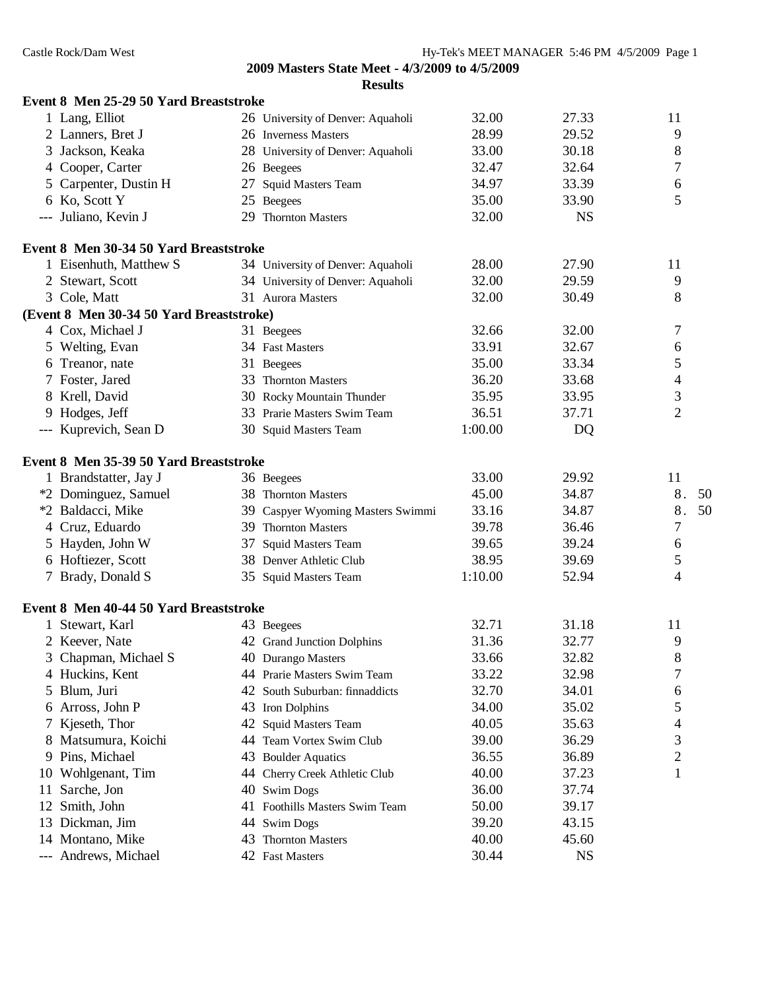|    | Event 8 Men 25-29 50 Yard Breaststroke   |    |                                   |         |           |                |
|----|------------------------------------------|----|-----------------------------------|---------|-----------|----------------|
|    | 1 Lang, Elliot                           |    | 26 University of Denver: Aquaholi | 32.00   | 27.33     | 11             |
|    | 2 Lanners, Bret J                        |    | 26 Inverness Masters              | 28.99   | 29.52     | 9              |
|    | 3 Jackson, Keaka                         |    | 28 University of Denver: Aquaholi | 33.00   | 30.18     | 8              |
|    | 4 Cooper, Carter                         |    | 26 Beegees                        | 32.47   | 32.64     | 7              |
|    | 5 Carpenter, Dustin H                    |    | 27 Squid Masters Team             | 34.97   | 33.39     | 6              |
|    | 6 Ko, Scott Y                            |    | 25 Beegees                        | 35.00   | 33.90     | 5              |
|    | --- Juliano, Kevin J                     |    | 29 Thornton Masters               | 32.00   | <b>NS</b> |                |
|    | Event 8 Men 30-34 50 Yard Breaststroke   |    |                                   |         |           |                |
|    | 1 Eisenhuth, Matthew S                   |    | 34 University of Denver: Aquaholi | 28.00   | 27.90     | 11             |
|    | 2 Stewart, Scott                         |    | 34 University of Denver: Aquaholi | 32.00   | 29.59     | 9              |
|    | 3 Cole, Matt                             |    | 31 Aurora Masters                 | 32.00   | 30.49     | 8              |
|    | (Event 8 Men 30-34 50 Yard Breaststroke) |    |                                   |         |           |                |
|    | 4 Cox, Michael J                         |    | 31 Beegees                        | 32.66   | 32.00     | 7              |
|    | 5 Welting, Evan                          |    | 34 Fast Masters                   | 33.91   | 32.67     | 6              |
|    | 6 Treanor, nate                          |    | 31 Beegees                        | 35.00   | 33.34     | 5              |
|    | 7 Foster, Jared                          |    | 33 Thornton Masters               | 36.20   | 33.68     | 4              |
|    | 8 Krell, David                           |    | 30 Rocky Mountain Thunder         | 35.95   | 33.95     | 3              |
|    | 9 Hodges, Jeff                           |    | 33 Prarie Masters Swim Team       | 36.51   | 37.71     | $\overline{2}$ |
|    | --- Kuprevich, Sean D                    |    | 30 Squid Masters Team             | 1:00.00 | DQ        |                |
|    | Event 8 Men 35-39 50 Yard Breaststroke   |    |                                   |         |           |                |
|    | 1 Brandstatter, Jay J                    |    | 36 Beegees                        | 33.00   | 29.92     | 11             |
|    | *2 Dominguez, Samuel                     |    | 38 Thornton Masters               | 45.00   | 34.87     | 8.<br>50       |
|    | *2 Baldacci, Mike                        |    | 39 Caspyer Wyoming Masters Swimmi | 33.16   | 34.87     | 8.<br>50       |
|    | 4 Cruz, Eduardo                          |    | 39 Thornton Masters               | 39.78   | 36.46     | 7              |
|    | 5 Hayden, John W                         |    | 37 Squid Masters Team             | 39.65   | 39.24     | 6              |
|    | 6 Hoftiezer, Scott                       |    | 38 Denver Athletic Club           | 38.95   | 39.69     | 5              |
|    | 7 Brady, Donald S                        |    | 35 Squid Masters Team             | 1:10.00 | 52.94     | 4              |
|    | Event 8 Men 40-44 50 Yard Breaststroke   |    |                                   |         |           |                |
|    | 1 Stewart, Karl                          |    | 43 Beegees                        | 32.71   | 31.18     | 11             |
|    | 2 Keever, Nate                           |    | 42 Grand Junction Dolphins        | 31.36   | 32.77     | 9              |
| 3  | Chapman, Michael S                       |    | 40 Durango Masters                | 33.66   | 32.82     | 8              |
|    | 4 Huckins, Kent                          |    | 44 Prarie Masters Swim Team       | 33.22   | 32.98     | 7              |
| 5  | Blum, Juri                               | 42 | South Suburban: finnaddicts       | 32.70   | 34.01     | 6              |
| 6  | Arross, John P                           |    | 43 Iron Dolphins                  | 34.00   | 35.02     | 5              |
| 7  | Kjeseth, Thor                            |    | 42 Squid Masters Team             | 40.05   | 35.63     | 4              |
| 8  | Matsumura, Koichi                        |    | 44 Team Vortex Swim Club          | 39.00   | 36.29     | 3              |
|    | 9 Pins, Michael                          |    | 43 Boulder Aquatics               | 36.55   | 36.89     | 2              |
|    | 10 Wohlgenant, Tim                       |    | 44 Cherry Creek Athletic Club     | 40.00   | 37.23     | 1              |
| 11 | Sarche, Jon                              |    | 40 Swim Dogs                      | 36.00   | 37.74     |                |
| 12 | Smith, John                              | 41 | Foothills Masters Swim Team       | 50.00   | 39.17     |                |
| 13 | Dickman, Jim                             | 44 | <b>Swim Dogs</b>                  | 39.20   | 43.15     |                |
|    | 14 Montano, Mike                         | 43 | <b>Thornton Masters</b>           | 40.00   | 45.60     |                |
|    | --- Andrews, Michael                     |    | 42 Fast Masters                   | 30.44   | <b>NS</b> |                |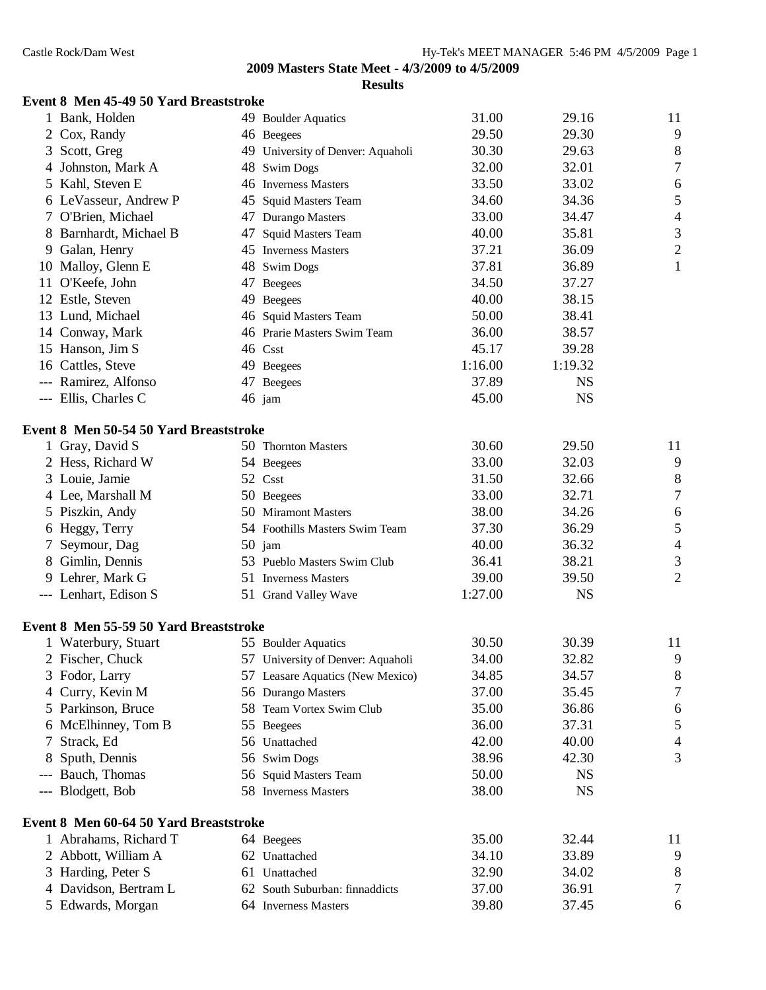## **Event 8 Men 45-49 50 Yard Breaststroke**

|   | 1 Bank, Holden                         |    | 49 Boulder Aquatics               | 31.00   | 29.16     | 11               |
|---|----------------------------------------|----|-----------------------------------|---------|-----------|------------------|
|   | Cox, Randy                             |    | 46 Beegees                        | 29.50   | 29.30     | 9                |
| 3 | Scott, Greg                            |    | 49 University of Denver: Aquaholi | 30.30   | 29.63     | $\,$ $\,$        |
|   | 4 Johnston, Mark A                     |    | 48 Swim Dogs                      | 32.00   | 32.01     | $\boldsymbol{7}$ |
|   | 5 Kahl, Steven E                       |    | 46 Inverness Masters              | 33.50   | 33.02     | 6                |
|   | 6 LeVasseur, Andrew P                  |    | 45 Squid Masters Team             | 34.60   | 34.36     | 5                |
|   | 7 O'Brien, Michael                     |    | 47 Durango Masters                | 33.00   | 34.47     | $\overline{4}$   |
|   | 8 Barnhardt, Michael B                 | 47 | <b>Squid Masters Team</b>         | 40.00   | 35.81     | 3                |
|   | 9 Galan, Henry                         |    | 45 Inverness Masters              | 37.21   | 36.09     | $\overline{c}$   |
|   | 10 Malloy, Glenn E                     |    | 48 Swim Dogs                      | 37.81   | 36.89     | $\mathbf{1}$     |
|   | 11 O'Keefe, John                       | 47 | <b>Beegees</b>                    | 34.50   | 37.27     |                  |
|   | 12 Estle, Steven                       | 49 | Beegees                           | 40.00   | 38.15     |                  |
|   | 13 Lund, Michael                       |    | 46 Squid Masters Team             | 50.00   | 38.41     |                  |
|   | 14 Conway, Mark                        |    | 46 Prarie Masters Swim Team       | 36.00   | 38.57     |                  |
|   | 15 Hanson, Jim S                       |    | 46 Csst                           | 45.17   | 39.28     |                  |
|   | 16 Cattles, Steve                      |    | 49 Beegees                        | 1:16.00 | 1:19.32   |                  |
|   | --- Ramirez, Alfonso                   |    | 47 Beegees                        | 37.89   | <b>NS</b> |                  |
|   | --- Ellis, Charles C                   |    | $46$ jam                          | 45.00   | <b>NS</b> |                  |
|   | Event 8 Men 50-54 50 Yard Breaststroke |    |                                   |         |           |                  |
|   | 1 Gray, David S                        |    | 50 Thornton Masters               | 30.60   | 29.50     | 11               |
|   | 2 Hess, Richard W                      |    | 54 Beegees                        | 33.00   | 32.03     | 9                |
|   | 3 Louie, Jamie                         |    | 52 Csst                           | 31.50   | 32.66     | $\,$ $\,$        |
|   | 4 Lee, Marshall M                      |    | 50 Beegees                        | 33.00   | 32.71     | $\boldsymbol{7}$ |
|   | 5 Piszkin, Andy                        |    | 50 Miramont Masters               | 38.00   | 34.26     | 6                |
|   | 6 Heggy, Terry                         |    | 54 Foothills Masters Swim Team    | 37.30   | 36.29     | 5                |
| 7 | Seymour, Dag                           |    | $50$ jam                          | 40.00   | 36.32     | $\overline{4}$   |
|   | 8 Gimlin, Dennis                       |    | 53 Pueblo Masters Swim Club       | 36.41   | 38.21     | 3                |
|   | 9 Lehrer, Mark G                       |    | 51 Inverness Masters              | 39.00   | 39.50     | $\overline{2}$   |
|   | --- Lenhart, Edison S                  |    | 51 Grand Valley Wave              | 1:27.00 | <b>NS</b> |                  |
|   | Event 8 Men 55-59 50 Yard Breaststroke |    |                                   |         |           |                  |
|   | 1 Waterbury, Stuart                    |    | 55 Boulder Aquatics               | 30.50   | 30.39     | 11               |
|   | 2 Fischer, Chuck                       |    | 57 University of Denver: Aquaholi | 34.00   | 32.82     | 9                |
|   | 3 Fodor, Larry                         |    | 57 Leasare Aquatics (New Mexico)  | 34.85   | 34.57     | 8                |
|   | 4 Curry, Kevin M                       |    | 56 Durango Masters                | 37.00   | 35.45     | 7                |
|   | 5 Parkinson, Bruce                     |    | 58 Team Vortex Swim Club          | 35.00   | 36.86     | 6                |
|   | 6 McElhinney, Tom B                    |    | 55 Beegees                        | 36.00   | 37.31     | 5                |
|   | Strack, Ed                             |    | 56 Unattached                     | 42.00   | 40.00     | 4                |
|   | Sputh, Dennis                          |    | 56 Swim Dogs                      | 38.96   | 42.30     | 3                |
|   | --- Bauch, Thomas                      |    | 56 Squid Masters Team             | 50.00   | <b>NS</b> |                  |
|   | --- Blodgett, Bob                      |    | 58 Inverness Masters              | 38.00   | <b>NS</b> |                  |
|   | Event 8 Men 60-64 50 Yard Breaststroke |    |                                   |         |           |                  |
|   | 1 Abrahams, Richard T                  |    | 64 Beegees                        | 35.00   | 32.44     | 11               |
|   | 2 Abbott, William A                    |    | 62 Unattached                     | 34.10   | 33.89     | 9                |
| 3 | Harding, Peter S                       |    | 61 Unattached                     | 32.90   | 34.02     | 8                |
|   | 4 Davidson, Bertram L                  |    | 62 South Suburban: finnaddicts    | 37.00   | 36.91     | 7                |
|   | 5 Edwards, Morgan                      |    | 64 Inverness Masters              | 39.80   | 37.45     | 6                |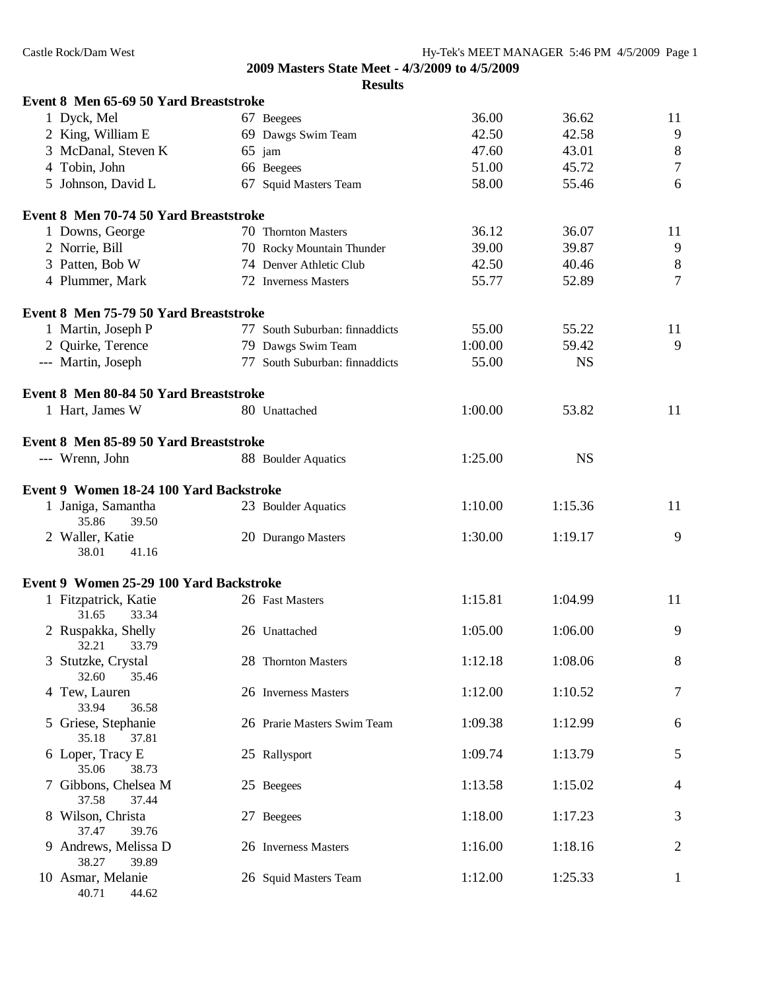| Event 8 Men 65-69 50 Yard Breaststroke  |                                |         |           |                |
|-----------------------------------------|--------------------------------|---------|-----------|----------------|
| 1 Dyck, Mel                             | 67 Beegees                     | 36.00   | 36.62     | 11             |
| 2 King, William E                       | 69 Dawgs Swim Team             | 42.50   | 42.58     | $\overline{9}$ |
| 3 McDanal, Steven K                     | 65 jam                         | 47.60   | 43.01     | $\,8$          |
| 4 Tobin, John                           | 66 Beegees                     | 51.00   | 45.72     | $\overline{7}$ |
| 5 Johnson, David L                      | 67 Squid Masters Team          | 58.00   | 55.46     | 6              |
| Event 8 Men 70-74 50 Yard Breaststroke  |                                |         |           |                |
| 1 Downs, George                         | 70 Thornton Masters            | 36.12   | 36.07     | 11             |
| 2 Norrie, Bill                          | 70 Rocky Mountain Thunder      | 39.00   | 39.87     | $\overline{9}$ |
| 3 Patten, Bob W                         | 74 Denver Athletic Club        | 42.50   | 40.46     | $8\,$          |
| 4 Plummer, Mark                         | 72 Inverness Masters           | 55.77   | 52.89     | $\overline{7}$ |
| Event 8 Men 75-79 50 Yard Breaststroke  |                                |         |           |                |
| 1 Martin, Joseph P                      | 77 South Suburban: finnaddicts | 55.00   | 55.22     | 11             |
| 2 Quirke, Terence                       | 79 Dawgs Swim Team             | 1:00.00 | 59.42     | 9              |
| --- Martin, Joseph                      | 77 South Suburban: finnaddicts | 55.00   | <b>NS</b> |                |
| Event 8 Men 80-84 50 Yard Breaststroke  |                                |         |           |                |
| 1 Hart, James W                         | 80 Unattached                  | 1:00.00 | 53.82     | 11             |
| Event 8 Men 85-89 50 Yard Breaststroke  |                                |         |           |                |
| --- Wrenn, John                         | 88 Boulder Aquatics            | 1:25.00 | <b>NS</b> |                |
| Event 9 Women 18-24 100 Yard Backstroke |                                |         |           |                |
| 1 Janiga, Samantha<br>35.86<br>39.50    | 23 Boulder Aquatics            | 1:10.00 | 1:15.36   | 11             |
| 2 Waller, Katie<br>38.01<br>41.16       | 20 Durango Masters             | 1:30.00 | 1:19.17   | 9              |
| Event 9 Women 25-29 100 Yard Backstroke |                                |         |           |                |
| 1 Fitzpatrick, Katie<br>31.65<br>33.34  | 26 Fast Masters                | 1:15.81 | 1:04.99   | 11             |
| 2 Ruspakka, Shelly<br>32.21<br>33.79    | 26 Unattached                  | 1:05.00 | 1:06.00   | 9              |
| 3 Stutzke, Crystal<br>32.60<br>35.46    | 28 Thornton Masters            | 1:12.18 | 1:08.06   | $8\phantom{1}$ |
| 4 Tew, Lauren<br>33.94<br>36.58         | 26 Inverness Masters           | 1:12.00 | 1:10.52   | 7              |
| 5 Griese, Stephanie<br>35.18<br>37.81   | 26 Prarie Masters Swim Team    | 1:09.38 | 1:12.99   | 6              |
| 6 Loper, Tracy E<br>35.06<br>38.73      | 25 Rallysport                  | 1:09.74 | 1:13.79   | 5              |
| 7 Gibbons, Chelsea M<br>37.58<br>37.44  | 25 Beegees                     | 1:13.58 | 1:15.02   | $\overline{4}$ |
| 8 Wilson, Christa<br>37.47<br>39.76     | 27 Beegees                     | 1:18.00 | 1:17.23   | 3              |
| 9 Andrews, Melissa D<br>38.27<br>39.89  | 26 Inverness Masters           | 1:16.00 | 1:18.16   | 2              |
| 10 Asmar, Melanie<br>40.71<br>44.62     | 26 Squid Masters Team          | 1:12.00 | 1:25.33   | 1              |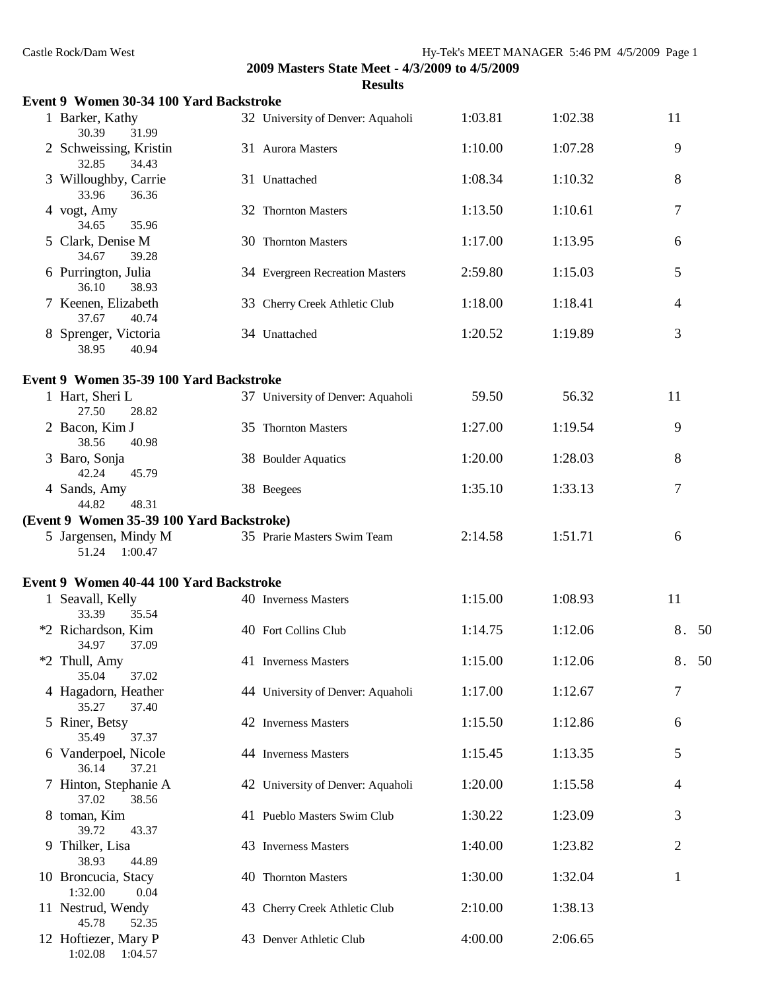| Castle Rock/Dam West                       |                                                                  | Hy-Tek's MEET MANAGER 5:46 PM 4/5/2009 Page 1 |         |       |
|--------------------------------------------|------------------------------------------------------------------|-----------------------------------------------|---------|-------|
|                                            | 2009 Masters State Meet - 4/3/2009 to 4/5/2009<br><b>Results</b> |                                               |         |       |
| Event 9 Women 30-34 100 Yard Backstroke    |                                                                  |                                               |         |       |
| 1 Barker, Kathy<br>30.39<br>31.99          | 32 University of Denver: Aquaholi                                | 1:03.81                                       | 1:02.38 | 11    |
| 2 Schweissing, Kristin<br>32.85<br>34.43   | 31 Aurora Masters                                                | 1:10.00                                       | 1:07.28 | 9     |
| 3 Willoughby, Carrie<br>36.36<br>33.96     | 31 Unattached                                                    | 1:08.34                                       | 1:10.32 | 8     |
| 4 vogt, Amy<br>34.65<br>35.96              | 32 Thornton Masters                                              | 1:13.50                                       | 1:10.61 | 7     |
| 5 Clark, Denise M<br>34.67<br>39.28        | 30 Thornton Masters                                              | 1:17.00                                       | 1:13.95 | 6     |
| 6 Purrington, Julia<br>36.10<br>38.93      | 34 Evergreen Recreation Masters                                  | 2:59.80                                       | 1:15.03 | 5     |
| 7 Keenen, Elizabeth<br>37.67<br>40.74      | 33 Cherry Creek Athletic Club                                    | 1:18.00                                       | 1:18.41 | 4     |
| 8 Sprenger, Victoria<br>38.95<br>40.94     | 34 Unattached                                                    | 1:20.52                                       | 1:19.89 | 3     |
| Event 9 Women 35-39 100 Yard Backstroke    |                                                                  |                                               |         |       |
| 1 Hart, Sheri L<br>27.50<br>28.82          | 37 University of Denver: Aquaholi                                | 59.50                                         | 56.32   | 11    |
| 2 Bacon, Kim J<br>38.56<br>40.98           | 35 Thornton Masters                                              | 1:27.00                                       | 1:19.54 | 9     |
| 3 Baro, Sonja<br>42.24<br>45.79            | 38 Boulder Aquatics                                              | 1:20.00                                       | 1:28.03 | 8     |
| 4 Sands, Amy<br>44.82<br>48.31             | 38 Beegees                                                       | 1:35.10                                       | 1:33.13 | 7     |
| (Event 9 Women 35-39 100 Yard Backstroke)  |                                                                  |                                               |         |       |
| 5 Jargensen, Mindy M<br>51.24<br>1:00.47   | 35 Prarie Masters Swim Team                                      | 2:14.58                                       | 1:51.71 | 6     |
| Event 9 Women 40-44 100 Yard Backstroke    |                                                                  |                                               |         |       |
| 1 Seavall, Kelly<br>33.39<br>35.54         | 40 Inverness Masters                                             | 1:15.00                                       | 1:08.93 | 11    |
| *2 Richardson, Kim<br>34.97<br>37.09       | 40 Fort Collins Club                                             | 1:14.75                                       | 1:12.06 | 8. 50 |
| *2 Thull, Amy<br>35.04<br>37.02            | 41 Inverness Masters                                             | 1:15.00                                       | 1:12.06 | 8. 50 |
| 4 Hagadorn, Heather<br>35.27<br>37.40      | 44 University of Denver: Aquaholi                                | 1:17.00                                       | 1:12.67 | 7     |
| 5 Riner, Betsy<br>35.49<br>37.37           | 42 Inverness Masters                                             | 1:15.50                                       | 1:12.86 | 6     |
| 6 Vanderpoel, Nicole<br>36.14<br>37.21     | 44 Inverness Masters                                             | 1:15.45                                       | 1:13.35 | 5     |
| 7 Hinton, Stephanie A<br>37.02<br>38.56    | 42 University of Denver: Aquaholi                                | 1:20.00                                       | 1:15.58 | 4     |
| 8 toman, Kim<br>39.72<br>43.37             | 41 Pueblo Masters Swim Club                                      | 1:30.22                                       | 1:23.09 | 3     |
| 9 Thilker, Lisa<br>38.93<br>44.89          | 43 Inverness Masters                                             | 1:40.00                                       | 1:23.82 | 2     |
| 10 Broncucia, Stacy<br>1:32.00<br>0.04     | 40 Thornton Masters                                              | 1:30.00                                       | 1:32.04 | 1     |
| 11 Nestrud, Wendy<br>45.78<br>52.35        | 43 Cherry Creek Athletic Club                                    | 2:10.00                                       | 1:38.13 |       |
| 12 Hoftiezer, Mary P<br>1:02.08<br>1:04.57 | 43 Denver Athletic Club                                          | 4:00.00                                       | 2:06.65 |       |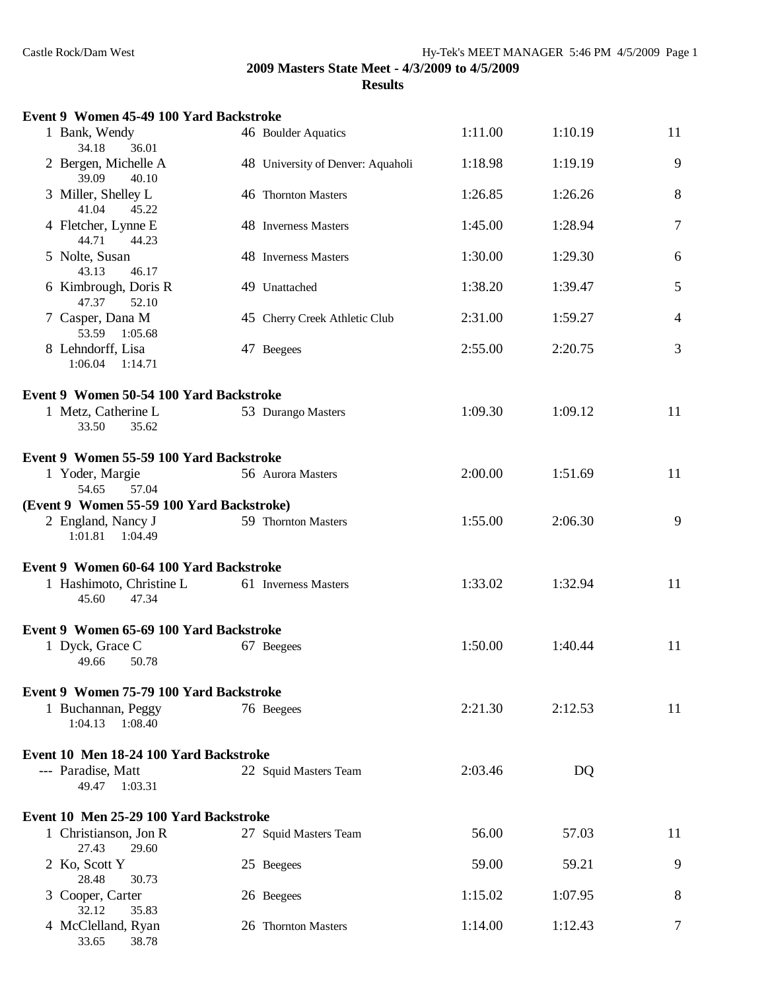| Event 9 Women 45-49 100 Yard Backstroke    |                                   |         |         |                |
|--------------------------------------------|-----------------------------------|---------|---------|----------------|
| 1 Bank, Wendy<br>34.18<br>36.01            | 46 Boulder Aquatics               | 1:11.00 | 1:10.19 | 11             |
| 2 Bergen, Michelle A<br>39.09<br>40.10     | 48 University of Denver: Aquaholi | 1:18.98 | 1:19.19 | 9              |
| 3 Miller, Shelley L<br>41.04<br>45.22      | 46 Thornton Masters               | 1:26.85 | 1:26.26 | 8              |
| 4 Fletcher, Lynne E<br>44.71<br>44.23      | 48 Inverness Masters              | 1:45.00 | 1:28.94 | 7              |
| 5 Nolte, Susan<br>43.13<br>46.17           | 48 Inverness Masters              | 1:30.00 | 1:29.30 | 6              |
| 6 Kimbrough, Doris R<br>47.37<br>52.10     | 49 Unattached                     | 1:38.20 | 1:39.47 | 5              |
| 7 Casper, Dana M<br>53.59 1:05.68          | 45 Cherry Creek Athletic Club     | 2:31.00 | 1:59.27 | $\overline{4}$ |
| 8 Lehndorff, Lisa<br>1:06.04  1:14.71      | 47 Beegees                        | 2:55.00 | 2:20.75 | 3              |
| Event 9 Women 50-54 100 Yard Backstroke    |                                   |         |         |                |
| 1 Metz, Catherine L<br>33.50<br>35.62      | 53 Durango Masters                | 1:09.30 | 1:09.12 | 11             |
| Event 9 Women 55-59 100 Yard Backstroke    |                                   |         |         |                |
| 1 Yoder, Margie<br>57.04<br>54.65          | 56 Aurora Masters                 | 2:00.00 | 1:51.69 | 11             |
| (Event 9 Women 55-59 100 Yard Backstroke)  |                                   |         |         |                |
| 2 England, Nancy J<br>1:01.81  1:04.49     | 59 Thornton Masters               | 1:55.00 | 2:06.30 | 9              |
| Event 9 Women 60-64 100 Yard Backstroke    |                                   |         |         |                |
| 1 Hashimoto, Christine L<br>45.60<br>47.34 | 61 Inverness Masters              | 1:33.02 | 1:32.94 | 11             |
| Event 9 Women 65-69 100 Yard Backstroke    |                                   |         |         |                |
| 1 Dyck, Grace C<br>49.66<br>50.78          | 67 Beegees                        | 1:50.00 | 1:40.44 | 11             |
| Event 9 Women 75-79 100 Yard Backstroke    |                                   |         |         |                |
| 1 Buchannan, Peggy<br>1:04.13<br>1:08.40   | 76 Beegees                        | 2:21.30 | 2:12.53 | 11             |
| Event 10 Men 18-24 100 Yard Backstroke     |                                   |         |         |                |
| --- Paradise, Matt<br>49.47 1:03.31        | 22 Squid Masters Team             | 2:03.46 | DQ      |                |
| Event 10 Men 25-29 100 Yard Backstroke     |                                   |         |         |                |
| 1 Christianson, Jon R<br>27.43<br>29.60    | 27 Squid Masters Team             | 56.00   | 57.03   | 11             |
| 2 Ko, Scott Y<br>28.48<br>30.73            | 25 Beegees                        | 59.00   | 59.21   | 9              |
| 3 Cooper, Carter<br>32.12<br>35.83         | 26 Beegees                        | 1:15.02 | 1:07.95 | 8              |
| 4 McClelland, Ryan<br>33.65<br>38.78       | 26 Thornton Masters               | 1:14.00 | 1:12.43 | 7              |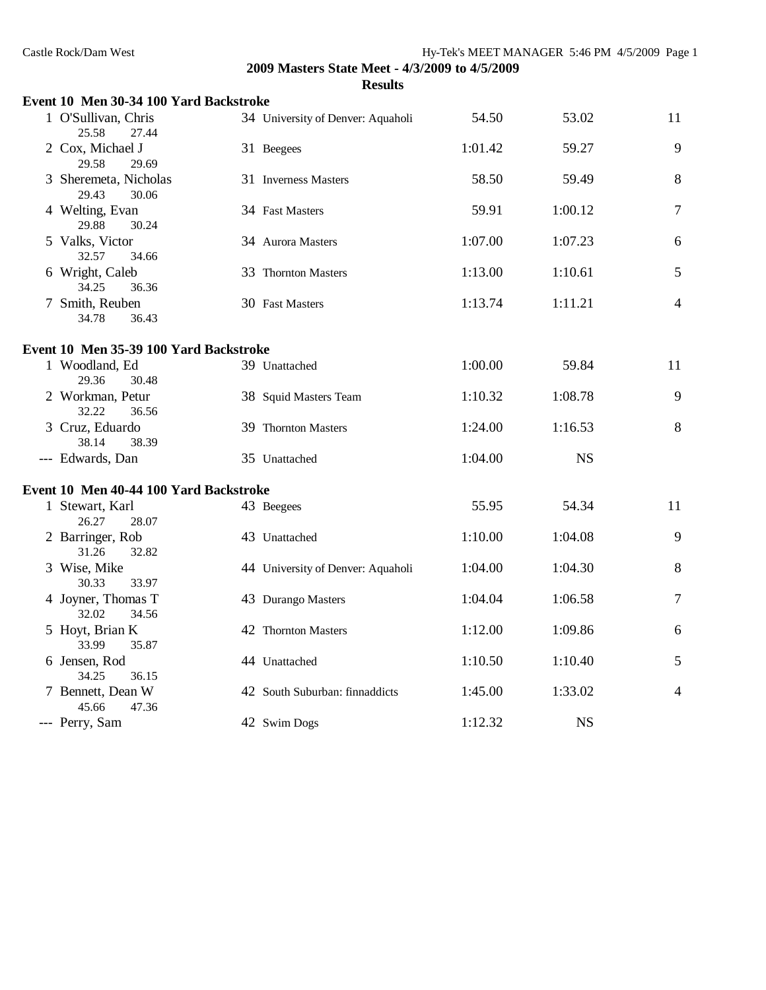| Event 10 Men 30-34 100 Yard Backstroke  |                                   |         |           |                |
|-----------------------------------------|-----------------------------------|---------|-----------|----------------|
| 1 O'Sullivan, Chris<br>25.58<br>27.44   | 34 University of Denver: Aquaholi | 54.50   | 53.02     | 11             |
| 2 Cox, Michael J<br>29.58<br>29.69      | 31 Beegees                        | 1:01.42 | 59.27     | 9              |
| 3 Sheremeta, Nicholas<br>29.43<br>30.06 | 31 Inverness Masters              | 58.50   | 59.49     | 8              |
| 4 Welting, Evan<br>29.88<br>30.24       | 34 Fast Masters                   | 59.91   | 1:00.12   | $\overline{7}$ |
| 5 Valks, Victor<br>32.57<br>34.66       | 34 Aurora Masters                 | 1:07.00 | 1:07.23   | 6              |
| 6 Wright, Caleb<br>34.25<br>36.36       | 33 Thornton Masters               | 1:13.00 | 1:10.61   | 5              |
| 7 Smith, Reuben<br>34.78<br>36.43       | 30 Fast Masters                   | 1:13.74 | 1:11.21   | $\overline{4}$ |
| Event 10 Men 35-39 100 Yard Backstroke  |                                   |         |           |                |
| 1 Woodland, Ed<br>29.36<br>30.48        | 39 Unattached                     | 1:00.00 | 59.84     | 11             |
| 2 Workman, Petur<br>32.22<br>36.56      | 38 Squid Masters Team             | 1:10.32 | 1:08.78   | 9              |
| 3 Cruz, Eduardo<br>38.14<br>38.39       | 39 Thornton Masters               | 1:24.00 | 1:16.53   | 8              |
| --- Edwards, Dan                        | 35 Unattached                     | 1:04.00 | <b>NS</b> |                |
| Event 10 Men 40-44 100 Yard Backstroke  |                                   |         |           |                |
| 1 Stewart, Karl<br>28.07<br>26.27       | 43 Beegees                        | 55.95   | 54.34     | 11             |
| 2 Barringer, Rob<br>31.26<br>32.82      | 43 Unattached                     | 1:10.00 | 1:04.08   | 9              |
| 3 Wise, Mike<br>30.33<br>33.97          | 44 University of Denver: Aquaholi | 1:04.00 | 1:04.30   | 8              |
| 4 Joyner, Thomas T<br>32.02<br>34.56    | 43 Durango Masters                | 1:04.04 | 1:06.58   | $\tau$         |
| 5 Hoyt, Brian K<br>33.99<br>35.87       | 42 Thornton Masters               | 1:12.00 | 1:09.86   | 6              |
| 6 Jensen, Rod<br>34.25<br>36.15         | 44 Unattached                     | 1:10.50 | 1:10.40   | 5              |
| 7 Bennett, Dean W<br>45.66<br>47.36     | 42 South Suburban: finnaddicts    | 1:45.00 | 1:33.02   | $\overline{4}$ |
| --- Perry, Sam                          | 42 Swim Dogs                      | 1:12.32 | <b>NS</b> |                |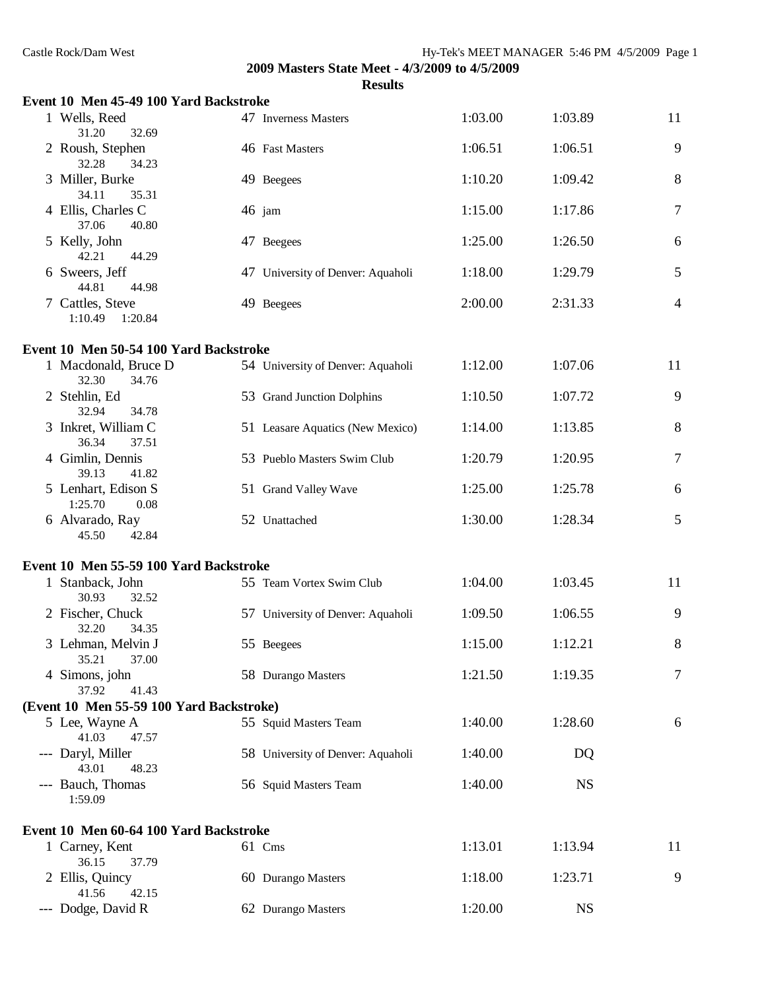| Event 10 Men 45-49 100 Yard Backstroke   |                                   |         |           |                |
|------------------------------------------|-----------------------------------|---------|-----------|----------------|
| 1 Wells, Reed<br>31.20<br>32.69          | 47 Inverness Masters              | 1:03.00 | 1:03.89   | 11             |
| 2 Roush, Stephen<br>32.28<br>34.23       | 46 Fast Masters                   | 1:06.51 | 1:06.51   | 9              |
| 3 Miller, Burke<br>34.11<br>35.31        | 49 Beegees                        | 1:10.20 | 1:09.42   | 8              |
| 4 Ellis, Charles C<br>37.06<br>40.80     | $46$ jam                          | 1:15.00 | 1:17.86   | $\overline{7}$ |
| 5 Kelly, John<br>42.21<br>44.29          | 47 Beegees                        | 1:25.00 | 1:26.50   | 6              |
| 6 Sweers, Jeff<br>44.81<br>44.98         | 47 University of Denver: Aquaholi | 1:18.00 | 1:29.79   | 5              |
| 7 Cattles, Steve<br>1:10.49<br>1:20.84   | 49 Beegees                        | 2:00.00 | 2:31.33   | $\overline{4}$ |
| Event 10 Men 50-54 100 Yard Backstroke   |                                   |         |           |                |
| 1 Macdonald, Bruce D<br>32.30<br>34.76   | 54 University of Denver: Aquaholi | 1:12.00 | 1:07.06   | 11             |
| 2 Stehlin, Ed<br>32.94<br>34.78          | 53 Grand Junction Dolphins        | 1:10.50 | 1:07.72   | 9              |
| 3 Inkret, William C<br>36.34<br>37.51    | 51 Leasare Aquatics (New Mexico)  | 1:14.00 | 1:13.85   | 8              |
| 4 Gimlin, Dennis<br>39.13<br>41.82       | 53 Pueblo Masters Swim Club       | 1:20.79 | 1:20.95   | $\tau$         |
| 5 Lenhart, Edison S<br>1:25.70<br>0.08   | 51 Grand Valley Wave              | 1:25.00 | 1:25.78   | 6              |
| 6 Alvarado, Ray<br>45.50<br>42.84        | 52 Unattached                     | 1:30.00 | 1:28.34   | 5              |
| Event 10 Men 55-59 100 Yard Backstroke   |                                   |         |           |                |
| 1 Stanback, John<br>30.93<br>32.52       | 55 Team Vortex Swim Club          | 1:04.00 | 1:03.45   | 11             |
| 2 Fischer, Chuck<br>32.20<br>34.35       | 57 University of Denver: Aquaholi | 1:09.50 | 1:06.55   | 9              |
| 3 Lehman, Melvin J<br>35.21<br>37.00     | 55 Beegees                        | 1:15.00 | 1:12.21   | 8              |
| 4 Simons, john<br>37.92<br>41.43         | 58 Durango Masters                | 1:21.50 | 1:19.35   | 7              |
| (Event 10 Men 55-59 100 Yard Backstroke) |                                   |         |           |                |
| 5 Lee, Wayne A<br>41.03<br>47.57         | 55 Squid Masters Team             | 1:40.00 | 1:28.60   | 6              |
| --- Daryl, Miller<br>43.01<br>48.23      | 58 University of Denver: Aquaholi | 1:40.00 | DQ        |                |
| --- Bauch, Thomas<br>1:59.09             | 56 Squid Masters Team             | 1:40.00 | <b>NS</b> |                |
| Event 10 Men 60-64 100 Yard Backstroke   |                                   |         |           |                |
| 1 Carney, Kent<br>36.15<br>37.79         | 61 Cms                            | 1:13.01 | 1:13.94   | 11             |
| 2 Ellis, Quincy<br>41.56<br>42.15        | 60 Durango Masters                | 1:18.00 | 1:23.71   | 9              |
| --- Dodge, David R                       | 62 Durango Masters                | 1:20.00 | <b>NS</b> |                |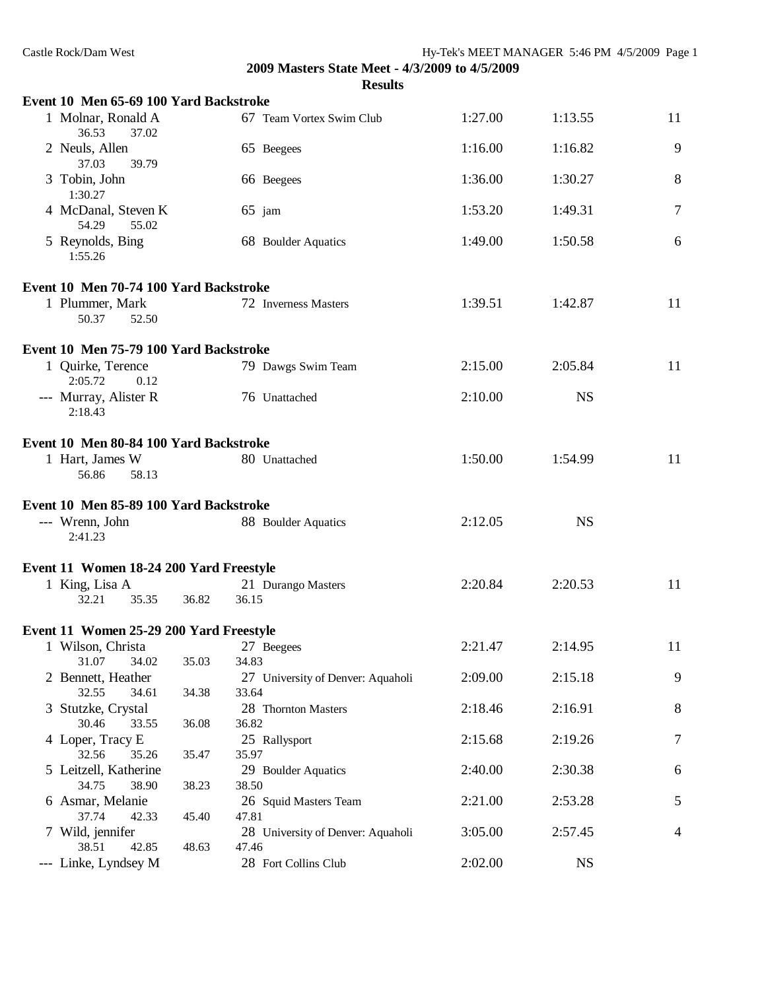| Castle Rock/Dam West                    |             |                                                                  |         | Hy-Tek's MEET MANAGER 5:46 PM 4/5/2009 Page 1 |    |
|-----------------------------------------|-------------|------------------------------------------------------------------|---------|-----------------------------------------------|----|
|                                         |             | 2009 Masters State Meet - 4/3/2009 to 4/5/2009<br><b>Results</b> |         |                                               |    |
| Event 10 Men 65-69 100 Yard Backstroke  |             |                                                                  |         |                                               |    |
| 1 Molnar, Ronald A<br>36.53<br>37.02    |             | 67 Team Vortex Swim Club                                         | 1:27.00 | 1:13.55                                       | 11 |
| 2 Neuls, Allen<br>37.03<br>39.79        |             | 65 Beegees                                                       | 1:16.00 | 1:16.82                                       | 9  |
| 3 Tobin, John<br>1:30.27                |             | 66 Beegees                                                       | 1:36.00 | 1:30.27                                       | 8  |
| 4 McDanal, Steven K<br>54.29<br>55.02   |             | $65$ jam                                                         | 1:53.20 | 1:49.31                                       | 7  |
| 5 Reynolds, Bing<br>1:55.26             |             | 68 Boulder Aquatics                                              | 1:49.00 | 1:50.58                                       | 6  |
| Event 10 Men 70-74 100 Yard Backstroke  |             |                                                                  |         |                                               |    |
| 1 Plummer, Mark<br>50.37<br>52.50       |             | 72 Inverness Masters                                             | 1:39.51 | 1:42.87                                       | 11 |
| Event 10 Men 75-79 100 Yard Backstroke  |             |                                                                  |         |                                               |    |
| 1 Quirke, Terence<br>2:05.72<br>0.12    |             | 79 Dawgs Swim Team                                               | 2:15.00 | 2:05.84                                       | 11 |
| --- Murray, Alister R<br>2:18.43        |             | 76 Unattached                                                    | 2:10.00 | <b>NS</b>                                     |    |
| Event 10 Men 80-84 100 Yard Backstroke  |             |                                                                  |         |                                               |    |
| 1 Hart, James W<br>56.86<br>58.13       |             | 80 Unattached                                                    | 1:50.00 | 1:54.99                                       | 11 |
| Event 10 Men 85-89 100 Yard Backstroke  |             |                                                                  |         |                                               |    |
| --- Wrenn, John<br>2:41.23              |             | 88 Boulder Aquatics                                              | 2:12.05 | <b>NS</b>                                     |    |
| Event 11 Women 18-24 200 Yard Freestyle |             |                                                                  |         |                                               |    |
| 1 King, Lisa A<br>32.21                 | 35.35 36.82 | 21 Durango Masters<br>36.15                                      | 2:20.84 | 2:20.53                                       | 11 |
| Event 11 Women 25-29 200 Yard Freestyle |             |                                                                  |         |                                               |    |
| 1 Wilson, Christa                       |             | 27 Beegees                                                       | 2:21.47 | 2:14.95                                       | 11 |
| 31.07<br>34.02                          | 35.03       | 34.83                                                            |         |                                               |    |
| 2 Bennett, Heather                      |             | 27 University of Denver: Aquaholi                                | 2:09.00 | 2:15.18                                       | 9  |
| 32.55<br>34.61                          | 34.38       | 33.64                                                            |         |                                               |    |
| 3 Stutzke, Crystal<br>30.46<br>33.55    | 36.08       | 28 Thornton Masters<br>36.82                                     | 2:18.46 | 2:16.91                                       | 8  |
| 4 Loper, Tracy E<br>32.56<br>35.26      | 35.47       | 25 Rallysport<br>35.97                                           | 2:15.68 | 2:19.26                                       | 7  |
| 5 Leitzell, Katherine<br>34.75<br>38.90 | 38.23       | 29 Boulder Aquatics<br>38.50                                     | 2:40.00 | 2:30.38                                       | 6  |
| 6 Asmar, Melanie<br>37.74<br>42.33      | 45.40       | 26 Squid Masters Team<br>47.81                                   | 2:21.00 | 2:53.28                                       | 5  |
| 7 Wild, jennifer<br>38.51<br>42.85      | 48.63       | 28 University of Denver: Aquaholi<br>47.46                       | 3:05.00 | 2:57.45                                       | 4  |
| --- Linke, Lyndsey M                    |             | 28 Fort Collins Club                                             | 2:02.00 | <b>NS</b>                                     |    |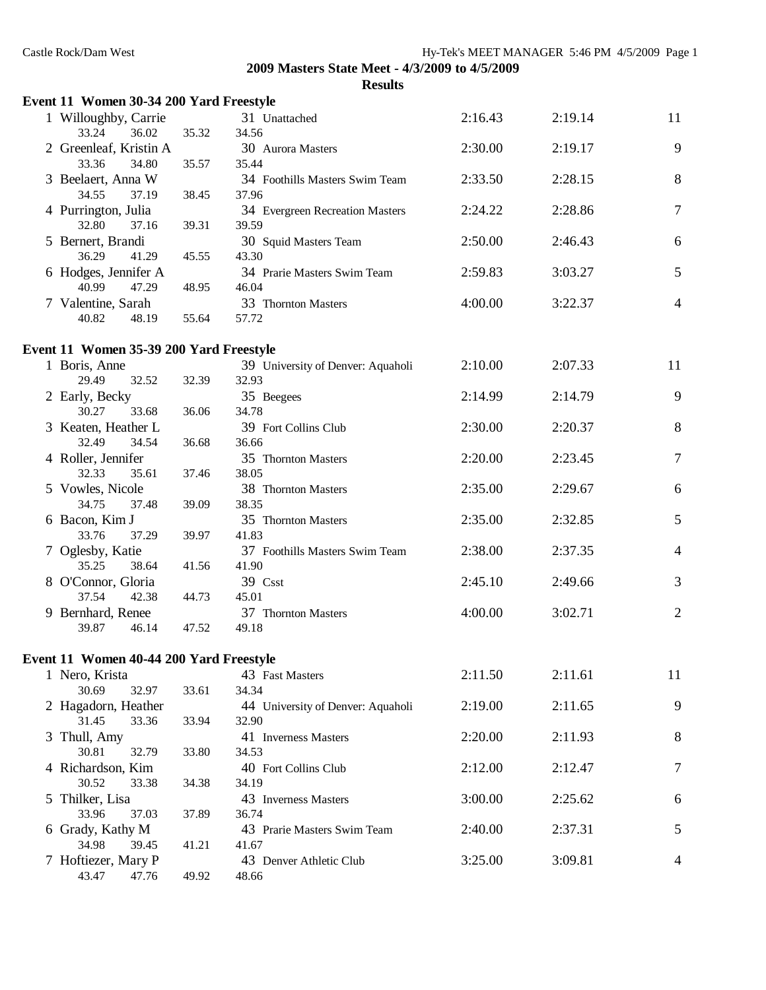| Castle Rock/Dam West                    |       |                                                | Hy-Tek's MEET MANAGER 5:46 PM 4/5/2009 Page 1 |         |                |
|-----------------------------------------|-------|------------------------------------------------|-----------------------------------------------|---------|----------------|
|                                         |       | 2009 Masters State Meet - 4/3/2009 to 4/5/2009 |                                               |         |                |
|                                         |       | <b>Results</b>                                 |                                               |         |                |
| Event 11 Women 30-34 200 Yard Freestyle |       |                                                |                                               |         |                |
| 1 Willoughby, Carrie<br>33.24<br>36.02  | 35.32 | 31 Unattached<br>34.56                         | 2:16.43                                       | 2:19.14 | 11             |
| 2 Greenleaf, Kristin A                  |       | 30 Aurora Masters                              | 2:30.00                                       | 2:19.17 | 9              |
| 33.36<br>34.80<br>3 Beelaert, Anna W    | 35.57 | 35.44<br>34 Foothills Masters Swim Team        | 2:33.50                                       | 2:28.15 | 8              |
| 34.55<br>37.19<br>4 Purrington, Julia   | 38.45 | 37.96<br>34 Evergreen Recreation Masters       | 2:24.22                                       | 2:28.86 | 7              |
| 32.80<br>37.16                          | 39.31 | 39.59                                          |                                               |         |                |
| 5 Bernert, Brandi<br>36.29<br>41.29     | 45.55 | 30 Squid Masters Team<br>43.30                 | 2:50.00                                       | 2:46.43 | 6              |
| 6 Hodges, Jennifer A<br>40.99<br>47.29  | 48.95 | 34 Prarie Masters Swim Team<br>46.04           | 2:59.83                                       | 3:03.27 | 5              |
| 7 Valentine, Sarah                      |       | 33 Thornton Masters                            | 4:00.00                                       | 3:22.37 | 4              |
| 40.82<br>48.19                          | 55.64 | 57.72                                          |                                               |         |                |
| Event 11 Women 35-39 200 Yard Freestyle |       |                                                |                                               |         |                |
| 1 Boris, Anne<br>29.49<br>32.52         |       | 39 University of Denver: Aquaholi<br>32.93     | 2:10.00                                       | 2:07.33 | 11             |
| 2 Early, Becky                          | 32.39 | 35 Beegees                                     | 2:14.99                                       | 2:14.79 | 9              |
| 30.27<br>33.68<br>3 Keaten, Heather L   | 36.06 | 34.78<br>39 Fort Collins Club                  | 2:30.00                                       | 2:20.37 | 8              |
| 32.49<br>34.54                          | 36.68 | 36.66                                          |                                               |         |                |
| 4 Roller, Jennifer<br>32.33<br>35.61    | 37.46 | 35 Thornton Masters<br>38.05                   | 2:20.00                                       | 2:23.45 | 7              |
| 5 Vowles, Nicole<br>34.75<br>37.48      | 39.09 | 38 Thornton Masters<br>38.35                   | 2:35.00                                       | 2:29.67 | 6              |
| 6 Bacon, Kim J                          |       | 35 Thornton Masters                            | 2:35.00                                       | 2:32.85 | 5              |
| 33.76<br>37.29<br>7 Oglesby, Katie      | 39.97 | 41.83<br>37 Foothills Masters Swim Team        | 2:38.00                                       | 2:37.35 | 4              |
| 35.25<br>38.64                          | 41.56 | 41.90                                          |                                               |         |                |
| 8 O'Connor, Gloria<br>37.54<br>42.38    | 44.73 | 39 Csst<br>45.01                               | 2:45.10                                       | 2:49.66 | 3              |
| 9 Bernhard, Renee<br>39.87<br>46.14     | 47.52 | 37 Thornton Masters<br>49.18                   | 4:00.00                                       | 3:02.71 | $\overline{2}$ |
|                                         |       |                                                |                                               |         |                |
| Event 11 Women 40-44 200 Yard Freestyle |       |                                                |                                               |         |                |
| 1 Nero, Krista<br>30.69                 |       | 43 Fast Masters                                | 2:11.50                                       | 2:11.61 | 11             |
| 32.97<br>2 Hagadorn, Heather            | 33.61 | 34.34<br>44 University of Denver: Aquaholi     | 2:19.00                                       | 2:11.65 | 9              |
| 31.45<br>33.36<br>3 Thull, Amy          | 33.94 | 32.90<br>41 Inverness Masters                  | 2:20.00                                       | 2:11.93 | 8              |
| 30.81<br>32.79                          | 33.80 | 34.53                                          |                                               |         |                |
| 4 Richardson, Kim<br>30.52<br>33.38     | 34.38 | 40 Fort Collins Club<br>34.19                  | 2:12.00                                       | 2:12.47 | 7              |
| 5 Thilker, Lisa<br>33.96<br>37.03       | 37.89 | 43 Inverness Masters<br>36.74                  | 3:00.00                                       | 2:25.62 | 6              |
| 6 Grady, Kathy M<br>34.98<br>39.45      |       | 43 Prarie Masters Swim Team                    | 2:40.00                                       | 2:37.31 | 5              |
| 7 Hoftiezer, Mary P                     | 41.21 | 41.67<br>43 Denver Athletic Club               | 3:25.00                                       | 3:09.81 | 4              |
| 43.47<br>47.76                          | 49.92 | 48.66                                          |                                               |         |                |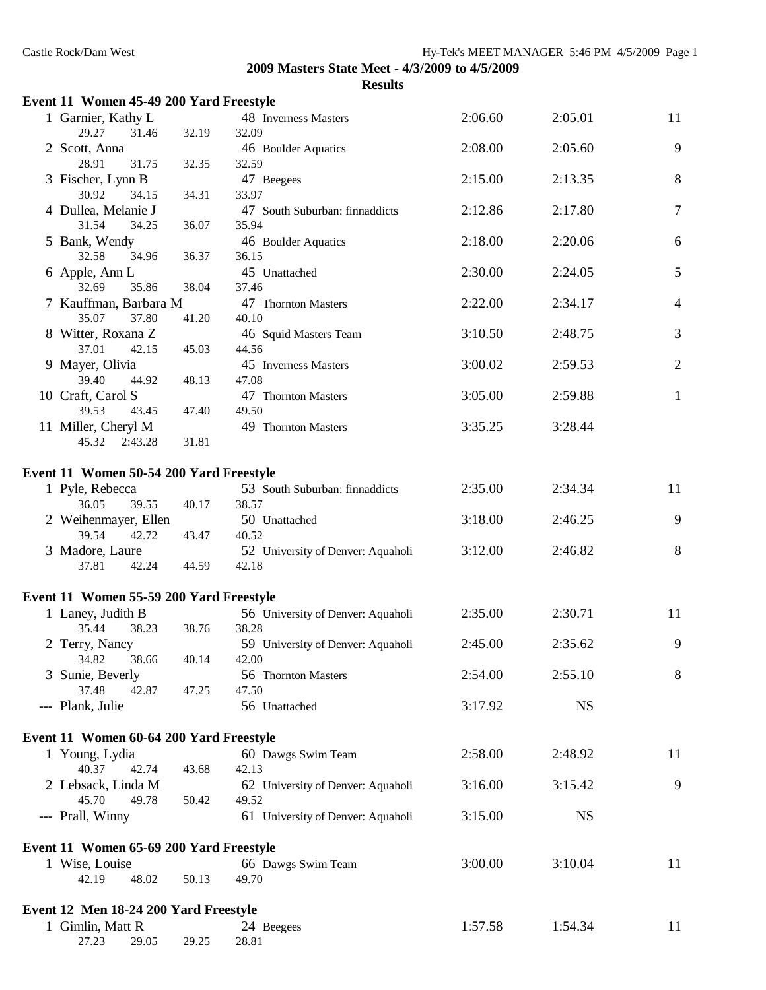| Event 11 Women 45-49 200 Yard Freestyle |       |                                            |         |           |                |
|-----------------------------------------|-------|--------------------------------------------|---------|-----------|----------------|
| 1 Garnier, Kathy L<br>29.27<br>31.46    | 32.19 | 48 Inverness Masters<br>32.09              | 2:06.60 | 2:05.01   | 11             |
| 2 Scott, Anna<br>28.91<br>31.75         | 32.35 | 46 Boulder Aquatics<br>32.59               | 2:08.00 | 2:05.60   | 9              |
| 3 Fischer, Lynn B<br>30.92<br>34.15     | 34.31 | 47 Beegees<br>33.97                        | 2:15.00 | 2:13.35   | 8              |
| 4 Dullea, Melanie J                     |       | 47 South Suburban: finnaddicts             | 2:12.86 | 2:17.80   | $\tau$         |
| 31.54<br>34.25<br>5 Bank, Wendy         | 36.07 | 35.94<br>46 Boulder Aquatics               | 2:18.00 | 2:20.06   | 6              |
| 32.58<br>34.96<br>6 Apple, Ann L        | 36.37 | 36.15<br>45 Unattached                     | 2:30.00 | 2:24.05   | 5              |
| 32.69<br>35.86                          | 38.04 | 37.46                                      |         |           |                |
| 7 Kauffman, Barbara M                   |       | 47 Thornton Masters                        | 2:22.00 | 2:34.17   | $\overline{4}$ |
| 35.07<br>37.80                          | 41.20 | 40.10                                      |         |           |                |
| 8 Witter, Roxana Z<br>37.01<br>42.15    | 45.03 | 46 Squid Masters Team<br>44.56             | 3:10.50 | 2:48.75   | 3              |
| 9 Mayer, Olivia<br>39.40<br>44.92       | 48.13 | 45 Inverness Masters<br>47.08              | 3:00.02 | 2:59.53   | $\mathbf{2}$   |
| 10 Craft, Carol S<br>39.53<br>43.45     | 47.40 | 47 Thornton Masters<br>49.50               | 3:05.00 | 2:59.88   | $\mathbf{1}$   |
| 11 Miller, Cheryl M<br>45.32<br>2:43.28 | 31.81 | 49 Thornton Masters                        | 3:35.25 | 3:28.44   |                |
| Event 11 Women 50-54 200 Yard Freestyle |       |                                            |         |           |                |
| 1 Pyle, Rebecca<br>36.05<br>39.55       | 40.17 | 53 South Suburban: finnaddicts<br>38.57    | 2:35.00 | 2:34.34   | 11             |
| 2 Weihenmayer, Ellen<br>39.54<br>42.72  | 43.47 | 50 Unattached<br>40.52                     | 3:18.00 | 2:46.25   | 9              |
| 3 Madore, Laure<br>37.81<br>42.24       | 44.59 | 52 University of Denver: Aquaholi<br>42.18 | 3:12.00 | 2:46.82   | 8              |
|                                         |       |                                            |         |           |                |
| Event 11 Women 55-59 200 Yard Freestyle |       |                                            |         |           |                |
| 1 Laney, Judith B<br>35.44<br>38.23     | 38.76 | 56 University of Denver: Aquaholi<br>38.28 | 2:35.00 | 2:30.71   | 11             |
| 2 Terry, Nancy<br>34.82<br>38.66        | 40.14 | 59 University of Denver: Aquaholi<br>42.00 | 2:45.00 | 2:35.62   | 9              |
| 3 Sunie, Beverly<br>42.87<br>37.48      | 47.25 | 56 Thornton Masters<br>47.50               | 2:54.00 | 2:55.10   | 8              |
| --- Plank, Julie                        |       | 56 Unattached                              | 3:17.92 | <b>NS</b> |                |
| Event 11 Women 60-64 200 Yard Freestyle |       |                                            |         |           |                |
| 1 Young, Lydia<br>40.37<br>42.74        | 43.68 | 60 Dawgs Swim Team<br>42.13                | 2:58.00 | 2:48.92   | 11             |
| 2 Lebsack, Linda M<br>45.70<br>49.78    | 50.42 | 62 University of Denver: Aquaholi<br>49.52 | 3:16.00 | 3:15.42   | 9              |
| --- Prall, Winny                        |       | 61 University of Denver: Aquaholi          | 3:15.00 | <b>NS</b> |                |
| Event 11 Women 65-69 200 Yard Freestyle |       |                                            |         |           |                |
| 1 Wise, Louise                          |       | 66 Dawgs Swim Team                         | 3:00.00 | 3:10.04   | 11             |
| 42.19<br>48.02                          | 50.13 | 49.70                                      |         |           |                |
| Event 12 Men 18-24 200 Yard Freestyle   |       |                                            |         |           |                |
| 1 Gimlin, Matt R                        |       | 24 Beegees                                 | 1:57.58 | 1:54.34   | 11             |
| 27.23<br>29.05                          | 29.25 | 28.81                                      |         |           |                |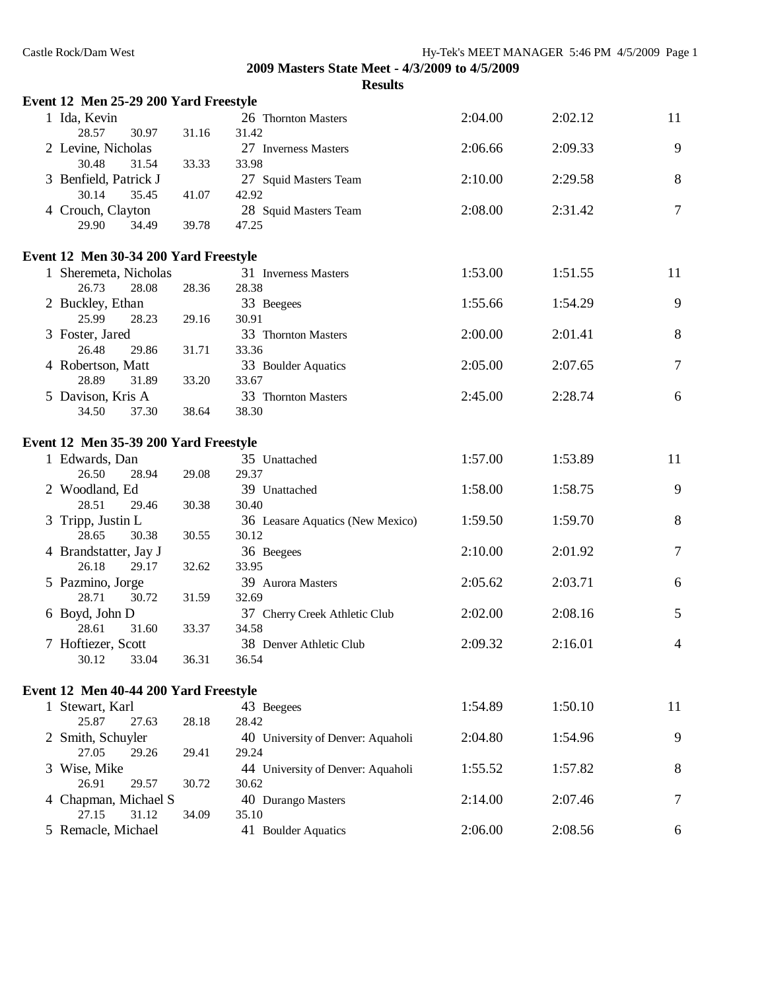| Event 12 Men 25-29 200 Yard Freestyle |       |                                           |         |         |                |
|---------------------------------------|-------|-------------------------------------------|---------|---------|----------------|
| 1 Ida, Kevin                          |       | 26 Thornton Masters                       | 2:04.00 | 2:02.12 | 11             |
| 28.57<br>30.97                        | 31.16 | 31.42                                     |         |         |                |
| 2 Levine, Nicholas                    |       | 27 Inverness Masters                      | 2:06.66 | 2:09.33 | 9              |
| 30.48<br>31.54                        | 33.33 | 33.98                                     |         |         |                |
| 3 Benfield, Patrick J                 |       | 27 Squid Masters Team                     | 2:10.00 | 2:29.58 | 8              |
| 35.45<br>30.14                        | 41.07 | 42.92                                     |         |         |                |
| 4 Crouch, Clayton                     |       | 28 Squid Masters Team                     | 2:08.00 | 2:31.42 | $\tau$         |
| 34.49<br>29.90                        | 39.78 | 47.25                                     |         |         |                |
| Event 12 Men 30-34 200 Yard Freestyle |       |                                           |         |         |                |
| 1 Sheremeta, Nicholas                 |       | 31 Inverness Masters                      | 1:53.00 | 1:51.55 | 11             |
| 26.73<br>28.08                        | 28.36 | 28.38                                     |         |         |                |
| 2 Buckley, Ethan                      |       | 33 Beegees                                | 1:55.66 | 1:54.29 | 9              |
| 25.99<br>28.23                        | 29.16 | 30.91                                     |         |         |                |
| 3 Foster, Jared                       |       | 33 Thornton Masters                       | 2:00.00 | 2:01.41 | 8              |
| 26.48<br>29.86                        | 31.71 | 33.36                                     |         |         |                |
| 4 Robertson, Matt                     |       | 33 Boulder Aquatics                       | 2:05.00 | 2:07.65 | $\overline{7}$ |
| 28.89<br>31.89                        | 33.20 | 33.67                                     |         |         |                |
| 5 Davison, Kris A                     |       | 33 Thornton Masters                       | 2:45.00 | 2:28.74 | 6              |
| 37.30<br>34.50                        | 38.64 | 38.30                                     |         |         |                |
|                                       |       |                                           |         |         |                |
| Event 12 Men 35-39 200 Yard Freestyle |       |                                           |         |         |                |
| 1 Edwards, Dan                        |       | 35 Unattached                             | 1:57.00 | 1:53.89 | 11             |
| 26.50<br>28.94                        | 29.08 | 29.37                                     |         |         |                |
| 2 Woodland, Ed<br>28.51<br>29.46      |       | 39 Unattached<br>30.40                    | 1:58.00 | 1:58.75 | 9              |
|                                       | 30.38 |                                           | 1:59.50 | 1:59.70 | 8              |
| 3 Tripp, Justin L<br>28.65<br>30.38   | 30.55 | 36 Leasare Aquatics (New Mexico)<br>30.12 |         |         |                |
| 4 Brandstatter, Jay J                 |       | 36 Beegees                                | 2:10.00 | 2:01.92 | $\tau$         |
| 26.18<br>29.17                        | 32.62 | 33.95                                     |         |         |                |
| 5 Pazmino, Jorge                      |       | 39 Aurora Masters                         | 2:05.62 | 2:03.71 | 6              |
| 28.71<br>30.72                        | 31.59 | 32.69                                     |         |         |                |
| 6 Boyd, John D                        |       | 37 Cherry Creek Athletic Club             | 2:02.00 | 2:08.16 | 5              |
| 28.61<br>31.60                        | 33.37 | 34.58                                     |         |         |                |
| 7 Hoftiezer, Scott                    |       | 38 Denver Athletic Club                   | 2:09.32 | 2:16.01 | $\overline{4}$ |
| 30.12<br>33.04                        | 36.31 | 36.54                                     |         |         |                |
|                                       |       |                                           |         |         |                |
| Event 12 Men 40-44 200 Yard Freestyle |       |                                           |         |         |                |
| 1 Stewart, Karl                       |       | 43 Beegees                                | 1:54.89 | 1:50.10 | 11             |
| 25.87<br>27.63                        | 28.18 | 28.42                                     |         |         |                |
| 2 Smith, Schuyler                     |       | 40 University of Denver: Aquaholi         | 2:04.80 | 1:54.96 | 9              |
| 27.05<br>29.26                        | 29.41 | 29.24                                     |         |         |                |
| 3 Wise, Mike                          |       | 44 University of Denver: Aquaholi         | 1:55.52 | 1:57.82 | 8              |
| 26.91<br>29.57                        | 30.72 | 30.62                                     |         |         |                |
| 4 Chapman, Michael S                  |       | 40 Durango Masters                        | 2:14.00 | 2:07.46 | $\overline{7}$ |
| 27.15<br>31.12                        | 34.09 | 35.10                                     |         |         |                |
| 5 Remacle, Michael                    |       | 41 Boulder Aquatics                       | 2:06.00 | 2:08.56 | 6              |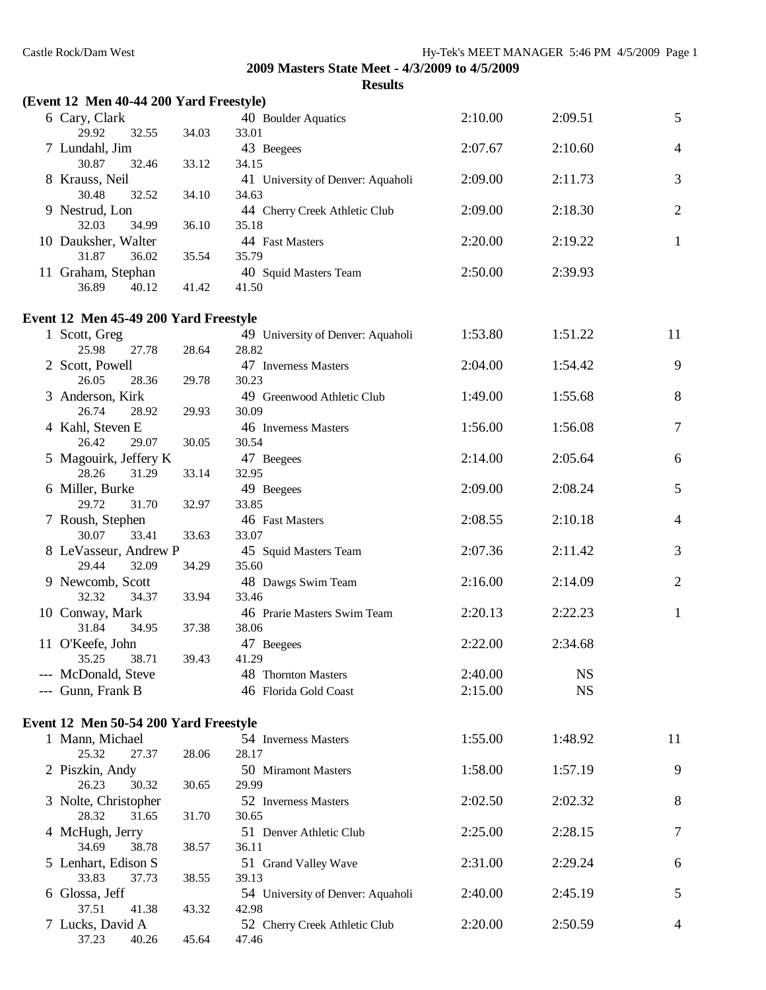| (Event 12 Men 40-44 200 Yard Freestyle)                  |       |                                   |         |           |                |
|----------------------------------------------------------|-------|-----------------------------------|---------|-----------|----------------|
| 6 Cary, Clark                                            |       | 40 Boulder Aquatics               | 2:10.00 | 2:09.51   | $\mathfrak{S}$ |
| 29.92<br>32.55                                           | 34.03 | 33.01                             |         |           |                |
| 7 Lundahl, Jim                                           |       | 43 Beegees                        | 2:07.67 | 2:10.60   | $\overline{4}$ |
| 30.87<br>32.46                                           | 33.12 | 34.15                             |         |           |                |
| 8 Krauss, Neil                                           |       | 41 University of Denver: Aquaholi | 2:09.00 | 2:11.73   | 3              |
| 30.48<br>32.52                                           | 34.10 | 34.63                             |         |           |                |
| 9 Nestrud, Lon                                           |       | 44 Cherry Creek Athletic Club     | 2:09.00 | 2:18.30   | $\mathbf{2}$   |
| 32.03<br>34.99                                           | 36.10 | 35.18                             |         |           |                |
| 10 Dauksher, Walter                                      |       | 44 Fast Masters                   | 2:20.00 | 2:19.22   | $\mathbf{1}$   |
| 31.87<br>36.02                                           | 35.54 | 35.79                             |         |           |                |
| 11 Graham, Stephan<br>36.89<br>40.12                     | 41.42 | 40 Squid Masters Team<br>41.50    | 2:50.00 | 2:39.93   |                |
|                                                          |       |                                   |         |           |                |
| Event 12 Men 45-49 200 Yard Freestyle                    |       |                                   |         |           |                |
| 1 Scott, Greg                                            |       | 49 University of Denver: Aquaholi | 1:53.80 | 1:51.22   | 11             |
| 25.98<br>27.78                                           | 28.64 | 28.82                             |         |           |                |
| 2 Scott, Powell                                          |       | 47 Inverness Masters              | 2:04.00 | 1:54.42   | 9              |
| 26.05<br>28.36                                           | 29.78 | 30.23                             |         |           |                |
| 3 Anderson, Kirk                                         |       | 49 Greenwood Athletic Club        | 1:49.00 | 1:55.68   | 8              |
| 26.74<br>28.92                                           | 29.93 | 30.09                             |         |           |                |
| 4 Kahl, Steven E                                         |       | 46 Inverness Masters              | 1:56.00 | 1:56.08   | 7              |
| 26.42<br>29.07                                           | 30.05 | 30.54                             |         |           |                |
| 5 Magouirk, Jeffery K                                    |       | 47 Beegees                        | 2:14.00 | 2:05.64   | 6              |
| 28.26<br>31.29                                           | 33.14 | 32.95                             |         |           |                |
| 6 Miller, Burke<br>29.72                                 |       | 49 Beegees<br>33.85               | 2:09.00 | 2:08.24   | 5              |
| 31.70<br>7 Roush, Stephen                                | 32.97 | 46 Fast Masters                   | 2:08.55 | 2:10.18   | $\overline{4}$ |
| 30.07<br>33.41                                           | 33.63 | 33.07                             |         |           |                |
| 8 LeVasseur, Andrew P                                    |       | 45 Squid Masters Team             | 2:07.36 | 2:11.42   | 3              |
| 29.44<br>32.09                                           | 34.29 | 35.60                             |         |           |                |
| 9 Newcomb, Scott                                         |       | 48 Dawgs Swim Team                | 2:16.00 | 2:14.09   | $\mathbf{2}$   |
| 32.32<br>34.37                                           | 33.94 | 33.46                             |         |           |                |
| 10 Conway, Mark                                          |       | 46 Prarie Masters Swim Team       | 2:20.13 | 2:22.23   | $\mathbf{1}$   |
| 31.84<br>34.95                                           | 37.38 | 38.06                             |         |           |                |
| 11 O'Keefe, John                                         |       | 47 Beegees                        | 2:22.00 | 2:34.68   |                |
| 35.25<br>38.71                                           | 39.43 | 41.29                             |         |           |                |
| --- McDonald, Steve                                      |       | 48 Thornton Masters               | 2:40.00 | <b>NS</b> |                |
| --- Gunn, Frank B                                        |       | 46 Florida Gold Coast             | 2:15.00 | <b>NS</b> |                |
|                                                          |       |                                   |         |           |                |
| Event 12 Men 50-54 200 Yard Freestyle<br>1 Mann, Michael |       | 54 Inverness Masters              | 1:55.00 | 1:48.92   | 11             |
| 25.32<br>27.37                                           | 28.06 | 28.17                             |         |           |                |
| 2 Piszkin, Andy                                          |       | 50 Miramont Masters               | 1:58.00 | 1:57.19   | 9              |
| 26.23<br>30.32                                           | 30.65 | 29.99                             |         |           |                |
| 3 Nolte, Christopher                                     |       | 52 Inverness Masters              | 2:02.50 | 2:02.32   | 8              |
| 31.65<br>28.32                                           | 31.70 | 30.65                             |         |           |                |
| 4 McHugh, Jerry                                          |       | 51 Denver Athletic Club           | 2:25.00 | 2:28.15   | $\tau$         |
| 34.69<br>38.78                                           | 38.57 | 36.11                             |         |           |                |
| 5 Lenhart, Edison S                                      |       | 51 Grand Valley Wave              | 2:31.00 | 2:29.24   | 6              |
| 33.83<br>37.73                                           | 38.55 | 39.13                             |         |           |                |
| 6 Glossa, Jeff                                           |       | 54 University of Denver: Aquaholi | 2:40.00 | 2:45.19   | 5              |
| 37.51<br>41.38                                           | 43.32 | 42.98                             |         |           |                |
| 7 Lucks, David A                                         |       | 52 Cherry Creek Athletic Club     | 2:20.00 | 2:50.59   | 4              |
| 37.23<br>40.26                                           | 45.64 | 47.46                             |         |           |                |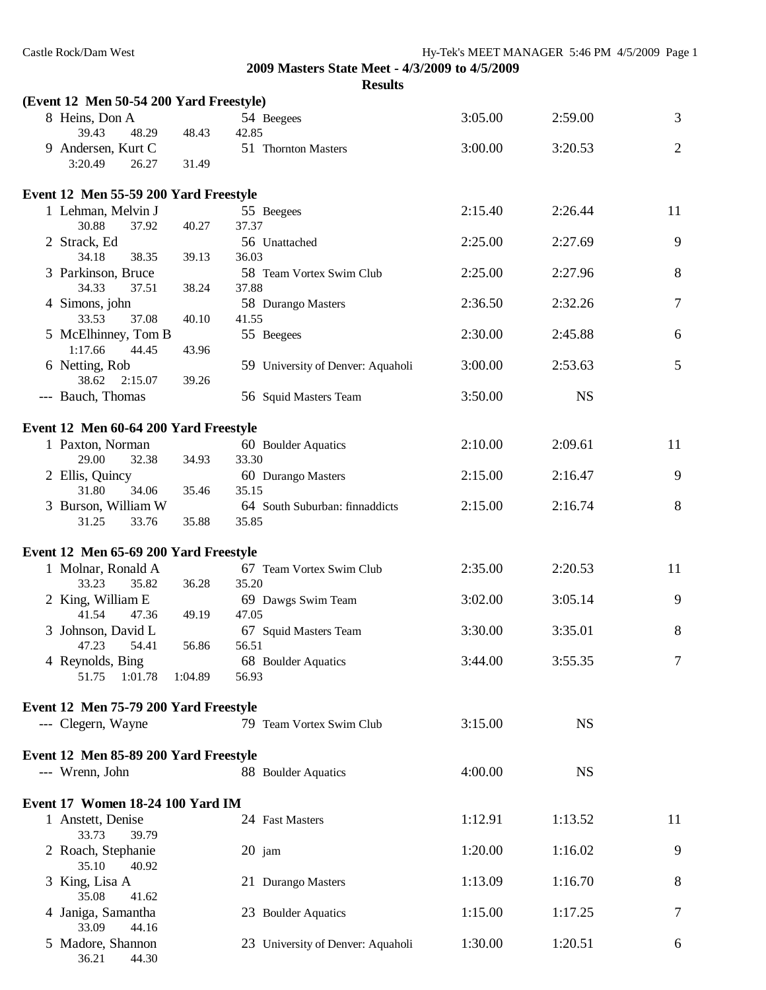36.21 44.30

**2009 Masters State Meet - 4/3/2009 to 4/5/2009**

| ı<br>Π<br>. . |
|---------------|
|---------------|

| (Event 12 Men 50-54 200 Yard Freestyle) |         |                                         |         |           |                |
|-----------------------------------------|---------|-----------------------------------------|---------|-----------|----------------|
| 8 Heins, Don A<br>39.43<br>48.29        | 48.43   | 54 Beegees<br>42.85                     | 3:05.00 | 2:59.00   | $\overline{3}$ |
| 9 Andersen, Kurt C<br>3:20.49<br>26.27  | 31.49   | 51 Thornton Masters                     | 3:00.00 | 3:20.53   | $\overline{2}$ |
| Event 12 Men 55-59 200 Yard Freestyle   |         |                                         |         |           |                |
| 1 Lehman, Melvin J<br>30.88<br>37.92    | 40.27   | 55 Beegees<br>37.37                     | 2:15.40 | 2:26.44   | 11             |
| 2 Strack, Ed<br>34.18<br>38.35          | 39.13   | 56 Unattached<br>36.03                  | 2:25.00 | 2:27.69   | 9              |
| 3 Parkinson, Bruce<br>34.33<br>37.51    | 38.24   | 58 Team Vortex Swim Club<br>37.88       | 2:25.00 | 2:27.96   | 8              |
| 4 Simons, john<br>33.53                 |         | 58 Durango Masters                      | 2:36.50 | 2:32.26   | $\overline{7}$ |
| 37.08<br>5 McElhinney, Tom B            | 40.10   | 41.55<br>55 Beegees                     | 2:30.00 | 2:45.88   | 6              |
| 1:17.66<br>44.45<br>6 Netting, Rob      | 43.96   | 59 University of Denver: Aquaholi       | 3:00.00 | 2:53.63   | 5              |
| 38.62<br>2:15.07<br>--- Bauch, Thomas   | 39.26   | 56 Squid Masters Team                   | 3:50.00 | <b>NS</b> |                |
| Event 12 Men 60-64 200 Yard Freestyle   |         |                                         |         |           |                |
| 1 Paxton, Norman                        |         | 60 Boulder Aquatics                     | 2:10.00 | 2:09.61   | 11             |
| 29.00<br>32.38                          | 34.93   | 33.30                                   |         |           |                |
| 2 Ellis, Quincy<br>31.80<br>34.06       | 35.46   | 60 Durango Masters<br>35.15             | 2:15.00 | 2:16.47   | 9              |
| 3 Burson, William W<br>33.76<br>31.25   | 35.88   | 64 South Suburban: finnaddicts<br>35.85 | 2:15.00 | 2:16.74   | 8              |
| Event 12 Men 65-69 200 Yard Freestyle   |         |                                         |         |           |                |
| 1 Molnar, Ronald A                      |         | 67 Team Vortex Swim Club<br>35.20       | 2:35.00 | 2:20.53   | 11             |
| 33.23<br>35.82<br>2 King, William E     | 36.28   | 69 Dawgs Swim Team                      | 3:02.00 | 3:05.14   | 9              |
| 41.54<br>47.36<br>3 Johnson, David L    | 49.19   | 47.05<br>67 Squid Masters Team          | 3:30.00 | 3:35.01   | 8              |
| 47.23<br>54.41<br>4 Reynolds, Bing      | 56.86   | 56.51<br>68 Boulder Aquatics            | 3:44.00 | 3:55.35   | 7              |
| 51.75<br>1:01.78                        | 1:04.89 | 56.93                                   |         |           |                |
| Event 12 Men 75-79 200 Yard Freestyle   |         |                                         |         |           |                |
| --- Clegern, Wayne                      |         | 79 Team Vortex Swim Club                | 3:15.00 | <b>NS</b> |                |
| Event 12 Men 85-89 200 Yard Freestyle   |         |                                         |         |           |                |
| --- Wrenn, John                         |         | 88 Boulder Aquatics                     | 4:00.00 | <b>NS</b> |                |
| Event 17 Women 18-24 100 Yard IM        |         |                                         |         |           |                |
| 1 Anstett, Denise<br>33.73<br>39.79     |         | 24 Fast Masters                         | 1:12.91 | 1:13.52   | 11             |
| 2 Roach, Stephanie<br>35.10<br>40.92    |         | $20$ jam                                | 1:20.00 | 1:16.02   | 9              |
| 3 King, Lisa A<br>35.08<br>41.62        |         | 21 Durango Masters                      | 1:13.09 | 1:16.70   | 8              |
| 4 Janiga, Samantha<br>33.09<br>44.16    |         | 23 Boulder Aquatics                     | 1:15.00 | 1:17.25   | $\overline{7}$ |
| 5 Madore, Shannon                       |         | 23 University of Denver: Aquaholi       | 1:30.00 | 1:20.51   | 6              |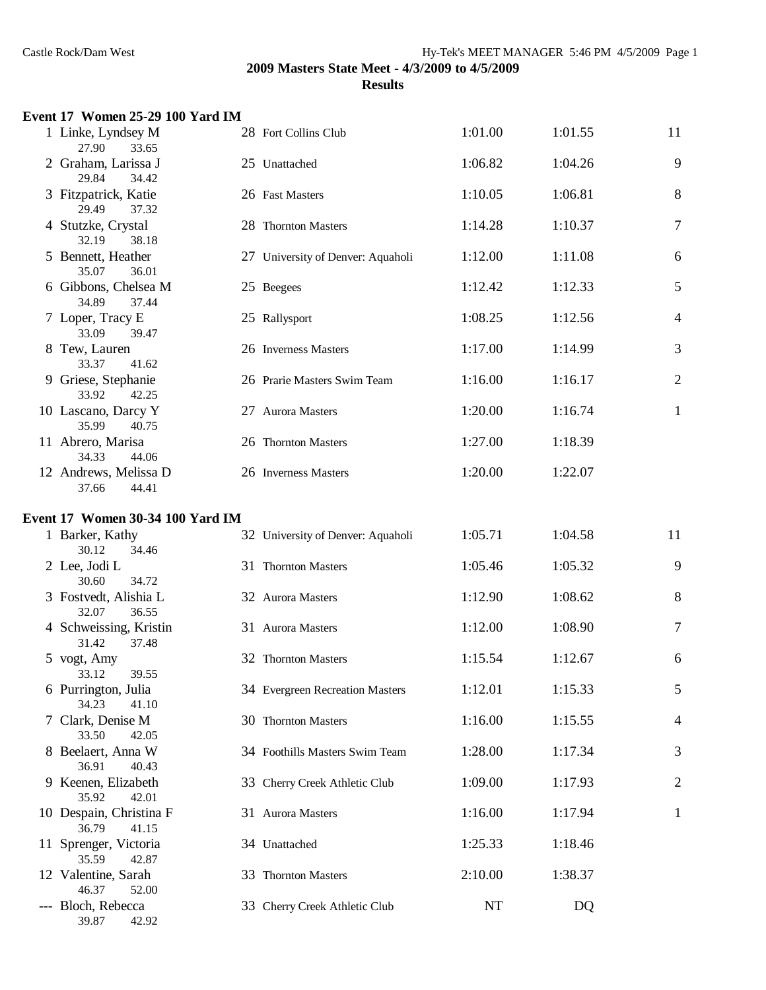# **Event 17 Women 25-29 100 Yard IM**

| 1 Linke, Lyndsey M<br>27.90<br>33.65      | 28 Fort Collins Club              | 1:01.00 | 1:01.55 | 11             |
|-------------------------------------------|-----------------------------------|---------|---------|----------------|
| 2 Graham, Larissa J<br>29.84<br>34.42     | 25 Unattached                     | 1:06.82 | 1:04.26 | 9              |
| 3 Fitzpatrick, Katie<br>29.49<br>37.32    | 26 Fast Masters                   | 1:10.05 | 1:06.81 | 8              |
| 4 Stutzke, Crystal<br>32.19<br>38.18      | 28 Thornton Masters               | 1:14.28 | 1:10.37 | 7              |
| 5 Bennett, Heather<br>35.07<br>36.01      | 27 University of Denver: Aquaholi | 1:12.00 | 1:11.08 | 6              |
| 6 Gibbons, Chelsea M<br>34.89<br>37.44    | 25 Beegees                        | 1:12.42 | 1:12.33 | 5              |
| 7 Loper, Tracy E<br>33.09<br>39.47        | 25 Rallysport                     | 1:08.25 | 1:12.56 | $\overline{4}$ |
| 8 Tew, Lauren<br>33.37<br>41.62           | 26 Inverness Masters              | 1:17.00 | 1:14.99 | 3              |
| 9 Griese, Stephanie<br>33.92<br>42.25     | 26 Prarie Masters Swim Team       | 1:16.00 | 1:16.17 | $\mathbf{2}$   |
| 10 Lascano, Darcy Y<br>35.99<br>40.75     | 27 Aurora Masters                 | 1:20.00 | 1:16.74 | $\mathbf{1}$   |
| 11 Abrero, Marisa<br>34.33<br>44.06       | 26 Thornton Masters               | 1:27.00 | 1:18.39 |                |
| 12 Andrews, Melissa D<br>37.66<br>44.41   | 26 Inverness Masters              | 1:20.00 | 1:22.07 |                |
| Event 17 Women 30-34 100 Yard IM          |                                   |         |         |                |
| 1 Barker, Kathy<br>30.12<br>34.46         | 32 University of Denver: Aquaholi | 1:05.71 | 1:04.58 | 11             |
| 2 Lee, Jodi L<br>30.60<br>34.72           | 31 Thornton Masters               | 1:05.46 | 1:05.32 | 9              |
| 3 Fostvedt, Alishia L<br>32.07<br>36.55   | 32 Aurora Masters                 | 1:12.90 | 1:08.62 | $8\,$          |
| 4 Schweissing, Kristin<br>37.48<br>31.42  | 31 Aurora Masters                 | 1:12.00 | 1:08.90 | $\tau$         |
| 5 vogt, Amy<br>33.12<br>39.55             | 32 Thornton Masters               | 1:15.54 | 1:12.67 | 6              |
| 6 Purrington, Julia<br>34.23<br>41.10     | 34 Evergreen Recreation Masters   | 1:12.01 | 1:15.33 | 5              |
| 7 Clark, Denise M<br>33.50<br>42.05       | 30 Thornton Masters               | 1:16.00 | 1:15.55 | $\overline{4}$ |
| 8 Beelaert, Anna W<br>36.91<br>40.43      | 34 Foothills Masters Swim Team    | 1:28.00 | 1:17.34 | 3              |
| 9 Keenen, Elizabeth<br>35.92<br>42.01     | 33 Cherry Creek Athletic Club     | 1:09.00 | 1:17.93 | $\overline{2}$ |
| 10 Despain, Christina F<br>36.79<br>41.15 | 31 Aurora Masters                 | 1:16.00 | 1:17.94 | 1              |
| 11 Sprenger, Victoria<br>35.59<br>42.87   | 34 Unattached                     | 1:25.33 | 1:18.46 |                |
| 12 Valentine, Sarah<br>46.37<br>52.00     | 33 Thornton Masters               | 2:10.00 | 1:38.37 |                |
| --- Bloch, Rebecca<br>39.87<br>42.92      | 33 Cherry Creek Athletic Club     | NT      | DQ      |                |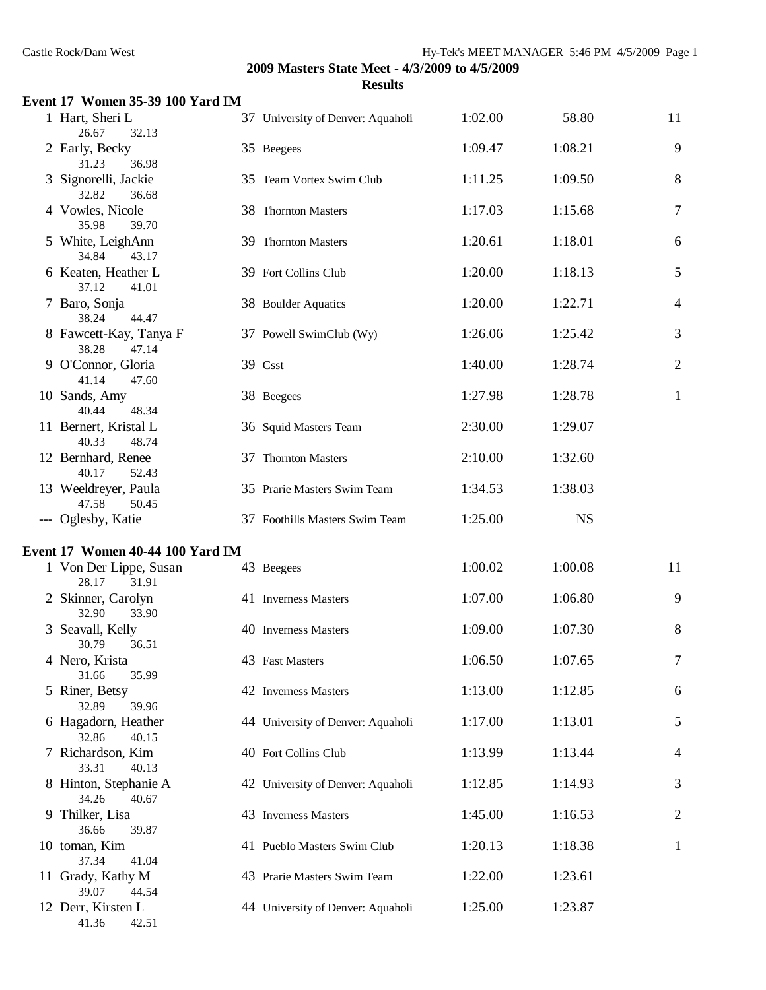| Event 17 Women 35-39 100 Yard IM         |                                   |         |           |                |
|------------------------------------------|-----------------------------------|---------|-----------|----------------|
| 1 Hart, Sheri L<br>26.67<br>32.13        | 37 University of Denver: Aquaholi | 1:02.00 | 58.80     | 11             |
| 2 Early, Becky<br>31.23<br>36.98         | 35 Beegees                        | 1:09.47 | 1:08.21   | 9              |
| 3 Signorelli, Jackie<br>32.82<br>36.68   | 35 Team Vortex Swim Club          | 1:11.25 | 1:09.50   | 8              |
| 4 Vowles, Nicole<br>39.70<br>35.98       | 38 Thornton Masters               | 1:17.03 | 1:15.68   | $\tau$         |
| 5 White, LeighAnn<br>34.84<br>43.17      | 39 Thornton Masters               | 1:20.61 | 1:18.01   | 6              |
| 6 Keaten, Heather L<br>37.12<br>41.01    | 39 Fort Collins Club              | 1:20.00 | 1:18.13   | 5              |
| 7 Baro, Sonja<br>38.24<br>44.47          | 38 Boulder Aquatics               | 1:20.00 | 1:22.71   | $\overline{4}$ |
| 8 Fawcett-Kay, Tanya F<br>38.28<br>47.14 | 37 Powell SwimClub (Wy)           | 1:26.06 | 1:25.42   | 3              |
| 9 O'Connor, Gloria<br>41.14<br>47.60     | 39 Csst                           | 1:40.00 | 1:28.74   | $\mathbf{2}$   |
| 10 Sands, Amy<br>40.44<br>48.34          | 38 Beegees                        | 1:27.98 | 1:28.78   | $\mathbf{1}$   |
| 11 Bernert, Kristal L<br>40.33<br>48.74  | 36 Squid Masters Team             | 2:30.00 | 1:29.07   |                |
| 12 Bernhard, Renee<br>40.17<br>52.43     | 37 Thornton Masters               | 2:10.00 | 1:32.60   |                |
| 13 Weeldreyer, Paula<br>47.58<br>50.45   | 35 Prarie Masters Swim Team       | 1:34.53 | 1:38.03   |                |
| --- Oglesby, Katie                       | 37 Foothills Masters Swim Team    | 1:25.00 | <b>NS</b> |                |
| Event 17 Women 40-44 100 Yard IM         |                                   |         |           |                |
| 1 Von Der Lippe, Susan<br>28.17<br>31.91 | 43 Beegees                        | 1:00.02 | 1:00.08   | 11             |
| 2 Skinner, Carolyn<br>32.90<br>33.90     | 41 Inverness Masters              | 1:07.00 | 1:06.80   | 9              |
| 3 Seavall, Kelly<br>30.79<br>36.51       | 40 Inverness Masters              | 1:09.00 | 1:07.30   | 8              |
| 4 Nero, Krista<br>31.66<br>35.99         | 43 Fast Masters                   | 1:06.50 | 1:07.65   | 7              |
| 5 Riner, Betsy<br>32.89<br>39.96         | 42 Inverness Masters              | 1:13.00 | 1:12.85   | 6              |
| 6 Hagadorn, Heather<br>32.86<br>40.15    | 44 University of Denver: Aquaholi | 1:17.00 | 1:13.01   | 5              |
| 7 Richardson, Kim<br>33.31<br>40.13      | 40 Fort Collins Club              | 1:13.99 | 1:13.44   | 4              |
| 8 Hinton, Stephanie A<br>34.26<br>40.67  | 42 University of Denver: Aquaholi | 1:12.85 | 1:14.93   | 3              |
| 9 Thilker, Lisa<br>36.66<br>39.87        | 43 Inverness Masters              | 1:45.00 | 1:16.53   | 2              |
| 10 toman, Kim<br>37.34<br>41.04          | 41 Pueblo Masters Swim Club       | 1:20.13 | 1:18.38   | $\mathbf{1}$   |
| 11 Grady, Kathy M<br>39.07<br>44.54      | 43 Prarie Masters Swim Team       | 1:22.00 | 1:23.61   |                |
| 12 Derr, Kirsten L<br>42.51<br>41.36     | 44 University of Denver: Aquaholi | 1:25.00 | 1:23.87   |                |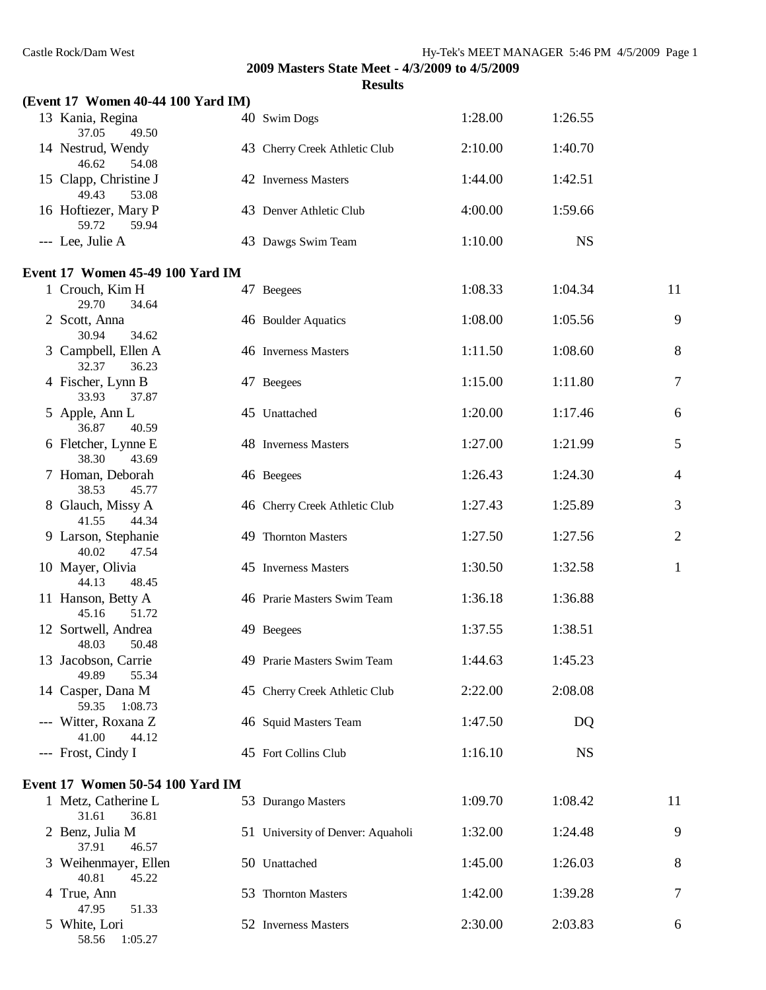| (Event 17 Women 40-44 100 Yard IM)      |                                   |         |           |                |
|-----------------------------------------|-----------------------------------|---------|-----------|----------------|
| 13 Kania, Regina<br>37.05<br>49.50      | 40 Swim Dogs                      | 1:28.00 | 1:26.55   |                |
| 14 Nestrud, Wendy<br>46.62<br>54.08     | 43 Cherry Creek Athletic Club     | 2:10.00 | 1:40.70   |                |
| 15 Clapp, Christine J<br>49.43<br>53.08 | 42 Inverness Masters              | 1:44.00 | 1:42.51   |                |
| 16 Hoftiezer, Mary P<br>59.72<br>59.94  | 43 Denver Athletic Club           | 4:00.00 | 1:59.66   |                |
| --- Lee, Julie A                        | 43 Dawgs Swim Team                | 1:10.00 | <b>NS</b> |                |
| Event 17 Women 45-49 100 Yard IM        |                                   |         |           |                |
| 1 Crouch, Kim H<br>29.70<br>34.64       | 47 Beegees                        | 1:08.33 | 1:04.34   | 11             |
| 2 Scott, Anna<br>30.94<br>34.62         | 46 Boulder Aquatics               | 1:08.00 | 1:05.56   | 9              |
| 3 Campbell, Ellen A<br>32.37<br>36.23   | 46 Inverness Masters              | 1:11.50 | 1:08.60   | 8              |
| 4 Fischer, Lynn B<br>33.93<br>37.87     | 47 Beegees                        | 1:15.00 | 1:11.80   | $\tau$         |
| 5 Apple, Ann L<br>36.87<br>40.59        | 45 Unattached                     | 1:20.00 | 1:17.46   | 6              |
| 6 Fletcher, Lynne E<br>38.30<br>43.69   | 48 Inverness Masters              | 1:27.00 | 1:21.99   | 5              |
| 7 Homan, Deborah<br>38.53<br>45.77      | 46 Beegees                        | 1:26.43 | 1:24.30   | $\overline{4}$ |
| 8 Glauch, Missy A<br>41.55<br>44.34     | 46 Cherry Creek Athletic Club     | 1:27.43 | 1:25.89   | 3              |
| 9 Larson, Stephanie<br>40.02<br>47.54   | 49 Thornton Masters               | 1:27.50 | 1:27.56   | $\overline{2}$ |
| 10 Mayer, Olivia<br>44.13<br>48.45      | 45 Inverness Masters              | 1:30.50 | 1:32.58   | $\mathbf{1}$   |
| 11 Hanson, Betty A<br>45.16<br>51.72    | 46 Prarie Masters Swim Team       | 1:36.18 | 1:36.88   |                |
| 12 Sortwell, Andrea<br>48.03<br>50.48   | 49 Beegees                        | 1:37.55 | 1:38.51   |                |
| 13 Jacobson, Carrie<br>49.89<br>55.34   | 49 Prarie Masters Swim Team       | 1:44.63 | 1:45.23   |                |
| 14 Casper, Dana M<br>59.35<br>1:08.73   | 45 Cherry Creek Athletic Club     | 2:22.00 | 2:08.08   |                |
| --- Witter, Roxana Z<br>41.00<br>44.12  | 46 Squid Masters Team             | 1:47.50 | DQ        |                |
| --- Frost, Cindy I                      | 45 Fort Collins Club              | 1:16.10 | <b>NS</b> |                |
| Event 17 Women 50-54 100 Yard IM        |                                   |         |           |                |
| 1 Metz, Catherine L<br>31.61<br>36.81   | 53 Durango Masters                | 1:09.70 | 1:08.42   | 11             |
| 2 Benz, Julia M<br>37.91<br>46.57       | 51 University of Denver: Aquaholi | 1:32.00 | 1:24.48   | 9              |
| 3 Weihenmayer, Ellen<br>45.22<br>40.81  | 50 Unattached                     | 1:45.00 | 1:26.03   | 8              |
| 4 True, Ann<br>47.95<br>51.33           | 53 Thornton Masters               | 1:42.00 | 1:39.28   | 7              |
| 5 White, Lori<br>1:05.27<br>58.56       | 52 Inverness Masters              | 2:30.00 | 2:03.83   | 6              |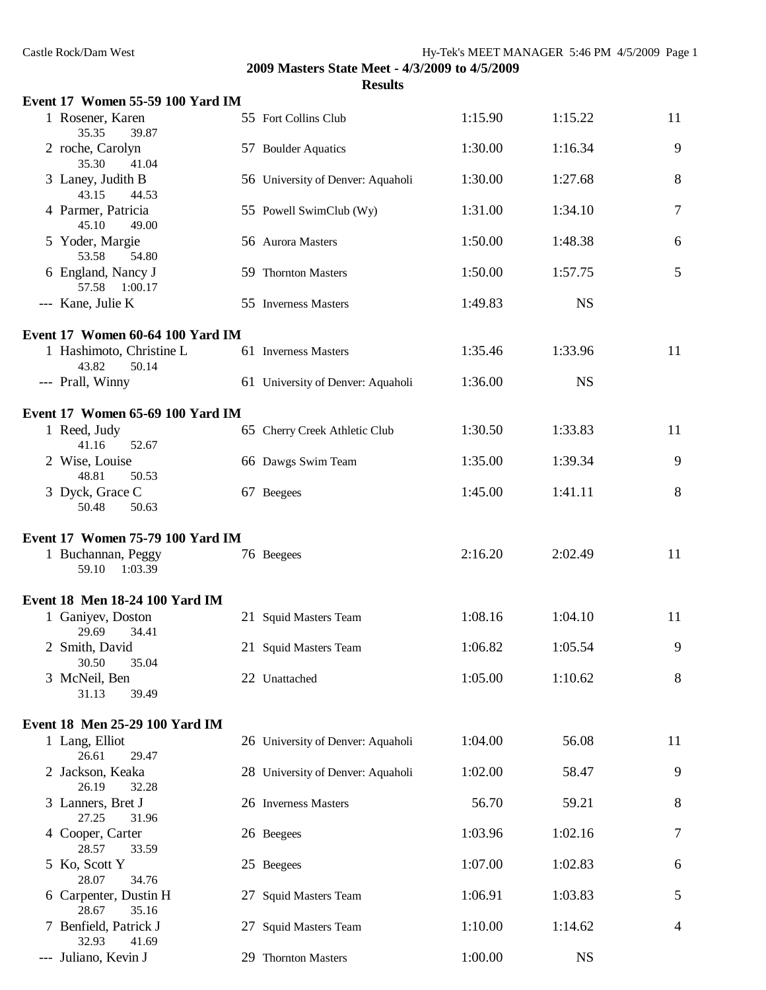| Castle Rock/Dam West                             |                                                                  |         | Hy-Tek's MEET MANAGER 5:46 PM 4/5/2009 Page 1 |    |
|--------------------------------------------------|------------------------------------------------------------------|---------|-----------------------------------------------|----|
|                                                  | 2009 Masters State Meet - 4/3/2009 to 4/5/2009<br><b>Results</b> |         |                                               |    |
| Event 17 Women 55-59 100 Yard IM                 |                                                                  |         |                                               |    |
| 1 Rosener, Karen<br>35.35<br>39.87               | 55 Fort Collins Club                                             | 1:15.90 | 1:15.22                                       | 11 |
| 2 roche, Carolyn<br>35.30<br>41.04               | 57 Boulder Aquatics                                              | 1:30.00 | 1:16.34                                       | 9  |
| 3 Laney, Judith B<br>43.15<br>44.53              | 56 University of Denver: Aquaholi                                | 1:30.00 | 1:27.68                                       | 8  |
| 4 Parmer, Patricia<br>45.10<br>49.00             | 55 Powell SwimClub (Wy)                                          | 1:31.00 | 1:34.10                                       | 7  |
| 5 Yoder, Margie<br>53.58<br>54.80                | 56 Aurora Masters                                                | 1:50.00 | 1:48.38                                       | 6  |
| 6 England, Nancy J<br>57.58 1:00.17              | 59 Thornton Masters                                              | 1:50.00 | 1:57.75                                       | 5  |
| --- Kane, Julie K                                | 55 Inverness Masters                                             | 1:49.83 | <b>NS</b>                                     |    |
| Event 17 Women 60-64 100 Yard IM                 |                                                                  |         |                                               |    |
| 1 Hashimoto, Christine L<br>43.82<br>50.14       | 61 Inverness Masters                                             | 1:35.46 | 1:33.96                                       | 11 |
| --- Prall, Winny                                 | 61 University of Denver: Aquaholi                                | 1:36.00 | <b>NS</b>                                     |    |
| Event 17 Women 65-69 100 Yard IM                 |                                                                  |         |                                               |    |
| 1 Reed, Judy<br>41.16<br>52.67                   | 65 Cherry Creek Athletic Club                                    | 1:30.50 | 1:33.83                                       | 11 |
| 2 Wise, Louise<br>48.81<br>50.53                 | 66 Dawgs Swim Team                                               | 1:35.00 | 1:39.34                                       | 9  |
| 3 Dyck, Grace C<br>50.48<br>50.63                | 67 Beegees                                                       | 1:45.00 | 1:41.11                                       | 8  |
| Event 17 Women 75-79 100 Yard IM                 |                                                                  |         |                                               |    |
| 1 Buchannan, Peggy<br>1:03.39<br>59.10           | 76 Beegees                                                       | 2:16.20 | 2:02.49                                       | 11 |
| Event 18 Men 18-24 100 Yard IM                   |                                                                  |         |                                               |    |
| 1 Ganiyev, Doston<br>29.69<br>34.41              | 21 Squid Masters Team                                            | 1:08.16 | 1:04.10                                       | 11 |
| 2 Smith, David<br>30.50<br>35.04                 | 21 Squid Masters Team                                            | 1:06.82 | 1:05.54                                       | 9  |
| 3 McNeil, Ben<br>31.13<br>39.49                  | 22 Unattached                                                    | 1:05.00 | 1:10.62                                       | 8  |
|                                                  |                                                                  |         |                                               |    |
| Event 18 Men 25-29 100 Yard IM<br>1 Lang, Elliot | 26 University of Denver: Aquaholi                                | 1:04.00 | 56.08                                         | 11 |
| 26.61<br>29.47<br>2 Jackson, Keaka               | 28 University of Denver: Aquaholi                                | 1:02.00 | 58.47                                         | 9  |
| 26.19<br>32.28<br>3 Lanners, Bret J              | 26 Inverness Masters                                             | 56.70   | 59.21                                         | 8  |
| 27.25<br>31.96<br>4 Cooper, Carter               | 26 Beegees                                                       | 1:03.96 | 1:02.16                                       | 7  |
| 28.57<br>33.59<br>5 Ko, Scott Y                  | 25 Beegees                                                       | 1:07.00 | 1:02.83                                       | 6  |
| 28.07<br>34.76<br>6 Carpenter, Dustin H          | 27 Squid Masters Team                                            | 1:06.91 | 1:03.83                                       | 5  |
| 28.67<br>35.16<br>7 Benfield, Patrick J          | 27 Squid Masters Team                                            | 1:10.00 | 1:14.62                                       | 4  |
| 32.93<br>41.69                                   |                                                                  |         |                                               |    |
| --- Juliano, Kevin J                             | 29 Thornton Masters                                              | 1:00.00 | <b>NS</b>                                     |    |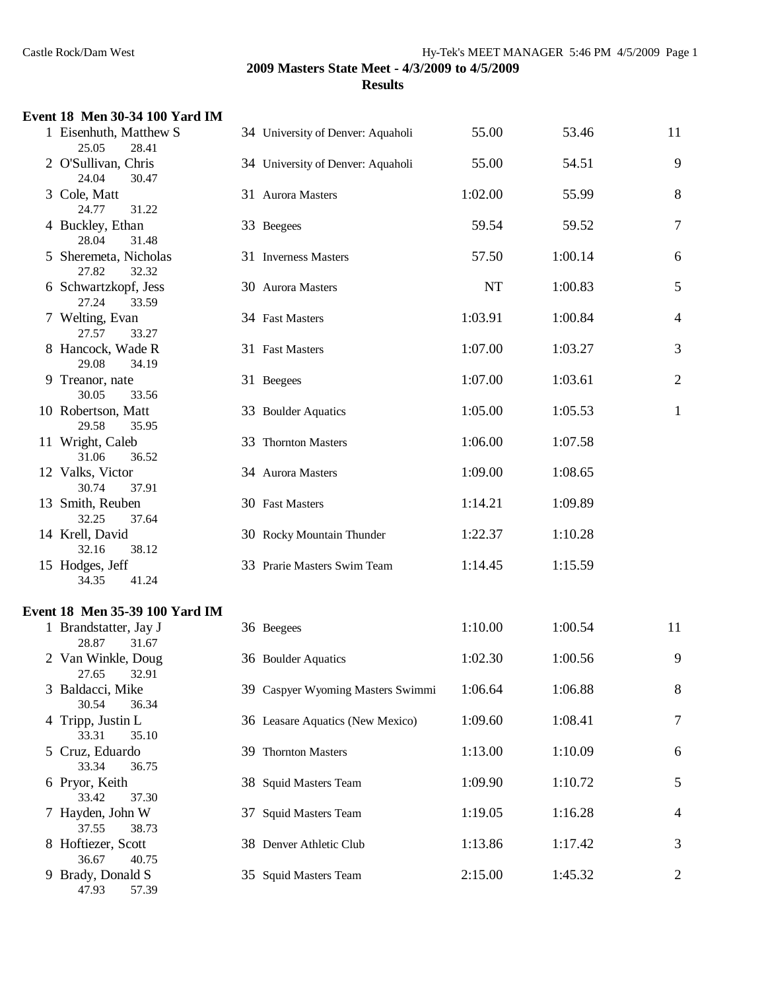## **Event 18 Men 30-34 100 Yard IM**

|   | 1 Eisenhuth, Matthew S<br>25.05<br>28.41 | 34 University of Denver: Aquaholi | 55.00   | 53.46   | 11             |
|---|------------------------------------------|-----------------------------------|---------|---------|----------------|
|   | 2 O'Sullivan, Chris<br>24.04<br>30.47    | 34 University of Denver: Aquaholi | 55.00   | 54.51   | 9              |
|   | 3 Cole, Matt<br>24.77<br>31.22           | 31 Aurora Masters                 | 1:02.00 | 55.99   | 8              |
|   | 4 Buckley, Ethan<br>28.04<br>31.48       | 33 Beegees                        | 59.54   | 59.52   | $\overline{7}$ |
|   | 5 Sheremeta, Nicholas<br>27.82<br>32.32  | 31 Inverness Masters              | 57.50   | 1:00.14 | 6              |
|   | 6 Schwartzkopf, Jess<br>27.24<br>33.59   | 30 Aurora Masters                 | NT      | 1:00.83 | 5              |
|   | 7 Welting, Evan<br>27.57<br>33.27        | 34 Fast Masters                   | 1:03.91 | 1:00.84 | $\overline{4}$ |
|   | 8 Hancock, Wade R<br>29.08<br>34.19      | 31 Fast Masters                   | 1:07.00 | 1:03.27 | 3              |
|   | 9 Treanor, nate<br>30.05<br>33.56        | 31 Beegees                        | 1:07.00 | 1:03.61 | $\overline{2}$ |
|   | 10 Robertson, Matt<br>29.58<br>35.95     | 33 Boulder Aquatics               | 1:05.00 | 1:05.53 | $\mathbf{1}$   |
|   | 11 Wright, Caleb<br>31.06<br>36.52       | 33 Thornton Masters               | 1:06.00 | 1:07.58 |                |
|   | 12 Valks, Victor<br>30.74<br>37.91       | 34 Aurora Masters                 | 1:09.00 | 1:08.65 |                |
|   | 13 Smith, Reuben<br>32.25<br>37.64       | 30 Fast Masters                   | 1:14.21 | 1:09.89 |                |
|   | 14 Krell, David<br>32.16<br>38.12        | 30 Rocky Mountain Thunder         | 1:22.37 | 1:10.28 |                |
|   | 15 Hodges, Jeff<br>34.35<br>41.24        | 33 Prarie Masters Swim Team       | 1:14.45 | 1:15.59 |                |
|   | Event 18 Men 35-39 100 Yard IM           |                                   |         |         |                |
|   | 1 Brandstatter, Jay J<br>28.87<br>31.67  | 36 Beegees                        | 1:10.00 | 1:00.54 | 11             |
|   | 2 Van Winkle, Doug<br>32.91<br>27.65     | 36 Boulder Aquatics               | 1:02.30 | 1:00.56 | 9              |
| 3 | Baldacci, Mike<br>30.54<br>36.34         | 39 Caspyer Wyoming Masters Swimmi | 1:06.64 | 1:06.88 | 8              |
|   | 4 Tripp, Justin L<br>33.31<br>35.10      | 36 Leasare Aquatics (New Mexico)  | 1:09.60 | 1:08.41 | 7              |
|   | 5 Cruz, Eduardo<br>33.34<br>36.75        | 39 Thornton Masters               | 1:13.00 | 1:10.09 | 6              |
|   | 6 Pryor, Keith<br>33.42<br>37.30         | 38 Squid Masters Team             | 1:09.90 | 1:10.72 | 5              |
|   | 7 Hayden, John W<br>37.55<br>38.73       | 37 Squid Masters Team             | 1:19.05 | 1:16.28 | 4              |
|   | 8 Hoftiezer, Scott<br>36.67<br>40.75     | 38 Denver Athletic Club           | 1:13.86 | 1:17.42 | 3              |
|   | 9 Brady, Donald S<br>47.93<br>57.39      | 35 Squid Masters Team             | 2:15.00 | 1:45.32 | 2              |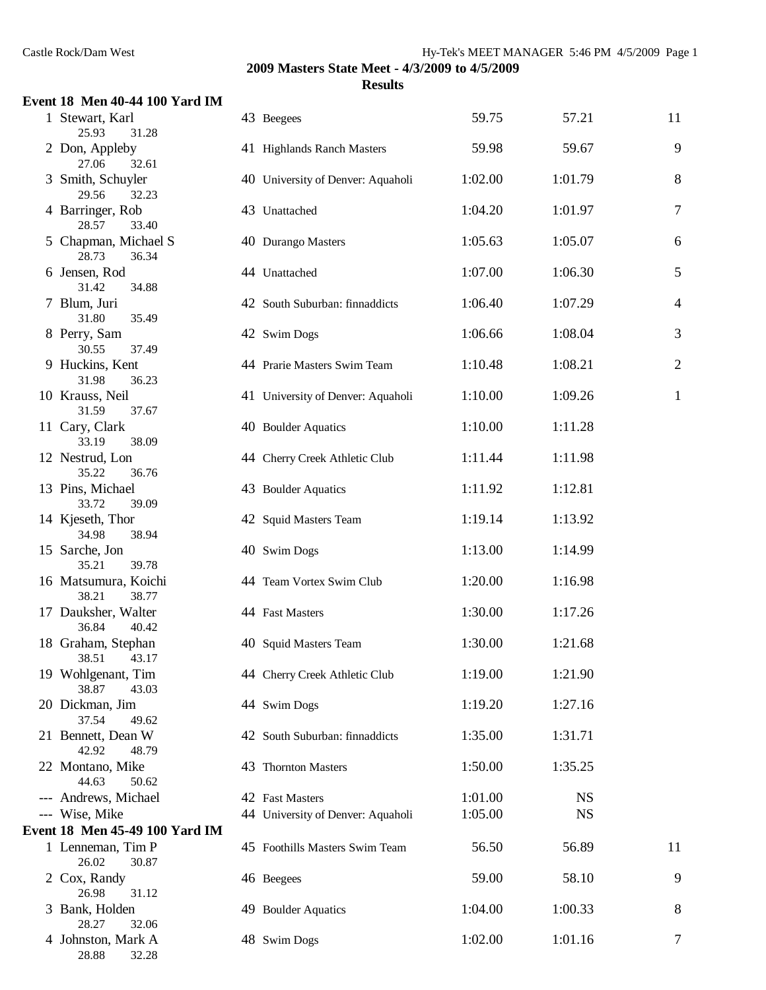## **Event 18 Men 40-44 100 Yard IM**

| 1 Stewart, Karl<br>25.93<br>31.28      | 43 Beegees                        | 59.75   | 57.21     | 11             |
|----------------------------------------|-----------------------------------|---------|-----------|----------------|
| 2 Don, Appleby<br>27.06<br>32.61       | 41 Highlands Ranch Masters        | 59.98   | 59.67     | 9              |
| 3 Smith, Schuyler<br>29.56<br>32.23    | 40 University of Denver: Aquaholi | 1:02.00 | 1:01.79   | 8              |
| 4 Barringer, Rob<br>28.57<br>33.40     | 43 Unattached                     | 1:04.20 | 1:01.97   | $\overline{7}$ |
| 5 Chapman, Michael S<br>28.73<br>36.34 | 40 Durango Masters                | 1:05.63 | 1:05.07   | 6              |
| 6 Jensen, Rod<br>31.42<br>34.88        | 44 Unattached                     | 1:07.00 | 1:06.30   | 5              |
| 7 Blum, Juri<br>35.49<br>31.80         | 42 South Suburban: finnaddicts    | 1:06.40 | 1:07.29   | 4              |
| 8 Perry, Sam<br>30.55<br>37.49         | 42 Swim Dogs                      | 1:06.66 | 1:08.04   | 3              |
| 9 Huckins, Kent<br>31.98<br>36.23      | 44 Prarie Masters Swim Team       | 1:10.48 | 1:08.21   | $\overline{c}$ |
| 10 Krauss, Neil<br>31.59<br>37.67      | 41 University of Denver: Aquaholi | 1:10.00 | 1:09.26   | $\mathbf{1}$   |
| 11 Cary, Clark<br>33.19<br>38.09       | 40 Boulder Aquatics               | 1:10.00 | 1:11.28   |                |
| 12 Nestrud, Lon<br>35.22<br>36.76      | 44 Cherry Creek Athletic Club     | 1:11.44 | 1:11.98   |                |
| 13 Pins, Michael<br>33.72<br>39.09     | 43 Boulder Aquatics               | 1:11.92 | 1:12.81   |                |
| 14 Kjeseth, Thor<br>34.98<br>38.94     | 42 Squid Masters Team             | 1:19.14 | 1:13.92   |                |
| 15 Sarche, Jon<br>35.21<br>39.78       | 40 Swim Dogs                      | 1:13.00 | 1:14.99   |                |
| 16 Matsumura, Koichi<br>38.21<br>38.77 | 44 Team Vortex Swim Club          | 1:20.00 | 1:16.98   |                |
| 17 Dauksher, Walter<br>36.84<br>40.42  | 44 Fast Masters                   | 1:30.00 | 1:17.26   |                |
| 18 Graham, Stephan<br>38.51<br>43.17   | 40 Squid Masters Team             | 1:30.00 | 1:21.68   |                |
| 19 Wohlgenant, Tim<br>38.87<br>43.03   | 44 Cherry Creek Athletic Club     | 1:19.00 | 1:21.90   |                |
| 20 Dickman, Jim<br>37.54<br>49.62      | 44 Swim Dogs                      | 1:19.20 | 1:27.16   |                |
| 21 Bennett, Dean W<br>42.92<br>48.79   | 42 South Suburban: finnaddicts    | 1:35.00 | 1:31.71   |                |
| 22 Montano, Mike<br>44.63<br>50.62     | 43 Thornton Masters               | 1:50.00 | 1:35.25   |                |
| --- Andrews, Michael                   | 42 Fast Masters                   | 1:01.00 | <b>NS</b> |                |
| --- Wise, Mike                         | 44 University of Denver: Aquaholi | 1:05.00 | <b>NS</b> |                |
| Event 18 Men 45-49 100 Yard IM         |                                   |         |           |                |
| 1 Lenneman, Tim P<br>26.02<br>30.87    | 45 Foothills Masters Swim Team    | 56.50   | 56.89     | 11             |
| 2 Cox, Randy<br>26.98<br>31.12         | 46 Beegees                        | 59.00   | 58.10     | 9              |
| 3 Bank, Holden<br>28.27<br>32.06       | 49 Boulder Aquatics               | 1:04.00 | 1:00.33   | 8              |
| 4 Johnston, Mark A<br>28.88<br>32.28   | 48 Swim Dogs                      | 1:02.00 | 1:01.16   | 7              |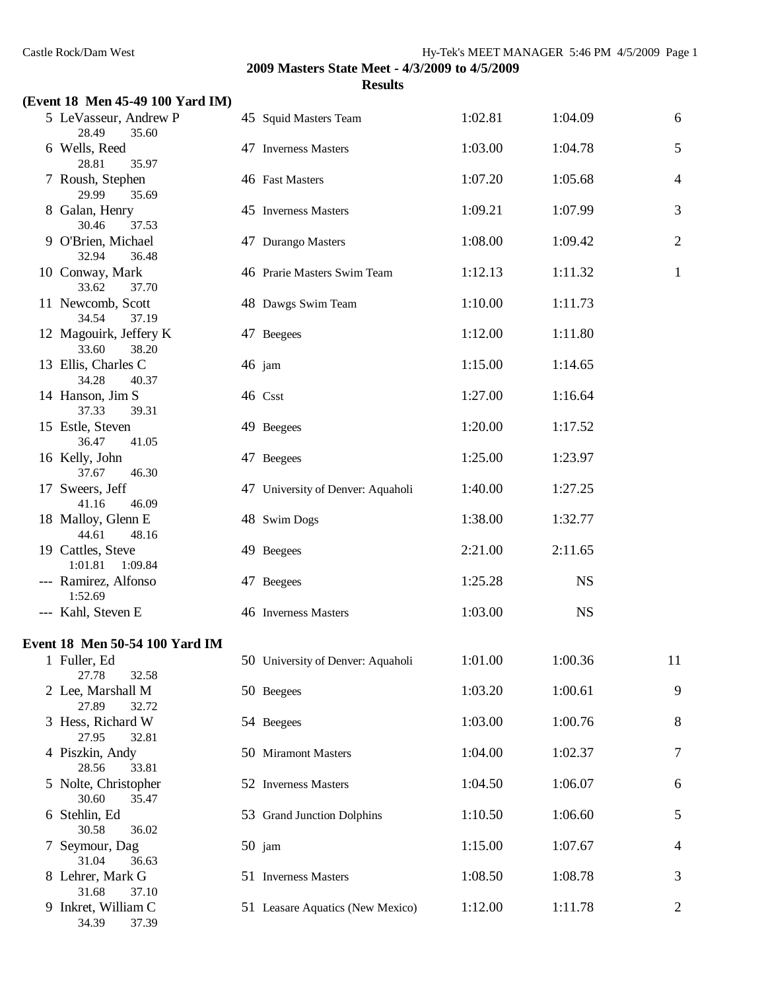34.39 37.39

|                                          | Results                           |         |           |                |
|------------------------------------------|-----------------------------------|---------|-----------|----------------|
| (Event 18 Men 45-49 100 Yard IM)         |                                   | 1:02.81 | 1:04.09   | 6              |
| 5 LeVasseur, Andrew P<br>35.60<br>28.49  | 45 Squid Masters Team             |         |           |                |
| 6 Wells, Reed<br>35.97<br>28.81          | 47 Inverness Masters              | 1:03.00 | 1:04.78   | 5              |
| 7 Roush, Stephen<br>29.99<br>35.69       | 46 Fast Masters                   | 1:07.20 | 1:05.68   | $\overline{4}$ |
| 8 Galan, Henry<br>30.46<br>37.53         | 45 Inverness Masters              | 1:09.21 | 1:07.99   | 3              |
| 9 O'Brien, Michael<br>32.94<br>36.48     | 47 Durango Masters                | 1:08.00 | 1:09.42   | $\mathbf{2}$   |
| 10 Conway, Mark<br>33.62<br>37.70        | 46 Prarie Masters Swim Team       | 1:12.13 | 1:11.32   | $\mathbf{1}$   |
| 11 Newcomb, Scott<br>34.54<br>37.19      | 48 Dawgs Swim Team                | 1:10.00 | 1:11.73   |                |
| 12 Magouirk, Jeffery K<br>33.60<br>38.20 | 47 Beegees                        | 1:12.00 | 1:11.80   |                |
| 13 Ellis, Charles C<br>34.28<br>40.37    | 46 jam                            | 1:15.00 | 1:14.65   |                |
| 14 Hanson, Jim S<br>37.33<br>39.31       | 46 Csst                           | 1:27.00 | 1:16.64   |                |
| 15 Estle, Steven<br>41.05<br>36.47       | 49 Beegees                        | 1:20.00 | 1:17.52   |                |
| 16 Kelly, John<br>37.67<br>46.30         | 47 Beegees                        | 1:25.00 | 1:23.97   |                |
| 17 Sweers, Jeff<br>41.16<br>46.09        | 47 University of Denver: Aquaholi | 1:40.00 | 1:27.25   |                |
| 18 Malloy, Glenn E<br>44.61<br>48.16     | 48 Swim Dogs                      | 1:38.00 | 1:32.77   |                |
| 19 Cattles, Steve<br>1:01.81<br>1:09.84  | 49 Beegees                        | 2:21.00 | 2:11.65   |                |
| --- Ramirez, Alfonso<br>1:52.69          | 47 Beegees                        | 1:25.28 | <b>NS</b> |                |
| --- Kahl, Steven E                       | 46 Inverness Masters              | 1:03.00 | <b>NS</b> |                |
| Event 18 Men 50-54 100 Yard IM           |                                   |         |           |                |
| 1 Fuller, Ed<br>27.78<br>32.58           | 50 University of Denver: Aquaholi | 1:01.00 | 1:00.36   | 11             |
| 2 Lee, Marshall M<br>27.89<br>32.72      | 50 Beegees                        | 1:03.20 | 1:00.61   | 9              |
| 3 Hess, Richard W<br>27.95<br>32.81      | 54 Beegees                        | 1:03.00 | 1:00.76   | $\,8\,$        |
| 4 Piszkin, Andy<br>28.56<br>33.81        | 50 Miramont Masters               | 1:04.00 | 1:02.37   | $\tau$         |
| 5 Nolte, Christopher<br>35.47<br>30.60   | 52 Inverness Masters              | 1:04.50 | 1:06.07   | 6              |
| 6 Stehlin, Ed<br>30.58<br>36.02          | 53 Grand Junction Dolphins        | 1:10.50 | 1:06.60   | $\mathfrak s$  |
| 7 Seymour, Dag<br>31.04<br>36.63         | $50$ jam                          | 1:15.00 | 1:07.67   | 4              |
| 8 Lehrer, Mark G<br>31.68<br>37.10       | 51 Inverness Masters              | 1:08.50 | 1:08.78   | 3              |
| 9 Inkret, William C                      | 51 Leasare Aquatics (New Mexico)  | 1:12.00 | 1:11.78   | 2              |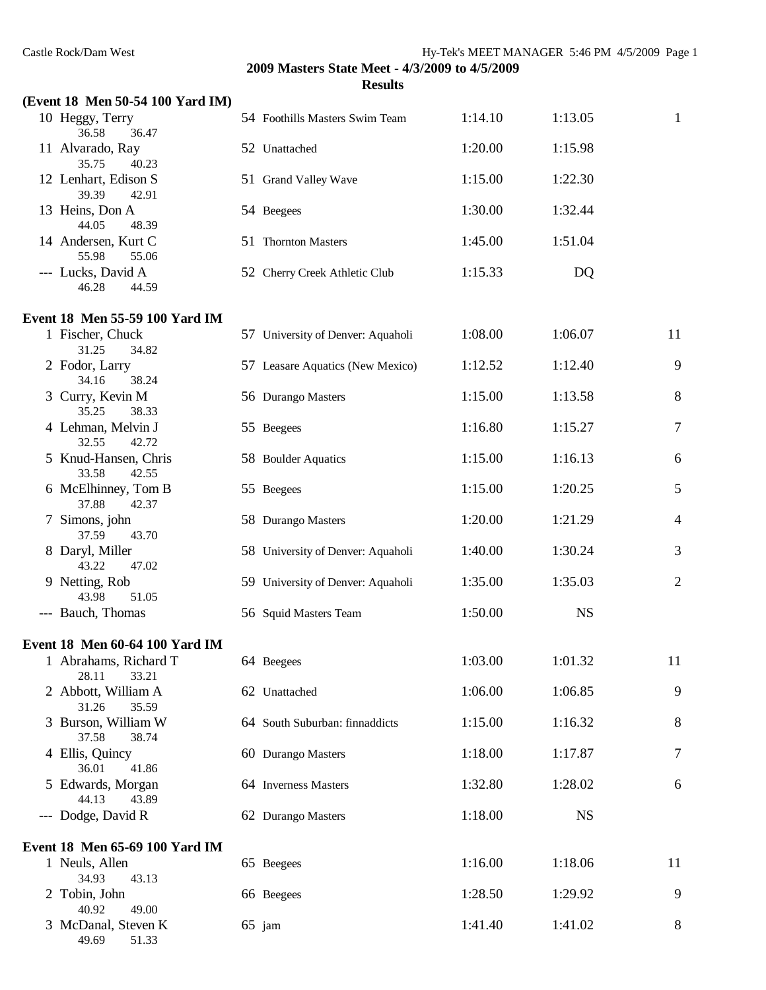34.93 43.13

49.69 51.33

49.00

# **2009 Masters State Meet - 4/3/2009 to 4/5/2009**

|                                         | <b>Results</b>                    |         |           |                |
|-----------------------------------------|-----------------------------------|---------|-----------|----------------|
| (Event 18 Men 50-54 100 Yard IM)        |                                   |         |           |                |
| 10 Heggy, Terry<br>36.58<br>36.47       | 54 Foothills Masters Swim Team    | 1:14.10 | 1:13.05   | 1              |
| 11 Alvarado, Ray<br>35.75<br>40.23      | 52 Unattached                     | 1:20.00 | 1:15.98   |                |
| 12 Lenhart, Edison S<br>39.39<br>42.91  | 51 Grand Valley Wave              | 1:15.00 | 1:22.30   |                |
| 13 Heins, Don A<br>44.05<br>48.39       | 54 Beegees                        | 1:30.00 | 1:32.44   |                |
| 14 Andersen, Kurt C<br>55.98<br>55.06   | 51 Thornton Masters               | 1:45.00 | 1:51.04   |                |
| --- Lucks, David A<br>46.28<br>44.59    | 52 Cherry Creek Athletic Club     | 1:15.33 | DQ        |                |
| Event 18 Men 55-59 100 Yard IM          |                                   |         |           |                |
| 1 Fischer, Chuck<br>31.25<br>34.82      | 57 University of Denver: Aquaholi | 1:08.00 | 1:06.07   | 11             |
| 2 Fodor, Larry<br>34.16<br>38.24        | 57 Leasare Aquatics (New Mexico)  | 1:12.52 | 1:12.40   | 9              |
| 3 Curry, Kevin M<br>35.25<br>38.33      | 56 Durango Masters                | 1:15.00 | 1:13.58   | 8              |
| 4 Lehman, Melvin J<br>32.55<br>42.72    | 55 Beegees                        | 1:16.80 | 1:15.27   | 7              |
| 5 Knud-Hansen, Chris<br>33.58<br>42.55  | 58 Boulder Aquatics               | 1:15.00 | 1:16.13   | 6              |
| 6 McElhinney, Tom B<br>37.88<br>42.37   | 55 Beegees                        | 1:15.00 | 1:20.25   | 5              |
| 7 Simons, john<br>37.59<br>43.70        | 58 Durango Masters                | 1:20.00 | 1:21.29   | 4              |
| 8 Daryl, Miller<br>43.22<br>47.02       | 58 University of Denver: Aquaholi | 1:40.00 | 1:30.24   | 3              |
| 9 Netting, Rob<br>43.98<br>51.05        | 59 University of Denver: Aquaholi | 1:35.00 | 1:35.03   | $\overline{2}$ |
| --- Bauch, Thomas                       | 56 Squid Masters Team             | 1:50.00 | <b>NS</b> |                |
| Event 18 Men 60-64 100 Yard IM          |                                   |         |           |                |
| 1 Abrahams, Richard T<br>28.11<br>33.21 | 64 Beegees                        | 1:03.00 | 1:01.32   | 11             |
| 2 Abbott, William A<br>31.26<br>35.59   | 62 Unattached                     | 1:06.00 | 1:06.85   | 9              |
| 3 Burson, William W<br>37.58<br>38.74   | 64 South Suburban: finnaddicts    | 1:15.00 | 1:16.32   | 8              |
| 4 Ellis, Quincy<br>36.01<br>41.86       | 60 Durango Masters                | 1:18.00 | 1:17.87   | 7              |
| 5 Edwards, Morgan<br>44.13<br>43.89     | 64 Inverness Masters              | 1:32.80 | 1:28.02   | 6              |
| --- Dodge, David R                      | 62 Durango Masters                | 1:18.00 | <b>NS</b> |                |
| Event 18 Men 65-69 100 Yard IM          |                                   |         |           |                |
| 1 Neuls, Allen                          | 65 Beegees                        | 1:16.00 | 1:18.06   | 11             |

2 Tobin, John 66 Beegees 1:28.50 1:29.92 9<br>40.92 49.00

3 McDanal, Steven K 65 jam 1:41.40 1:41.02 8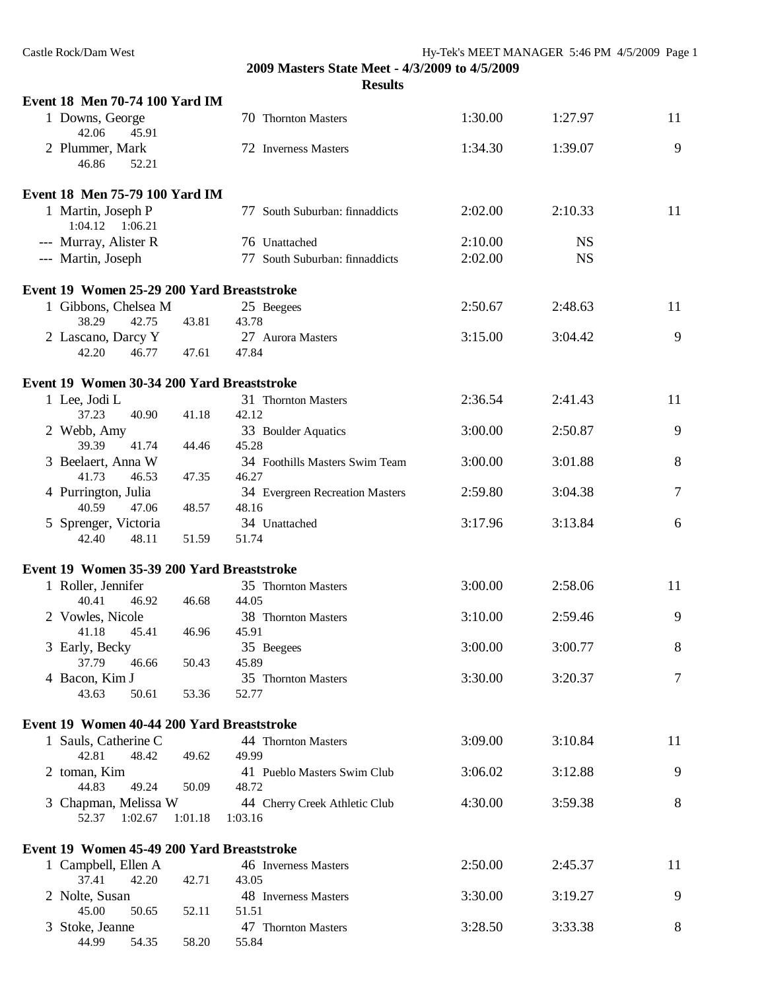| Event 18 Men 70-74 100 Yard IM             |                    |                                 |         |           |    |
|--------------------------------------------|--------------------|---------------------------------|---------|-----------|----|
| 1 Downs, George<br>42.06<br>45.91          |                    | 70 Thornton Masters             | 1:30.00 | 1:27.97   | 11 |
| 2 Plummer, Mark<br>46.86<br>52.21          |                    | 72 Inverness Masters            | 1:34.30 | 1:39.07   | 9  |
| Event 18 Men 75-79 100 Yard IM             |                    |                                 |         |           |    |
| 1 Martin, Joseph P<br>$1:04.12$ $1:06.21$  |                    | 77 South Suburban: finnaddicts  | 2:02.00 | 2:10.33   | 11 |
| --- Murray, Alister R                      |                    | 76 Unattached                   | 2:10.00 | <b>NS</b> |    |
| --- Martin, Joseph                         |                    | 77 South Suburban: finnaddicts  | 2:02.00 | <b>NS</b> |    |
| Event 19 Women 25-29 200 Yard Breaststroke |                    |                                 |         |           |    |
| 1 Gibbons, Chelsea M                       |                    | 25 Beegees                      | 2:50.67 | 2:48.63   | 11 |
| 38.29<br>42.75                             | 43.81<br>43.78     |                                 |         |           |    |
| 2 Lascano, Darcy Y<br>42.20<br>46.77       | 47.84<br>47.61     | 27 Aurora Masters               | 3:15.00 | 3:04.42   | 9  |
| Event 19 Women 30-34 200 Yard Breaststroke |                    |                                 |         |           |    |
| 1 Lee, Jodi L                              |                    | 31 Thornton Masters             | 2:36.54 | 2:41.43   | 11 |
| 37.23<br>40.90                             | 42.12<br>41.18     |                                 |         |           |    |
| 2 Webb, Amy<br>39.39<br>41.74              | 45.28<br>44.46     | 33 Boulder Aquatics             | 3:00.00 | 2:50.87   | 9  |
| 3 Beelaert, Anna W                         |                    | 34 Foothills Masters Swim Team  | 3:00.00 | 3:01.88   | 8  |
| 41.73<br>46.53                             | 47.35<br>46.27     |                                 |         |           |    |
| 4 Purrington, Julia<br>40.59<br>47.06      | 48.16              | 34 Evergreen Recreation Masters | 2:59.80 | 3:04.38   | 7  |
| 5 Sprenger, Victoria                       | 48.57              | 34 Unattached                   | 3:17.96 | 3:13.84   | 6  |
| 42.40<br>48.11                             | 51.59<br>51.74     |                                 |         |           |    |
| Event 19 Women 35-39 200 Yard Breaststroke |                    |                                 |         |           |    |
| 1 Roller, Jennifer                         |                    | 35 Thornton Masters             | 3:00.00 | 2:58.06   | 11 |
| 40.41<br>46.92                             | 46.68<br>44.05     |                                 |         |           |    |
| 2 Vowles, Nicole                           |                    | 38 Thornton Masters             | 3:10.00 | 2:59.46   | 9  |
| 41.18<br>45.41                             | 45.91<br>46.96     |                                 |         |           |    |
| 3 Early, Becky                             |                    | 35 Beegees                      | 3:00.00 | 3:00.77   | 8  |
| 37.79<br>46.66                             | 50.43<br>45.89     |                                 |         |           |    |
| 4 Bacon, Kim J<br>43.63<br>50.61           | 52.77<br>53.36     | 35 Thornton Masters             | 3:30.00 | 3:20.37   | 7  |
|                                            |                    |                                 |         |           |    |
| Event 19 Women 40-44 200 Yard Breaststroke |                    |                                 |         |           |    |
| 1 Sauls, Catherine C                       |                    | 44 Thornton Masters             | 3:09.00 | 3:10.84   | 11 |
| 42.81<br>48.42                             | 49.62<br>49.99     |                                 |         |           |    |
| 2 toman, Kim<br>44.83<br>49.24             | 50.09<br>48.72     | 41 Pueblo Masters Swim Club     | 3:06.02 | 3:12.88   | 9  |
| 3 Chapman, Melissa W                       |                    | 44 Cherry Creek Athletic Club   | 4:30.00 | 3:59.38   | 8  |
| 52.37<br>1:02.67                           | 1:01.18<br>1:03.16 |                                 |         |           |    |
| Event 19 Women 45-49 200 Yard Breaststroke |                    |                                 |         |           |    |
| 1 Campbell, Ellen A                        |                    | 46 Inverness Masters            | 2:50.00 | 2:45.37   | 11 |
| 37.41<br>42.20                             | 42.71<br>43.05     |                                 |         |           |    |
| 2 Nolte, Susan                             |                    | 48 Inverness Masters            | 3:30.00 | 3:19.27   | 9  |
| 45.00<br>50.65                             | 52.11<br>51.51     |                                 |         |           |    |
| 3 Stoke, Jeanne<br>44.99<br>54.35          | 58.20<br>55.84     | 47 Thornton Masters             | 3:28.50 | 3:33.38   | 8  |
|                                            |                    |                                 |         |           |    |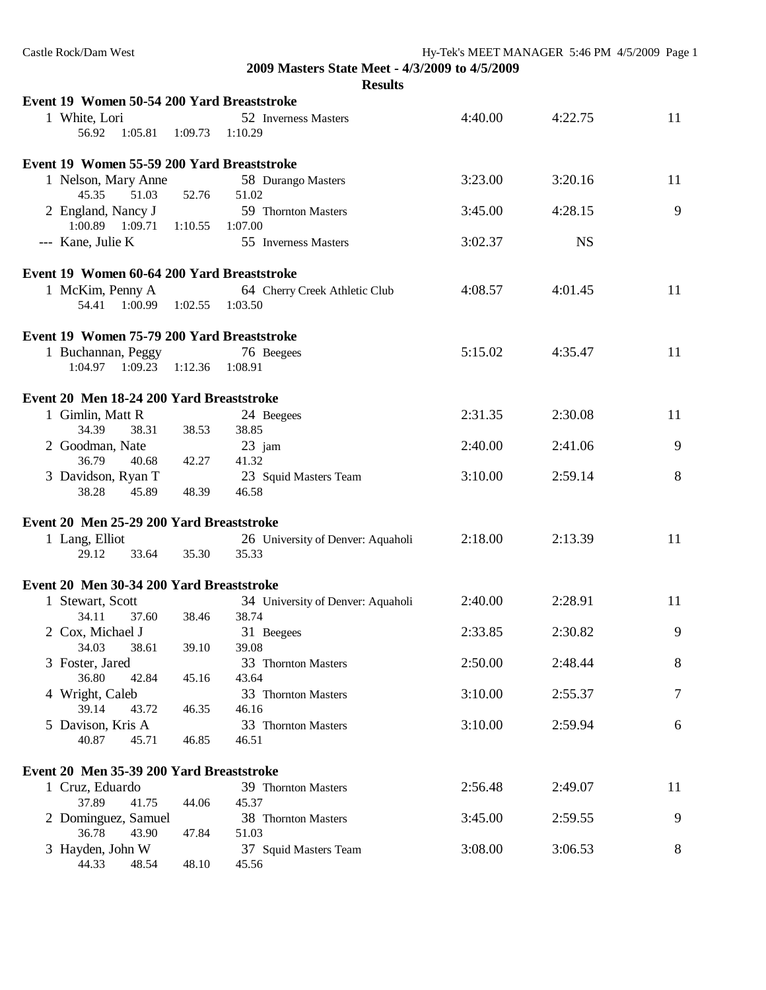| Castle Rock/Dam West                       |                                                |         | Hy-Tek's MEET MANAGER 5:46 PM 4/5/2009 Page 1 |    |  |  |  |
|--------------------------------------------|------------------------------------------------|---------|-----------------------------------------------|----|--|--|--|
|                                            | 2009 Masters State Meet - 4/3/2009 to 4/5/2009 |         |                                               |    |  |  |  |
| <b>Results</b>                             |                                                |         |                                               |    |  |  |  |
| Event 19 Women 50-54 200 Yard Breaststroke |                                                |         |                                               |    |  |  |  |
| 1 White, Lori                              | 52 Inverness Masters                           | 4:40.00 | 4:22.75                                       | 11 |  |  |  |
| 56.92<br>1:05.81<br>1:09.73                | 1:10.29                                        |         |                                               |    |  |  |  |
| Event 19 Women 55-59 200 Yard Breaststroke |                                                |         |                                               |    |  |  |  |
| 1 Nelson, Mary Anne                        | 58 Durango Masters                             | 3:23.00 | 3:20.16                                       | 11 |  |  |  |
| 45.35<br>51.03<br>52.76                    | 51.02                                          |         |                                               |    |  |  |  |
| 2 England, Nancy J                         | 59 Thornton Masters                            | 3:45.00 | 4:28.15                                       | 9  |  |  |  |
| $1:00.89$ $1:09.71$<br>1:10.55             | 1:07.00                                        |         |                                               |    |  |  |  |
| --- Kane, Julie K                          | 55 Inverness Masters                           | 3:02.37 | <b>NS</b>                                     |    |  |  |  |
| Event 19 Women 60-64 200 Yard Breaststroke |                                                |         |                                               |    |  |  |  |
| 1 McKim, Penny A                           | 64 Cherry Creek Athletic Club                  | 4:08.57 | 4:01.45                                       | 11 |  |  |  |
| 54.41 1:00.99 1:02.55 1:03.50              |                                                |         |                                               |    |  |  |  |
| Event 19 Women 75-79 200 Yard Breaststroke |                                                |         |                                               |    |  |  |  |
| 1 Buchannan, Peggy                         | 76 Beegees                                     | 5:15.02 | 4:35.47                                       | 11 |  |  |  |
| 1:09.23<br>1:04.97<br>1:12.36              | 1:08.91                                        |         |                                               |    |  |  |  |
| Event 20 Men 18-24 200 Yard Breaststroke   |                                                |         |                                               |    |  |  |  |
| 1 Gimlin, Matt R                           | 24 Beegees                                     | 2:31.35 | 2:30.08                                       | 11 |  |  |  |
| 38.53<br>34.39<br>38.31                    | 38.85                                          |         |                                               |    |  |  |  |
| 2 Goodman, Nate                            | $23$ jam                                       | 2:40.00 | 2:41.06                                       | 9  |  |  |  |
| 36.79<br>40.68<br>42.27                    | 41.32                                          |         |                                               |    |  |  |  |
| 3 Davidson, Ryan T                         | 23 Squid Masters Team                          | 3:10.00 | 2:59.14                                       | 8  |  |  |  |
| 38.28<br>45.89<br>48.39                    | 46.58                                          |         |                                               |    |  |  |  |
| Event 20 Men 25-29 200 Yard Breaststroke   |                                                |         |                                               |    |  |  |  |
| 1 Lang, Elliot                             | 26 University of Denver: Aquaholi              | 2:18.00 | 2:13.39                                       | 11 |  |  |  |
| 29.12<br>33.64<br>35.30                    | 35.33                                          |         |                                               |    |  |  |  |
|                                            |                                                |         |                                               |    |  |  |  |
| Event 20 Men 30-34 200 Yard Breaststroke   |                                                |         |                                               |    |  |  |  |
| 1 Stewart, Scott                           | 34 University of Denver: Aquaholi              | 2:40.00 | 2:28.91                                       | 11 |  |  |  |
| 34.11<br>37.60<br>38.46                    | 38.74                                          |         |                                               |    |  |  |  |
| 2 Cox, Michael J                           | 31 Beegees                                     | 2:33.85 | 2:30.82                                       | 9  |  |  |  |
| 34.03<br>38.61<br>39.10                    | 39.08                                          |         |                                               |    |  |  |  |
| 3 Foster, Jared                            | 33 Thornton Masters                            | 2:50.00 | 2:48.44                                       | 8  |  |  |  |
| 36.80<br>42.84<br>45.16                    | 43.64                                          |         |                                               |    |  |  |  |
| 4 Wright, Caleb                            | 33 Thornton Masters                            | 3:10.00 | 2:55.37                                       | 7  |  |  |  |
| 39.14<br>43.72<br>46.35                    | 46.16                                          |         |                                               |    |  |  |  |
| 5 Davison, Kris A                          | 33 Thornton Masters                            | 3:10.00 | 2:59.94                                       | 6  |  |  |  |
| 40.87<br>45.71<br>46.85                    | 46.51                                          |         |                                               |    |  |  |  |
| Event 20 Men 35-39 200 Yard Breaststroke   |                                                |         |                                               |    |  |  |  |
| 1 Cruz, Eduardo                            | 39 Thornton Masters                            | 2:56.48 | 2:49.07                                       | 11 |  |  |  |
| 37.89<br>41.75<br>44.06                    | 45.37                                          |         |                                               |    |  |  |  |
| 2 Dominguez, Samuel                        | 38 Thornton Masters                            | 3:45.00 | 2:59.55                                       | 9  |  |  |  |
| 36.78<br>43.90<br>47.84                    | 51.03                                          |         |                                               |    |  |  |  |
| 3 Hayden, John W                           | 37 Squid Masters Team                          | 3:08.00 | 3:06.53                                       | 8  |  |  |  |
| 44.33<br>48.54<br>48.10                    | 45.56                                          |         |                                               |    |  |  |  |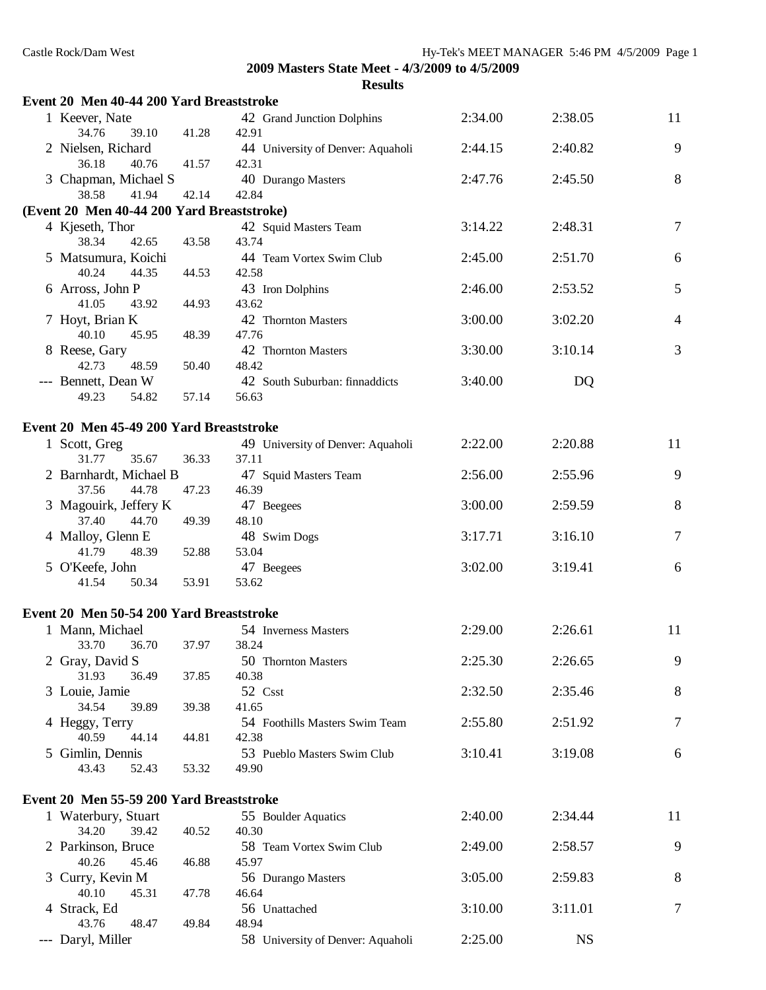| Event 20 Men 40-44 200 Yard Breaststroke   |       |                                         |         |           |        |
|--------------------------------------------|-------|-----------------------------------------|---------|-----------|--------|
| 1 Keever, Nate<br>34.76<br>39.10           | 41.28 | 42 Grand Junction Dolphins<br>42.91     | 2:34.00 | 2:38.05   | 11     |
| 2 Nielsen, Richard                         |       | 44 University of Denver: Aquaholi       | 2:44.15 | 2:40.82   | 9      |
| 36.18<br>40.76                             | 41.57 | 42.31                                   |         |           |        |
| 3 Chapman, Michael S                       |       | 40 Durango Masters                      | 2:47.76 | 2:45.50   | 8      |
| 38.58<br>41.94                             | 42.14 | 42.84                                   |         |           |        |
| (Event 20 Men 40-44 200 Yard Breaststroke) |       |                                         |         |           |        |
| 4 Kjeseth, Thor<br>38.34<br>42.65          | 43.58 | 42 Squid Masters Team<br>43.74          | 3:14.22 | 2:48.31   | $\tau$ |
| 5 Matsumura, Koichi                        |       | 44 Team Vortex Swim Club                | 2:45.00 | 2:51.70   | 6      |
| 40.24<br>44.35                             | 44.53 | 42.58                                   |         |           |        |
| 6 Arross, John P                           |       | 43 Iron Dolphins                        | 2:46.00 | 2:53.52   | 5      |
| 41.05<br>43.92                             | 44.93 | 43.62                                   |         |           |        |
| 7 Hoyt, Brian K                            |       | 42 Thornton Masters                     | 3:00.00 | 3:02.20   | 4      |
| 40.10<br>45.95                             | 48.39 | 47.76                                   |         |           |        |
| 8 Reese, Gary<br>48.59<br>42.73            | 50.40 | 42 Thornton Masters<br>48.42            | 3:30.00 | 3:10.14   | 3      |
| --- Bennett, Dean W                        |       | 42 South Suburban: finnaddicts          | 3:40.00 | DQ        |        |
| 49.23<br>54.82                             | 57.14 | 56.63                                   |         |           |        |
|                                            |       |                                         |         |           |        |
| Event 20 Men 45-49 200 Yard Breaststroke   |       |                                         |         |           |        |
| 1 Scott, Greg                              |       | 49 University of Denver: Aquaholi       | 2:22.00 | 2:20.88   | 11     |
| 31.77<br>35.67                             | 36.33 | 37.11                                   |         |           |        |
| 2 Barnhardt, Michael B                     |       | 47 Squid Masters Team                   | 2:56.00 | 2:55.96   | 9      |
| 37.56<br>44.78<br>3 Magouirk, Jeffery K    | 47.23 | 46.39<br>47 Beegees                     | 3:00.00 | 2:59.59   | 8      |
| 37.40<br>44.70                             | 49.39 | 48.10                                   |         |           |        |
| 4 Malloy, Glenn E                          |       | 48 Swim Dogs                            | 3:17.71 | 3:16.10   | 7      |
| 41.79<br>48.39                             | 52.88 | 53.04                                   |         |           |        |
| 5 O'Keefe, John                            |       | 47 Beegees                              | 3:02.00 | 3:19.41   | 6      |
| 41.54<br>50.34                             | 53.91 | 53.62                                   |         |           |        |
| Event 20 Men 50-54 200 Yard Breaststroke   |       |                                         |         |           |        |
| 1 Mann, Michael                            |       | 54 Inverness Masters                    | 2:29.00 | 2:26.61   | 11     |
| 33.70<br>36.70                             | 37.97 | 38.24                                   |         |           |        |
| 2 Gray, David S                            |       | 50 Thornton Masters                     | 2:25.30 | 2:26.65   | 9      |
| 31.93<br>36.49                             | 37.85 | 40.38                                   |         |           |        |
| 3 Louie, Jamie                             |       | 52 Csst                                 | 2:32.50 | 2:35.46   | 8      |
| 34.54<br>39.89                             | 39.38 | 41.65                                   |         |           |        |
| 4 Heggy, Terry<br>40.59<br>44.14           | 44.81 | 54 Foothills Masters Swim Team<br>42.38 | 2:55.80 | 2:51.92   | 7      |
| 5 Gimlin, Dennis                           |       | 53 Pueblo Masters Swim Club             | 3:10.41 | 3:19.08   | 6      |
| 43.43<br>52.43                             | 53.32 | 49.90                                   |         |           |        |
|                                            |       |                                         |         |           |        |
| Event 20 Men 55-59 200 Yard Breaststroke   |       |                                         |         |           |        |
| 1 Waterbury, Stuart                        |       | 55 Boulder Aquatics                     | 2:40.00 | 2:34.44   | 11     |
| 34.20<br>39.42                             | 40.52 | 40.30                                   |         |           |        |
| 2 Parkinson, Bruce<br>40.26<br>45.46       | 46.88 | 58 Team Vortex Swim Club<br>45.97       | 2:49.00 | 2:58.57   | 9      |
| 3 Curry, Kevin M                           |       | 56 Durango Masters                      | 3:05.00 | 2:59.83   | 8      |
| 40.10<br>45.31                             | 47.78 | 46.64                                   |         |           |        |
| 4 Strack, Ed                               |       | 56 Unattached                           | 3:10.00 | 3:11.01   | $\tau$ |
| 43.76<br>48.47                             | 49.84 | 48.94                                   |         |           |        |
| --- Daryl, Miller                          |       | 58 University of Denver: Aquaholi       | 2:25.00 | <b>NS</b> |        |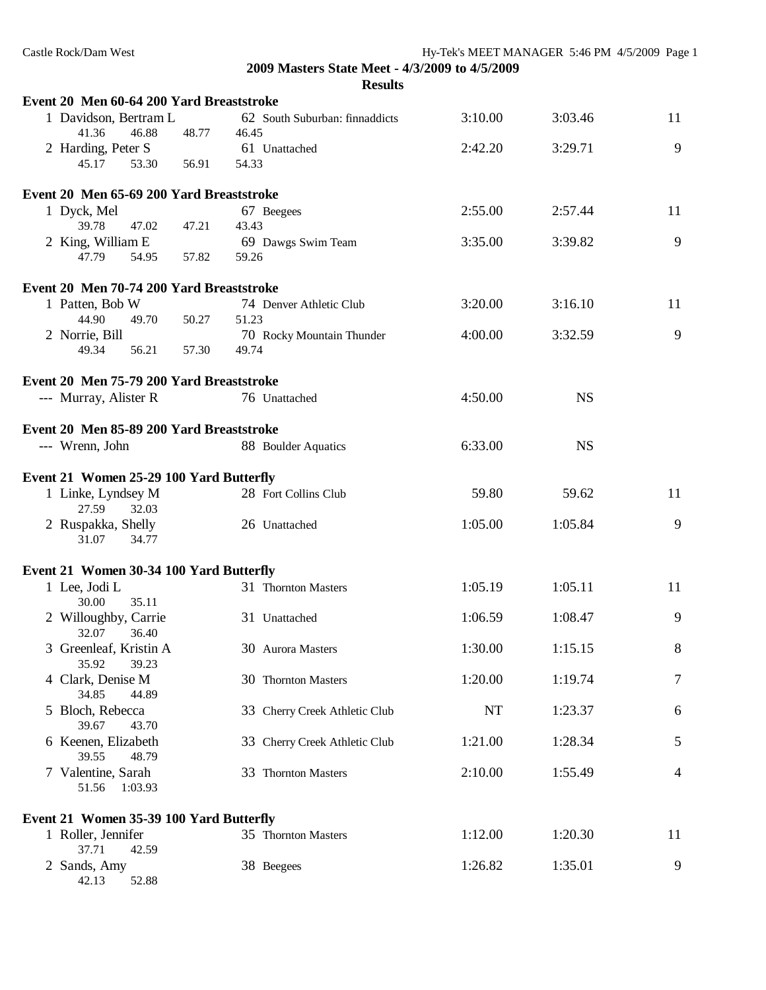| Event 20 Men 60-64 200 Yard Breaststroke                               |       |       | лсэшь                          |         |           |                |
|------------------------------------------------------------------------|-------|-------|--------------------------------|---------|-----------|----------------|
| 1 Davidson, Bertram L<br>41.36<br>46.88                                | 48.77 | 46.45 | 62 South Suburban: finnaddicts | 3:10.00 | 3:03.46   | 11             |
| 2 Harding, Peter S<br>45.17<br>53.30                                   | 56.91 | 54.33 | 61 Unattached                  | 2:42.20 | 3:29.71   | 9              |
| Event 20 Men 65-69 200 Yard Breaststroke                               |       |       |                                |         |           |                |
| 1 Dyck, Mel                                                            |       |       | 67 Beegees                     | 2:55.00 | 2:57.44   | 11             |
| 39.78<br>47.02                                                         | 47.21 | 43.43 |                                |         |           |                |
| 2 King, William E                                                      |       |       | 69 Dawgs Swim Team             | 3:35.00 | 3:39.82   | 9              |
| 47.79<br>54.95                                                         | 57.82 | 59.26 |                                |         |           |                |
| Event 20 Men 70-74 200 Yard Breaststroke                               |       |       |                                |         |           |                |
| 1 Patten, Bob W                                                        |       |       | 74 Denver Athletic Club        | 3:20.00 | 3:16.10   | 11             |
| 44.90<br>49.70                                                         | 50.27 | 51.23 |                                |         |           |                |
| 2 Norrie, Bill                                                         |       |       | 70 Rocky Mountain Thunder      | 4:00.00 | 3:32.59   | 9              |
| 49.34<br>56.21                                                         | 57.30 | 49.74 |                                |         |           |                |
| Event 20 Men 75-79 200 Yard Breaststroke                               |       |       |                                |         |           |                |
| --- Murray, Alister R                                                  |       |       | 76 Unattached                  | 4:50.00 | <b>NS</b> |                |
| Event 20 Men 85-89 200 Yard Breaststroke                               |       |       |                                |         |           |                |
| --- Wrenn, John                                                        |       |       | 88 Boulder Aquatics            | 6:33.00 | <b>NS</b> |                |
|                                                                        |       |       |                                |         |           |                |
| Event 21 Women 25-29 100 Yard Butterfly                                |       |       |                                |         |           |                |
| 1 Linke, Lyndsey M<br>27.59<br>32.03                                   |       |       | 28 Fort Collins Club           | 59.80   | 59.62     | 11             |
| 2 Ruspakka, Shelly<br>31.07<br>34.77                                   |       |       | 26 Unattached                  | 1:05.00 | 1:05.84   | 9              |
| Event 21 Women 30-34 100 Yard Butterfly                                |       |       |                                |         |           |                |
| 1 Lee, Jodi L<br>30.00<br>35.11                                        |       |       | 31 Thornton Masters            | 1:05.19 | 1:05.11   | 11             |
| 2 Willoughby, Carrie<br>32.07<br>36.40                                 |       |       | 31 Unattached                  | 1:06.59 | 1:08.47   | 9              |
| 3 Greenleaf, Kristin A<br>35.92<br>39.23                               |       |       | 30 Aurora Masters              | 1:30.00 | 1:15.15   | $8\,$          |
| 4 Clark, Denise M<br>34.85<br>44.89                                    |       |       | 30 Thornton Masters            | 1:20.00 | 1:19.74   | $\tau$         |
| 5 Bloch, Rebecca<br>39.67<br>43.70                                     |       |       | 33 Cherry Creek Athletic Club  | NT      | 1:23.37   | 6              |
| 6 Keenen, Elizabeth<br>39.55<br>48.79                                  |       |       | 33 Cherry Creek Athletic Club  | 1:21.00 | 1:28.34   | 5              |
| 7 Valentine, Sarah<br>51.56<br>1:03.93                                 |       |       | 33 Thornton Masters            | 2:10.00 | 1:55.49   | $\overline{4}$ |
|                                                                        |       |       |                                |         |           |                |
| Event 21 Women 35-39 100 Yard Butterfly<br>1 Roller, Jennifer<br>37.71 |       |       | 35 Thornton Masters            | 1:12.00 | 1:20.30   | 11             |
| 42.59<br>2 Sands, Amy<br>42.13<br>52.88                                |       |       | 38 Beegees                     | 1:26.82 | 1:35.01   | 9              |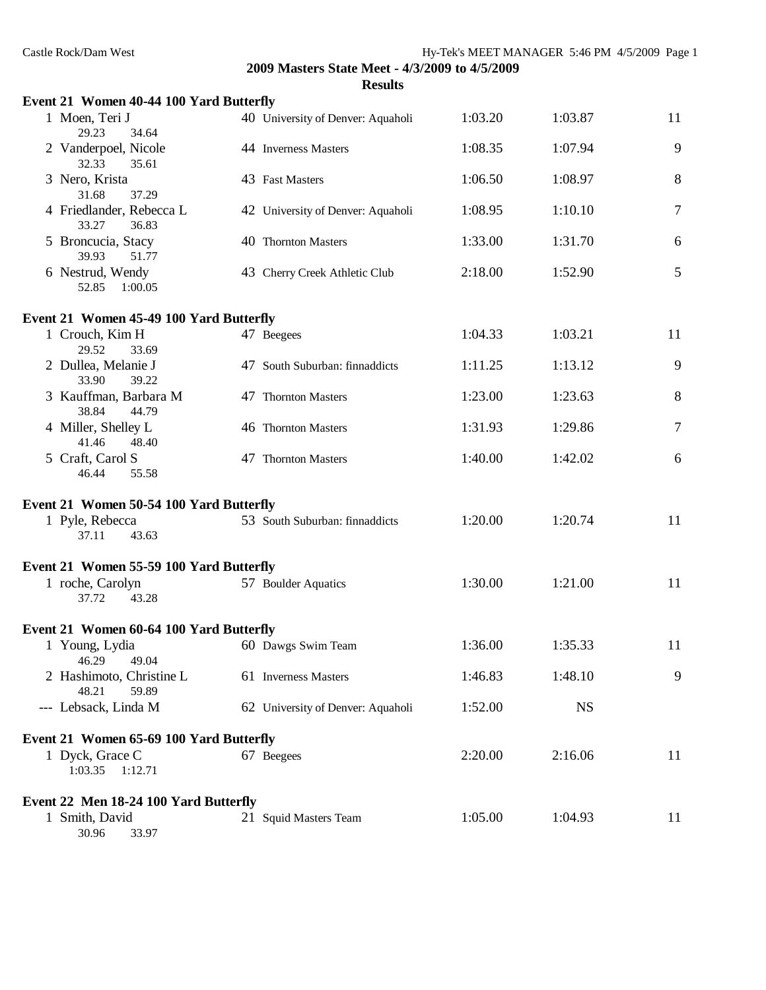| Castle Rock/Dam West<br>Hy-Tek's MEET MANAGER 5:46 PM 4/5/2009 Page 1 |                                                                  |         |           |        |  |  |
|-----------------------------------------------------------------------|------------------------------------------------------------------|---------|-----------|--------|--|--|
|                                                                       | 2009 Masters State Meet - 4/3/2009 to 4/5/2009<br><b>Results</b> |         |           |        |  |  |
| Event 21 Women 40-44 100 Yard Butterfly                               |                                                                  |         |           |        |  |  |
| 1 Moen, Teri J<br>34.64<br>29.23                                      | 40 University of Denver: Aquaholi                                | 1:03.20 | 1:03.87   | 11     |  |  |
| 2 Vanderpoel, Nicole<br>35.61<br>32.33                                | 44 Inverness Masters                                             | 1:08.35 | 1:07.94   | 9      |  |  |
| 3 Nero, Krista<br>31.68<br>37.29                                      | 43 Fast Masters                                                  | 1:06.50 | 1:08.97   | 8      |  |  |
| 4 Friedlander, Rebecca L<br>33.27<br>36.83                            | 42 University of Denver: Aquaholi                                | 1:08.95 | 1:10.10   | 7      |  |  |
| 5 Broncucia, Stacy<br>39.93<br>51.77                                  | 40 Thornton Masters                                              | 1:33.00 | 1:31.70   | 6      |  |  |
| 6 Nestrud, Wendy<br>52.85<br>1:00.05                                  | 43 Cherry Creek Athletic Club                                    | 2:18.00 | 1:52.90   | 5      |  |  |
| Event 21 Women 45-49 100 Yard Butterfly                               |                                                                  |         |           |        |  |  |
| 1 Crouch, Kim H<br>29.52<br>33.69                                     | 47 Beegees                                                       | 1:04.33 | 1:03.21   | 11     |  |  |
| 2 Dullea, Melanie J<br>33.90<br>39.22                                 | 47 South Suburban: finnaddicts                                   | 1:11.25 | 1:13.12   | 9      |  |  |
| 3 Kauffman, Barbara M<br>38.84<br>44.79                               | 47 Thornton Masters                                              | 1:23.00 | 1:23.63   | 8      |  |  |
| 4 Miller, Shelley L<br>41.46<br>48.40                                 | 46 Thornton Masters                                              | 1:31.93 | 1:29.86   | $\tau$ |  |  |
| 5 Craft, Carol S<br>46.44<br>55.58                                    | 47 Thornton Masters                                              | 1:40.00 | 1:42.02   | 6      |  |  |
| Event 21 Women 50-54 100 Yard Butterfly                               |                                                                  |         |           |        |  |  |
| 1 Pyle, Rebecca<br>37.11<br>43.63                                     | 53 South Suburban: finnaddicts                                   | 1:20.00 | 1:20.74   | 11     |  |  |
| Event 21 Women 55-59 100 Yard Butterfly                               |                                                                  |         |           |        |  |  |
| 1 roche, Carolyn<br>37.72 43.28                                       | 57 Boulder Aquatics                                              | 1:30.00 | 1:21.00   | 11     |  |  |
| Event 21 Women 60-64 100 Yard Butterfly                               |                                                                  |         |           |        |  |  |
| 1 Young, Lydia<br>46.29<br>49.04                                      | 60 Dawgs Swim Team                                               | 1:36.00 | 1:35.33   | 11     |  |  |
| 2 Hashimoto, Christine L<br>48.21<br>59.89                            | 61 Inverness Masters                                             | 1:46.83 | 1:48.10   | 9      |  |  |
| --- Lebsack, Linda M                                                  | 62 University of Denver: Aquaholi                                | 1:52.00 | <b>NS</b> |        |  |  |
| Event 21 Women 65-69 100 Yard Butterfly                               |                                                                  |         |           |        |  |  |
| 1 Dyck, Grace C<br>$1:03.35$ $1:12.71$                                | 67 Beegees                                                       | 2:20.00 | 2:16.06   | 11     |  |  |
| Event 22 Men 18-24 100 Yard Butterfly                                 |                                                                  |         |           |        |  |  |
| 1 Smith, David<br>33.97<br>30.96                                      | 21 Squid Masters Team                                            | 1:05.00 | 1:04.93   | 11     |  |  |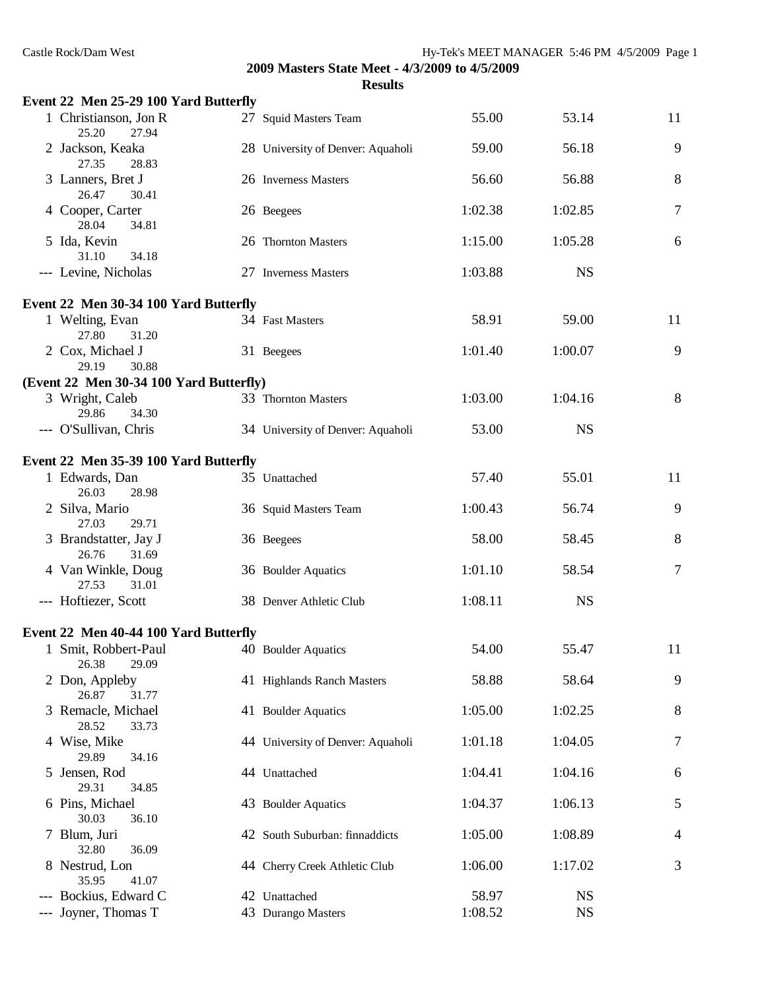| Event 22 Men 25-29 100 Yard Butterfly   |                                   |         |           |                |
|-----------------------------------------|-----------------------------------|---------|-----------|----------------|
| 1 Christianson, Jon R<br>25.20<br>27.94 | 27 Squid Masters Team             | 55.00   | 53.14     | 11             |
| 2 Jackson, Keaka<br>27.35<br>28.83      | 28 University of Denver: Aquaholi | 59.00   | 56.18     | 9              |
| 3 Lanners, Bret J<br>26.47<br>30.41     | 26 Inverness Masters              | 56.60   | 56.88     | 8              |
| 4 Cooper, Carter<br>28.04<br>34.81      | 26 Beegees                        | 1:02.38 | 1:02.85   | $\tau$         |
| 5 Ida, Kevin<br>31.10<br>34.18          | 26 Thornton Masters               | 1:15.00 | 1:05.28   | 6              |
| --- Levine, Nicholas                    | 27 Inverness Masters              | 1:03.88 | <b>NS</b> |                |
| Event 22 Men 30-34 100 Yard Butterfly   |                                   |         |           |                |
| 1 Welting, Evan<br>27.80<br>31.20       | 34 Fast Masters                   | 58.91   | 59.00     | 11             |
| 2 Cox, Michael J<br>29.19<br>30.88      | 31 Beegees                        | 1:01.40 | 1:00.07   | 9              |
| (Event 22 Men 30-34 100 Yard Butterfly) |                                   |         |           |                |
| 3 Wright, Caleb<br>29.86<br>34.30       | 33 Thornton Masters               | 1:03.00 | 1:04.16   | 8              |
| --- O'Sullivan, Chris                   | 34 University of Denver: Aquaholi | 53.00   | <b>NS</b> |                |
| Event 22 Men 35-39 100 Yard Butterfly   |                                   |         |           |                |
| 1 Edwards, Dan<br>26.03<br>28.98        | 35 Unattached                     | 57.40   | 55.01     | 11             |
| 2 Silva, Mario<br>27.03<br>29.71        | 36 Squid Masters Team             | 1:00.43 | 56.74     | 9              |
| 3 Brandstatter, Jay J<br>26.76<br>31.69 | 36 Beegees                        | 58.00   | 58.45     | 8              |
| 4 Van Winkle, Doug<br>27.53<br>31.01    | 36 Boulder Aquatics               | 1:01.10 | 58.54     | $\tau$         |
| --- Hoftiezer, Scott                    | 38 Denver Athletic Club           | 1:08.11 | <b>NS</b> |                |
| Event 22 Men 40-44 100 Yard Butterfly   |                                   |         |           |                |
| 1 Smit, Robbert-Paul<br>26.38<br>29.09  | 40 Boulder Aquatics               | 54.00   | 55.47     | 11             |
| 2 Don, Appleby<br>26.87<br>31.77        | 41 Highlands Ranch Masters        | 58.88   | 58.64     | 9              |
| 3 Remacle, Michael<br>28.52<br>33.73    | 41 Boulder Aquatics               | 1:05.00 | 1:02.25   | 8              |
| 4 Wise, Mike<br>29.89<br>34.16          | 44 University of Denver: Aquaholi | 1:01.18 | 1:04.05   | $\tau$         |
| 5 Jensen, Rod<br>29.31<br>34.85         | 44 Unattached                     | 1:04.41 | 1:04.16   | 6              |
| 6 Pins, Michael<br>30.03<br>36.10       | 43 Boulder Aquatics               | 1:04.37 | 1:06.13   | 5              |
| 7 Blum, Juri<br>32.80<br>36.09          | 42 South Suburban: finnaddicts    | 1:05.00 | 1:08.89   | $\overline{4}$ |
| 8 Nestrud, Lon<br>35.95<br>41.07        | 44 Cherry Creek Athletic Club     | 1:06.00 | 1:17.02   | 3              |
| --- Bockius, Edward C                   | 42 Unattached                     | 58.97   | <b>NS</b> |                |
| Joyner, Thomas T                        | 43 Durango Masters                | 1:08.52 | <b>NS</b> |                |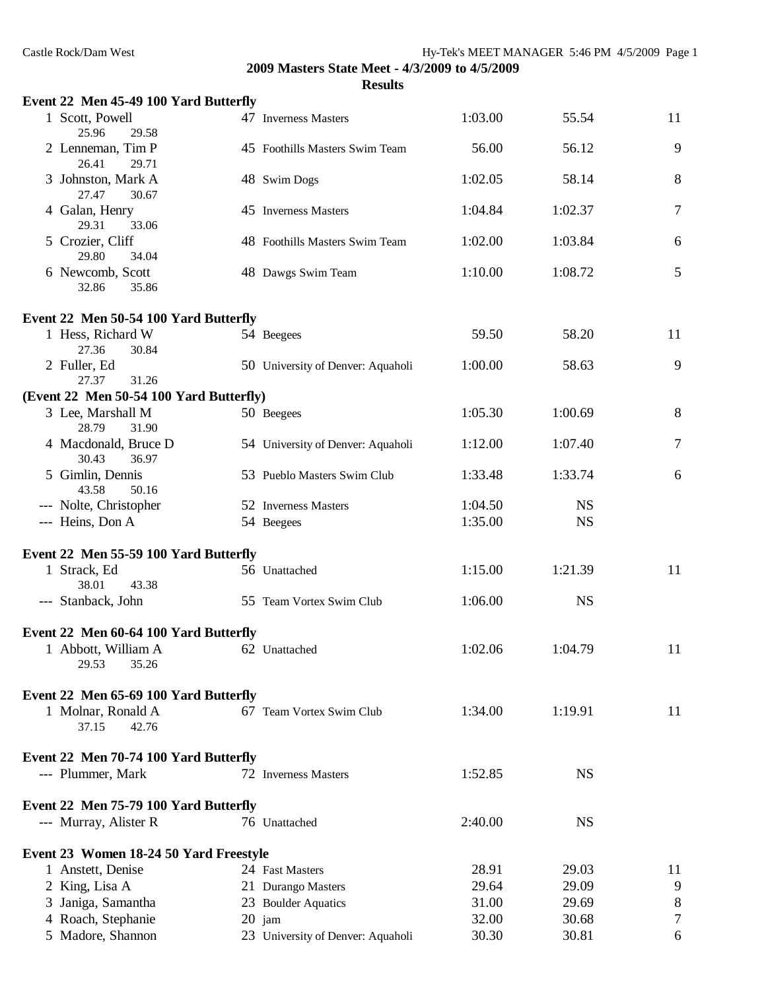|                            | Event 22 Men 45-49 100 Yard Butterfly   |                                   |         |           |        |
|----------------------------|-----------------------------------------|-----------------------------------|---------|-----------|--------|
| 1 Scott, Powell<br>25.96   | 29.58                                   | 47 Inverness Masters              | 1:03.00 | 55.54     | 11     |
| 26.41                      | 2 Lenneman, Tim P<br>29.71              | 45 Foothills Masters Swim Team    | 56.00   | 56.12     | 9      |
| 27.47                      | 3 Johnston, Mark A<br>30.67             | 48 Swim Dogs                      | 1:02.05 | 58.14     | 8      |
| 4 Galan, Henry<br>29.31    | 33.06                                   | 45 Inverness Masters              | 1:04.84 | 1:02.37   | 7      |
| 5 Crozier, Cliff<br>29.80  | 34.04                                   | 48 Foothills Masters Swim Team    | 1:02.00 | 1:03.84   | 6      |
| 6 Newcomb, Scott<br>32.86  | 35.86                                   | 48 Dawgs Swim Team                | 1:10.00 | 1:08.72   | 5      |
|                            | Event 22 Men 50-54 100 Yard Butterfly   |                                   |         |           |        |
| 27.36                      | 1 Hess, Richard W<br>30.84              | 54 Beegees                        | 59.50   | 58.20     | 11     |
| 2 Fuller, Ed<br>27.37      | 31.26                                   | 50 University of Denver: Aquaholi | 1:00.00 | 58.63     | 9      |
|                            | (Event 22 Men 50-54 100 Yard Butterfly) |                                   |         |           |        |
| 3 Lee, Marshall M<br>28.79 | 31.90                                   | 50 Beegees                        | 1:05.30 | 1:00.69   | 8      |
| 30.43                      | 4 Macdonald, Bruce D<br>36.97           | 54 University of Denver: Aquaholi | 1:12.00 | 1:07.40   | $\tau$ |
| 5 Gimlin, Dennis<br>43.58  | 50.16                                   | 53 Pueblo Masters Swim Club       | 1:33.48 | 1:33.74   | 6      |
|                            | --- Nolte, Christopher                  | 52 Inverness Masters              | 1:04.50 | <b>NS</b> |        |
| --- Heins, Don A           |                                         | 54 Beegees                        | 1:35.00 | <b>NS</b> |        |
|                            |                                         |                                   |         |           |        |
|                            | Event 22 Men 55-59 100 Yard Butterfly   |                                   |         |           |        |
| 1 Strack, Ed<br>38.01      | 43.38                                   | 56 Unattached                     | 1:15.00 | 1:21.39   | 11     |
| --- Stanback, John         |                                         | 55 Team Vortex Swim Club          | 1:06.00 | <b>NS</b> |        |
|                            | Event 22 Men 60-64 100 Yard Butterfly   |                                   |         |           |        |
|                            | 1 Abbott, William A                     | 62 Unattached                     | 1:02.06 | 1:04.79   | 11     |
| 29.53                      | 35.26                                   |                                   |         |           |        |
|                            | Event 22 Men 65-69 100 Yard Butterfly   |                                   |         |           |        |
| 37.15                      | 1 Molnar, Ronald A<br>42.76             | 67 Team Vortex Swim Club          | 1:34.00 | 1:19.91   | 11     |
|                            | Event 22 Men 70-74 100 Yard Butterfly   |                                   |         |           |        |
| --- Plummer, Mark          |                                         | 72 Inverness Masters              | 1:52.85 | <b>NS</b> |        |
|                            | Event 22 Men 75-79 100 Yard Butterfly   |                                   |         |           |        |
| --- Murray, Alister R      |                                         | 76 Unattached                     | 2:40.00 | <b>NS</b> |        |
|                            | Event 23 Women 18-24 50 Yard Freestyle  |                                   |         |           |        |
| 1 Anstett, Denise          |                                         | 24 Fast Masters                   | 28.91   | 29.03     | 11     |
| 2 King, Lisa A             |                                         | 21 Durango Masters                | 29.64   | 29.09     | 9      |
|                            | 3 Janiga, Samantha                      | 23 Boulder Aquatics               | 31.00   | 29.69     | 8      |
|                            | 4 Roach, Stephanie                      | 20 jam                            | 32.00   | 30.68     | 7      |
|                            | 5 Madore, Shannon                       | 23 University of Denver: Aquaholi | 30.30   | 30.81     | 6      |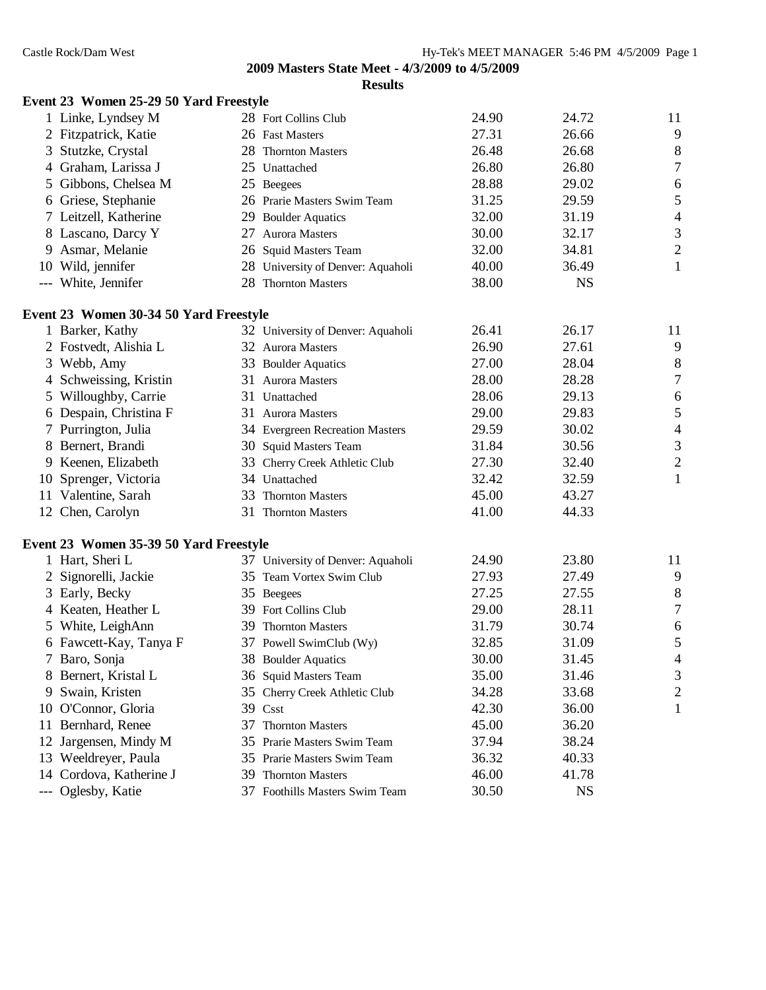|     | Event 23 Women 25-29 50 Yard Freestyle |     |                                   |       |           |                          |
|-----|----------------------------------------|-----|-----------------------------------|-------|-----------|--------------------------|
|     | 1 Linke, Lyndsey M                     |     | 28 Fort Collins Club              | 24.90 | 24.72     | 11                       |
|     | 2 Fitzpatrick, Katie                   |     | 26 Fast Masters                   | 27.31 | 26.66     | 9                        |
|     | 3 Stutzke, Crystal                     |     | 28 Thornton Masters               | 26.48 | 26.68     | 8                        |
|     | 4 Graham, Larissa J                    |     | 25 Unattached                     | 26.80 | 26.80     | $\boldsymbol{7}$         |
|     | 5 Gibbons, Chelsea M                   |     | 25 Beegees                        | 28.88 | 29.02     | 6                        |
|     | 6 Griese, Stephanie                    |     | 26 Prarie Masters Swim Team       | 31.25 | 29.59     | 5                        |
|     | 7 Leitzell, Katherine                  |     | 29 Boulder Aquatics               | 32.00 | 31.19     | $\overline{\mathcal{A}}$ |
|     | 8 Lascano, Darcy Y                     |     | 27 Aurora Masters                 | 30.00 | 32.17     | $\mathfrak{Z}$           |
|     | 9 Asmar, Melanie                       |     | 26 Squid Masters Team             | 32.00 | 34.81     | $\boldsymbol{2}$         |
|     | 10 Wild, jennifer                      |     | 28 University of Denver: Aquaholi | 40.00 | 36.49     | $\mathbf{1}$             |
|     | --- White, Jennifer                    |     | 28 Thornton Masters               | 38.00 | <b>NS</b> |                          |
|     | Event 23 Women 30-34 50 Yard Freestyle |     |                                   |       |           |                          |
|     | 1 Barker, Kathy                        |     | 32 University of Denver: Aquaholi | 26.41 | 26.17     | 11                       |
|     | 2 Fostvedt, Alishia L                  |     | 32 Aurora Masters                 | 26.90 | 27.61     | 9                        |
|     | 3 Webb, Amy                            |     | 33 Boulder Aquatics               | 27.00 | 28.04     | $\,8\,$                  |
|     | 4 Schweissing, Kristin                 |     | 31 Aurora Masters                 | 28.00 | 28.28     | $\boldsymbol{7}$         |
|     | 5 Willoughby, Carrie                   |     | 31 Unattached                     | 28.06 | 29.13     | 6                        |
|     | 6 Despain, Christina F                 |     | 31 Aurora Masters                 | 29.00 | 29.83     | 5                        |
|     | 7 Purrington, Julia                    |     | 34 Evergreen Recreation Masters   | 29.59 | 30.02     | 4                        |
|     | 8 Bernert, Brandi                      |     | 30 Squid Masters Team             | 31.84 | 30.56     | $\mathfrak{Z}$           |
|     | 9 Keenen, Elizabeth                    |     | 33 Cherry Creek Athletic Club     | 27.30 | 32.40     | $\overline{c}$           |
|     | 10 Sprenger, Victoria                  |     | 34 Unattached                     | 32.42 | 32.59     | $\mathbf{1}$             |
|     | 11 Valentine, Sarah                    |     | 33 Thornton Masters               | 45.00 | 43.27     |                          |
|     | 12 Chen, Carolyn                       |     | 31 Thornton Masters               | 41.00 | 44.33     |                          |
|     | Event 23 Women 35-39 50 Yard Freestyle |     |                                   |       |           |                          |
|     | 1 Hart, Sheri L                        |     | 37 University of Denver: Aquaholi | 24.90 | 23.80     | 11                       |
|     | 2 Signorelli, Jackie                   |     | 35 Team Vortex Swim Club          | 27.93 | 27.49     | 9                        |
|     | 3 Early, Becky                         |     | 35 Beegees                        | 27.25 | 27.55     | 8                        |
|     | 4 Keaten, Heather L                    |     | 39 Fort Collins Club              | 29.00 | 28.11     | $\boldsymbol{7}$         |
|     | 5 White, LeighAnn                      |     | 39 Thornton Masters               | 31.79 | 30.74     | 6                        |
|     | 6 Fawcett-Kay, Tanya F                 |     | 37 Powell SwimClub (Wy)           | 32.85 | 31.09     | 5                        |
|     | 7 Baro, Sonja                          |     | 38 Boulder Aquatics               | 30.00 | 31.45     | 4                        |
|     | 8 Bernert, Kristal L                   |     | 36 Squid Masters Team             | 35.00 | 31.46     | 3                        |
|     | 9 Swain, Kristen                       |     | 35 Cherry Creek Athletic Club     | 34.28 | 33.68     | $\overline{c}$           |
|     | 10 O'Connor, Gloria                    |     | 39 Csst                           | 42.30 | 36.00     | 1                        |
| 11- | Bernhard, Renee                        |     | 37 Thornton Masters               | 45.00 | 36.20     |                          |
| 12  | Jargensen, Mindy M                     |     | 35 Prarie Masters Swim Team       | 37.94 | 38.24     |                          |
|     | 13 Weeldreyer, Paula                   |     | 35 Prarie Masters Swim Team       | 36.32 | 40.33     |                          |
|     | 14 Cordova, Katherine J                | 39. | <b>Thornton Masters</b>           | 46.00 | 41.78     |                          |
|     | --- Oglesby, Katie                     |     | 37 Foothills Masters Swim Team    | 30.50 | <b>NS</b> |                          |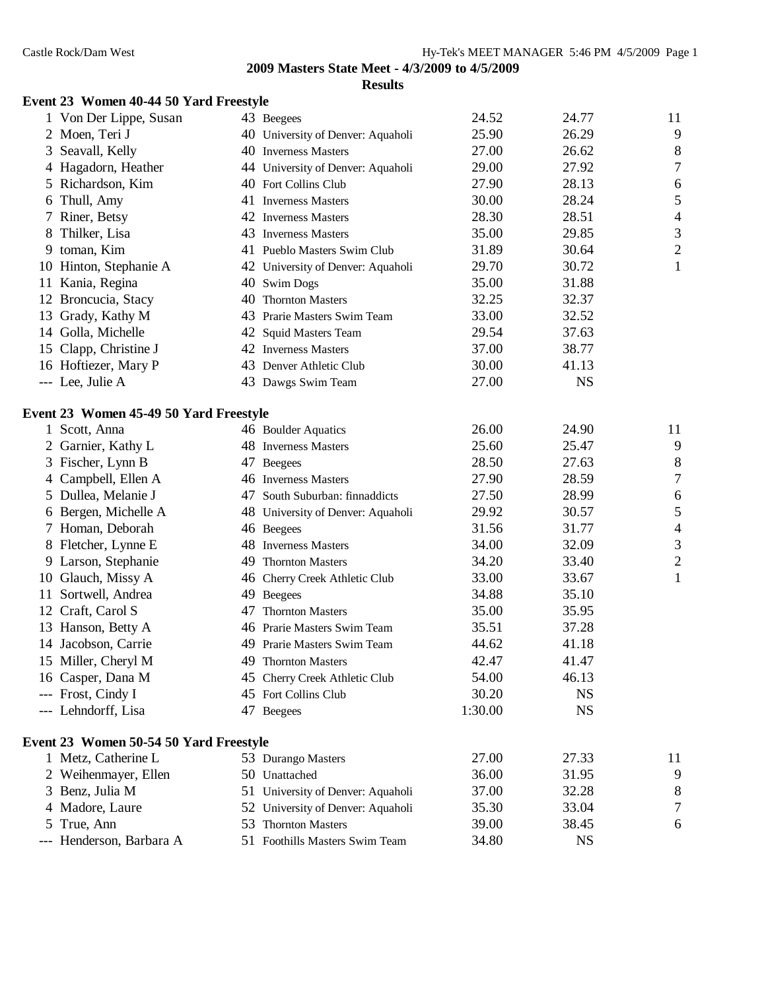# **Event 23 Women 40-44 50 Yard Freestyle**

|   | 1 Von Der Lippe, Susan                 |    | 43 Beegees                        | 24.52   | 24.77     | 11               |
|---|----------------------------------------|----|-----------------------------------|---------|-----------|------------------|
|   | 2 Moen, Teri J                         |    | 40 University of Denver: Aquaholi | 25.90   | 26.29     | 9                |
| 3 | Seavall, Kelly                         |    | 40 Inverness Masters              | 27.00   | 26.62     | 8                |
|   | 4 Hagadorn, Heather                    |    | 44 University of Denver: Aquaholi | 29.00   | 27.92     | $\boldsymbol{7}$ |
|   | 5 Richardson, Kim                      |    | 40 Fort Collins Club              | 27.90   | 28.13     | 6                |
| 6 | Thull, Amy                             |    | 41 Inverness Masters              | 30.00   | 28.24     | 5                |
|   | Riner, Betsy                           |    | 42 Inverness Masters              | 28.30   | 28.51     | $\overline{4}$   |
| 8 | Thilker, Lisa                          |    | 43 Inverness Masters              | 35.00   | 29.85     | $\mathfrak{Z}$   |
|   | 9 toman, Kim                           |    | 41 Pueblo Masters Swim Club       | 31.89   | 30.64     | $\boldsymbol{2}$ |
|   | 10 Hinton, Stephanie A                 |    | 42 University of Denver: Aquaholi | 29.70   | 30.72     | $\mathbf{1}$     |
|   | 11 Kania, Regina                       |    | 40 Swim Dogs                      | 35.00   | 31.88     |                  |
|   | 12 Broncucia, Stacy                    |    | 40 Thornton Masters               | 32.25   | 32.37     |                  |
|   | 13 Grady, Kathy M                      |    | 43 Prarie Masters Swim Team       | 33.00   | 32.52     |                  |
|   | 14 Golla, Michelle                     |    | 42 Squid Masters Team             | 29.54   | 37.63     |                  |
|   | 15 Clapp, Christine J                  |    | 42 Inverness Masters              | 37.00   | 38.77     |                  |
|   | 16 Hoftiezer, Mary P                   |    | 43 Denver Athletic Club           | 30.00   | 41.13     |                  |
|   | --- Lee, Julie A                       |    | 43 Dawgs Swim Team                | 27.00   | <b>NS</b> |                  |
|   | Event 23 Women 45-49 50 Yard Freestyle |    |                                   |         |           |                  |
|   | 1 Scott, Anna                          |    | 46 Boulder Aquatics               | 26.00   | 24.90     | 11               |
|   | 2 Garnier, Kathy L                     |    | 48 Inverness Masters              | 25.60   | 25.47     | 9                |
|   | 3 Fischer, Lynn B                      |    | 47 Beegees                        | 28.50   | 27.63     | 8                |
| 4 | Campbell, Ellen A                      |    | 46 Inverness Masters              | 27.90   | 28.59     | $\boldsymbol{7}$ |
|   | 5 Dullea, Melanie J                    |    | 47 South Suburban: finnaddicts    | 27.50   | 28.99     | 6                |
|   | 6 Bergen, Michelle A                   |    | 48 University of Denver: Aquaholi | 29.92   | 30.57     | 5                |
|   | 7 Homan, Deborah                       |    | 46 Beegees                        | 31.56   | 31.77     | $\overline{4}$   |
|   | 8 Fletcher, Lynne E                    |    | 48 Inverness Masters              | 34.00   | 32.09     | $\mathfrak 3$    |
| 9 | Larson, Stephanie                      | 49 | <b>Thornton Masters</b>           | 34.20   | 33.40     | $\overline{c}$   |
|   | 10 Glauch, Missy A                     |    | 46 Cherry Creek Athletic Club     | 33.00   | 33.67     | $\mathbf{1}$     |
|   | 11 Sortwell, Andrea                    |    | 49 Beegees                        | 34.88   | 35.10     |                  |
|   | 12 Craft, Carol S                      | 47 | <b>Thornton Masters</b>           | 35.00   | 35.95     |                  |
|   | 13 Hanson, Betty A                     |    | 46 Prarie Masters Swim Team       | 35.51   | 37.28     |                  |
|   | 14 Jacobson, Carrie                    | 49 | Prarie Masters Swim Team          | 44.62   | 41.18     |                  |
|   | 15 Miller, Cheryl M                    | 49 | <b>Thornton Masters</b>           | 42.47   | 41.47     |                  |
|   | 16 Casper, Dana M                      |    | 45 Cherry Creek Athletic Club     | 54.00   | 46.13     |                  |
|   | --- Frost, Cindy I                     |    | 45 Fort Collins Club              | 30.20   | <b>NS</b> |                  |
|   | --- Lehndorff, Lisa                    |    | 47 Beegees                        | 1:30.00 | <b>NS</b> |                  |
|   | Event 23 Women 50-54 50 Yard Freestyle |    |                                   |         |           |                  |
|   | 1 Metz, Catherine L                    |    | 53 Durango Masters                | 27.00   | 27.33     | 11               |
|   | 2 Weihenmayer, Ellen                   |    | 50 Unattached                     | 36.00   | 31.95     | 9                |
|   | 3 Benz, Julia M                        |    | 51 University of Denver: Aquaholi | 37.00   | 32.28     | 8                |
|   | 4 Madore, Laure                        |    | 52 University of Denver: Aquaholi | 35.30   | 33.04     | $\tau$           |
|   | True, Ann                              |    | 53 Thornton Masters               | 39.00   | 38.45     | 6                |
|   | --- Henderson, Barbara A               |    | 51 Foothills Masters Swim Team    | 34.80   | <b>NS</b> |                  |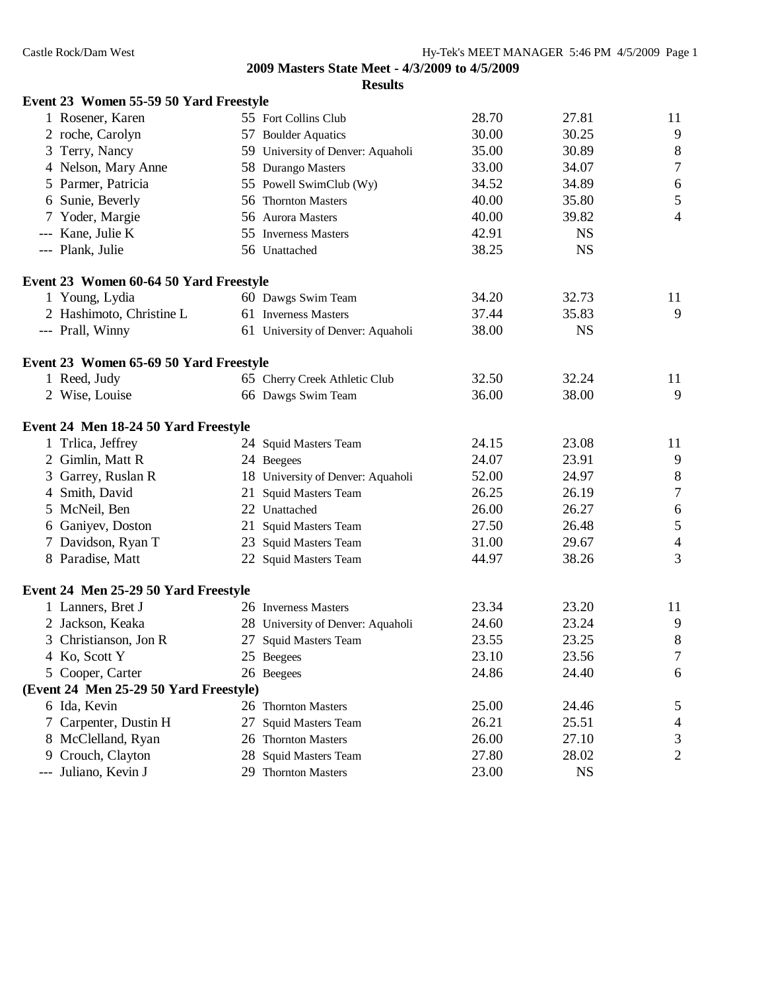|   | Event 23 Women 55-59 50 Yard Freestyle |                                   |       |           |                  |
|---|----------------------------------------|-----------------------------------|-------|-----------|------------------|
|   | 1 Rosener, Karen                       | 55 Fort Collins Club              | 28.70 | 27.81     | 11               |
|   | 2 roche, Carolyn                       | 57 Boulder Aquatics               | 30.00 | 30.25     | 9                |
|   | 3 Terry, Nancy                         | 59 University of Denver: Aquaholi | 35.00 | 30.89     | $\,8\,$          |
|   | 4 Nelson, Mary Anne                    | 58 Durango Masters                | 33.00 | 34.07     | $\overline{7}$   |
|   | 5 Parmer, Patricia                     | 55 Powell SwimClub (Wy)           | 34.52 | 34.89     | 6                |
|   | 6 Sunie, Beverly                       | 56 Thornton Masters               | 40.00 | 35.80     | 5                |
|   | 7 Yoder, Margie                        | 56 Aurora Masters                 | 40.00 | 39.82     | $\overline{4}$   |
|   | --- Kane, Julie K                      | 55 Inverness Masters              | 42.91 | <b>NS</b> |                  |
|   | --- Plank, Julie                       | 56 Unattached                     | 38.25 | <b>NS</b> |                  |
|   | Event 23 Women 60-64 50 Yard Freestyle |                                   |       |           |                  |
|   | 1 Young, Lydia                         | 60 Dawgs Swim Team                | 34.20 | 32.73     | 11               |
|   | 2 Hashimoto, Christine L               | 61 Inverness Masters              | 37.44 | 35.83     | 9                |
|   | --- Prall, Winny                       | 61 University of Denver: Aquaholi | 38.00 | <b>NS</b> |                  |
|   | Event 23 Women 65-69 50 Yard Freestyle |                                   |       |           |                  |
|   | 1 Reed, Judy                           | 65 Cherry Creek Athletic Club     | 32.50 | 32.24     | 11               |
|   | 2 Wise, Louise                         | 66 Dawgs Swim Team                | 36.00 | 38.00     | 9                |
|   | Event 24 Men 18-24 50 Yard Freestyle   |                                   |       |           |                  |
|   | 1 Trlica, Jeffrey                      | 24 Squid Masters Team             | 24.15 | 23.08     | 11               |
|   | 2 Gimlin, Matt R                       | 24 Beegees                        | 24.07 | 23.91     | 9                |
|   | 3 Garrey, Ruslan R                     | 18 University of Denver: Aquaholi | 52.00 | 24.97     | $8\phantom{1}$   |
|   | 4 Smith, David                         | 21 Squid Masters Team             | 26.25 | 26.19     | $\boldsymbol{7}$ |
|   | 5 McNeil, Ben                          | 22 Unattached                     | 26.00 | 26.27     | $\sqrt{6}$       |
|   | 6 Ganiyev, Doston                      | 21 Squid Masters Team             | 27.50 | 26.48     | $\sqrt{5}$       |
|   | 7 Davidson, Ryan T                     | 23 Squid Masters Team             | 31.00 | 29.67     | $\overline{4}$   |
|   | 8 Paradise, Matt                       | 22 Squid Masters Team             | 44.97 | 38.26     | 3                |
|   | Event 24 Men 25-29 50 Yard Freestyle   |                                   |       |           |                  |
|   | 1 Lanners, Bret J                      | 26 Inverness Masters              | 23.34 | 23.20     | 11               |
|   | 2 Jackson, Keaka                       | 28 University of Denver: Aquaholi | 24.60 | 23.24     | 9                |
|   | 3 Christianson, Jon R                  | 27 Squid Masters Team             | 23.55 | 23.25     | 8                |
|   | 4 Ko, Scott Y                          | 25 Beegees                        | 23.10 | 23.56     | $\tau$           |
|   | 5 Cooper, Carter                       | 26 Beegees                        | 24.86 | 24.40     | 6                |
|   | (Event 24 Men 25-29 50 Yard Freestyle) |                                   |       |           |                  |
|   | 6 Ida, Kevin                           | 26 Thornton Masters               | 25.00 | 24.46     | 5                |
| 7 | Carpenter, Dustin H                    | 27 Squid Masters Team             | 26.21 | 25.51     | $\overline{4}$   |
|   | 8 McClelland, Ryan                     | 26 Thornton Masters               | 26.00 | 27.10     | 3                |
|   | 9 Crouch, Clayton                      | 28 Squid Masters Team             | 27.80 | 28.02     | 2                |
|   | --- Juliano, Kevin J                   | 29 Thornton Masters               | 23.00 | <b>NS</b> |                  |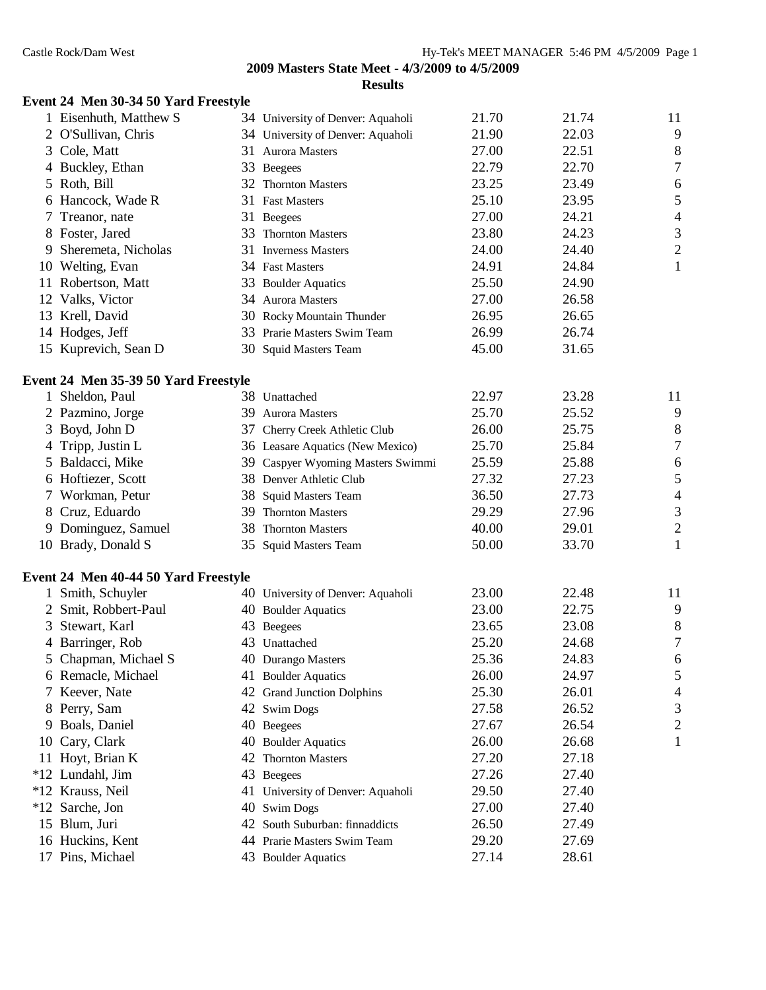# **Event 24 Men 30-34 50 Yard Freestyle**

|       | 1 Eisenhuth, Matthew S               |    | 34 University of Denver: Aquaholi | 21.70 | 21.74 | 11               |
|-------|--------------------------------------|----|-----------------------------------|-------|-------|------------------|
|       | 2 O'Sullivan, Chris                  |    | 34 University of Denver: Aquaholi | 21.90 | 22.03 | 9                |
|       | 3 Cole, Matt                         |    | 31 Aurora Masters                 | 27.00 | 22.51 | 8                |
|       | 4 Buckley, Ethan                     |    | 33 Beegees                        | 22.79 | 22.70 | $\boldsymbol{7}$ |
|       | 5 Roth, Bill                         |    | 32 Thornton Masters               | 23.25 | 23.49 | 6                |
|       | 6 Hancock, Wade R                    |    | 31 Fast Masters                   | 25.10 | 23.95 | 5                |
|       | Treanor, nate                        |    | 31 Beegees                        | 27.00 | 24.21 | $\overline{4}$   |
|       | 8 Foster, Jared                      | 33 | <b>Thornton Masters</b>           | 23.80 | 24.23 | $\mathfrak{Z}$   |
| 9     | Sheremeta, Nicholas                  |    | 31 Inverness Masters              | 24.00 | 24.40 | $\sqrt{2}$       |
|       | 10 Welting, Evan                     |    | 34 Fast Masters                   | 24.91 | 24.84 | $\mathbf{1}$     |
|       | 11 Robertson, Matt                   |    | 33 Boulder Aquatics               | 25.50 | 24.90 |                  |
|       | 12 Valks, Victor                     |    | 34 Aurora Masters                 | 27.00 | 26.58 |                  |
|       | 13 Krell, David                      |    | 30 Rocky Mountain Thunder         | 26.95 | 26.65 |                  |
|       | 14 Hodges, Jeff                      |    | 33 Prarie Masters Swim Team       | 26.99 | 26.74 |                  |
|       | 15 Kuprevich, Sean D                 |    | 30 Squid Masters Team             | 45.00 | 31.65 |                  |
|       | Event 24 Men 35-39 50 Yard Freestyle |    |                                   |       |       |                  |
|       | 1 Sheldon, Paul                      |    | 38 Unattached                     | 22.97 | 23.28 | 11               |
|       | 2 Pazmino, Jorge                     |    | 39 Aurora Masters                 | 25.70 | 25.52 | 9                |
|       | 3 Boyd, John D                       |    | 37 Cherry Creek Athletic Club     | 26.00 | 25.75 | 8                |
|       | 4 Tripp, Justin L                    |    | 36 Leasare Aquatics (New Mexico)  | 25.70 | 25.84 | $\boldsymbol{7}$ |
|       | 5 Baldacci, Mike                     | 39 | Caspyer Wyoming Masters Swimmi    | 25.59 | 25.88 | 6                |
|       | 6 Hoftiezer, Scott                   |    | 38 Denver Athletic Club           | 27.32 | 27.23 | 5                |
|       | 7 Workman, Petur                     |    | 38 Squid Masters Team             | 36.50 | 27.73 | $\overline{4}$   |
|       | 8 Cruz, Eduardo                      |    | 39 Thornton Masters               | 29.29 | 27.96 | $\mathfrak{Z}$   |
|       | 9 Dominguez, Samuel                  |    | 38 Thornton Masters               | 40.00 | 29.01 | $\overline{c}$   |
|       | 10 Brady, Donald S                   |    | 35 Squid Masters Team             | 50.00 | 33.70 | $\mathbf{1}$     |
|       | Event 24 Men 40-44 50 Yard Freestyle |    |                                   |       |       |                  |
|       | 1 Smith, Schuyler                    |    | 40 University of Denver: Aquaholi | 23.00 | 22.48 | 11               |
|       | 2 Smit, Robbert-Paul                 |    | 40 Boulder Aquatics               | 23.00 | 22.75 | 9                |
| 3     | Stewart, Karl                        |    | 43 Beegees                        | 23.65 | 23.08 | 8                |
|       | 4 Barringer, Rob                     |    | 43 Unattached                     | 25.20 | 24.68 | $\sqrt{ }$       |
|       | 5 Chapman, Michael S                 |    | 40 Durango Masters                | 25.36 | 24.83 | 6                |
|       | 6 Remacle, Michael                   |    | 41 Boulder Aquatics               | 26.00 | 24.97 | 5                |
|       | Keever, Nate                         |    | 42 Grand Junction Dolphins        | 25.30 | 26.01 | 4                |
| 8     | Perry, Sam                           |    | 42 Swim Dogs                      | 27.58 | 26.52 | 3                |
| 9     | Boals, Daniel                        |    | 40 Beegees                        | 27.67 | 26.54 | $\mathfrak{2}$   |
| 10    | Cary, Clark                          |    | 40 Boulder Aquatics               | 26.00 | 26.68 | $\mathbf{1}$     |
|       | 11 Hoyt, Brian K                     | 42 | <b>Thornton Masters</b>           | 27.20 | 27.18 |                  |
|       | *12 Lundahl, Jim                     |    | 43 Beegees                        | 27.26 | 27.40 |                  |
|       | *12 Krauss, Neil                     |    | 41 University of Denver: Aquaholi | 29.50 | 27.40 |                  |
| $*12$ | Sarche, Jon                          |    | 40 Swim Dogs                      | 27.00 | 27.40 |                  |
|       | 15 Blum, Juri                        |    | 42 South Suburban: finnaddicts    | 26.50 | 27.49 |                  |
|       | 16 Huckins, Kent                     |    | 44 Prarie Masters Swim Team       | 29.20 | 27.69 |                  |
|       | 17 Pins, Michael                     |    | 43 Boulder Aquatics               | 27.14 | 28.61 |                  |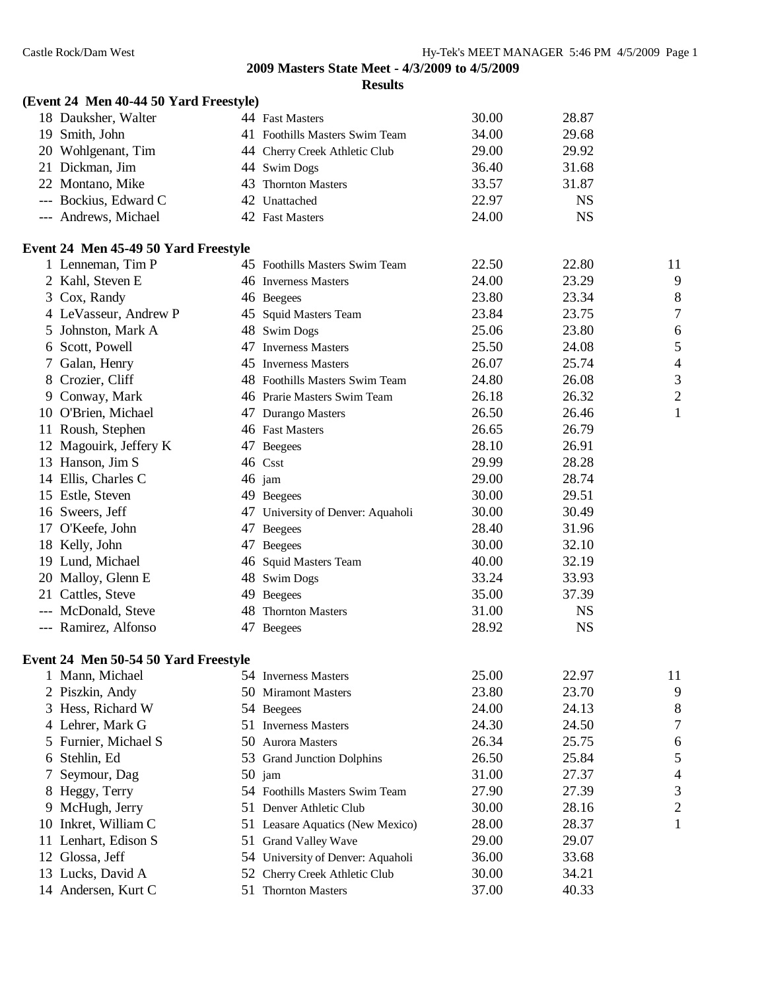|     | (Event 24 Men 40-44 50 Yard Freestyle) |                                   |       |           |                          |
|-----|----------------------------------------|-----------------------------------|-------|-----------|--------------------------|
|     | 18 Dauksher, Walter                    | 44 Fast Masters                   | 30.00 | 28.87     |                          |
|     | 19 Smith, John                         | 41 Foothills Masters Swim Team    | 34.00 | 29.68     |                          |
|     | 20 Wohlgenant, Tim                     | 44 Cherry Creek Athletic Club     | 29.00 | 29.92     |                          |
|     | 21 Dickman, Jim                        | 44 Swim Dogs                      | 36.40 | 31.68     |                          |
|     | 22 Montano, Mike                       | 43 Thornton Masters               | 33.57 | 31.87     |                          |
|     | --- Bockius, Edward C                  | 42 Unattached                     | 22.97 | <b>NS</b> |                          |
|     | --- Andrews, Michael                   | 42 Fast Masters                   | 24.00 | <b>NS</b> |                          |
|     | Event 24 Men 45-49 50 Yard Freestyle   |                                   |       |           |                          |
|     | 1 Lenneman, Tim P                      | 45 Foothills Masters Swim Team    | 22.50 | 22.80     | 11                       |
|     | 2 Kahl, Steven E                       | 46 Inverness Masters              | 24.00 | 23.29     | 9                        |
|     | 3 Cox, Randy                           | 46 Beegees                        | 23.80 | 23.34     | 8                        |
|     | 4 LeVasseur, Andrew P                  | 45 Squid Masters Team             | 23.84 | 23.75     | $\overline{7}$           |
| 5.  | Johnston, Mark A                       | 48 Swim Dogs                      | 25.06 | 23.80     | 6                        |
|     | 6 Scott, Powell                        | 47 Inverness Masters              | 25.50 | 24.08     | 5                        |
|     | 7 Galan, Henry                         | 45 Inverness Masters              | 26.07 | 25.74     | $\overline{\mathcal{A}}$ |
|     | 8 Crozier, Cliff                       | 48 Foothills Masters Swim Team    | 24.80 | 26.08     | 3                        |
|     | 9 Conway, Mark                         | 46 Prarie Masters Swim Team       | 26.18 | 26.32     | $\overline{c}$           |
|     | 10 O'Brien, Michael                    | 47 Durango Masters                | 26.50 | 26.46     | $\mathbf{1}$             |
|     | 11 Roush, Stephen                      | 46 Fast Masters                   | 26.65 | 26.79     |                          |
|     | 12 Magouirk, Jeffery K                 | 47 Beegees                        | 28.10 | 26.91     |                          |
|     | 13 Hanson, Jim S                       | 46 Csst                           | 29.99 | 28.28     |                          |
|     | 14 Ellis, Charles C                    | 46 jam                            | 29.00 | 28.74     |                          |
|     | 15 Estle, Steven                       | 49 Beegees                        | 30.00 | 29.51     |                          |
|     | 16 Sweers, Jeff                        | 47 University of Denver: Aquaholi | 30.00 | 30.49     |                          |
|     | 17 O'Keefe, John                       | 47 Beegees                        | 28.40 | 31.96     |                          |
|     | 18 Kelly, John                         | 47 Beegees                        | 30.00 | 32.10     |                          |
|     | 19 Lund, Michael                       | 46 Squid Masters Team             | 40.00 | 32.19     |                          |
|     | 20 Malloy, Glenn E                     | 48 Swim Dogs                      | 33.24 | 33.93     |                          |
|     | 21 Cattles, Steve                      | 49 Beegees                        | 35.00 | 37.39     |                          |
|     | --- McDonald, Steve                    | 48 Thornton Masters               | 31.00 | <b>NS</b> |                          |
|     | --- Ramirez, Alfonso                   | 47 Beegees                        | 28.92 | <b>NS</b> |                          |
|     | Event 24 Men 50-54 50 Yard Freestyle   |                                   |       |           |                          |
|     | 1 Mann, Michael                        | 54 Inverness Masters              | 25.00 | 22.97     | 11                       |
|     | 2 Piszkin, Andy                        | 50 Miramont Masters               | 23.80 | 23.70     | 9                        |
|     | 3 Hess, Richard W                      | 54 Beegees                        | 24.00 | 24.13     | 8                        |
|     | 4 Lehrer, Mark G                       | 51 Inverness Masters              | 24.30 | 24.50     | 7                        |
|     | 5 Furnier, Michael S                   | 50 Aurora Masters                 | 26.34 | 25.75     | 6                        |
| 6.  | Stehlin, Ed                            | 53 Grand Junction Dolphins        | 26.50 | 25.84     | 5                        |
| Ί   | Seymour, Dag                           | 50 jam                            | 31.00 | 27.37     | $\overline{\mathcal{A}}$ |
| 8   | Heggy, Terry                           | 54 Foothills Masters Swim Team    | 27.90 | 27.39     | 3                        |
|     | 9 McHugh, Jerry                        | 51 Denver Athletic Club           | 30.00 | 28.16     | $\overline{c}$           |
|     | 10 Inkret, William C                   | 51 Leasare Aquatics (New Mexico)  | 28.00 | 28.37     | 1                        |
| 11- | Lenhart, Edison S                      | 51 Grand Valley Wave              | 29.00 | 29.07     |                          |
| 12  | Glossa, Jeff                           | 54 University of Denver: Aquaholi | 36.00 | 33.68     |                          |
|     | 13 Lucks, David A                      | 52 Cherry Creek Athletic Club     | 30.00 | 34.21     |                          |
|     | 14 Andersen, Kurt C                    | 51 Thornton Masters               | 37.00 | 40.33     |                          |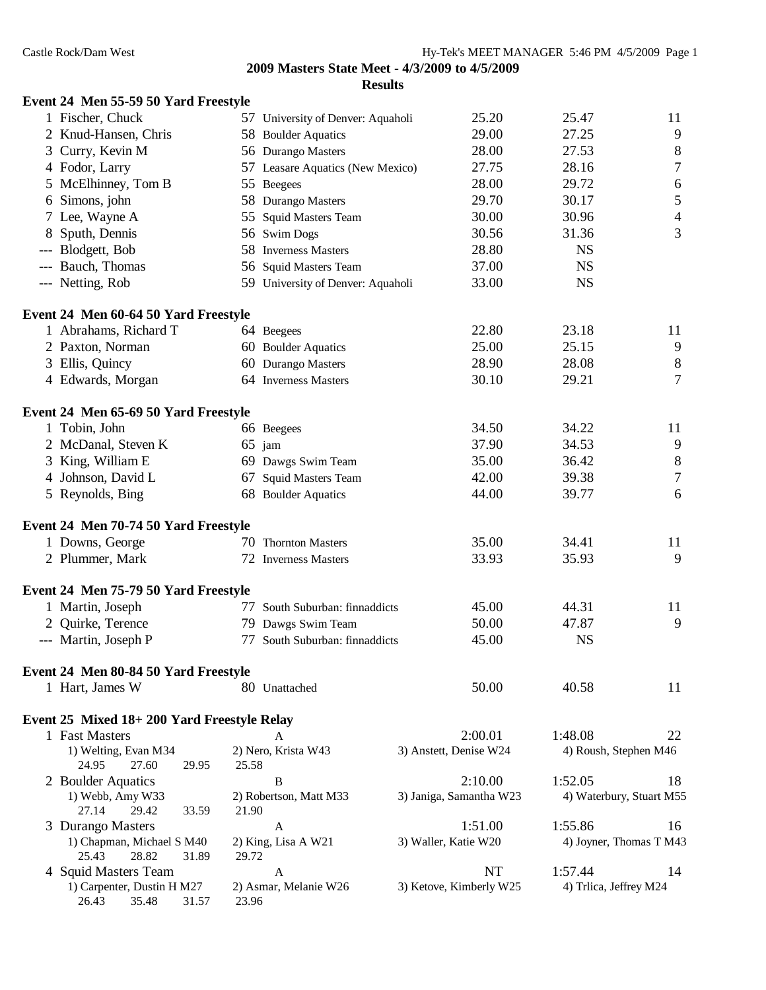| Event 24 Men 55-59 50 Yard Freestyle                  |       |                                   |                         |                          |                  |
|-------------------------------------------------------|-------|-----------------------------------|-------------------------|--------------------------|------------------|
| 1 Fischer, Chuck                                      |       | 57 University of Denver: Aquaholi | 25.20                   | 25.47                    | 11               |
| 2 Knud-Hansen, Chris                                  |       | 58 Boulder Aquatics               | 29.00                   | 27.25                    | $\overline{9}$   |
| 3 Curry, Kevin M                                      |       | 56 Durango Masters                | 28.00                   | 27.53                    | $\,$ 8 $\,$      |
| 4 Fodor, Larry                                        |       | 57 Leasare Aquatics (New Mexico)  | 27.75                   | 28.16                    | $\boldsymbol{7}$ |
| 5 McElhinney, Tom B                                   |       | 55 Beegees                        | 28.00                   | 29.72                    | $\sqrt{6}$       |
| 6 Simons, john                                        |       | 58 Durango Masters                | 29.70                   | 30.17                    | $\mathfrak{S}$   |
| 7 Lee, Wayne A                                        |       | 55 Squid Masters Team             | 30.00                   | 30.96                    | $\overline{4}$   |
| 8 Sputh, Dennis                                       |       | 56 Swim Dogs                      | 30.56                   | 31.36                    | 3                |
| --- Blodgett, Bob                                     |       | 58 Inverness Masters              | 28.80                   | <b>NS</b>                |                  |
| --- Bauch, Thomas                                     |       | 56 Squid Masters Team             | 37.00                   | <b>NS</b>                |                  |
| --- Netting, Rob                                      |       | 59 University of Denver: Aquaholi | 33.00                   | <b>NS</b>                |                  |
| Event 24 Men 60-64 50 Yard Freestyle                  |       |                                   |                         |                          |                  |
| 1 Abrahams, Richard T                                 |       | 64 Beegees                        | 22.80                   | 23.18                    | 11               |
| 2 Paxton, Norman                                      |       | 60 Boulder Aquatics               | 25.00                   | 25.15                    | 9                |
| 3 Ellis, Quincy                                       |       | 60 Durango Masters                | 28.90                   | 28.08                    | $\, 8$           |
| 4 Edwards, Morgan                                     |       | 64 Inverness Masters              | 30.10                   | 29.21                    | $\tau$           |
| Event 24 Men 65-69 50 Yard Freestyle                  |       |                                   |                         |                          |                  |
| 1 Tobin, John                                         |       | 66 Beegees                        | 34.50                   | 34.22                    | 11               |
| 2 McDanal, Steven K                                   |       | $65$ jam                          | 37.90                   | 34.53                    | 9                |
| 3 King, William E                                     |       | 69 Dawgs Swim Team                | 35.00                   | 36.42                    | $\,$ 8 $\,$      |
| 4 Johnson, David L                                    |       | 67 Squid Masters Team             | 42.00                   | 39.38                    | $\boldsymbol{7}$ |
| 5 Reynolds, Bing                                      |       | 68 Boulder Aquatics               | 44.00                   | 39.77                    | 6                |
| Event 24 Men 70-74 50 Yard Freestyle                  |       |                                   |                         |                          |                  |
| 1 Downs, George                                       |       | 70 Thornton Masters               | 35.00                   | 34.41                    | 11               |
| 2 Plummer, Mark                                       |       | 72 Inverness Masters              | 33.93                   | 35.93                    | 9                |
| Event 24 Men 75-79 50 Yard Freestyle                  |       |                                   |                         |                          |                  |
| 1 Martin, Joseph                                      | 77    | South Suburban: finnaddicts       | 45.00                   | 44.31                    | 11               |
| 2 Quirke, Terence                                     |       | 79 Dawgs Swim Team                | 50.00                   | 47.87                    | 9                |
| --- Martin, Joseph P                                  |       | 77 South Suburban: finnaddicts    | 45.00                   | <b>NS</b>                |                  |
| Event 24 Men 80-84 50 Yard Freestyle                  |       |                                   |                         |                          |                  |
| 1 Hart, James W                                       |       | 80 Unattached                     | 50.00                   | 40.58                    | 11               |
| Event 25 Mixed 18+200 Yard Freestyle Relay            |       |                                   |                         |                          |                  |
| 1 Fast Masters                                        |       | A                                 | 2:00.01                 | 1:48.08                  | 22               |
| 1) Welting, Evan M34<br>24.95<br>27.60<br>29.95       | 25.58 | 2) Nero, Krista W43               | 3) Anstett, Denise W24  | 4) Roush, Stephen M46    |                  |
| 2 Boulder Aquatics                                    |       | B                                 | 2:10.00                 | 1:52.05                  | 18               |
| 1) Webb, Amy W33<br>27.14<br>29.42<br>33.59           | 21.90 | 2) Robertson, Matt M33            | 3) Janiga, Samantha W23 | 4) Waterbury, Stuart M55 |                  |
| 3 Durango Masters                                     |       | A                                 | 1:51.00                 | 1:55.86                  | 16               |
| 1) Chapman, Michael S M40<br>25.43<br>28.82<br>31.89  | 29.72 | 2) King, Lisa A W21               | 3) Waller, Katie W20    | 4) Joyner, Thomas T M43  |                  |
| 4 Squid Masters Team                                  |       | A                                 | <b>NT</b>               | 1:57.44                  | 14               |
| 1) Carpenter, Dustin H M27<br>26.43<br>35.48<br>31.57 | 23.96 | 2) Asmar, Melanie W26             | 3) Ketove, Kimberly W25 | 4) Trlica, Jeffrey M24   |                  |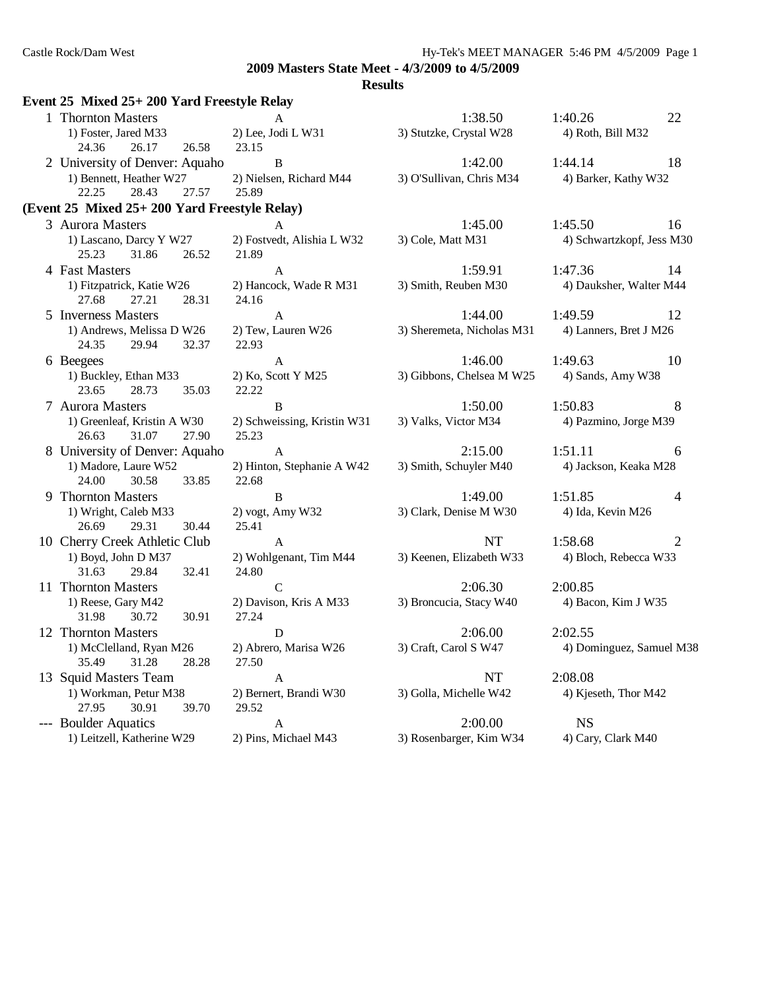| Event 25 Mixed 25+200 Yard Freestyle Relay             |                                      |                            |                           |
|--------------------------------------------------------|--------------------------------------|----------------------------|---------------------------|
| 1 Thornton Masters                                     | A                                    | 1:38.50                    | 1:40.26<br>22             |
| 1) Foster, Jared M33                                   | 2) Lee, Jodi L W31                   | 3) Stutzke, Crystal W28    | 4) Roth, Bill M32         |
| 24.36<br>26.17<br>26.58                                | 23.15                                |                            |                           |
| 2 University of Denver: Aquaho                         | B                                    | 1:42.00                    | 1:44.14<br>18             |
| 1) Bennett, Heather W27<br>22.25<br>28.43<br>27.57     | 2) Nielsen, Richard M44<br>25.89     | 3) O'Sullivan, Chris M34   | 4) Barker, Kathy W32      |
| (Event 25 Mixed 25+ 200 Yard Freestyle Relay)          |                                      |                            |                           |
| 3 Aurora Masters                                       | $\mathbf{A}$                         | 1:45.00                    | 1:45.50<br>16             |
| 1) Lascano, Darcy Y W27<br>25.23<br>31.86<br>26.52     | 2) Fostvedt, Alishia L W32<br>21.89  | 3) Cole, Matt M31          | 4) Schwartzkopf, Jess M30 |
| 4 Fast Masters                                         | $\mathbf{A}$                         | 1:59.91                    | 1:47.36<br>14             |
| 1) Fitzpatrick, Katie W26<br>27.68<br>27.21<br>28.31   | 2) Hancock, Wade R M31<br>24.16      | 3) Smith, Reuben M30       | 4) Dauksher, Walter M44   |
| 5 Inverness Masters                                    | $\mathbf{A}$                         | 1:44.00                    | 1:49.59<br>12             |
| 1) Andrews, Melissa D W26<br>24.35<br>29.94<br>32.37   | 2) Tew, Lauren W26<br>22.93          | 3) Sheremeta, Nicholas M31 | 4) Lanners, Bret J M26    |
| 6 Beegees                                              | $\mathbf{A}$                         | 1:46.00                    | 1:49.63<br>10             |
| 1) Buckley, Ethan M33<br>28.73<br>23.65<br>35.03       | 2) Ko, Scott Y M25<br>22.22          | 3) Gibbons, Chelsea M W25  | 4) Sands, Amy W38         |
| 7 Aurora Masters                                       | $\mathbf{B}$                         | 1:50.00                    | 1:50.83<br>8              |
| 1) Greenleaf, Kristin A W30<br>31.07<br>27.90<br>26.63 | 2) Schweissing, Kristin W31<br>25.23 | 3) Valks, Victor M34       | 4) Pazmino, Jorge M39     |
| 8 University of Denver: Aquaho                         | $\mathbf{A}$                         | 2:15.00                    | 1:51.11<br>6              |
| 1) Madore, Laure W52<br>24.00<br>30.58<br>33.85        | 2) Hinton, Stephanie A W42<br>22.68  | 3) Smith, Schuyler M40     | 4) Jackson, Keaka M28     |
| 9 Thornton Masters                                     | $\, {\bf B}$                         | 1:49.00                    | 1:51.85<br>$\overline{4}$ |
| 1) Wright, Caleb M33<br>26.69<br>29.31<br>30.44        | 2) vogt, Amy W32<br>25.41            | 3) Clark, Denise M W30     | 4) Ida, Kevin M26         |
| 10 Cherry Creek Athletic Club                          | $\mathbf{A}$                         | NT                         | 1:58.68<br>$\overline{2}$ |
| 1) Boyd, John D M37<br>31.63<br>29.84<br>32.41         | 2) Wohlgenant, Tim M44<br>24.80      | 3) Keenen, Elizabeth W33   | 4) Bloch, Rebecca W33     |
| 11 Thornton Masters                                    | $\mathbf C$                          | 2:06.30                    | 2:00.85                   |
| 1) Reese, Gary M42<br>31.98<br>30.72<br>30.91          | 2) Davison, Kris A M33<br>27.24      | 3) Broncucia, Stacy W40    | 4) Bacon, Kim J W35       |
| 12 Thornton Masters                                    | $\mathbf D$                          | 2:06.00                    | 2:02.55                   |
| 1) McClelland, Ryan M26<br>35.49<br>31.28<br>28.28     | 2) Abrero, Marisa W26<br>27.50       | 3) Craft, Carol S W47      | 4) Dominguez, Samuel M38  |
| 13 Squid Masters Team                                  | A                                    | NT                         | 2:08.08                   |
| 1) Workman, Petur M38<br>27.95<br>30.91<br>39.70       | 2) Bernert, Brandi W30<br>29.52      | 3) Golla, Michelle W42     | 4) Kjeseth, Thor M42      |
| --- Boulder Aquatics                                   | A                                    | 2:00.00                    | <b>NS</b>                 |
| 1) Leitzell, Katherine W29                             | 2) Pins, Michael M43                 | 3) Rosenbarger, Kim W34    | 4) Cary, Clark M40        |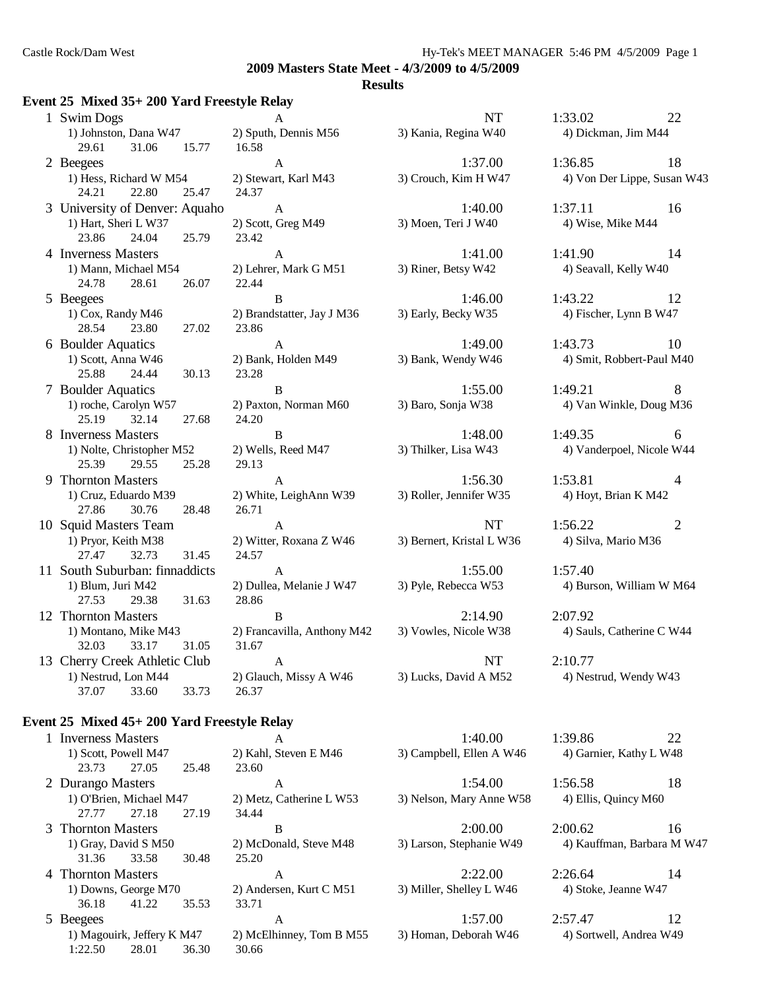#### **Results**

#### **Event 25 Mixed 35+ 200 Yard Freestyle Relay**

| 1 Swim Dogs                    | A                           | <b>NT</b>                 | 1:33.02                  | 22             |
|--------------------------------|-----------------------------|---------------------------|--------------------------|----------------|
| 1) Johnston, Dana W47          | 2) Sputh, Dennis M56        | 3) Kania, Regina W40      | 4) Dickman, Jim M44      |                |
| 29.61<br>15.77<br>31.06        | 16.58                       |                           |                          |                |
| 2 Beegees                      | $\mathbf{A}$                | 1:37.00                   | 1:36.85                  | 18             |
| 1) Hess, Richard W M54         | 2) Stewart, Karl M43        | 3) Crouch, Kim H W47      | 4) Von Der Lippe, Susan  |                |
| 22.80<br>25.47<br>24.21        | 24.37                       |                           |                          |                |
| 3 University of Denver: Aquaho | $\mathbf{A}$                | 1:40.00                   | 1:37.11                  | 16             |
| 1) Hart, Sheri L W37           | 2) Scott, Greg M49          | 3) Moen, Teri J W40       | 4) Wise, Mike M44        |                |
| 25.79<br>23.86<br>24.04        | 23.42                       |                           |                          |                |
| 4 Inverness Masters            | $\mathbf{A}$                | 1:41.00                   | 1:41.90                  | 14             |
| 1) Mann, Michael M54           | 2) Lehrer, Mark G M51       | 3) Riner, Betsy W42       | 4) Seavall, Kelly W40    |                |
| 24.78<br>28.61<br>26.07        | 22.44                       |                           |                          |                |
| 5 Beegees                      | B                           | 1:46.00                   | 1:43.22                  | 12             |
| 1) Cox, Randy M46              | 2) Brandstatter, Jay J M36  | 3) Early, Becky W35       | 4) Fischer, Lynn B W47   |                |
| 27.02<br>28.54<br>23.80        | 23.86                       |                           |                          |                |
| 6 Boulder Aquatics             | $\mathbf{A}$                | 1:49.00                   | 1:43.73                  | 10             |
| 1) Scott, Anna W46             | 2) Bank, Holden M49         | 3) Bank, Wendy W46        | 4) Smit, Robbert-Paul M  |                |
| 30.13<br>25.88<br>24.44        | 23.28                       |                           |                          |                |
| 7 Boulder Aquatics             | $\mathbf B$                 | 1:55.00                   | 1:49.21                  | 8              |
| 1) roche, Carolyn W57          | 2) Paxton, Norman M60       | 3) Baro, Sonja W38        | 4) Van Winkle, Doug M    |                |
| 25.19 32.14<br>27.68           | 24.20                       |                           |                          |                |
| 8 Inverness Masters            | B                           | 1:48.00                   | 1:49.35                  | -6             |
| 1) Nolte, Christopher M52      | 2) Wells, Reed M47          | 3) Thilker, Lisa W43      | 4) Vanderpoel, Nicole W  |                |
| 25.39<br>25.28<br>29.55        | 29.13                       |                           |                          |                |
| 9 Thornton Masters             | A                           | 1:56.30                   | 1:53.81                  | $\overline{4}$ |
| 1) Cruz, Eduardo M39           | 2) White, LeighAnn W39      | 3) Roller, Jennifer W35   | 4) Hoyt, Brian K M42     |                |
| 27.86<br>30.76<br>28.48        | 26.71                       |                           |                          |                |
| 10 Squid Masters Team          | $\mathbf{A}$                | NT                        | 1:56.22                  | $\overline{2}$ |
| 1) Pryor, Keith M38            | 2) Witter, Roxana Z W46     | 3) Bernert, Kristal L W36 | 4) Silva, Mario M36      |                |
| 27.47<br>32.73<br>31.45        | 24.57                       |                           |                          |                |
| 11 South Suburban: finnaddicts | $\mathbf{A}$                | 1:55.00                   | 1:57.40                  |                |
| 1) Blum, Juri M42              | 2) Dullea, Melanie J W47    | 3) Pyle, Rebecca W53      | 4) Burson, William W M.  |                |
| 31.63<br>27.53<br>29.38        | 28.86                       |                           |                          |                |
| 12 Thornton Masters            | B                           | 2:14.90                   | 2:07.92                  |                |
| 1) Montano, Mike M43           | 2) Francavilla, Anthony M42 | 3) Vowles, Nicole W38     | 4) Sauls, Catherine C W. |                |
| 31.05<br>32.03<br>33.17        | 31.67                       |                           |                          |                |
| 13 Cherry Creek Athletic Club  | $\mathbf{A}$                | NT                        | 2:10.77                  |                |
| 1) Nestrud, Lon M44            | 2) Glauch, Missy A W46      | 3) Lucks, David A M52     | 4) Nestrud, Wendy W43    |                |
| 37.07 33.60<br>33.73           | 26.37                       |                           |                          |                |

1) Sputh, Dennis M56 3) Kania, Regina W40 4) Dickman, Jim M44 1) Stewart, Karl M43 3) Crouch, Kim H W47 4) Von Der Lippe, Susan W43 24.37  $1)$  Scott, Greg M49  $3)$  Moen, Teri J W40  $4)$  Wise, Mike M44 1) Lehrer, Mark G M51 3) Riner, Betsy W42 4) Seavall, Kelly W40  $2.86$ 23.28 1) White, LeighAnn W39 3) Roller, Jennifer W35 4) Hoyt, Brian K M42  $26.71$ 

#### **Event 25 Mixed 45+ 200 Yard Freestyle Relay**

1 Inverness Masters A 1:40.00 1:39.86 22 1) Scott, Powell M47 2) Kahl, Steven E M46 3) Campbell, Ellen A W46 4) Garnier, Kathy L W48 23.73 27.05 25.48 23.60 2 Durango Masters **A** 1:54.00 1:56.58 18 1) O'Brien, Michael M47 2) Metz, Catherine L W53 3) Nelson, Mary Anne W58 4) Ellis, Quincy M60 27.77 27.18 27.19 34.44 3 Thornton Masters B 2:00.00 2:00.62 16 1) Gray, David S M50 2) McDonald, Steve M48 3) Larson, Stephanie W49 4) Kauffman, Barbara M W47 31.36 33.58 30.48 25.20 4 Thornton Masters A 2:22.00 2:26.64 14 1) Downs, George M70 2) Andersen, Kurt C M51 3) Miller, Shelley L W46 4) Stoke, Jeanne W47 36.18 41.22 35.53 33.71 5 Beegees A 1:57.00 2:57.47 12 1) Magouirk, Jeffery K M47 2) McElhinney, Tom B M55 3) Homan, Deborah W46 4) Sortwell, Andrea W49 1:22.50 28.01 36.30 30.66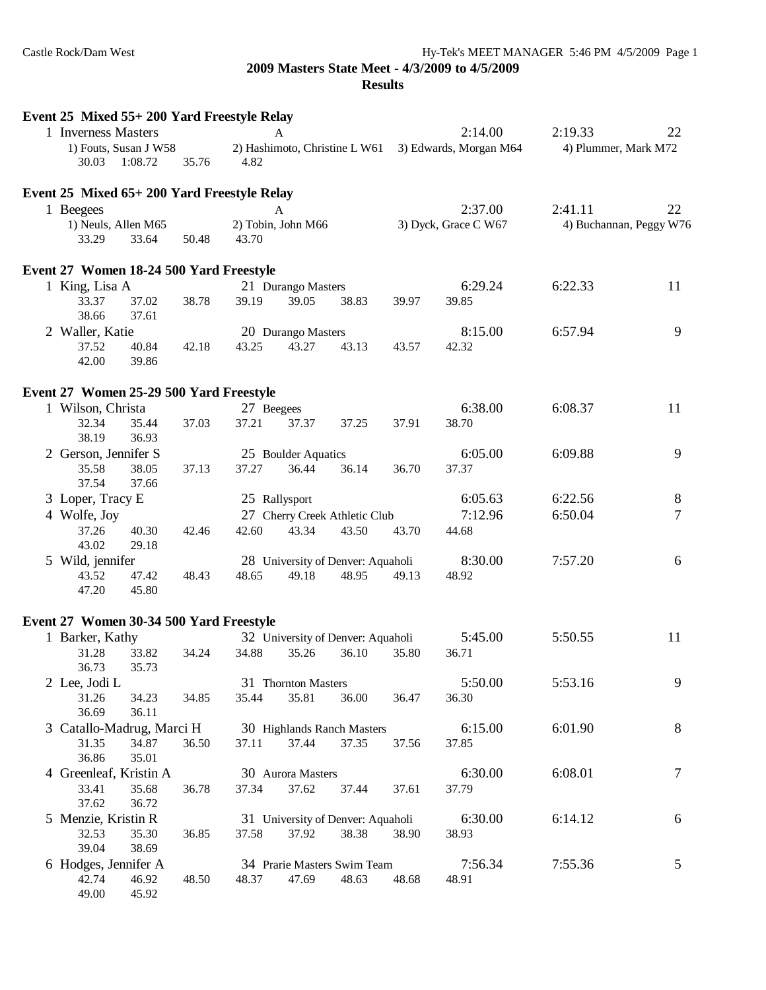| Event 25 Mixed 55+200 Yard Freestyle Relay |                                  |       |            |                     |                                   |       |                        |                         |                |
|--------------------------------------------|----------------------------------|-------|------------|---------------------|-----------------------------------|-------|------------------------|-------------------------|----------------|
| 1 Inverness Masters                        |                                  |       |            | A                   |                                   |       | 2:14.00                | 2:19.33                 | 22             |
| 30.03                                      | 1) Fouts, Susan J W58<br>1:08.72 | 35.76 | 4.82       |                     | 2) Hashimoto, Christine L W61     |       | 3) Edwards, Morgan M64 | 4) Plummer, Mark M72    |                |
|                                            |                                  |       |            |                     |                                   |       |                        |                         |                |
| Event 25 Mixed 65+200 Yard Freestyle Relay |                                  |       |            |                     |                                   |       |                        |                         |                |
| 1 Beegees                                  |                                  |       |            | A                   |                                   |       | 2:37.00                | 2:41.11                 | 22             |
| 33.29                                      | 1) Neuls, Allen M65<br>33.64     | 50.48 | 43.70      | 2) Tobin, John M66  |                                   |       | 3) Dyck, Grace C W67   | 4) Buchannan, Peggy W76 |                |
| Event 27 Women 18-24 500 Yard Freestyle    |                                  |       |            |                     |                                   |       |                        |                         |                |
| 1 King, Lisa A                             |                                  |       |            | 21 Durango Masters  |                                   |       | 6:29.24                | 6:22.33                 | 11             |
| 33.37<br>38.66                             | 37.02<br>37.61                   | 38.78 | 39.19      | 39.05               | 38.83                             | 39.97 | 39.85                  |                         |                |
| 2 Waller, Katie                            |                                  |       |            | 20 Durango Masters  |                                   |       | 8:15.00                | 6:57.94                 | 9              |
| 37.52<br>42.00                             | 40.84<br>39.86                   | 42.18 | 43.25      | 43.27               | 43.13                             | 43.57 | 42.32                  |                         |                |
| Event 27 Women 25-29 500 Yard Freestyle    |                                  |       |            |                     |                                   |       |                        |                         |                |
| 1 Wilson, Christa                          |                                  |       | 27 Beegees |                     |                                   |       | 6:38.00                | 6:08.37                 | 11             |
| 32.34<br>38.19                             | 35.44<br>36.93                   | 37.03 | 37.21      | 37.37               | 37.25                             | 37.91 | 38.70                  |                         |                |
|                                            |                                  |       |            |                     |                                   |       | 6:05.00                |                         |                |
| 2 Gerson, Jennifer S                       |                                  |       |            | 25 Boulder Aquatics |                                   |       |                        | 6:09.88                 | 9              |
| 35.58<br>37.54                             | 38.05<br>37.66                   | 37.13 | 37.27      | 36.44               | 36.14                             | 36.70 | 37.37                  |                         |                |
| 3 Loper, Tracy E                           |                                  |       |            | 25 Rallysport       |                                   |       | 6:05.63                | 6:22.56                 | 8              |
| 4 Wolfe, Joy                               |                                  |       |            |                     | 27 Cherry Creek Athletic Club     |       | 7:12.96                | 6:50.04                 | $\overline{7}$ |
| 37.26<br>43.02                             | 40.30<br>29.18                   | 42.46 | 42.60      | 43.34               | 43.50                             | 43.70 | 44.68                  |                         |                |
| 5 Wild, jennifer                           |                                  |       |            |                     | 28 University of Denver: Aquaholi |       | 8:30.00                | 7:57.20                 | 6              |
| 43.52<br>47.20                             | 47.42<br>45.80                   | 48.43 | 48.65      | 49.18               | 48.95                             | 49.13 | 48.92                  |                         |                |
| Event 27 Women 30-34 500 Yard Freestyle    |                                  |       |            |                     |                                   |       |                        |                         |                |
| 1 Barker, Kathy                            |                                  |       |            |                     | 32 University of Denver: Aquaholi |       | 5:45.00                | 5:50.55                 | 11             |
| 31.28                                      | 33.82                            | 34.24 | 34.88      | 35.26               | 36.10                             | 35.80 | 36.71                  |                         |                |
| 36.73                                      | 35.73                            |       |            |                     |                                   |       |                        |                         |                |
| 2 Lee, Jodi L                              |                                  |       |            | 31 Thornton Masters |                                   |       | 5:50.00                | 5:53.16                 | 9              |
| 31.26                                      | 34.23                            | 34.85 | 35.44      | 35.81               | 36.00                             | 36.47 | 36.30                  |                         |                |
| 36.69                                      | 36.11                            |       |            |                     |                                   |       |                        |                         |                |
| 3 Catallo-Madrug, Marci H                  |                                  |       |            |                     | 30 Highlands Ranch Masters        |       | 6:15.00                | 6:01.90                 | 8              |
| 31.35                                      | 34.87                            | 36.50 | 37.11      | 37.44               | 37.35                             | 37.56 | 37.85                  |                         |                |
| 36.86                                      | 35.01                            |       |            |                     |                                   |       |                        |                         |                |
| 4 Greenleaf, Kristin A                     |                                  |       |            | 30 Aurora Masters   |                                   |       | 6:30.00                | 6:08.01                 | $\tau$         |
| 33.41<br>37.62                             | 35.68<br>36.72                   | 36.78 | 37.34      | 37.62               | 37.44                             | 37.61 | 37.79                  |                         |                |
| 5 Menzie, Kristin R                        |                                  |       |            |                     | 31 University of Denver: Aquaholi |       | 6:30.00                | 6:14.12                 | 6              |
| 32.53                                      | 35.30                            | 36.85 | 37.58      | 37.92               | 38.38                             | 38.90 | 38.93                  |                         |                |
| 39.04                                      | 38.69                            |       |            |                     |                                   |       |                        |                         |                |
| 6 Hodges, Jennifer A                       |                                  |       |            |                     | 34 Prarie Masters Swim Team       |       | 7:56.34                | 7:55.36                 | 5              |
| 42.74<br>49.00                             | 46.92<br>45.92                   | 48.50 | 48.37      | 47.69               | 48.63                             | 48.68 | 48.91                  |                         |                |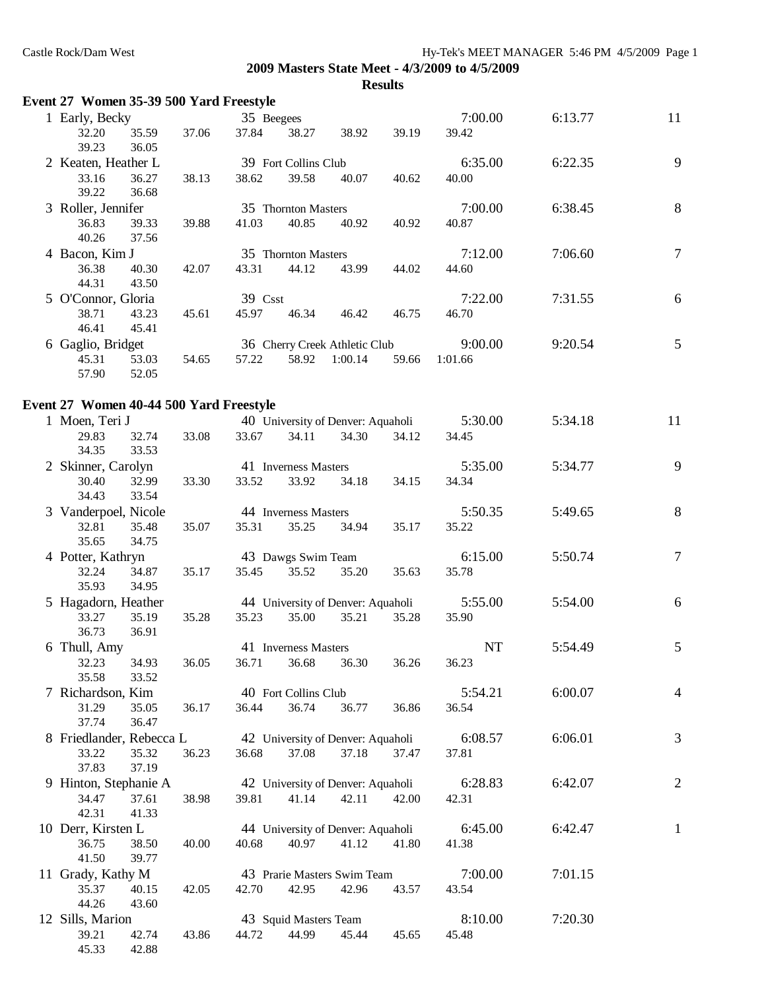| Event 27 Women 35-39 500 Yard Freestyle |       |            |                                   |         |       |           |         |                 |
|-----------------------------------------|-------|------------|-----------------------------------|---------|-------|-----------|---------|-----------------|
| 1 Early, Becky                          |       | 35 Beegees |                                   |         |       | 7:00.00   | 6:13.77 | 11              |
| 32.20<br>35.59<br>39.23<br>36.05        | 37.06 | 37.84      | 38.27                             | 38.92   | 39.19 | 39.42     |         |                 |
| 2 Keaten, Heather L                     |       |            | 39 Fort Collins Club              |         |       | 6:35.00   | 6:22.35 | 9               |
| 33.16<br>36.27<br>39.22<br>36.68        | 38.13 | 38.62      | 39.58                             | 40.07   | 40.62 | 40.00     |         |                 |
| 3 Roller, Jennifer                      |       |            | 35 Thornton Masters               |         |       | 7:00.00   | 6:38.45 | $\,8\,$         |
| 36.83<br>39.33<br>40.26<br>37.56        | 39.88 | 41.03      | 40.85                             | 40.92   | 40.92 | 40.87     |         |                 |
| 4 Bacon, Kim J                          |       |            | 35 Thornton Masters               |         |       | 7:12.00   | 7:06.60 | $\tau$          |
| 36.38<br>40.30<br>44.31<br>43.50        | 42.07 | 43.31      | 44.12                             | 43.99   | 44.02 | 44.60     |         |                 |
| 5 O'Connor, Gloria                      |       | 39 Csst    |                                   |         |       | 7:22.00   | 7:31.55 | 6               |
| 38.71<br>43.23<br>46.41<br>45.41        | 45.61 | 45.97      | 46.34                             | 46.42   | 46.75 | 46.70     |         |                 |
| 6 Gaglio, Bridget                       |       |            | 36 Cherry Creek Athletic Club     |         |       | 9:00.00   | 9:20.54 | $5\overline{)}$ |
| 45.31<br>53.03<br>57.90<br>52.05        | 54.65 | 57.22      | 58.92                             | 1:00.14 | 59.66 | 1:01.66   |         |                 |
| Event 27 Women 40-44 500 Yard Freestyle |       |            |                                   |         |       |           |         |                 |
| 1 Moen, Teri J                          |       |            | 40 University of Denver: Aquaholi |         |       | 5:30.00   | 5:34.18 | 11              |
| 29.83<br>32.74<br>34.35<br>33.53        | 33.08 | 33.67      | 34.11                             | 34.30   | 34.12 | 34.45     |         |                 |
| 2 Skinner, Carolyn                      |       |            | 41 Inverness Masters              |         |       | 5:35.00   | 5:34.77 | 9               |
| 30.40<br>32.99<br>33.54<br>34.43        | 33.30 | 33.52      | 33.92                             | 34.18   | 34.15 | 34.34     |         |                 |
| 3 Vanderpoel, Nicole                    |       |            | 44 Inverness Masters              |         |       | 5:50.35   | 5:49.65 | $8\,$           |
| 32.81<br>35.48<br>34.75<br>35.65        | 35.07 | 35.31      | 35.25                             | 34.94   | 35.17 | 35.22     |         |                 |
| 4 Potter, Kathryn                       |       |            | 43 Dawgs Swim Team                |         |       | 6:15.00   | 5:50.74 | $\overline{7}$  |
| 32.24<br>34.87<br>35.93<br>34.95        | 35.17 | 35.45      | 35.52                             | 35.20   | 35.63 | 35.78     |         |                 |
| 5 Hagadorn, Heather                     |       |            | 44 University of Denver: Aquaholi |         |       | 5:55.00   | 5:54.00 | $6\,$           |
| 33.27<br>35.19<br>36.73<br>36.91        | 35.28 | 35.23      | 35.00                             | 35.21   | 35.28 | 35.90     |         |                 |
| 6 Thull, Amy                            |       |            | 41 Inverness Masters              |         |       | <b>NT</b> | 5:54.49 | 5               |
| 32.23<br>34.93<br>35.58<br>33.52        | 36.05 | 36.71      | 36.68                             | 36.30   | 36.26 | 36.23     |         |                 |
| 7 Richardson, Kim                       |       |            | 40 Fort Collins Club              |         |       | 5:54.21   | 6:00.07 | 4               |
| 31.29<br>35.05<br>37.74<br>36.47        | 36.17 | 36.44      | 36.74                             | 36.77   | 36.86 | 36.54     |         |                 |
| 8 Friedlander, Rebecca L                |       |            | 42 University of Denver: Aquaholi |         |       | 6:08.57   | 6:06.01 | 3               |
| 33.22<br>35.32<br>37.83<br>37.19        | 36.23 | 36.68      | 37.08                             | 37.18   | 37.47 | 37.81     |         |                 |
| 9 Hinton, Stephanie A                   |       |            | 42 University of Denver: Aquaholi |         |       | 6:28.83   | 6:42.07 | $\mathbf{2}$    |
| 37.61<br>34.47<br>42.31<br>41.33        | 38.98 | 39.81      | 41.14                             | 42.11   | 42.00 | 42.31     |         |                 |
| 10 Derr, Kirsten L                      |       |            | 44 University of Denver: Aquaholi |         |       | 6:45.00   | 6:42.47 | $\mathbf{1}$    |
| 36.75<br>38.50<br>41.50<br>39.77        | 40.00 | 40.68      | 40.97                             | 41.12   | 41.80 | 41.38     |         |                 |
| 11 Grady, Kathy M                       |       |            | 43 Prarie Masters Swim Team       |         |       | 7:00.00   | 7:01.15 |                 |
| 35.37<br>40.15<br>44.26<br>43.60        | 42.05 | 42.70      | 42.95                             | 42.96   | 43.57 | 43.54     |         |                 |
| 12 Sills, Marion                        |       |            | 43 Squid Masters Team             |         |       | 8:10.00   | 7:20.30 |                 |
| 39.21<br>42.74<br>45.33<br>42.88        | 43.86 | 44.72      | 44.99                             | 45.44   | 45.65 | 45.48     |         |                 |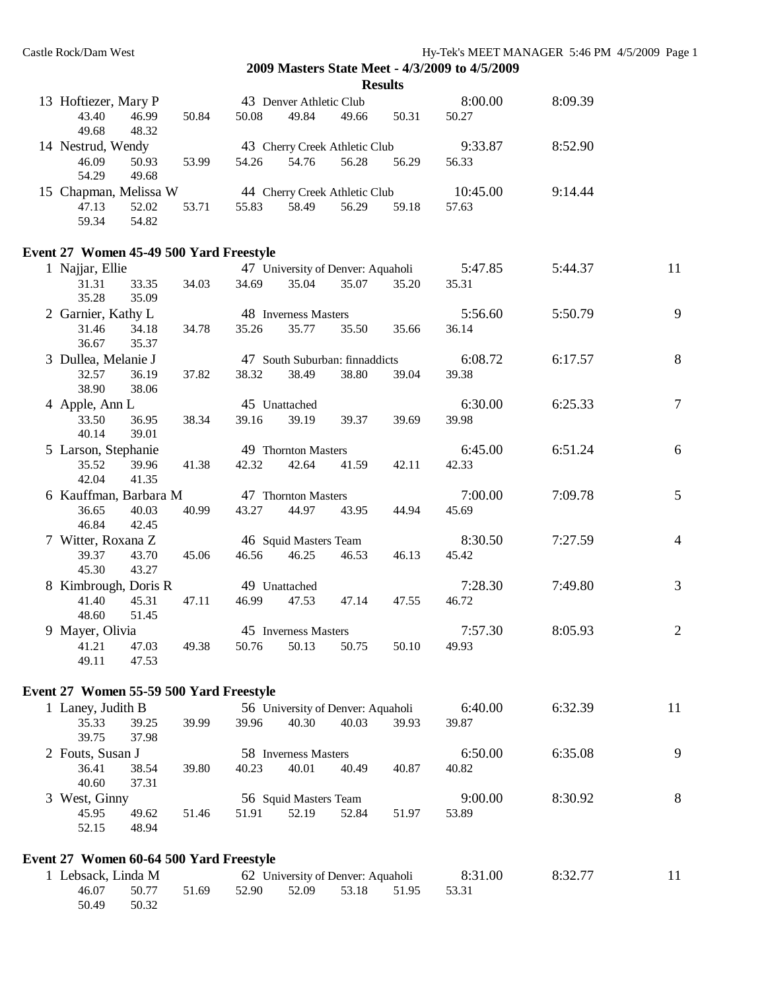|                                                     |       |               |                                   |       | <b>Results</b> | 2009 Masters State Meet - 4/3/2009 to 4/3/2009 |         |                |
|-----------------------------------------------------|-------|---------------|-----------------------------------|-------|----------------|------------------------------------------------|---------|----------------|
| 13 Hoftiezer, Mary P                                |       |               | 43 Denver Athletic Club           |       |                | 8:00.00                                        | 8:09.39 |                |
| 43.40<br>46.99<br>49.68<br>48.32                    | 50.84 | 50.08         | 49.84                             | 49.66 | 50.31          | 50.27                                          |         |                |
| 14 Nestrud, Wendy                                   |       |               | 43 Cherry Creek Athletic Club     |       |                | 9:33.87                                        | 8:52.90 |                |
| 50.93<br>46.09<br>54.29<br>49.68                    | 53.99 | 54.26         | 54.76                             | 56.28 | 56.29          | 56.33                                          |         |                |
| 15 Chapman, Melissa W 44 Cherry Creek Athletic Club |       |               |                                   |       |                | 10:45.00                                       | 9:14.44 |                |
| 47.13<br>52.02<br>54.82<br>59.34                    | 53.71 | 55.83         | 58.49                             | 56.29 | 59.18          | 57.63                                          |         |                |
| Event 27 Women 45-49 500 Yard Freestyle             |       |               |                                   |       |                |                                                |         |                |
| 1 Najjar, Ellie                                     |       |               |                                   |       |                | 47 University of Denver: Aquaholi 5:47.85      | 5:44.37 | 11             |
| 31.31<br>33.35<br>35.28<br>35.09                    | 34.03 | 34.69         | 35.04                             | 35.07 | 35.20          | 35.31                                          |         |                |
| 2 Garnier, Kathy L                                  |       |               | 48 Inverness Masters              |       |                | 5:56.60                                        | 5:50.79 | 9              |
| 31.46<br>34.18<br>36.67<br>35.37                    | 34.78 | 35.26         | 35.77                             | 35.50 | 35.66          | 36.14                                          |         |                |
| 3 Dullea, Melanie J                                 |       |               | 47 South Suburban: finnaddicts    |       |                | 6:08.72                                        | 6:17.57 | $8\,$          |
| 32.57<br>36.19<br>38.90<br>38.06                    | 37.82 | 38.32         | 38.49                             | 38.80 | 39.04          | 39.38                                          |         |                |
| 4 Apple, Ann L                                      |       | 45 Unattached |                                   |       |                | 6:30.00                                        | 6:25.33 | $\tau$         |
| 33.50<br>36.95<br>40.14<br>39.01                    | 38.34 | 39.16         | 39.19                             | 39.37 | 39.69          | 39.98                                          |         |                |
| 5 Larson, Stephanie                                 |       |               | 49 Thornton Masters               |       |                | 6:45.00                                        | 6:51.24 | 6              |
| 35.52<br>39.96<br>42.04<br>41.35                    | 41.38 | 42.32         | 42.64                             | 41.59 | 42.11          | 42.33                                          |         |                |
| 6 Kauffman, Barbara M                               |       |               | 47 Thornton Masters               |       |                | 7:00.00                                        | 7:09.78 | 5              |
| 36.65<br>40.03<br>46.84<br>42.45                    | 40.99 | 43.27         | 44.97                             | 43.95 | 44.94          | 45.69                                          |         |                |
| 7 Witter, Roxana Z                                  |       |               | 46 Squid Masters Team             |       |                | 8:30.50                                        | 7:27.59 | $\overline{4}$ |
| 39.37<br>43.70<br>45.30<br>43.27                    | 45.06 | 46.56 46.25   |                                   | 46.53 | 46.13          | 45.42                                          |         |                |
| 8 Kimbrough, Doris R                                |       | 49 Unattached |                                   |       |                | 7:28.30                                        | 7:49.80 | 3              |
| 41.40<br>45.31<br>48.60<br>51.45                    | 47.11 | 46.99         | 47.53                             | 47.14 | 47.55          | 46.72                                          |         |                |
| 9 Mayer, Olivia                                     |       |               | 45 Inverness Masters              |       |                | 7:57.30                                        | 8:05.93 | 2              |
| 41.21<br>47.03<br>49.11<br>47.53                    | 49.38 | 50.76         | 50.13                             | 50.75 | 50.10          | 49.93                                          |         |                |
| Event 27 Women 55-59 500 Yard Freestyle             |       |               |                                   |       |                |                                                |         |                |
| 1 Laney, Judith B                                   |       |               | 56 University of Denver: Aquaholi |       |                | 6:40.00                                        | 6:32.39 | 11             |
| 35.33<br>39.25<br>39.75<br>37.98                    | 39.99 | 39.96         | 40.30                             | 40.03 | 39.93          | 39.87                                          |         |                |
| 2 Fouts, Susan J                                    |       |               | 58 Inverness Masters              |       |                | 6:50.00                                        | 6:35.08 | 9              |
| 36.41<br>38.54<br>40.60<br>37.31                    | 39.80 | 40.23         | 40.01                             | 40.49 | 40.87          | 40.82                                          |         |                |
| 3 West, Ginny                                       |       |               | 56 Squid Masters Team             |       |                | 9:00.00                                        | 8:30.92 | $8\,$          |
| 45.95<br>49.62<br>52.15<br>48.94                    | 51.46 | 51.91         | 52.19                             | 52.84 | 51.97          | 53.89                                          |         |                |
| Event 27 Women 60-64 500 Yard Freestyle             |       |               |                                   |       |                |                                                |         |                |
|                                                     |       |               |                                   |       |                |                                                |         |                |

| 1 Lebsack, Linda M |       |                                           | 62 University of Denver: Aquaholi | 8:31.00 | 8:32.77 |  |
|--------------------|-------|-------------------------------------------|-----------------------------------|---------|---------|--|
|                    |       | 46.07 50.77 51.69 52.90 52.09 53.18 51.95 |                                   | 53.31   |         |  |
| 50.49              | 50.32 |                                           |                                   |         |         |  |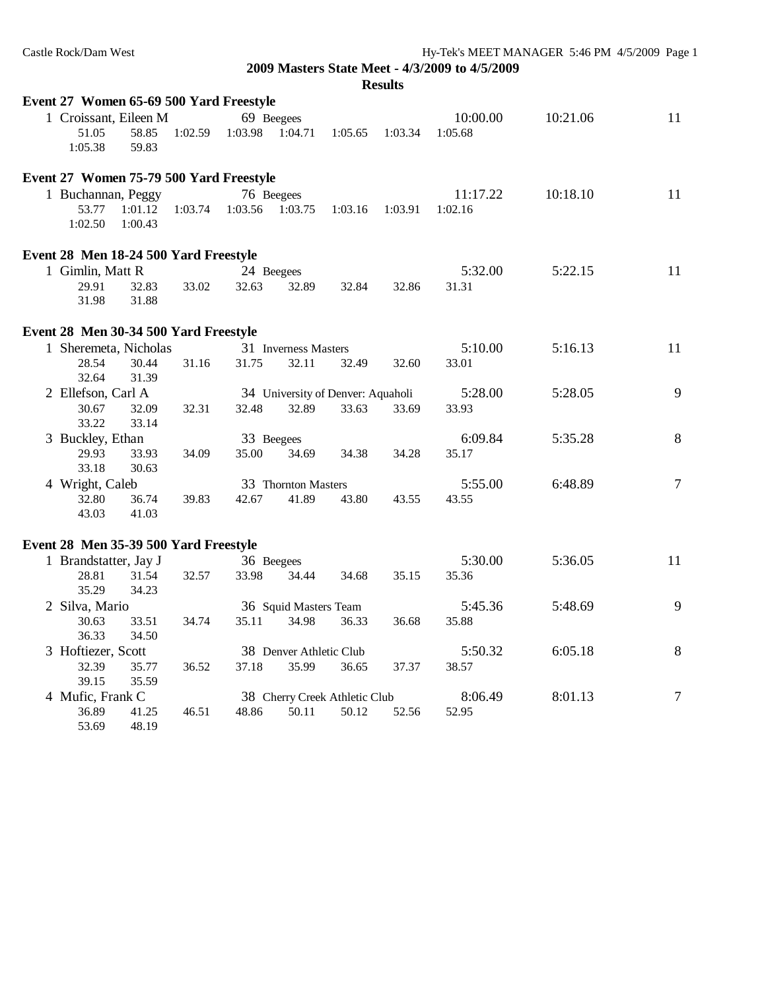| Event 27 Women 65-69 500 Yard Freestyle |                    |         |                 |                         |                                   |         |          |          |                |
|-----------------------------------------|--------------------|---------|-----------------|-------------------------|-----------------------------------|---------|----------|----------|----------------|
| 1 Croissant, Eileen M                   |                    |         |                 | 69 Beegees              |                                   |         | 10:00.00 | 10:21.06 | 11             |
| 51.05<br>1:05.38                        | 58.85<br>59.83     | 1:02.59 | 1:03.98 1:04.71 |                         | 1:05.65                           | 1:03.34 | 1:05.68  |          |                |
| Event 27 Women 75-79 500 Yard Freestyle |                    |         |                 |                         |                                   |         |          |          |                |
| 1 Buchannan, Peggy                      |                    |         |                 | 76 Beegees              |                                   |         | 11:17.22 | 10:18.10 | 11             |
| 53.77<br>1:02.50                        | 1:01.12<br>1:00.43 | 1:03.74 |                 | 1:03.56 1:03.75         | 1:03.16                           | 1:03.91 | 1:02.16  |          |                |
| Event 28 Men 18-24 500 Yard Freestyle   |                    |         |                 |                         |                                   |         |          |          |                |
| 1 Gimlin, Matt R                        |                    |         |                 | 24 Beegees              |                                   |         | 5:32.00  | 5:22.15  | 11             |
| 29.91<br>31.98                          | 32.83<br>31.88     | 33.02   | 32.63           | 32.89                   | 32.84                             | 32.86   | 31.31    |          |                |
| Event 28 Men 30-34 500 Yard Freestyle   |                    |         |                 |                         |                                   |         |          |          |                |
| 1 Sheremeta, Nicholas                   |                    |         |                 | 31 Inverness Masters    |                                   |         | 5:10.00  | 5:16.13  | 11             |
| 28.54<br>32.64                          | 30.44<br>31.39     | 31.16   | 31.75           | 32.11                   | 32.49                             | 32.60   | 33.01    |          |                |
| 2 Ellefson, Carl A                      |                    |         |                 |                         | 34 University of Denver: Aquaholi |         | 5:28.00  | 5:28.05  | 9              |
| 30.67<br>33.22                          | 32.09<br>33.14     | 32.31   | 32.48           | 32.89                   | 33.63                             | 33.69   | 33.93    |          |                |
| 3 Buckley, Ethan                        |                    |         |                 | 33 Beegees              |                                   |         | 6:09.84  | 5:35.28  | $8\,$          |
| 29.93<br>33.18                          | 33.93<br>30.63     | 34.09   | 35.00           | 34.69                   | 34.38                             | 34.28   | 35.17    |          |                |
| 4 Wright, Caleb                         |                    |         |                 | 33 Thornton Masters     |                                   |         | 5:55.00  | 6:48.89  | $\overline{7}$ |
| 32.80<br>43.03                          | 36.74<br>41.03     | 39.83   | 42.67           | 41.89                   | 43.80                             | 43.55   | 43.55    |          |                |
| Event 28 Men 35-39 500 Yard Freestyle   |                    |         |                 |                         |                                   |         |          |          |                |
| 1 Brandstatter, Jay J                   |                    |         |                 | 36 Beegees              |                                   |         | 5:30.00  | 5:36.05  | 11             |
| 28.81<br>35.29                          | 31.54<br>34.23     | 32.57   | 33.98           | 34.44                   | 34.68                             | 35.15   | 35.36    |          |                |
| 2 Silva, Mario                          |                    |         |                 | 36 Squid Masters Team   |                                   |         | 5:45.36  | 5:48.69  | 9              |
| 30.63<br>36.33                          | 33.51<br>34.50     | 34.74   | 35.11           | 34.98                   | 36.33                             | 36.68   | 35.88    |          |                |
| 3 Hoftiezer, Scott                      |                    |         |                 | 38 Denver Athletic Club |                                   |         | 5:50.32  | 6:05.18  | $\,8\,$        |
| 32.39<br>39.15                          | 35.77<br>35.59     | 36.52   | 37.18           | 35.99                   | 36.65                             | 37.37   | 38.57    |          |                |
| 4 Mufic, Frank C                        |                    |         |                 |                         | 38 Cherry Creek Athletic Club     |         | 8:06.49  | 8:01.13  | $\overline{7}$ |
| 36.89<br>53.69                          | 41.25<br>48.19     | 46.51   | 48.86           | 50.11                   | 50.12                             | 52.56   | 52.95    |          |                |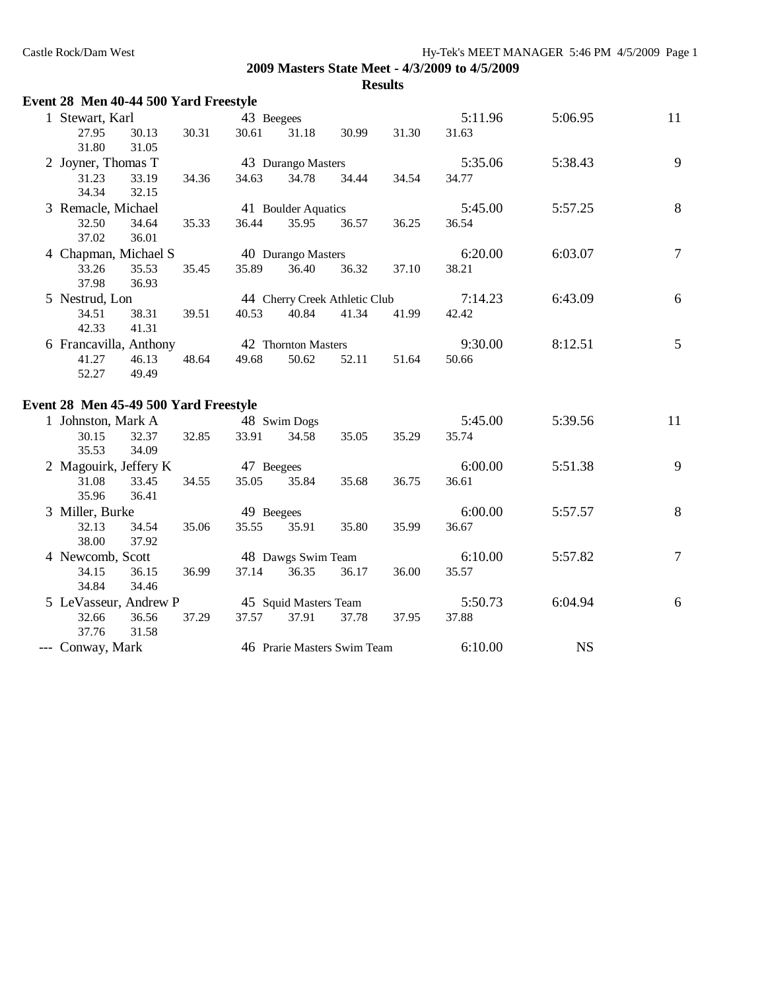| Event 28 Men 40-44 500 Yard Freestyle |       |            |                       |                               |       |         |           |                  |
|---------------------------------------|-------|------------|-----------------------|-------------------------------|-------|---------|-----------|------------------|
| 1 Stewart, Karl                       |       | 43 Beegees |                       |                               |       | 5:11.96 | 5:06.95   | 11               |
| 27.95<br>30.13<br>31.80<br>31.05      | 30.31 | 30.61      | 31.18                 | 30.99                         | 31.30 | 31.63   |           |                  |
| 2 Joyner, Thomas T                    |       |            | 43 Durango Masters    |                               |       | 5:35.06 | 5:38.43   | 9                |
| 31.23<br>33.19<br>32.15<br>34.34      | 34.36 | 34.63      | 34.78                 | 34.44                         | 34.54 | 34.77   |           |                  |
| 3 Remacle, Michael                    |       |            | 41 Boulder Aquatics   |                               |       | 5:45.00 | 5:57.25   | $\,8\,$          |
| 32.50<br>34.64<br>37.02<br>36.01      | 35.33 | 36.44      | 35.95                 | 36.57                         | 36.25 | 36.54   |           |                  |
| 4 Chapman, Michael S                  |       |            | 40 Durango Masters    |                               |       | 6:20.00 | 6:03.07   | $\overline{7}$   |
| 33.26<br>35.53<br>37.98<br>36.93      | 35.45 | 35.89      | 36.40                 | 36.32                         | 37.10 | 38.21   |           |                  |
| 5 Nestrud, Lon                        |       |            |                       | 44 Cherry Creek Athletic Club |       | 7:14.23 | 6:43.09   | 6                |
| 34.51<br>38.31<br>41.31<br>42.33      | 39.51 | 40.53      | 40.84                 | 41.34                         | 41.99 | 42.42   |           |                  |
| 6 Francavilla, Anthony                |       |            | 42 Thornton Masters   |                               |       | 9:30.00 | 8:12.51   | 5                |
| 41.27<br>46.13<br>52.27<br>49.49      | 48.64 | 49.68      | 50.62                 | 52.11                         | 51.64 | 50.66   |           |                  |
| Event 28 Men 45-49 500 Yard Freestyle |       |            |                       |                               |       |         |           |                  |
| 1 Johnston, Mark A                    |       |            | 48 Swim Dogs          |                               |       | 5:45.00 | 5:39.56   | 11               |
| 30.15<br>32.37<br>35.53<br>34.09      | 32.85 | 33.91      | 34.58                 | 35.05                         | 35.29 | 35.74   |           |                  |
| 2 Magouirk, Jeffery K                 |       | 47 Beegees |                       |                               |       | 6:00.00 | 5:51.38   | 9                |
| 31.08<br>33.45<br>35.96<br>36.41      | 34.55 | 35.05      | 35.84                 | 35.68                         | 36.75 | 36.61   |           |                  |
| 3 Miller, Burke                       |       | 49 Beegees |                       |                               |       | 6:00.00 | 5:57.57   | $\,8\,$          |
| 32.13<br>34.54<br>38.00<br>37.92      | 35.06 | 35.55      | 35.91                 | 35.80                         | 35.99 | 36.67   |           |                  |
| 4 Newcomb, Scott                      |       |            | 48 Dawgs Swim Team    |                               |       | 6:10.00 | 5:57.82   | $\boldsymbol{7}$ |
| 34.15<br>36.15<br>34.84<br>34.46      | 36.99 | 37.14      | 36.35                 | 36.17                         | 36.00 | 35.57   |           |                  |
| 5 LeVasseur, Andrew P                 |       |            | 45 Squid Masters Team |                               |       | 5:50.73 | 6:04.94   | 6                |
| 32.66<br>36.56<br>37.76<br>31.58      | 37.29 | 37.57      | 37.91                 | 37.78                         | 37.95 | 37.88   |           |                  |
| --- Conway, Mark                      |       |            |                       | 46 Prarie Masters Swim Team   |       | 6:10.00 | <b>NS</b> |                  |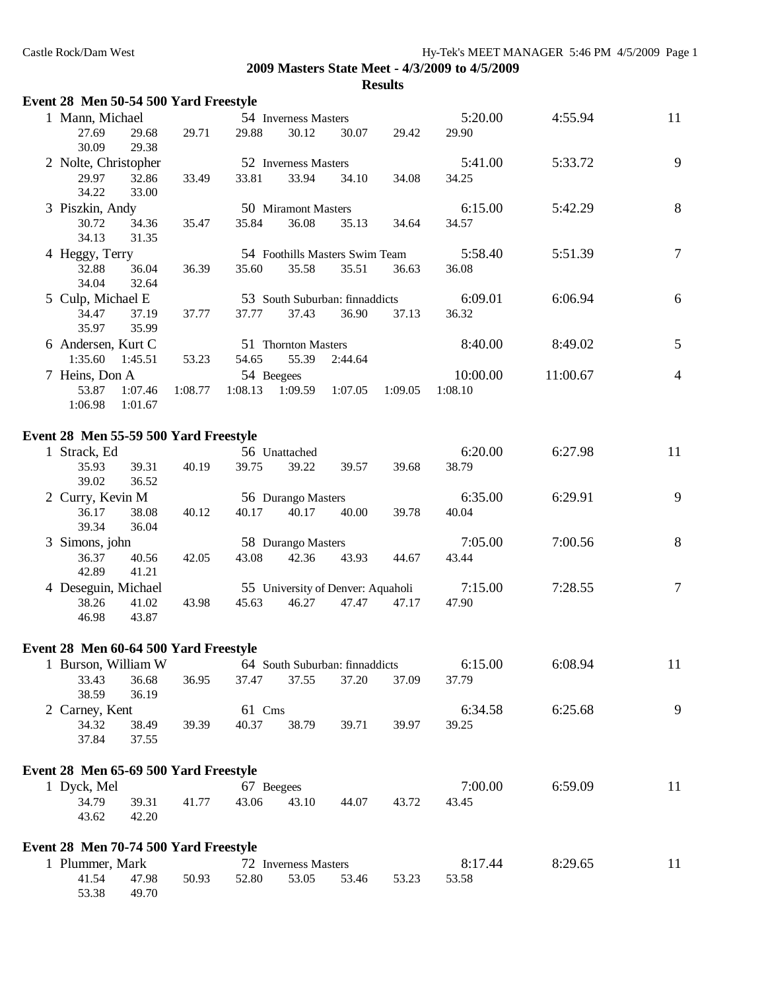| Event 28 Men 50-54 500 Yard Freestyle |                |         |            |                      |                                   |         |          |          |                |
|---------------------------------------|----------------|---------|------------|----------------------|-----------------------------------|---------|----------|----------|----------------|
| 1 Mann, Michael                       |                |         |            | 54 Inverness Masters |                                   |         | 5:20.00  | 4:55.94  | 11             |
| 27.69                                 | 29.68          | 29.71   | 29.88      | 30.12                | 30.07                             | 29.42   | 29.90    |          |                |
| 30.09                                 | 29.38          |         |            |                      |                                   |         |          |          |                |
| 2 Nolte, Christopher                  |                |         |            | 52 Inverness Masters |                                   |         | 5:41.00  | 5:33.72  | 9              |
| 29.97<br>34.22                        | 32.86<br>33.00 | 33.49   | 33.81      | 33.94                | 34.10                             | 34.08   | 34.25    |          |                |
| 3 Piszkin, Andy                       |                |         |            | 50 Miramont Masters  |                                   |         | 6:15.00  | 5:42.29  | $\,8\,$        |
| 30.72<br>34.13                        | 34.36<br>31.35 | 35.47   | 35.84      | 36.08                | 35.13                             | 34.64   | 34.57    |          |                |
| 4 Heggy, Terry                        |                |         |            |                      | 54 Foothills Masters Swim Team    |         | 5:58.40  | 5:51.39  | $\tau$         |
| 32.88<br>34.04                        | 36.04<br>32.64 | 36.39   | 35.60      | 35.58                | 35.51                             | 36.63   | 36.08    |          |                |
| 5 Culp, Michael E                     |                |         |            |                      | 53 South Suburban: finnaddicts    |         | 6:09.01  | 6:06.94  | $6\,$          |
| 34.47<br>35.97                        | 37.19<br>35.99 | 37.77   | 37.77      | 37.43                | 36.90                             | 37.13   | 36.32    |          |                |
| 6 Andersen, Kurt C                    |                |         |            | 51 Thornton Masters  |                                   |         | 8:40.00  | 8:49.02  | 5              |
| 1:35.60                               | 1:45.51        | 53.23   | 54.65      | 55.39                | 2:44.64                           |         |          |          |                |
| 7 Heins, Don A                        |                |         | 54 Beegees |                      |                                   |         | 10:00.00 | 11:00.67 | $\overline{4}$ |
| 53.87                                 | 1:07.46        | 1:08.77 | 1:08.13    | 1:09.59              | 1:07.05                           | 1:09.05 | 1:08.10  |          |                |
| 1:06.98                               | 1:01.67        |         |            |                      |                                   |         |          |          |                |
| Event 28 Men 55-59 500 Yard Freestyle |                |         |            |                      |                                   |         |          |          |                |
| 1 Strack, Ed                          |                |         |            | 56 Unattached        |                                   |         | 6:20.00  | 6:27.98  | 11             |
| 35.93<br>39.02                        | 39.31<br>36.52 | 40.19   | 39.75      | 39.22                | 39.57                             | 39.68   | 38.79    |          |                |
| 2 Curry, Kevin M                      |                |         |            | 56 Durango Masters   |                                   |         | 6:35.00  | 6:29.91  | 9              |
| 36.17<br>39.34                        | 38.08<br>36.04 | 40.12   | 40.17      | 40.17                | 40.00                             | 39.78   | 40.04    |          |                |
| 3 Simons, john                        |                |         |            | 58 Durango Masters   |                                   |         | 7:05.00  | 7:00.56  | 8              |
| 36.37<br>42.89                        | 40.56<br>41.21 | 42.05   | 43.08      | 42.36                | 43.93                             | 44.67   | 43.44    |          |                |
| 4 Deseguin, Michael                   |                |         |            |                      | 55 University of Denver: Aquaholi |         | 7:15.00  | 7:28.55  | $\tau$         |
| 38.26<br>46.98                        | 41.02<br>43.87 | 43.98   | 45.63      | 46.27                | 47.47                             | 47.17   | 47.90    |          |                |
| Event 28 Men 60-64 500 Yard Freestyle |                |         |            |                      |                                   |         |          |          |                |
| 1 Burson, William W                   |                |         |            |                      | 64 South Suburban: finnaddicts    |         | 6:15.00  | 6:08.94  | 11             |
| 33.43                                 | 36.68          | 36.95   | 37.47      | 37.55                | 37.20                             | 37.09   | 37.79    |          |                |
| 38.59                                 | 36.19          |         |            |                      |                                   |         |          |          |                |
| 2 Carney, Kent                        |                |         | 61 Cms     |                      |                                   |         | 6:34.58  | 6:25.68  | 9              |
| 34.32<br>37.84                        | 38.49<br>37.55 | 39.39   | 40.37      | 38.79                | 39.71                             | 39.97   | 39.25    |          |                |
|                                       |                |         |            |                      |                                   |         |          |          |                |
| Event 28 Men 65-69 500 Yard Freestyle |                |         |            |                      |                                   |         |          |          |                |
| 1 Dyck, Mel                           |                |         | 67 Beegees |                      |                                   |         | 7:00.00  | 6:59.09  | 11             |
| 34.79                                 | 39.31          | 41.77   | 43.06      | 43.10                | 44.07                             | 43.72   | 43.45    |          |                |
| 43.62                                 | 42.20          |         |            |                      |                                   |         |          |          |                |
| Event 28 Men 70-74 500 Yard Freestyle |                |         |            |                      |                                   |         |          |          |                |
| 1 Plummer, Mark                       |                |         |            | 72 Inverness Masters |                                   |         | 8:17.44  | 8:29.65  | 11             |
| 41.54                                 | 47.98          | 50.93   | 52.80      | 53.05                | 53.46                             | 53.23   | 53.58    |          |                |
| 53.38                                 | 49.70          |         |            |                      |                                   |         |          |          |                |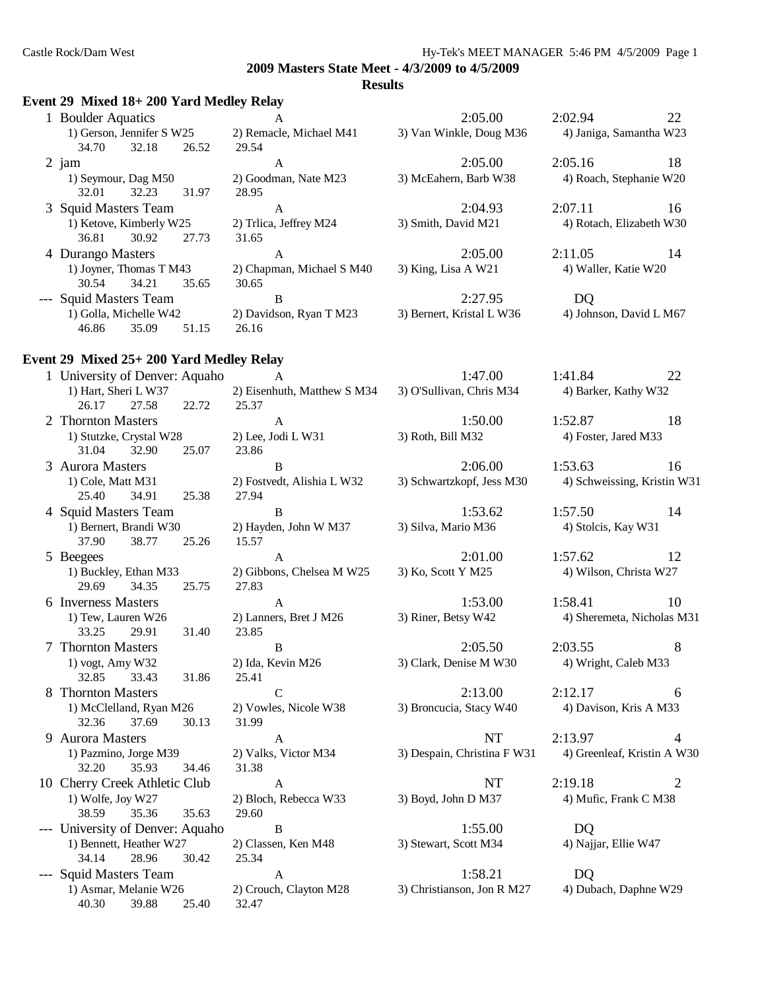#### **Results**

# **Event 29 Mixed 18+ 200 Yard Medley Relay**

| <b>Boulder Aquatics</b>                                                                                                                                                                                                                                                                                                            | A                                           | 2:05.00                   | 2:02.94                  | 22 |
|------------------------------------------------------------------------------------------------------------------------------------------------------------------------------------------------------------------------------------------------------------------------------------------------------------------------------------|---------------------------------------------|---------------------------|--------------------------|----|
| 1) Gerson, Jennifer S W25                                                                                                                                                                                                                                                                                                          | 2) Remacle, Michael M41                     | 3) Van Winkle, Doug M36   | 4) Janiga, Samantha W23  |    |
| 32.18<br>34.70                                                                                                                                                                                                                                                                                                                     | 26.52<br>29.54                              |                           |                          |    |
| $2$ jam                                                                                                                                                                                                                                                                                                                            | А                                           | 2:05.00                   | 2:05.16                  | 18 |
| 1) Seymour, Dag M50<br>32.23<br>32.01                                                                                                                                                                                                                                                                                              | 2) Goodman, Nate M23<br>31.97<br>28.95      | 3) McEahern, Barb W38     | 4) Roach, Stephanie W20  |    |
| 3 Squid Masters Team                                                                                                                                                                                                                                                                                                               | A                                           | 2:04.93                   | 2:07.11                  | 16 |
| 1) Ketove, Kimberly W25<br>30.92<br>36.81                                                                                                                                                                                                                                                                                          | 2) Trlica, Jeffrey M24<br>27.73<br>31.65    | 3) Smith, David M21       | 4) Rotach, Elizabeth W30 |    |
| 4 Durango Masters                                                                                                                                                                                                                                                                                                                  | A                                           | 2:05.00                   | 2:11.05                  | 14 |
| 1) Joyner, Thomas T M43<br>34.21<br>30.54                                                                                                                                                                                                                                                                                          | 2) Chapman, Michael S M40<br>35.65<br>30.65 | 3) King, Lisa A W21       | 4) Waller, Katie W20     |    |
| --- Squid Masters Team                                                                                                                                                                                                                                                                                                             | В                                           | 2:27.95                   | DQ                       |    |
| 1) Golla, Michelle W42<br>46.86<br>35.09                                                                                                                                                                                                                                                                                           | 2) Davidson, Ryan T M23<br>51.15<br>26.16   | 3) Bernert, Kristal L W36 | 4) Johnson, David L M67  |    |
| $\overline{1}$ and $\overline{1}$ and $\overline{1}$ and $\overline{1}$ and $\overline{1}$ and $\overline{1}$ and $\overline{1}$ and $\overline{1}$ and $\overline{1}$ and $\overline{1}$ and $\overline{1}$ and $\overline{1}$ and $\overline{1}$ and $\overline{1}$ and $\overline{1}$ and $\overline{1}$ and $\overline{1}$ and |                                             |                           |                          |    |

#### **Event 29 Mixed 25+ 200 Yard Medley Relay**

| 1 University of Denver: Aquaho   | $\mathbf{A}$                | 1:47.00                     | 1:41.84<br>22               |
|----------------------------------|-----------------------------|-----------------------------|-----------------------------|
| 1) Hart, Sheri L W37             | 2) Eisenhuth, Matthew S M34 | 3) O'Sullivan, Chris M34    | 4) Barker, Kathy W32        |
| 27.58<br>26.17<br>22.72          | 25.37                       |                             |                             |
| 2 Thornton Masters               | $\mathbf{A}$                | 1:50.00                     | 18<br>1:52.87               |
| 1) Stutzke, Crystal W28          | 2) Lee, Jodi L W31          | 3) Roth, Bill M32           | 4) Foster, Jared M33        |
| 31.04<br>32.90<br>25.07          | 23.86                       |                             |                             |
| 3 Aurora Masters                 | B                           | 2:06.00                     | 1:53.63<br>16               |
| 1) Cole, Matt M31                | 2) Fostvedt, Alishia L W32  | 3) Schwartzkopf, Jess M30   | 4) Schweissing, Kristin W31 |
| 34.91<br>25.40<br>25.38          | 27.94                       |                             |                             |
| 4 Squid Masters Team             | B                           | 1:53.62                     | 1:57.50<br>14               |
| 1) Bernert, Brandi W30           | 2) Hayden, John W M37       | 3) Silva, Mario M36         | 4) Stolcis, Kay W31         |
| 37.90<br>38.77<br>25.26          | 15.57                       |                             |                             |
| 5 Beegees                        | $\mathbf{A}$                | 2:01.00                     | 1:57.62<br>12               |
| 1) Buckley, Ethan M33            | 2) Gibbons, Chelsea M W25   | 3) Ko, Scott Y M25          | 4) Wilson, Christa W27      |
| 29.69<br>34.35<br>25.75          | 27.83                       |                             |                             |
| 6 Inverness Masters              | $\mathbf{A}$                | 1:53.00                     | 1:58.41<br>10               |
| 1) Tew, Lauren W26               | 2) Lanners, Bret J M26      | 3) Riner, Betsy W42         | 4) Sheremeta, Nicholas M31  |
| 33.25<br>31.40<br>29.91          | 23.85                       |                             |                             |
| 7 Thornton Masters               | B                           | 2:05.50                     | 2:03.55<br>8                |
| 1) vogt, Amy W32                 | 2) Ida, Kevin M26           | 3) Clark, Denise M W30      | 4) Wright, Caleb M33        |
| 32.85<br>33.43<br>31.86          | 25.41                       |                             |                             |
| 8 Thornton Masters               | $\mathbf C$                 | 2:13.00                     | 2:12.17<br>6                |
| 1) McClelland, Ryan M26          | 2) Vowles, Nicole W38       | 3) Broncucia, Stacy W40     | 4) Davison, Kris A M33      |
| 32.36<br>37.69<br>30.13          | 31.99                       |                             |                             |
| 9 Aurora Masters                 | $\mathbf{A}$                | <b>NT</b>                   | 2:13.97<br>4                |
| 1) Pazmino, Jorge M39            | 2) Valks, Victor M34        | 3) Despain, Christina F W31 | 4) Greenleaf, Kristin A W30 |
| 32.20<br>35.93<br>34.46          | 31.38                       |                             |                             |
| 10 Cherry Creek Athletic Club    | A                           | <b>NT</b>                   | 2:19.18<br>2                |
| 1) Wolfe, Joy W27                | 2) Bloch, Rebecca W33       | 3) Boyd, John D M37         | 4) Mufic, Frank C M38       |
| 35.36<br>35.63<br>38.59          | 29.60                       |                             |                             |
| --- University of Denver: Aquaho | $\mathbf{B}$                | 1:55.00                     | DQ                          |
| 1) Bennett, Heather W27          | 2) Classen, Ken M48         | 3) Stewart, Scott M34       | 4) Najjar, Ellie W47        |
| 34.14<br>28.96<br>30.42          | 25.34                       |                             |                             |
| --- Squid Masters Team           | $\mathbf{A}$                | 1:58.21                     | <b>DO</b>                   |
| 1) Asmar, Melanie W26            | 2) Crouch, Clayton M28      | 3) Christianson, Jon R M27  | 4) Dubach, Daphne W29       |
| 40.30<br>39.88<br>25.40          | 32.47                       |                             |                             |
|                                  |                             |                             |                             |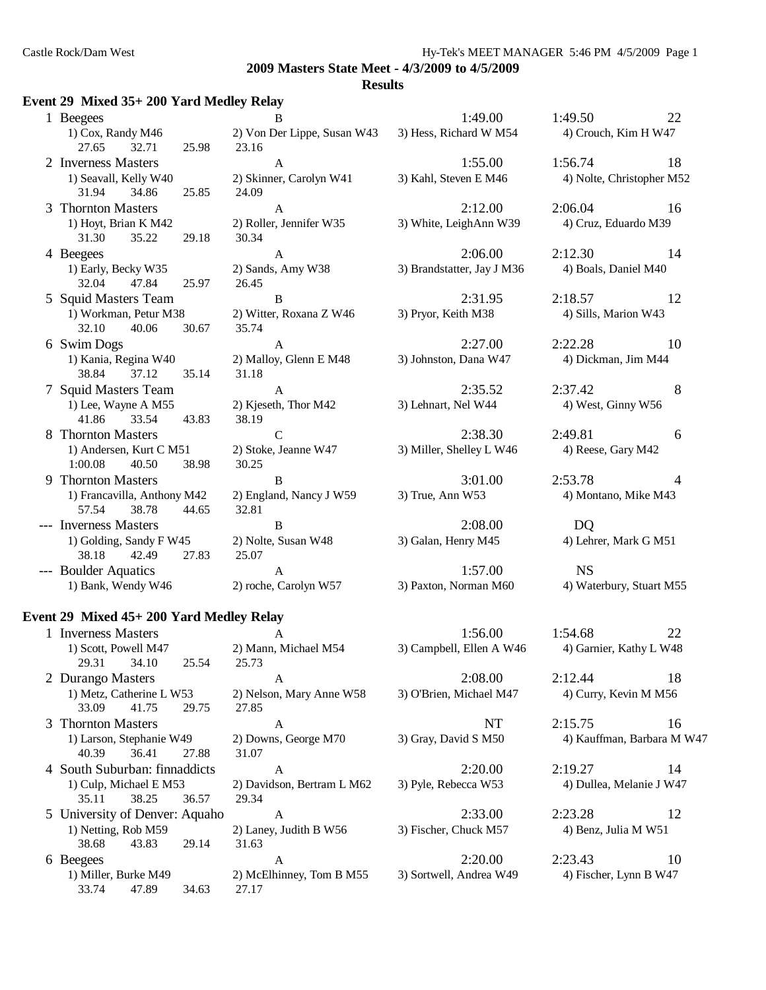#### **Results**

#### **Event 29 Mixed 35+ 200 Yard Medley Relay**

| 1 Beegees                                              | B                                | 1:49.00                    | 1:49.50                  | 22             |
|--------------------------------------------------------|----------------------------------|----------------------------|--------------------------|----------------|
| 1) Cox, Randy M46                                      | 2) Von Der Lippe, Susan W43      | 3) Hess, Richard W M54     | 4) Crouch, Kim H W47     |                |
| 27.65<br>32.71<br>25.98<br>2 Inverness Masters         | 23.16<br>$\mathbf{A}$            | 1:55.00                    | 1:56.74                  | 18             |
| 1) Seavall, Kelly W40<br>31.94<br>25.85<br>34.86       | 2) Skinner, Carolyn W41<br>24.09 | 3) Kahl, Steven E M46      | 4) Nolte, Christopher M: |                |
| 3 Thornton Masters                                     | $\mathsf{A}$                     | 2:12.00                    | 2:06.04<br>$\sim$ 16     |                |
| 1) Hoyt, Brian K M42<br>31.30<br>35.22<br>29.18        | 2) Roller, Jennifer W35<br>30.34 | 3) White, LeighAnn W39     | 4) Cruz, Eduardo M39     |                |
| 4 Beegees                                              | $\mathbf{A}$                     | 2:06.00                    | 2:12.30                  | 14             |
| 1) Early, Becky W35<br>32.04<br>47.84<br>25.97         | 2) Sands, Amy W38<br>26.45       | 3) Brandstatter, Jay J M36 | 4) Boals, Daniel M40     |                |
| 5 Squid Masters Team                                   | B                                | 2:31.95                    | 2:18.57                  | 12             |
| 1) Workman, Petur M38<br>32.10<br>40.06<br>30.67       | 2) Witter, Roxana Z W46<br>35.74 | 3) Pryor, Keith M38        | 4) Sills, Marion W43     |                |
| 6 Swim Dogs                                            | $\mathbf{A}$                     | 2:27.00                    | 2:22.28                  | 10             |
| 1) Kania, Regina W40<br>38.84<br>37.12<br>35.14        | 2) Malloy, Glenn E M48<br>31.18  | 3) Johnston, Dana W47      | 4) Dickman, Jim M44      |                |
| 7 Squid Masters Team                                   | $\mathbf{A}$                     | 2:35.52                    | 2:37.42                  | 8              |
| 1) Lee, Wayne A M55<br>41.86<br>33.54<br>43.83         | 2) Kjeseth, Thor M42<br>38.19    | 3) Lehnart, Nel W44        | 4) West, Ginny W56       |                |
| 8 Thornton Masters                                     | $\mathcal{C}$                    | 2:38.30                    | 2:49.81                  | 6              |
| 1) Andersen, Kurt C M51<br>1:00.08<br>40.50<br>38.98   | 2) Stoke, Jeanne W47<br>30.25    | 3) Miller, Shelley L W46   | 4) Reese, Gary M42       |                |
| 9 Thornton Masters                                     | B                                | 3:01.00                    | 2:53.78                  | $\overline{4}$ |
| 1) Francavilla, Anthony M42<br>57.54<br>38.78<br>44.65 | 2) England, Nancy J W59<br>32.81 | 3) True, Ann W53           | 4) Montano, Mike M43     |                |
| --- Inverness Masters                                  | B                                | 2:08.00                    | D <sub>Q</sub>           |                |
| 1) Golding, Sandy F W45<br>38.18<br>42.49<br>27.83     | 2) Nolte, Susan W48<br>25.07     | 3) Galan, Henry M45        | 4) Lehrer, Mark G M51    |                |
| --- Boulder Aquatics                                   | $\mathbf{A}$                     | 1:57.00                    | <b>NS</b>                |                |
| 1) Bank Wendy W46                                      | $(2)$ roche Carolyn W57          | 3) Paxton, Norman M60      | 4) Waterbury, Stuart M5  |                |

**Event 29 Mixed 45+ 200 Yard Medley Relay**

29.31 34.10 25.54 25.73

33.09 41.75 29.75 27.85

40.39 36.41 27.88 31.07

35.11 38.25 36.57 29.34

38.68 43.83 29.14 31.63

33.74 47.89 34.63 27.17

- 
- 1) Formifer W35 3) White, LeighAnn W39 4) Cruz, Eduardo M39
- Amy W38 3) Brandstatter, Jay J M36 4) Boals, Daniel M40
- Roxana Z W46 3) Pryor, Keith M38 4) Sills, Marion W43
- 1) Glenn E M48 3) Johnston, Dana W47 4) Dickman, Jim M44
- 1) Thor M42 3) Lehnart, Nel W44 4) West, Ginny W56
- eanne W47 3) Miller, Shelley L W46 4) Reese, Gary M42
	-
	-
	-
	-
- 1) Metz, Catherine L W53 2) Nelson, Mary Anne W58 3) O'Brien, Michael M47 4) Curry, Kevin M M56
	-
	-
	-
	-
- Carolyn W41 3) Kahl, Steven E M46 4) Nolte, Christopher M52
	-
	-
	-
	-
	-
	-
- 1, Nancy J W59 3) True, Ann W53 4) Montano, Mike M43
- $1$ usan W48 3) Galan, Henry M45 4) Lehrer, Mark G M51
- dy W46 2) roche, Carolyn W57 3) Paxton, Norman M60 4) Waterbury, Stuart M55
- 1 Inverness Masters **A** 1:56.00 1:54.68 22 1) Scott, Powell M47 2) Mann, Michael M54 3) Campbell, Ellen A W46 4) Garnier, Kathy L W48
- 2 Durango Masters A 2:08.00 2:12.44 18
- 3 Thornton Masters A A NT 2:15.75 16 1) Larson, Stephanie W49 2) Downs, George M70 3) Gray, David S M50 4) Kauffman, Barbara M W47
- 4 South Suburban: finnaddicts A 2:20.00 2:19.27 14<br>1) Culp, Michael E M53 2) Davidson, Bertram L M62 3) Pyle, Rebecca W53 4) Dullea, Melanie J W4 2) Davidson, Bertram L M62 3) Pyle, Rebecca W53 4) Dullea, Melanie J W47
- 5 University of Denver: Aquaho A 2:33.00 2:23.28 12 1) Netting, Rob M59 2) Laney, Judith B W56 3) Fischer, Chuck M57 4) Benz, Julia M W51
- 6 Beegees A 2:20.00 2:23.43 10 1) Miller, Burke M49 2) McElhinney, Tom B M55 3) Sortwell, Andrea W49 4) Fischer, Lynn B W47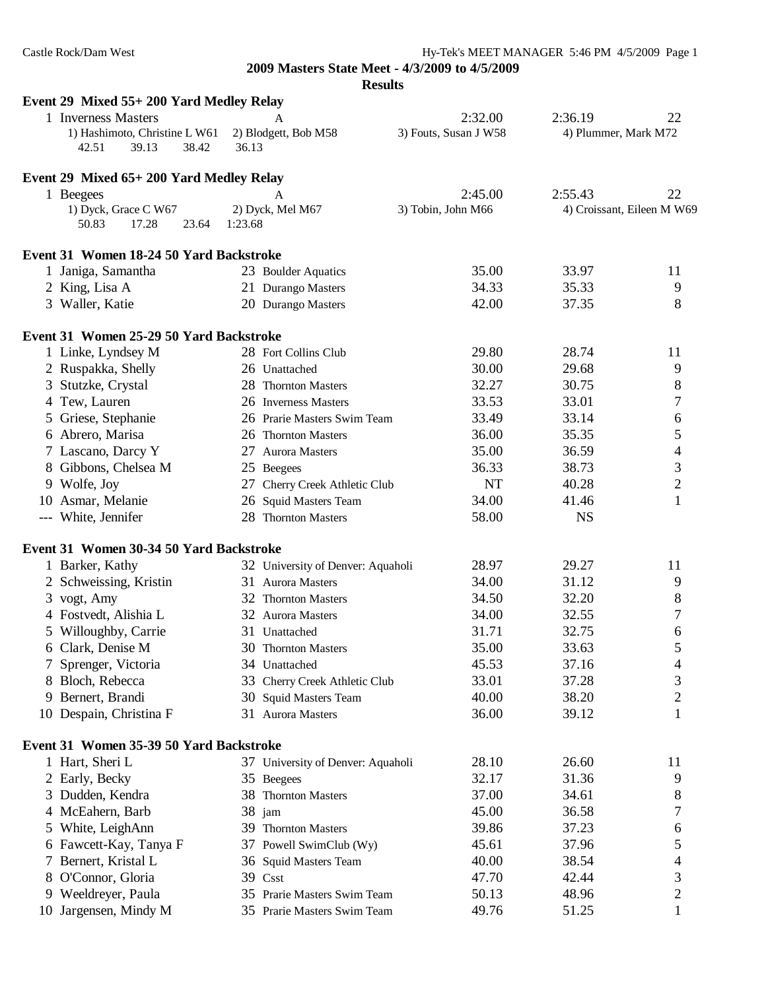| Event 29 Mixed 55+200 Yard Medley Relay              |                                   |                                  |                                 |                            |
|------------------------------------------------------|-----------------------------------|----------------------------------|---------------------------------|----------------------------|
| 1 Inverness Masters<br>1) Hashimoto, Christine L W61 | 2) Blodgett, Bob M58              | 2:32.00<br>3) Fouts, Susan J W58 | 2:36.19<br>4) Plummer, Mark M72 | 22                         |
| 42.51<br>39.13<br>38.42                              | 36.13                             |                                  |                                 |                            |
| Event 29 Mixed 65+200 Yard Medley Relay              |                                   |                                  |                                 |                            |
| 1 Beegees                                            |                                   | 2:45.00                          | 2:55.43                         | 22                         |
| 1) Dyck, Grace C W67                                 | 2) Dyck, Mel M67                  | 3) Tobin, John M66               |                                 | 4) Croissant, Eileen M W69 |
| 17.28<br>50.83<br>23.64                              | 1:23.68                           |                                  |                                 |                            |
| Event 31 Women 18-24 50 Yard Backstroke              |                                   |                                  |                                 |                            |
| 1 Janiga, Samantha                                   | 23 Boulder Aquatics               | 35.00                            | 33.97                           | 11                         |
| 2 King, Lisa A                                       | 21 Durango Masters                | 34.33                            | 35.33                           | 9                          |
| 3 Waller, Katie                                      | 20 Durango Masters                | 42.00                            | 37.35                           | 8                          |
| Event 31 Women 25-29 50 Yard Backstroke              |                                   |                                  |                                 |                            |
| 1 Linke, Lyndsey M                                   | 28 Fort Collins Club              | 29.80                            | 28.74                           | 11                         |
| 2 Ruspakka, Shelly                                   | 26 Unattached                     | 30.00                            | 29.68                           | 9                          |
| 3 Stutzke, Crystal                                   | 28 Thornton Masters               | 32.27                            | 30.75                           | 8                          |
| 4 Tew, Lauren                                        | 26 Inverness Masters              | 33.53                            | 33.01                           | 7                          |
| 5 Griese, Stephanie                                  | 26 Prarie Masters Swim Team       | 33.49                            | 33.14                           | 6                          |
| 6 Abrero, Marisa                                     | 26 Thornton Masters               | 36.00                            | 35.35                           | 5                          |
| 7 Lascano, Darcy Y                                   | 27 Aurora Masters                 | 35.00                            | 36.59                           | 4                          |
| 8 Gibbons, Chelsea M                                 | 25 Beegees                        | 36.33                            | 38.73                           | 3                          |
| 9 Wolfe, Joy                                         | 27 Cherry Creek Athletic Club     | <b>NT</b>                        | 40.28                           | $\overline{c}$             |
| 10 Asmar, Melanie                                    | 26 Squid Masters Team             | 34.00                            | 41.46                           | $\mathbf{1}$               |
| --- White, Jennifer                                  | 28 Thornton Masters               | 58.00                            | <b>NS</b>                       |                            |
| Event 31 Women 30-34 50 Yard Backstroke              |                                   |                                  |                                 |                            |
| 1 Barker, Kathy                                      | 32 University of Denver: Aquaholi | 28.97                            | 29.27                           | 11                         |
| 2 Schweissing, Kristin                               | 31 Aurora Masters                 | 34.00                            | 31.12                           | 9                          |
| 3 vogt, Amy                                          | 32 Thornton Masters               | 34.50                            | 32.20                           | 8                          |
| 4 Fostvedt, Alishia L                                | 32 Aurora Masters                 | 34.00                            | 32.55                           | 7                          |
| Willoughby, Carrie<br>5                              | 31 Unattached                     | 31.71                            | 32.75                           | 6                          |
| 6 Clark, Denise M                                    | 30 Thornton Masters               | 35.00                            | 33.63                           | 5                          |
| 7 Sprenger, Victoria                                 | 34 Unattached                     | 45.53                            | 37.16                           | 4                          |
| 8 Bloch, Rebecca                                     | 33 Cherry Creek Athletic Club     | 33.01                            | 37.28                           | 3                          |
| 9 Bernert, Brandi                                    | 30 Squid Masters Team             | 40.00                            | 38.20                           | 2                          |
| 10 Despain, Christina F                              | 31 Aurora Masters                 | 36.00                            | 39.12                           | 1                          |
| Event 31 Women 35-39 50 Yard Backstroke              |                                   |                                  |                                 |                            |
| 1 Hart, Sheri L                                      | 37 University of Denver: Aquaholi | 28.10                            | 26.60                           | 11                         |
| 2 Early, Becky                                       | 35 Beegees                        | 32.17                            | 31.36                           | 9                          |
| 3 Dudden, Kendra                                     | 38 Thornton Masters               | 37.00                            | 34.61                           | 8                          |
| 4 McEahern, Barb                                     | 38 jam                            | 45.00                            | 36.58                           | 7                          |
| 5 White, LeighAnn                                    | 39 Thornton Masters               | 39.86                            | 37.23                           | 6                          |
| 6 Fawcett-Kay, Tanya F                               | 37 Powell SwimClub (Wy)           | 45.61                            | 37.96                           | 5                          |
| 7 Bernert, Kristal L                                 | 36 Squid Masters Team             | 40.00                            | 38.54                           | 4                          |
| 8 O'Connor, Gloria                                   | 39 Csst                           | 47.70                            | 42.44                           | 3                          |
| 9 Weeldreyer, Paula                                  | 35 Prarie Masters Swim Team       | 50.13                            | 48.96                           | $\overline{c}$             |
| 10 Jargensen, Mindy M                                | 35 Prarie Masters Swim Team       | 49.76                            | 51.25                           | $\mathbf{1}$               |
|                                                      |                                   |                                  |                                 |                            |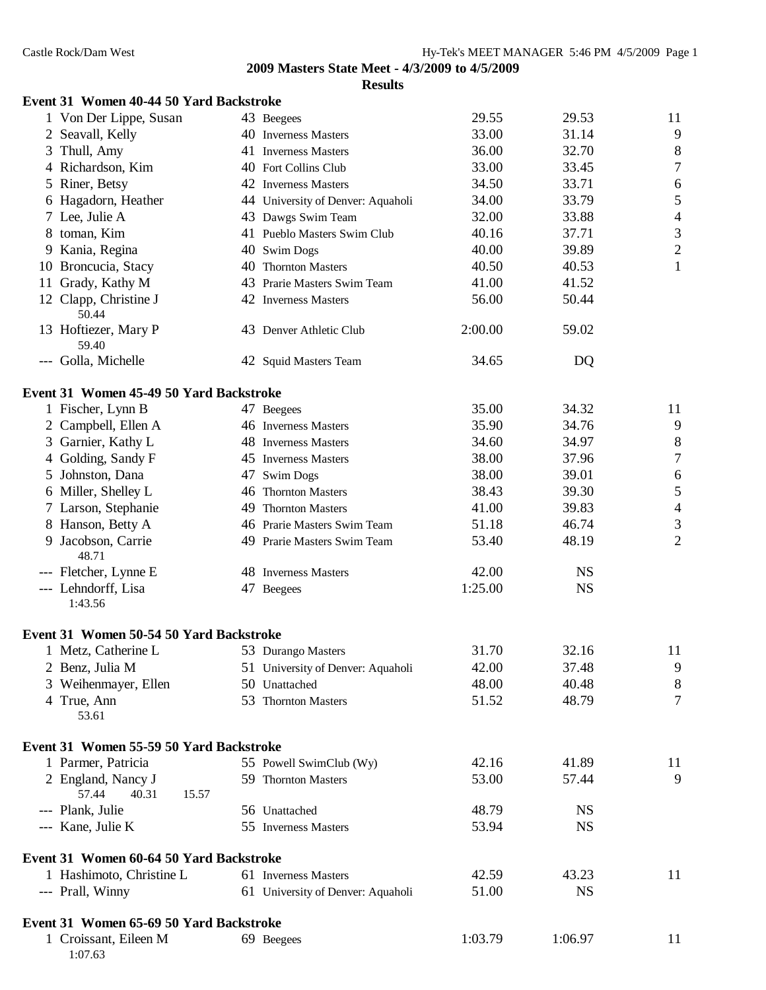|    | Event 31 Women 40-44 50 Yard Backstroke |                                   |         |           |                  |
|----|-----------------------------------------|-----------------------------------|---------|-----------|------------------|
|    | 1 Von Der Lippe, Susan                  | 43 Beegees                        | 29.55   | 29.53     | 11               |
|    | 2 Seavall, Kelly                        | 40 Inverness Masters              | 33.00   | 31.14     | 9                |
|    | 3 Thull, Amy                            | 41 Inverness Masters              | 36.00   | 32.70     | 8                |
|    | 4 Richardson, Kim                       | 40 Fort Collins Club              | 33.00   | 33.45     | $\boldsymbol{7}$ |
|    | 5 Riner, Betsy                          | 42 Inverness Masters              | 34.50   | 33.71     | 6                |
|    | 6 Hagadorn, Heather                     | 44 University of Denver: Aquaholi | 34.00   | 33.79     | 5                |
|    | 7 Lee, Julie A                          | 43 Dawgs Swim Team                | 32.00   | 33.88     | $\overline{4}$   |
|    | 8 toman, Kim                            | 41 Pueblo Masters Swim Club       | 40.16   | 37.71     | $\mathfrak{Z}$   |
| 9. | Kania, Regina                           | 40 Swim Dogs                      | 40.00   | 39.89     | $\overline{2}$   |
|    | 10 Broncucia, Stacy                     | 40 Thornton Masters               | 40.50   | 40.53     | $\mathbf{1}$     |
| 11 | Grady, Kathy M                          | 43 Prarie Masters Swim Team       | 41.00   | 41.52     |                  |
|    | 12 Clapp, Christine J<br>50.44          | 42 Inverness Masters              | 56.00   | 50.44     |                  |
|    | 13 Hoftiezer, Mary P<br>59.40           | 43 Denver Athletic Club           | 2:00.00 | 59.02     |                  |
|    | --- Golla, Michelle                     | 42 Squid Masters Team             | 34.65   | DQ        |                  |
|    | Event 31 Women 45-49 50 Yard Backstroke |                                   |         |           |                  |
|    | 1 Fischer, Lynn B                       | 47 Beegees                        | 35.00   | 34.32     | 11               |
|    | 2 Campbell, Ellen A                     | 46 Inverness Masters              | 35.90   | 34.76     | 9                |
|    | 3 Garnier, Kathy L                      | 48 Inverness Masters              | 34.60   | 34.97     | 8                |
|    | 4 Golding, Sandy F                      | 45 Inverness Masters              | 38.00   | 37.96     | $\boldsymbol{7}$ |
|    | 5 Johnston, Dana                        | 47 Swim Dogs                      | 38.00   | 39.01     | 6                |
|    | 6 Miller, Shelley L                     | 46 Thornton Masters               | 38.43   | 39.30     | 5                |
|    | 7 Larson, Stephanie                     | 49 Thornton Masters               | 41.00   | 39.83     | $\overline{4}$   |
|    | 8 Hanson, Betty A                       | 46 Prarie Masters Swim Team       | 51.18   | 46.74     | $\mathfrak{Z}$   |
| 9. | Jacobson, Carrie<br>48.71               | 49 Prarie Masters Swim Team       | 53.40   | 48.19     | $\overline{2}$   |
|    | --- Fletcher, Lynne E                   | 48 Inverness Masters              | 42.00   | <b>NS</b> |                  |
|    | --- Lehndorff, Lisa<br>1:43.56          | 47 Beegees                        | 1:25.00 | <b>NS</b> |                  |
|    | Event 31 Women 50-54 50 Yard Backstroke |                                   |         |           |                  |
|    | 1 Metz, Catherine L                     | 53 Durango Masters                | 31.70   | 32.16     | 11               |
|    | 2 Benz, Julia M                         | 51 University of Denver: Aquaholi | 42.00   | 37.48     | 9                |
|    | 3 Weihenmayer, Ellen                    | 50 Unattached                     | 48.00   | 40.48     | 8                |
|    | 4 True, Ann<br>53.61                    | 53 Thornton Masters               | 51.52   | 48.79     | $\overline{7}$   |
|    | Event 31 Women 55-59 50 Yard Backstroke |                                   |         |           |                  |
|    | 1 Parmer, Patricia                      | 55 Powell SwimClub (Wy)           | 42.16   | 41.89     | 11               |
|    | 2 England, Nancy J                      | 59 Thornton Masters               | 53.00   | 57.44     | 9                |
|    | 57.44<br>40.31<br>15.57                 |                                   |         |           |                  |
|    | --- Plank, Julie                        | 56 Unattached                     | 48.79   | <b>NS</b> |                  |
|    | --- Kane, Julie K                       | 55 Inverness Masters              | 53.94   | <b>NS</b> |                  |
|    | Event 31 Women 60-64 50 Yard Backstroke |                                   |         |           |                  |
|    | 1 Hashimoto, Christine L                | 61 Inverness Masters              | 42.59   | 43.23     | 11               |
|    | --- Prall, Winny                        | 61 University of Denver: Aquaholi | 51.00   | <b>NS</b> |                  |
|    | Event 31 Women 65-69 50 Yard Backstroke |                                   |         |           |                  |
|    | 1 Croissant, Eileen M<br>1:07.63        | 69 Beegees                        | 1:03.79 | 1:06.97   | 11               |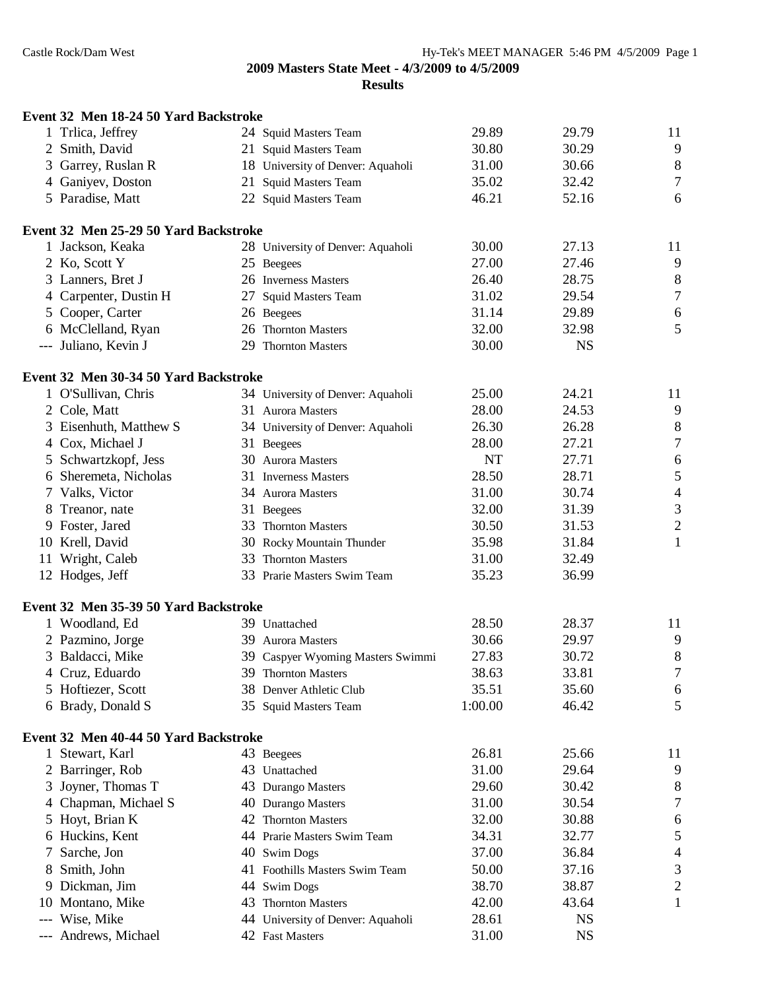|   | Event 32 Men 18-24 50 Yard Backstroke |                                   |           |           |                  |
|---|---------------------------------------|-----------------------------------|-----------|-----------|------------------|
|   | 1 Trlica, Jeffrey                     | 24 Squid Masters Team             | 29.89     | 29.79     | 11               |
|   | 2 Smith, David                        | 21 Squid Masters Team             | 30.80     | 30.29     | 9                |
|   | 3 Garrey, Ruslan R                    | 18 University of Denver: Aquaholi | 31.00     | 30.66     | $\,$ 8 $\,$      |
|   | 4 Ganiyev, Doston                     | 21 Squid Masters Team             | 35.02     | 32.42     | $\tau$           |
|   | 5 Paradise, Matt                      | 22 Squid Masters Team             | 46.21     | 52.16     | 6                |
|   | Event 32 Men 25-29 50 Yard Backstroke |                                   |           |           |                  |
|   | 1 Jackson, Keaka                      | 28 University of Denver: Aquaholi | 30.00     | 27.13     | 11               |
|   | 2 Ko, Scott Y                         | 25 Beegees                        | 27.00     | 27.46     | 9                |
|   | 3 Lanners, Bret J                     | 26 Inverness Masters              | 26.40     | 28.75     | 8                |
|   | 4 Carpenter, Dustin H                 | 27 Squid Masters Team             | 31.02     | 29.54     | $\boldsymbol{7}$ |
|   | 5 Cooper, Carter                      | 26 Beegees                        | 31.14     | 29.89     | 6                |
|   | 6 McClelland, Ryan                    | 26 Thornton Masters               | 32.00     | 32.98     | 5                |
|   | --- Juliano, Kevin J                  | 29 Thornton Masters               | 30.00     | <b>NS</b> |                  |
|   | Event 32 Men 30-34 50 Yard Backstroke |                                   |           |           |                  |
|   | 1 O'Sullivan, Chris                   | 34 University of Denver: Aquaholi | 25.00     | 24.21     | 11               |
|   | 2 Cole, Matt                          | 31 Aurora Masters                 | 28.00     | 24.53     | 9                |
|   | 3 Eisenhuth, Matthew S                | 34 University of Denver: Aquaholi | 26.30     | 26.28     | $\,8\,$          |
|   | 4 Cox, Michael J                      | 31 Beegees                        | 28.00     | 27.21     | $\boldsymbol{7}$ |
|   | 5 Schwartzkopf, Jess                  | 30 Aurora Masters                 | <b>NT</b> | 27.71     | 6                |
|   | 6 Sheremeta, Nicholas                 | 31 Inverness Masters              | 28.50     | 28.71     | 5                |
|   | 7 Valks, Victor                       | 34 Aurora Masters                 | 31.00     | 30.74     | $\overline{4}$   |
|   | 8 Treanor, nate                       | 31 Beegees                        | 32.00     | 31.39     | $\mathfrak{Z}$   |
|   | 9 Foster, Jared                       | 33 Thornton Masters               | 30.50     | 31.53     | $\overline{c}$   |
|   | 10 Krell, David                       | 30 Rocky Mountain Thunder         | 35.98     | 31.84     | $\mathbf{1}$     |
|   | 11 Wright, Caleb                      | 33 Thornton Masters               | 31.00     | 32.49     |                  |
|   | 12 Hodges, Jeff                       | 33 Prarie Masters Swim Team       | 35.23     | 36.99     |                  |
|   |                                       |                                   |           |           |                  |
|   | Event 32 Men 35-39 50 Yard Backstroke |                                   |           |           |                  |
|   | 1 Woodland, Ed                        | 39 Unattached                     | 28.50     | 28.37     | 11               |
|   | 2 Pazmino, Jorge                      | 39 Aurora Masters                 | 30.66     | 29.97     | 9                |
|   | 3 Baldacci, Mike                      | 39 Caspyer Wyoming Masters Swimmi | 27.83     | 30.72     | 8                |
|   | 4 Cruz, Eduardo                       | 39 Thornton Masters               | 38.63     | 33.81     | $\tau$           |
|   | 5 Hoftiezer, Scott                    | 38 Denver Athletic Club           | 35.51     | 35.60     | 6                |
|   | 6 Brady, Donald S                     | 35 Squid Masters Team             | 1:00.00   | 46.42     | 5                |
|   | Event 32 Men 40-44 50 Yard Backstroke |                                   |           |           |                  |
|   | 1 Stewart, Karl                       | 43 Beegees                        | 26.81     | 25.66     | 11               |
|   | 2 Barringer, Rob                      | 43 Unattached                     | 31.00     | 29.64     | 9                |
| 3 | Joyner, Thomas T                      | 43 Durango Masters                | 29.60     | 30.42     | 8                |
| 4 | Chapman, Michael S                    | 40 Durango Masters                | 31.00     | 30.54     | $\tau$           |
| 5 | Hoyt, Brian K                         | 42 Thornton Masters               | 32.00     | 30.88     | 6                |
|   | 6 Huckins, Kent                       | 44 Prarie Masters Swim Team       | 34.31     | 32.77     | 5                |
| 7 | Sarche, Jon                           | 40 Swim Dogs                      | 37.00     | 36.84     | 4                |
|   | 8 Smith, John                         | 41 Foothills Masters Swim Team    | 50.00     | 37.16     | 3                |
|   | 9 Dickman, Jim                        | 44 Swim Dogs                      | 38.70     | 38.87     | $\overline{c}$   |
|   | 10 Montano, Mike                      | 43 Thornton Masters               | 42.00     | 43.64     | $\mathbf{1}$     |
|   | --- Wise, Mike                        | 44 University of Denver: Aquaholi | 28.61     | <b>NS</b> |                  |
|   | --- Andrews, Michael                  | 42 Fast Masters                   | 31.00     | <b>NS</b> |                  |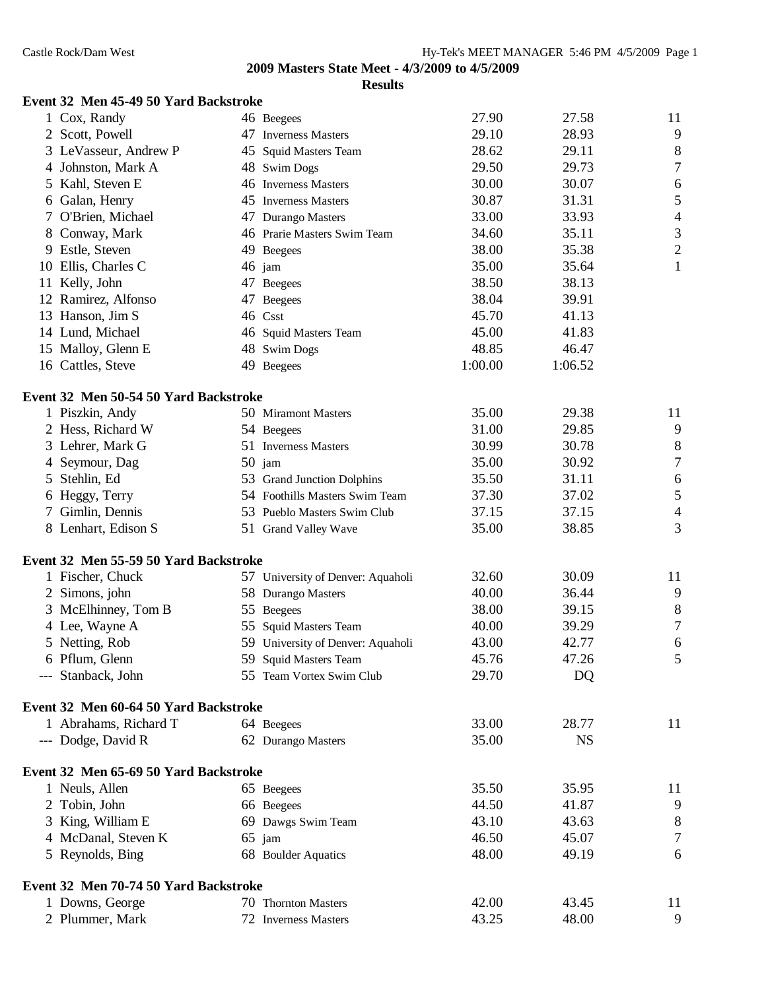## **Results**

| 1 Cox, Randy          | 46 Beegees                  | 27.90 | 27.58 | 11             |
|-----------------------|-----------------------------|-------|-------|----------------|
| 2 Scott, Powell       | 47 Inverness Masters        | 29.10 | 28.93 | 9              |
| 3 LeVasseur, Andrew P | 45 Squid Masters Team       | 28.62 | 29.11 | 8              |
| 4 Johnston, Mark A    | 48 Swim Dogs                | 29.50 | 29.73 | 7              |
| 5 Kahl, Steven E      | 46 Inverness Masters        | 30.00 | 30.07 | 6              |
| 6 Galan, Henry        | 45 Inverness Masters        | 30.87 | 31.31 | 5              |
| 7 O'Brien, Michael    | 47 Durango Masters          | 33.00 | 33.93 | 4              |
| 8 Conway, Mark        | 46 Prarie Masters Swim Team | 34.60 | 35.11 | 3              |
| 9 Estle, Steven       | 49 Beegees                  | 38.00 | 35.38 | $\overline{2}$ |
| 10 Ellis, Charles C   | $46$ jam                    | 35.00 | 35.64 |                |

**Event 32 Men 45-49 50 Yard Backstroke**

| 5                        |
|--------------------------|
| $\overline{\mathcal{L}}$ |
| 3                        |
| $\overline{c}$           |
| 1                        |
|                          |
|                          |
|                          |
|                          |
|                          |
|                          |
|                          |
| 11                       |
| 9                        |
| 8                        |
| $\overline{7}$           |
| 6                        |
| 5                        |
| $\overline{\mathcal{L}}$ |
| 3                        |
|                          |
| 11                       |
| 9                        |
| 8                        |
| $\overline{7}$           |
| 6                        |
| 5                        |
|                          |
|                          |
| 11                       |
|                          |
|                          |

# **Event 32 Men 65-69 50 Yard Backstroke** 1 Neuls, Allen 65 Beegees 35.50 35.95 11 2 Tobin, John 66 Beegees 44.50 41.87 9 3 King, William E 69 Dawgs Swim Team 43.10 43.63 8 4 McDanal, Steven K 65 jam 46.50 45.07 7

5 Reynolds, Bing 68 Boulder Aquatics 48.00 49.19 6 **Event 32 Men 70-74 50 Yard Backstroke** 1 Downs, George 70 Thornton Masters 42.00 43.45 11 2 Plummer, Mark  $\frac{72}{10}$  Inverness Masters  $\frac{43.25}{43.25}$   $\frac{48.00}{9}$  9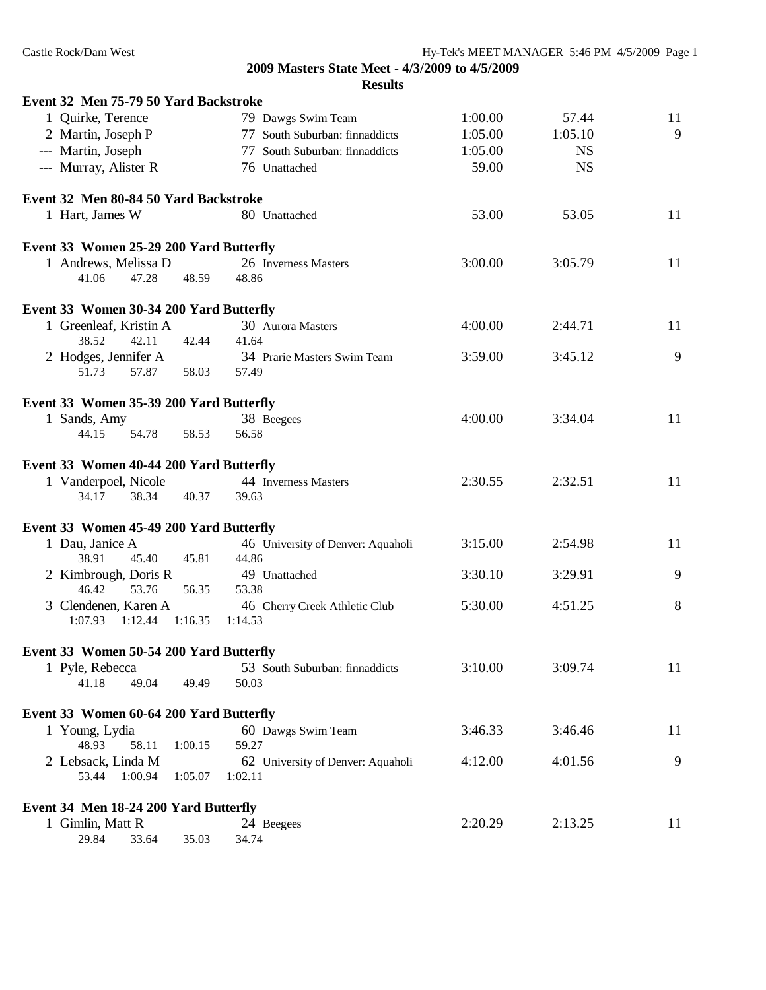| Event 32 Men 75-79 50 Yard Backstroke                 |                                          |         |           |    |
|-------------------------------------------------------|------------------------------------------|---------|-----------|----|
| 1 Quirke, Terence                                     | 79 Dawgs Swim Team                       | 1:00.00 | 57.44     | 11 |
| 2 Martin, Joseph P                                    | 77 South Suburban: finnaddicts           | 1:05.00 | 1:05.10   | 9  |
| --- Martin, Joseph                                    | 77 South Suburban: finnaddicts           | 1:05.00 | <b>NS</b> |    |
| --- Murray, Alister R                                 | 76 Unattached                            | 59.00   | <b>NS</b> |    |
| Event 32 Men 80-84 50 Yard Backstroke                 |                                          |         |           |    |
| 1 Hart, James W                                       | 80 Unattached                            | 53.00   | 53.05     | 11 |
| Event 33 Women 25-29 200 Yard Butterfly               |                                          |         |           |    |
| 1 Andrews, Melissa D                                  | 26 Inverness Masters                     | 3:00.00 | 3:05.79   | 11 |
| 41.06<br>47.28<br>48.59                               | 48.86                                    |         |           |    |
| Event 33 Women 30-34 200 Yard Butterfly               |                                          |         |           |    |
| 1 Greenleaf, Kristin A                                | 30 Aurora Masters                        | 4:00.00 | 2:44.71   | 11 |
| 38.52<br>42.11<br>42.44                               | 41.64                                    |         |           |    |
| 2 Hodges, Jennifer A                                  | 34 Prarie Masters Swim Team              | 3:59.00 | 3:45.12   | 9  |
| 51.73<br>57.87<br>58.03                               | 57.49                                    |         |           |    |
| Event 33 Women 35-39 200 Yard Butterfly               |                                          |         |           |    |
| 1 Sands, Amy                                          | 38 Beegees                               | 4:00.00 | 3:34.04   | 11 |
| 54.78<br>44.15<br>58.53                               | 56.58                                    |         |           |    |
| Event 33 Women 40-44 200 Yard Butterfly               |                                          |         |           |    |
| 1 Vanderpoel, Nicole                                  | 44 Inverness Masters                     | 2:30.55 | 2:32.51   | 11 |
| 34.17<br>38.34<br>40.37                               | 39.63                                    |         |           |    |
| Event 33 Women 45-49 200 Yard Butterfly               |                                          |         |           |    |
| 1 Dau, Janice A                                       | 46 University of Denver: Aquaholi        | 3:15.00 | 2:54.98   | 11 |
| 45.81<br>38.91<br>45.40                               | 44.86                                    |         |           |    |
| 2 Kimbrough, Doris R                                  | 49 Unattached                            | 3:30.10 | 3:29.91   | 9  |
| 53.76<br>46.42<br>56.35                               | 53.38                                    |         |           |    |
| 3 Clendenen, Karen A<br>1:07.93<br>1:12.44<br>1:16.35 | 46 Cherry Creek Athletic Club<br>1:14.53 | 5:30.00 | 4:51.25   | 8  |
|                                                       |                                          |         |           |    |
| Event 33 Women 50-54 200 Yard Butterfly               |                                          |         |           |    |
| 1 Pyle, Rebecca<br>41.18<br>49.04<br>49.49            | 53 South Suburban: finnaddicts<br>50.03  | 3:10.00 | 3:09.74   | 11 |
| Event 33 Women 60-64 200 Yard Butterfly               |                                          |         |           |    |
|                                                       | 60 Dawgs Swim Team                       | 3:46.33 | 3:46.46   | 11 |
| 1 Young, Lydia<br>1:00.15<br>48.93<br>58.11           | 59.27                                    |         |           |    |
| 2 Lebsack, Linda M                                    | 62 University of Denver: Aquaholi        | 4:12.00 | 4:01.56   | 9  |
| 1:00.94<br>53.44<br>1:05.07                           | 1:02.11                                  |         |           |    |
| Event 34 Men 18-24 200 Yard Butterfly                 |                                          |         |           |    |
| 1 Gimlin, Matt R                                      | 24 Beegees                               | 2:20.29 | 2:13.25   | 11 |
| 29.84<br>35.03<br>33.64                               | 34.74                                    |         |           |    |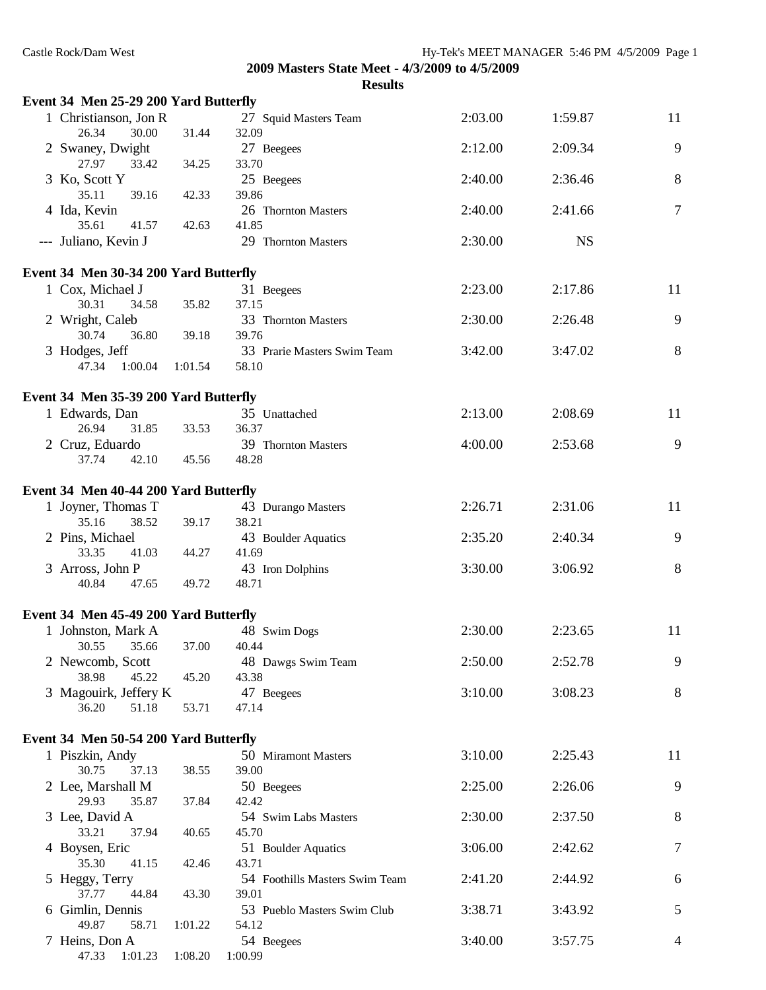| Event 34 Men 25-29 200 Yard Butterfly   |         |                                |         |           |                |
|-----------------------------------------|---------|--------------------------------|---------|-----------|----------------|
| 1 Christianson, Jon R<br>26.34<br>30.00 | 31.44   | 27 Squid Masters Team<br>32.09 | 2:03.00 | 1:59.87   | 11             |
| 2 Swaney, Dwight<br>27.97<br>33.42      | 34.25   | 27 Beegees<br>33.70            | 2:12.00 | 2:09.34   | 9              |
| 3 Ko, Scott Y<br>35.11<br>39.16         | 42.33   | 25 Beegees<br>39.86            | 2:40.00 | 2:36.46   | $8\,$          |
| 4 Ida, Kevin<br>35.61<br>41.57          | 42.63   | 26 Thornton Masters<br>41.85   | 2:40.00 | 2:41.66   | $\overline{7}$ |
| --- Juliano, Kevin J                    |         | 29 Thornton Masters            | 2:30.00 | <b>NS</b> |                |
| Event 34 Men 30-34 200 Yard Butterfly   |         |                                |         |           |                |
| 1 Cox, Michael J                        |         | 31 Beegees                     | 2:23.00 | 2:17.86   | 11             |
| 30.31<br>34.58                          | 35.82   | 37.15                          |         |           |                |
| 2 Wright, Caleb<br>30.74<br>36.80       | 39.18   | 33 Thornton Masters<br>39.76   | 2:30.00 | 2:26.48   | 9              |
| 3 Hodges, Jeff                          |         | 33 Prarie Masters Swim Team    | 3:42.00 | 3:47.02   | 8              |
| 47.34<br>1:00.04                        | 1:01.54 | 58.10                          |         |           |                |
| Event 34 Men 35-39 200 Yard Butterfly   |         |                                |         |           |                |
| 1 Edwards, Dan                          |         | 35 Unattached                  | 2:13.00 | 2:08.69   | 11             |
| 26.94<br>31.85                          | 33.53   | 36.37                          |         |           |                |
| 2 Cruz, Eduardo                         |         | 39 Thornton Masters            | 4:00.00 | 2:53.68   | 9              |
| 37.74<br>42.10                          | 45.56   | 48.28                          |         |           |                |
|                                         |         |                                |         |           |                |
| Event 34 Men 40-44 200 Yard Butterfly   |         |                                | 2:26.71 | 2:31.06   | 11             |
| 1 Joyner, Thomas T<br>35.16<br>38.52    | 39.17   | 43 Durango Masters<br>38.21    |         |           |                |
| 2 Pins, Michael                         |         | 43 Boulder Aquatics            | 2:35.20 | 2:40.34   | 9              |
| 33.35<br>41.03                          | 44.27   | 41.69                          |         |           |                |
| 3 Arross, John P                        |         | 43 Iron Dolphins               | 3:30.00 | 3:06.92   | 8              |
| 40.84<br>47.65                          | 49.72   | 48.71                          |         |           |                |
|                                         |         |                                |         |           |                |
| Event 34 Men 45-49 200 Yard Butterfly   |         |                                |         |           |                |
| 1 Johnston, Mark A                      |         | 48 Swim Dogs                   | 2:30.00 | 2:23.65   | 11             |
| 30.55 35.66 37.00<br>2 Newcomb, Scott   |         | 40.44<br>48 Dawgs Swim Team    | 2:50.00 | 2:52.78   | 9              |
| 38.98<br>45.22                          | 45.20   | 43.38                          |         |           |                |
| 3 Magouirk, Jeffery K                   |         | 47 Beegees                     | 3:10.00 | 3:08.23   | 8              |
| 36.20<br>51.18                          | 53.71   | 47.14                          |         |           |                |
|                                         |         |                                |         |           |                |
| Event 34 Men 50-54 200 Yard Butterfly   |         |                                |         |           |                |
| 1 Piszkin, Andy                         |         | 50 Miramont Masters            | 3:10.00 | 2:25.43   | 11             |
| 30.75<br>37.13                          | 38.55   | 39.00                          |         |           |                |
| 2 Lee, Marshall M<br>29.93<br>35.87     | 37.84   | 50 Beegees<br>42.42            | 2:25.00 | 2:26.06   | 9              |
| 3 Lee, David A                          |         | 54 Swim Labs Masters           | 2:30.00 | 2:37.50   | 8              |
| 33.21<br>37.94                          | 40.65   | 45.70                          |         |           |                |
| 4 Boysen, Eric                          |         | 51 Boulder Aquatics            | 3:06.00 | 2:42.62   | $\tau$         |
| 35.30<br>41.15                          | 42.46   | 43.71                          |         |           |                |
| 5 Heggy, Terry                          |         | 54 Foothills Masters Swim Team | 2:41.20 | 2:44.92   | 6              |
| 37.77<br>44.84                          | 43.30   | 39.01                          |         |           |                |
| 6 Gimlin, Dennis                        |         | 53 Pueblo Masters Swim Club    | 3:38.71 | 3:43.92   | 5              |
| 49.87<br>58.71                          | 1:01.22 | 54.12                          |         |           |                |
| 7 Heins, Don A                          |         | 54 Beegees                     | 3:40.00 | 3:57.75   | 4              |
| 47.33<br>1:01.23                        | 1:08.20 | 1:00.99                        |         |           |                |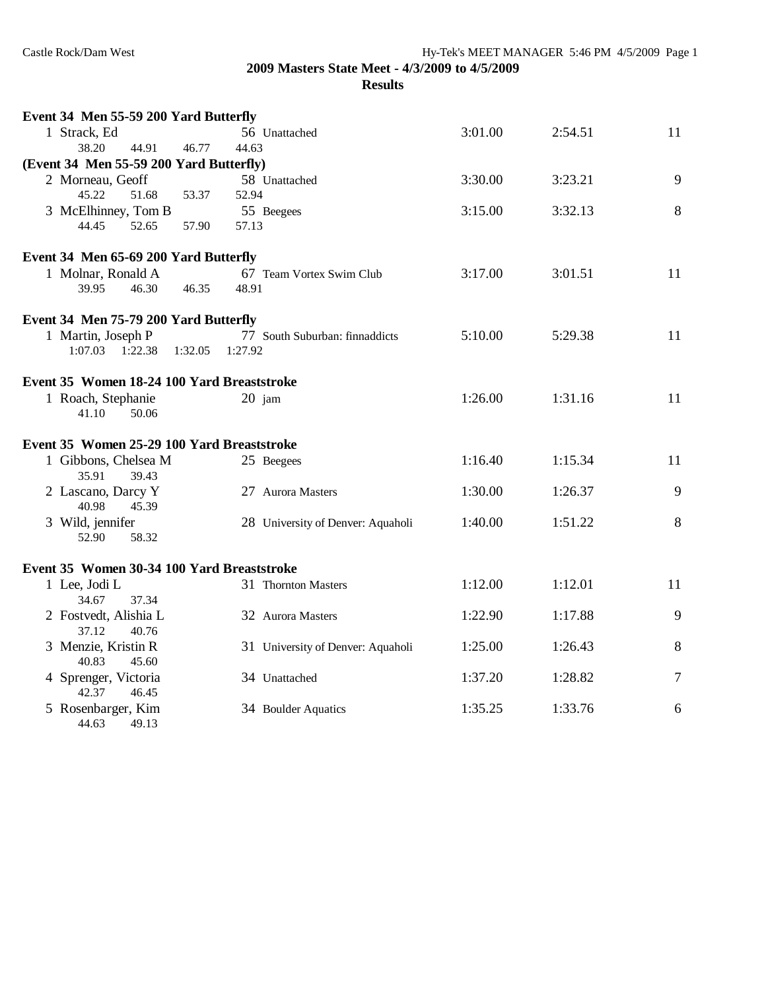| 1 Strack, Ed<br>56 Unattached<br>3:01.00<br>2:54.51<br>11<br>38.20<br>44.91<br>46.77<br>44.63<br>(Event 34 Men 55-59 200 Yard Butterfly)<br>9<br>2 Morneau, Geoff<br>58 Unattached<br>3:30.00<br>3:23.21<br>53.37<br>45.22<br>51.68<br>52.94<br>3 McElhinney, Tom B<br>3:15.00<br>3:32.13<br>8<br>55 Beegees<br>57.13<br>44.45<br>52.65<br>57.90<br>Event 34 Men 65-69 200 Yard Butterfly<br>1 Molnar, Ronald A<br>11<br>67 Team Vortex Swim Club<br>3:17.00<br>3:01.51<br>46.35<br>39.95<br>46.30<br>48.91<br>Event 34 Men 75-79 200 Yard Butterfly<br>1 Martin, Joseph P<br>5:10.00<br>5:29.38<br>11<br>77 South Suburban: finnaddicts<br>$1:07.03$ $1:22.38$<br>1:27.92<br>1:32.05<br>Event 35 Women 18-24 100 Yard Breaststroke<br>1 Roach, Stephanie<br>20 jam<br>1:26.00<br>1:31.16<br>11<br>41.10<br>50.06<br>Event 35 Women 25-29 100 Yard Breaststroke<br>1 Gibbons, Chelsea M<br>1:16.40<br>1:15.34<br>11<br>25 Beegees<br>35.91<br>39.43<br>1:30.00<br>9<br>2 Lascano, Darcy Y<br>27 Aurora Masters<br>1:26.37<br>40.98<br>45.39<br>8<br>3 Wild, jennifer<br>28 University of Denver: Aquaholi<br>1:40.00<br>1:51.22<br>52.90<br>58.32<br>Event 35 Women 30-34 100 Yard Breaststroke<br>1 Lee, Jodi L<br>1:12.00<br>1:12.01<br>11<br>31 Thornton Masters<br>34.67<br>37.34<br>2 Fostvedt, Alishia L<br>1:22.90<br>1:17.88<br>9<br>32 Aurora Masters<br>37.12<br>40.76<br>3 Menzie, Kristin R<br>8<br>1:25.00<br>1:26.43<br>31 University of Denver: Aquaholi<br>40.83<br>45.60<br>1:28.82<br>7<br>4 Sprenger, Victoria<br>1:37.20<br>34 Unattached<br>42.37<br>46.45<br>5 Rosenbarger, Kim<br>1:33.76<br>1:35.25<br>6<br>34 Boulder Aquatics<br>44.63<br>49.13 | Event 34 Men 55-59 200 Yard Butterfly |  |  |
|---------------------------------------------------------------------------------------------------------------------------------------------------------------------------------------------------------------------------------------------------------------------------------------------------------------------------------------------------------------------------------------------------------------------------------------------------------------------------------------------------------------------------------------------------------------------------------------------------------------------------------------------------------------------------------------------------------------------------------------------------------------------------------------------------------------------------------------------------------------------------------------------------------------------------------------------------------------------------------------------------------------------------------------------------------------------------------------------------------------------------------------------------------------------------------------------------------------------------------------------------------------------------------------------------------------------------------------------------------------------------------------------------------------------------------------------------------------------------------------------------------------------------------------------------------------------------------------------------------------------------------------------------------------------------|---------------------------------------|--|--|
|                                                                                                                                                                                                                                                                                                                                                                                                                                                                                                                                                                                                                                                                                                                                                                                                                                                                                                                                                                                                                                                                                                                                                                                                                                                                                                                                                                                                                                                                                                                                                                                                                                                                           |                                       |  |  |
|                                                                                                                                                                                                                                                                                                                                                                                                                                                                                                                                                                                                                                                                                                                                                                                                                                                                                                                                                                                                                                                                                                                                                                                                                                                                                                                                                                                                                                                                                                                                                                                                                                                                           |                                       |  |  |
|                                                                                                                                                                                                                                                                                                                                                                                                                                                                                                                                                                                                                                                                                                                                                                                                                                                                                                                                                                                                                                                                                                                                                                                                                                                                                                                                                                                                                                                                                                                                                                                                                                                                           |                                       |  |  |
|                                                                                                                                                                                                                                                                                                                                                                                                                                                                                                                                                                                                                                                                                                                                                                                                                                                                                                                                                                                                                                                                                                                                                                                                                                                                                                                                                                                                                                                                                                                                                                                                                                                                           |                                       |  |  |
|                                                                                                                                                                                                                                                                                                                                                                                                                                                                                                                                                                                                                                                                                                                                                                                                                                                                                                                                                                                                                                                                                                                                                                                                                                                                                                                                                                                                                                                                                                                                                                                                                                                                           |                                       |  |  |
|                                                                                                                                                                                                                                                                                                                                                                                                                                                                                                                                                                                                                                                                                                                                                                                                                                                                                                                                                                                                                                                                                                                                                                                                                                                                                                                                                                                                                                                                                                                                                                                                                                                                           |                                       |  |  |
|                                                                                                                                                                                                                                                                                                                                                                                                                                                                                                                                                                                                                                                                                                                                                                                                                                                                                                                                                                                                                                                                                                                                                                                                                                                                                                                                                                                                                                                                                                                                                                                                                                                                           |                                       |  |  |
|                                                                                                                                                                                                                                                                                                                                                                                                                                                                                                                                                                                                                                                                                                                                                                                                                                                                                                                                                                                                                                                                                                                                                                                                                                                                                                                                                                                                                                                                                                                                                                                                                                                                           |                                       |  |  |
|                                                                                                                                                                                                                                                                                                                                                                                                                                                                                                                                                                                                                                                                                                                                                                                                                                                                                                                                                                                                                                                                                                                                                                                                                                                                                                                                                                                                                                                                                                                                                                                                                                                                           |                                       |  |  |
|                                                                                                                                                                                                                                                                                                                                                                                                                                                                                                                                                                                                                                                                                                                                                                                                                                                                                                                                                                                                                                                                                                                                                                                                                                                                                                                                                                                                                                                                                                                                                                                                                                                                           |                                       |  |  |
|                                                                                                                                                                                                                                                                                                                                                                                                                                                                                                                                                                                                                                                                                                                                                                                                                                                                                                                                                                                                                                                                                                                                                                                                                                                                                                                                                                                                                                                                                                                                                                                                                                                                           |                                       |  |  |
|                                                                                                                                                                                                                                                                                                                                                                                                                                                                                                                                                                                                                                                                                                                                                                                                                                                                                                                                                                                                                                                                                                                                                                                                                                                                                                                                                                                                                                                                                                                                                                                                                                                                           |                                       |  |  |
|                                                                                                                                                                                                                                                                                                                                                                                                                                                                                                                                                                                                                                                                                                                                                                                                                                                                                                                                                                                                                                                                                                                                                                                                                                                                                                                                                                                                                                                                                                                                                                                                                                                                           |                                       |  |  |
|                                                                                                                                                                                                                                                                                                                                                                                                                                                                                                                                                                                                                                                                                                                                                                                                                                                                                                                                                                                                                                                                                                                                                                                                                                                                                                                                                                                                                                                                                                                                                                                                                                                                           |                                       |  |  |
|                                                                                                                                                                                                                                                                                                                                                                                                                                                                                                                                                                                                                                                                                                                                                                                                                                                                                                                                                                                                                                                                                                                                                                                                                                                                                                                                                                                                                                                                                                                                                                                                                                                                           |                                       |  |  |
|                                                                                                                                                                                                                                                                                                                                                                                                                                                                                                                                                                                                                                                                                                                                                                                                                                                                                                                                                                                                                                                                                                                                                                                                                                                                                                                                                                                                                                                                                                                                                                                                                                                                           |                                       |  |  |
|                                                                                                                                                                                                                                                                                                                                                                                                                                                                                                                                                                                                                                                                                                                                                                                                                                                                                                                                                                                                                                                                                                                                                                                                                                                                                                                                                                                                                                                                                                                                                                                                                                                                           |                                       |  |  |
|                                                                                                                                                                                                                                                                                                                                                                                                                                                                                                                                                                                                                                                                                                                                                                                                                                                                                                                                                                                                                                                                                                                                                                                                                                                                                                                                                                                                                                                                                                                                                                                                                                                                           |                                       |  |  |
|                                                                                                                                                                                                                                                                                                                                                                                                                                                                                                                                                                                                                                                                                                                                                                                                                                                                                                                                                                                                                                                                                                                                                                                                                                                                                                                                                                                                                                                                                                                                                                                                                                                                           |                                       |  |  |
|                                                                                                                                                                                                                                                                                                                                                                                                                                                                                                                                                                                                                                                                                                                                                                                                                                                                                                                                                                                                                                                                                                                                                                                                                                                                                                                                                                                                                                                                                                                                                                                                                                                                           |                                       |  |  |
|                                                                                                                                                                                                                                                                                                                                                                                                                                                                                                                                                                                                                                                                                                                                                                                                                                                                                                                                                                                                                                                                                                                                                                                                                                                                                                                                                                                                                                                                                                                                                                                                                                                                           |                                       |  |  |
|                                                                                                                                                                                                                                                                                                                                                                                                                                                                                                                                                                                                                                                                                                                                                                                                                                                                                                                                                                                                                                                                                                                                                                                                                                                                                                                                                                                                                                                                                                                                                                                                                                                                           |                                       |  |  |
|                                                                                                                                                                                                                                                                                                                                                                                                                                                                                                                                                                                                                                                                                                                                                                                                                                                                                                                                                                                                                                                                                                                                                                                                                                                                                                                                                                                                                                                                                                                                                                                                                                                                           |                                       |  |  |
|                                                                                                                                                                                                                                                                                                                                                                                                                                                                                                                                                                                                                                                                                                                                                                                                                                                                                                                                                                                                                                                                                                                                                                                                                                                                                                                                                                                                                                                                                                                                                                                                                                                                           |                                       |  |  |
|                                                                                                                                                                                                                                                                                                                                                                                                                                                                                                                                                                                                                                                                                                                                                                                                                                                                                                                                                                                                                                                                                                                                                                                                                                                                                                                                                                                                                                                                                                                                                                                                                                                                           |                                       |  |  |
|                                                                                                                                                                                                                                                                                                                                                                                                                                                                                                                                                                                                                                                                                                                                                                                                                                                                                                                                                                                                                                                                                                                                                                                                                                                                                                                                                                                                                                                                                                                                                                                                                                                                           |                                       |  |  |
|                                                                                                                                                                                                                                                                                                                                                                                                                                                                                                                                                                                                                                                                                                                                                                                                                                                                                                                                                                                                                                                                                                                                                                                                                                                                                                                                                                                                                                                                                                                                                                                                                                                                           |                                       |  |  |
|                                                                                                                                                                                                                                                                                                                                                                                                                                                                                                                                                                                                                                                                                                                                                                                                                                                                                                                                                                                                                                                                                                                                                                                                                                                                                                                                                                                                                                                                                                                                                                                                                                                                           |                                       |  |  |
|                                                                                                                                                                                                                                                                                                                                                                                                                                                                                                                                                                                                                                                                                                                                                                                                                                                                                                                                                                                                                                                                                                                                                                                                                                                                                                                                                                                                                                                                                                                                                                                                                                                                           |                                       |  |  |
|                                                                                                                                                                                                                                                                                                                                                                                                                                                                                                                                                                                                                                                                                                                                                                                                                                                                                                                                                                                                                                                                                                                                                                                                                                                                                                                                                                                                                                                                                                                                                                                                                                                                           |                                       |  |  |
|                                                                                                                                                                                                                                                                                                                                                                                                                                                                                                                                                                                                                                                                                                                                                                                                                                                                                                                                                                                                                                                                                                                                                                                                                                                                                                                                                                                                                                                                                                                                                                                                                                                                           |                                       |  |  |
|                                                                                                                                                                                                                                                                                                                                                                                                                                                                                                                                                                                                                                                                                                                                                                                                                                                                                                                                                                                                                                                                                                                                                                                                                                                                                                                                                                                                                                                                                                                                                                                                                                                                           |                                       |  |  |
|                                                                                                                                                                                                                                                                                                                                                                                                                                                                                                                                                                                                                                                                                                                                                                                                                                                                                                                                                                                                                                                                                                                                                                                                                                                                                                                                                                                                                                                                                                                                                                                                                                                                           |                                       |  |  |
|                                                                                                                                                                                                                                                                                                                                                                                                                                                                                                                                                                                                                                                                                                                                                                                                                                                                                                                                                                                                                                                                                                                                                                                                                                                                                                                                                                                                                                                                                                                                                                                                                                                                           |                                       |  |  |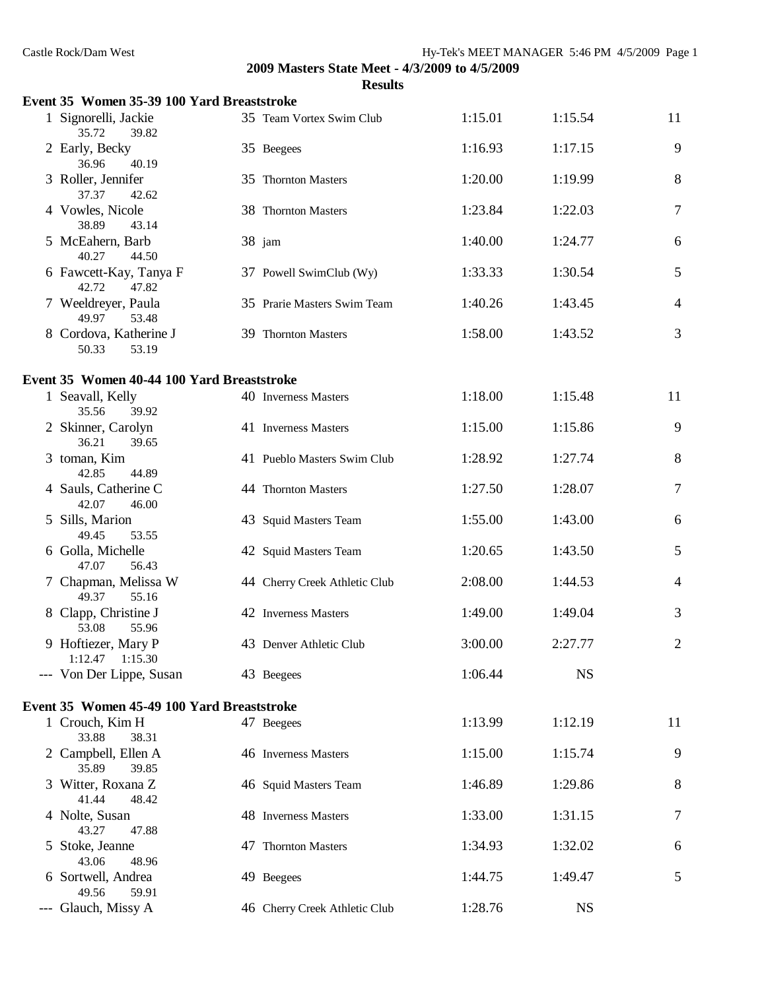| Castle Rock/Dam West                       |                                                                  | Hy-Tek's MEET MANAGER 5:46 PM 4/5/2009 Page 1 |           |                |
|--------------------------------------------|------------------------------------------------------------------|-----------------------------------------------|-----------|----------------|
|                                            | 2009 Masters State Meet - 4/3/2009 to 4/5/2009<br><b>Results</b> |                                               |           |                |
| Event 35 Women 35-39 100 Yard Breaststroke |                                                                  |                                               |           |                |
| 1 Signorelli, Jackie<br>35.72<br>39.82     | 35 Team Vortex Swim Club                                         | 1:15.01                                       | 1:15.54   | 11             |
| 2 Early, Becky<br>36.96<br>40.19           | 35 Beegees                                                       | 1:16.93                                       | 1:17.15   | 9              |
| 3 Roller, Jennifer<br>37.37<br>42.62       | 35 Thornton Masters                                              | 1:20.00                                       | 1:19.99   | 8              |
| 4 Vowles, Nicole<br>38.89<br>43.14         | 38 Thornton Masters                                              | 1:23.84                                       | 1:22.03   | 7              |
| 5 McEahern, Barb<br>40.27<br>44.50         | 38 jam                                                           | 1:40.00                                       | 1:24.77   | 6              |
| 6 Fawcett-Kay, Tanya F<br>42.72<br>47.82   | 37 Powell SwimClub (Wy)                                          | 1:33.33                                       | 1:30.54   | 5              |
| 7 Weeldreyer, Paula<br>49.97<br>53.48      | 35 Prarie Masters Swim Team                                      | 1:40.26                                       | 1:43.45   | 4              |
| 8 Cordova, Katherine J<br>50.33<br>53.19   | 39 Thornton Masters                                              | 1:58.00                                       | 1:43.52   | 3              |
| Event 35 Women 40-44 100 Yard Breaststroke |                                                                  |                                               |           |                |
| 1 Seavall, Kelly<br>35.56<br>39.92         | 40 Inverness Masters                                             | 1:18.00                                       | 1:15.48   | 11             |
| 2 Skinner, Carolyn<br>36.21<br>39.65       | 41 Inverness Masters                                             | 1:15.00                                       | 1:15.86   | 9              |
| 3 toman, Kim<br>42.85<br>44.89             | 41 Pueblo Masters Swim Club                                      | 1:28.92                                       | 1:27.74   | 8              |
| 4 Sauls, Catherine C<br>42.07<br>46.00     | 44 Thornton Masters                                              | 1:27.50                                       | 1:28.07   | 7              |
| 5 Sills, Marion<br>49.45<br>53.55          | 43 Squid Masters Team                                            | 1:55.00                                       | 1:43.00   | 6              |
| 6 Golla, Michelle<br>47.07<br>56.43        | 42 Squid Masters Team                                            | 1:20.65                                       | 1:43.50   | 5              |
| 7 Chapman, Melissa W<br>55.16<br>49.37     | 44 Cherry Creek Athletic Club                                    | 2:08.00                                       | 1:44.53   | 4              |
| 8 Clapp, Christine J<br>53.08<br>55.96     | 42 Inverness Masters                                             | 1:49.00                                       | 1:49.04   | 3              |
| 9 Hoftiezer, Mary P<br>1:12.47<br>1:15.30  | 43 Denver Athletic Club                                          | 3:00.00                                       | 2:27.77   | $\overline{2}$ |
| --- Von Der Lippe, Susan                   | 43 Beegees                                                       | 1:06.44                                       | <b>NS</b> |                |
| Event 35 Women 45-49 100 Yard Breaststroke |                                                                  |                                               |           |                |
| 1 Crouch, Kim H<br>33.88<br>38.31          | 47 Beegees                                                       | 1:13.99                                       | 1:12.19   | 11             |
| 2 Campbell, Ellen A<br>35.89<br>39.85      | 46 Inverness Masters                                             | 1:15.00                                       | 1:15.74   | 9              |
| 3 Witter, Roxana Z<br>41.44<br>48.42       | 46 Squid Masters Team                                            | 1:46.89                                       | 1:29.86   | 8              |
| 4 Nolte, Susan<br>43.27<br>47.88           | 48 Inverness Masters                                             | 1:33.00                                       | 1:31.15   | 7              |
| 5 Stoke, Jeanne<br>43.06<br>48.96          | 47 Thornton Masters                                              | 1:34.93                                       | 1:32.02   | 6              |
| 6 Sortwell, Andrea<br>49.56<br>59.91       | 49 Beegees                                                       | 1:44.75                                       | 1:49.47   | 5              |
| --- Glauch, Missy A                        | 46 Cherry Creek Athletic Club                                    | 1:28.76                                       | <b>NS</b> |                |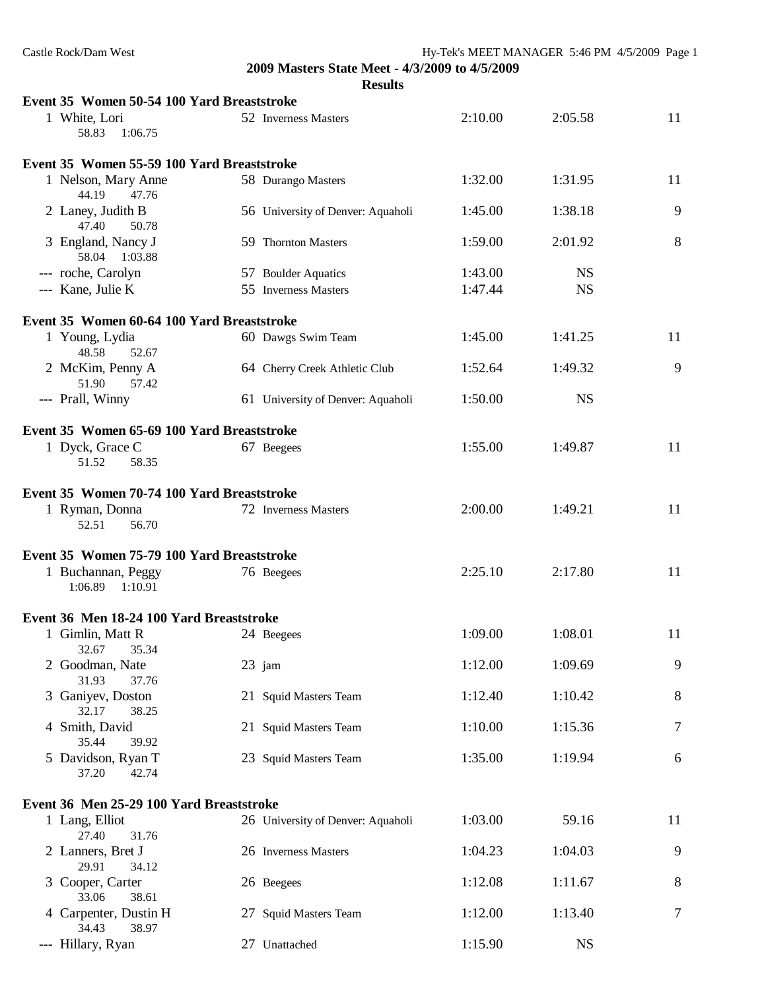| Castle Rock/Dam West                                             |  |                                   | Hy-Tek's MEET MANAGER 5:46 PM 4/5/2009 Page 1 |           |    |
|------------------------------------------------------------------|--|-----------------------------------|-----------------------------------------------|-----------|----|
| 2009 Masters State Meet - 4/3/2009 to 4/5/2009<br><b>Results</b> |  |                                   |                                               |           |    |
| Event 35 Women 50-54 100 Yard Breaststroke                       |  |                                   |                                               |           |    |
| 1 White, Lori<br>58.83<br>1:06.75                                |  | 52 Inverness Masters              | 2:10.00                                       | 2:05.58   | 11 |
| Event 35 Women 55-59 100 Yard Breaststroke                       |  |                                   |                                               |           |    |
| 1 Nelson, Mary Anne<br>44.19<br>47.76                            |  | 58 Durango Masters                | 1:32.00                                       | 1:31.95   | 11 |
| 2 Laney, Judith B<br>47.40<br>50.78                              |  | 56 University of Denver: Aquaholi | 1:45.00                                       | 1:38.18   | 9  |
| 3 England, Nancy J<br>58.04 1:03.88                              |  | 59 Thornton Masters               | 1:59.00                                       | 2:01.92   | 8  |
| --- roche, Carolyn                                               |  | 57 Boulder Aquatics               | 1:43.00                                       | <b>NS</b> |    |
| --- Kane, Julie K                                                |  | 55 Inverness Masters              | 1:47.44                                       | <b>NS</b> |    |
| Event 35 Women 60-64 100 Yard Breaststroke                       |  |                                   |                                               |           |    |
| 1 Young, Lydia<br>48.58<br>52.67                                 |  | 60 Dawgs Swim Team                | 1:45.00                                       | 1:41.25   | 11 |
| 2 McKim, Penny A<br>51.90<br>57.42                               |  | 64 Cherry Creek Athletic Club     | 1:52.64                                       | 1:49.32   | 9  |
| --- Prall, Winny                                                 |  | 61 University of Denver: Aquaholi | 1:50.00                                       | <b>NS</b> |    |
| Event 35 Women 65-69 100 Yard Breaststroke                       |  |                                   |                                               |           |    |
| 1 Dyck, Grace C<br>51.52<br>58.35                                |  | 67 Beegees                        | 1:55.00                                       | 1:49.87   | 11 |
|                                                                  |  |                                   |                                               |           |    |
| Event 35 Women 70-74 100 Yard Breaststroke                       |  |                                   |                                               |           |    |
| 1 Ryman, Donna<br>56.70<br>52.51                                 |  | 72 Inverness Masters              | 2:00.00                                       | 1:49.21   | 11 |
| Event 35 Women 75-79 100 Yard Breaststroke                       |  |                                   |                                               |           |    |
| 1 Buchannan, Peggy<br>1:06.89<br>1:10.91                         |  | 76 Beegees                        | 2:25.10                                       | 2:17.80   | 11 |
| Event 36 Men 18-24 100 Yard Breaststroke                         |  |                                   |                                               |           |    |
| 1 Gimlin, Matt R<br>32.67<br>35.34                               |  | 24 Beegees                        | 1:09.00                                       | 1:08.01   | 11 |
| 2 Goodman, Nate<br>31.93<br>37.76                                |  | 23 jam                            | 1:12.00                                       | 1:09.69   | 9  |
| 3 Ganiyev, Doston<br>32.17<br>38.25                              |  | 21 Squid Masters Team             | 1:12.40                                       | 1:10.42   | 8  |
| 4 Smith, David<br>39.92<br>35.44                                 |  | 21 Squid Masters Team             | 1:10.00                                       | 1:15.36   | 7  |
| 5 Davidson, Ryan T<br>37.20<br>42.74                             |  | 23 Squid Masters Team             | 1:35.00                                       | 1:19.94   | 6  |
| Event 36 Men 25-29 100 Yard Breaststroke                         |  |                                   |                                               |           |    |
| 1 Lang, Elliot<br>27.40<br>31.76                                 |  | 26 University of Denver: Aquaholi | 1:03.00                                       | 59.16     | 11 |
| 2 Lanners, Bret J<br>29.91<br>34.12                              |  | 26 Inverness Masters              | 1:04.23                                       | 1:04.03   | 9  |
| 3 Cooper, Carter<br>33.06<br>38.61                               |  | 26 Beegees                        | 1:12.08                                       | 1:11.67   | 8  |
| 4 Carpenter, Dustin H<br>34.43<br>38.97                          |  | 27 Squid Masters Team             | 1:12.00                                       | 1:13.40   | 7  |
| --- Hillary, Ryan                                                |  | 27 Unattached                     | 1:15.90                                       | <b>NS</b> |    |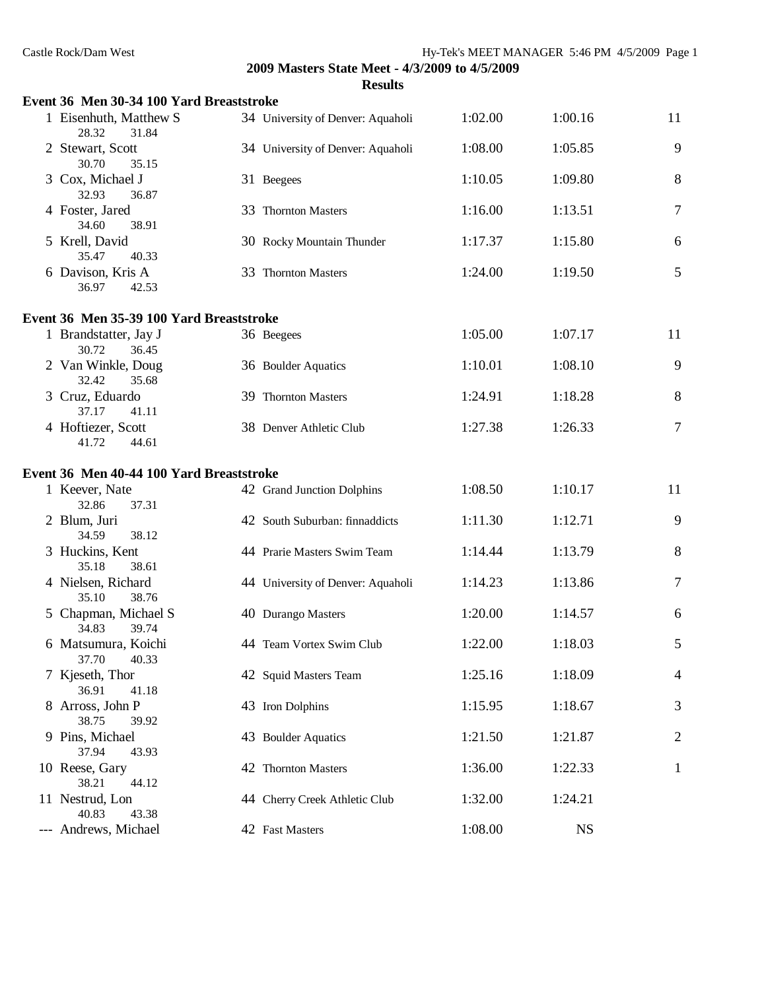| Castle Rock/Dam West                     | 2009 Masters State Meet - 4/3/2009 to 4/5/2009 | Hy-Tek's MEET MANAGER 5:46 PM 4/5/2009 Page 1 |           |              |
|------------------------------------------|------------------------------------------------|-----------------------------------------------|-----------|--------------|
| Event 36 Men 30-34 100 Yard Breaststroke | <b>Results</b>                                 |                                               |           |              |
| 1 Eisenhuth, Matthew S<br>28.32<br>31.84 | 34 University of Denver: Aquaholi              | 1:02.00                                       | 1:00.16   | 11           |
| 2 Stewart, Scott<br>30.70<br>35.15       | 34 University of Denver: Aquaholi              | 1:08.00                                       | 1:05.85   | 9            |
| 3 Cox, Michael J<br>32.93<br>36.87       | 31 Beegees                                     | 1:10.05                                       | 1:09.80   | 8            |
| 4 Foster, Jared<br>34.60<br>38.91        | 33 Thornton Masters                            | 1:16.00                                       | 1:13.51   | 7            |
| 5 Krell, David<br>35.47<br>40.33         | 30 Rocky Mountain Thunder                      | 1:17.37                                       | 1:15.80   | 6            |
| 6 Davison, Kris A<br>36.97<br>42.53      | 33 Thornton Masters                            | 1:24.00                                       | 1:19.50   | 5            |
| Event 36 Men 35-39 100 Yard Breaststroke |                                                |                                               |           |              |
| 1 Brandstatter, Jay J<br>30.72<br>36.45  | 36 Beegees                                     | 1:05.00                                       | 1:07.17   | 11           |
| 2 Van Winkle, Doug<br>32.42<br>35.68     | 36 Boulder Aquatics                            | 1:10.01                                       | 1:08.10   | 9            |
| 3 Cruz, Eduardo<br>37.17<br>41.11        | 39 Thornton Masters                            | 1:24.91                                       | 1:18.28   | 8            |
| 4 Hoftiezer, Scott<br>41.72<br>44.61     | 38 Denver Athletic Club                        | 1:27.38                                       | 1:26.33   | 7            |
| Event 36 Men 40-44 100 Yard Breaststroke |                                                |                                               |           |              |
| 1 Keever, Nate<br>32.86<br>37.31         | 42 Grand Junction Dolphins                     | 1:08.50                                       | 1:10.17   | 11           |
| 2 Blum, Juri<br>34.59<br>38.12           | 42 South Suburban: finnaddicts                 | 1:11.30                                       | 1:12.71   | 9            |
| 3 Huckins, Kent<br>35.18<br>38.61        | 44 Prarie Masters Swim Team                    | 1:14.44                                       | 1:13.79   | 8            |
| 4 Nielsen, Richard<br>35.10 38.76        | 44 University of Denver: Aquaholi              | 1:14.23                                       | 1:13.86   | 7            |
| 5 Chapman, Michael S<br>34.83<br>39.74   | 40 Durango Masters                             | 1:20.00                                       | 1:14.57   | 6            |
| 6 Matsumura, Koichi<br>37.70<br>40.33    | 44 Team Vortex Swim Club                       | 1:22.00                                       | 1:18.03   | 5            |
| 7 Kjeseth, Thor<br>36.91<br>41.18        | 42 Squid Masters Team                          | 1:25.16                                       | 1:18.09   | 4            |
| 8 Arross, John P<br>38.75<br>39.92       | 43 Iron Dolphins                               | 1:15.95                                       | 1:18.67   | 3            |
| 9 Pins, Michael<br>37.94<br>43.93        | 43 Boulder Aquatics                            | 1:21.50                                       | 1:21.87   | 2            |
| 10 Reese, Gary<br>38.21<br>44.12         | 42 Thornton Masters                            | 1:36.00                                       | 1:22.33   | $\mathbf{1}$ |
| 11 Nestrud, Lon<br>40.83<br>43.38        | 44 Cherry Creek Athletic Club                  | 1:32.00                                       | 1:24.21   |              |
| --- Andrews, Michael                     | 42 Fast Masters                                | 1:08.00                                       | <b>NS</b> |              |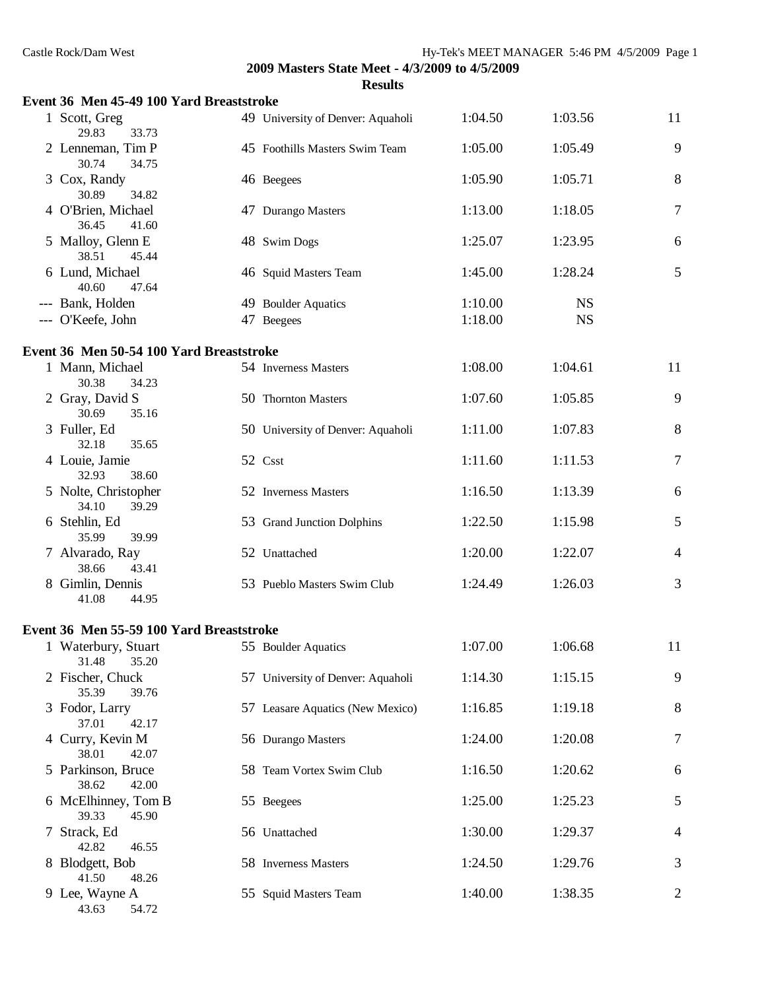| Event 36 Men 45-49 100 Yard Breaststroke |                                   |         |           |                |
|------------------------------------------|-----------------------------------|---------|-----------|----------------|
| 1 Scott, Greg<br>29.83<br>33.73          | 49 University of Denver: Aquaholi | 1:04.50 | 1:03.56   | 11             |
| 2 Lenneman, Tim P<br>30.74<br>34.75      | 45 Foothills Masters Swim Team    | 1:05.00 | 1:05.49   | 9              |
| 3 Cox, Randy<br>30.89<br>34.82           | 46 Beegees                        | 1:05.90 | 1:05.71   | 8              |
| 4 O'Brien, Michael<br>36.45<br>41.60     | 47 Durango Masters                | 1:13.00 | 1:18.05   | 7              |
| 5 Malloy, Glenn E<br>38.51<br>45.44      | 48 Swim Dogs                      | 1:25.07 | 1:23.95   | 6              |
| 6 Lund, Michael<br>40.60<br>47.64        | 46 Squid Masters Team             | 1:45.00 | 1:28.24   | $\mathfrak{S}$ |
| --- Bank, Holden                         | 49 Boulder Aquatics               | 1:10.00 | <b>NS</b> |                |
| --- O'Keefe, John                        | 47 Beegees                        | 1:18.00 | <b>NS</b> |                |
| Event 36 Men 50-54 100 Yard Breaststroke |                                   |         |           |                |
| 1 Mann, Michael<br>30.38<br>34.23        | 54 Inverness Masters              | 1:08.00 | 1:04.61   | 11             |
| 2 Gray, David S<br>30.69<br>35.16        | 50 Thornton Masters               | 1:07.60 | 1:05.85   | 9              |
| 3 Fuller, Ed<br>32.18<br>35.65           | 50 University of Denver: Aquaholi | 1:11.00 | 1:07.83   | 8              |
| 4 Louie, Jamie<br>32.93<br>38.60         | 52 Csst                           | 1:11.60 | 1:11.53   | $\tau$         |
| 5 Nolte, Christopher<br>34.10<br>39.29   | 52 Inverness Masters              | 1:16.50 | 1:13.39   | 6              |
| 6 Stehlin, Ed<br>35.99<br>39.99          | 53 Grand Junction Dolphins        | 1:22.50 | 1:15.98   | 5              |
| 7 Alvarado, Ray<br>38.66<br>43.41        | 52 Unattached                     | 1:20.00 | 1:22.07   | $\overline{4}$ |
| 8 Gimlin, Dennis<br>41.08<br>44.95       | 53 Pueblo Masters Swim Club       | 1:24.49 | 1:26.03   | 3              |
| Event 36 Men 55-59 100 Yard Breaststroke |                                   |         |           |                |
| 1 Waterbury, Stuart<br>31.48<br>35.20    | 55 Boulder Aquatics               | 1:07.00 | 1:06.68   | 11             |
| 2 Fischer, Chuck<br>35.39<br>39.76       | 57 University of Denver: Aquaholi | 1:14.30 | 1:15.15   | 9              |
| 3 Fodor, Larry<br>37.01<br>42.17         | 57 Leasare Aquatics (New Mexico)  | 1:16.85 | 1:19.18   | 8              |
| 4 Curry, Kevin M<br>38.01<br>42.07       | 56 Durango Masters                | 1:24.00 | 1:20.08   | 7              |
| 5 Parkinson, Bruce<br>38.62<br>42.00     | 58 Team Vortex Swim Club          | 1:16.50 | 1:20.62   | 6              |
| 6 McElhinney, Tom B<br>39.33<br>45.90    | 55 Beegees                        | 1:25.00 | 1:25.23   | 5              |
| 7 Strack, Ed<br>42.82<br>46.55           | 56 Unattached                     | 1:30.00 | 1:29.37   | 4              |
| 8 Blodgett, Bob<br>41.50<br>48.26        | 58 Inverness Masters              | 1:24.50 | 1:29.76   | 3              |
| 9 Lee, Wayne A<br>54.72<br>43.63         | 55 Squid Masters Team             | 1:40.00 | 1:38.35   | $\overline{c}$ |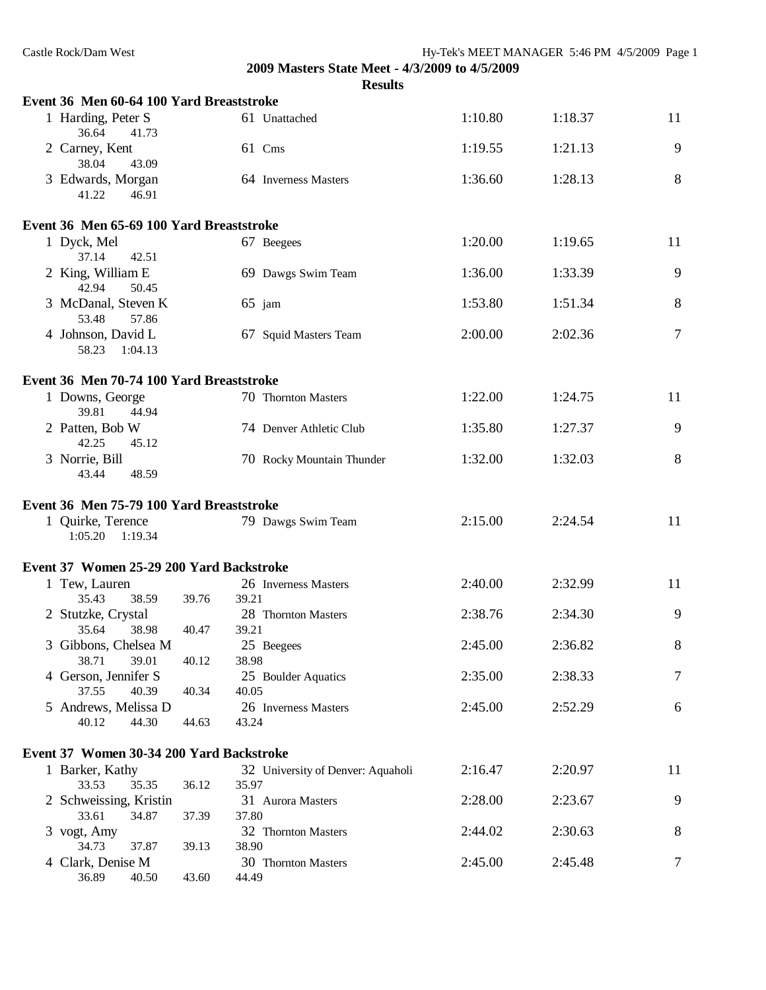| Castle Rock/Dam West                     |       |                                                | Hy-Tek's MEET MANAGER 5:46 PM 4/5/2009 Page 1 |         |    |
|------------------------------------------|-------|------------------------------------------------|-----------------------------------------------|---------|----|
|                                          |       | 2009 Masters State Meet - 4/3/2009 to 4/5/2009 |                                               |         |    |
| Event 36 Men 60-64 100 Yard Breaststroke |       | <b>Results</b>                                 |                                               |         |    |
| 1 Harding, Peter S                       |       | 61 Unattached                                  | 1:10.80                                       | 1:18.37 | 11 |
| 36.64<br>41.73                           |       |                                                |                                               |         |    |
| 2 Carney, Kent<br>38.04<br>43.09         |       | 61 Cms                                         | 1:19.55                                       | 1:21.13 | 9  |
| 3 Edwards, Morgan<br>41.22<br>46.91      |       | 64 Inverness Masters                           | 1:36.60                                       | 1:28.13 | 8  |
| Event 36 Men 65-69 100 Yard Breaststroke |       |                                                |                                               |         |    |
| 1 Dyck, Mel<br>37.14<br>42.51            |       | 67 Beegees                                     | 1:20.00                                       | 1:19.65 | 11 |
| 2 King, William E<br>42.94<br>50.45      |       | 69 Dawgs Swim Team                             | 1:36.00                                       | 1:33.39 | 9  |
| 3 McDanal, Steven K<br>53.48<br>57.86    |       | $65$ jam                                       | 1:53.80                                       | 1:51.34 | 8  |
| 4 Johnson, David L<br>58.23<br>1:04.13   |       | 67 Squid Masters Team                          | 2:00.00                                       | 2:02.36 | 7  |
| Event 36 Men 70-74 100 Yard Breaststroke |       |                                                |                                               |         |    |
| 1 Downs, George<br>39.81<br>44.94        |       | 70 Thornton Masters                            | 1:22.00                                       | 1:24.75 | 11 |
| 2 Patten, Bob W<br>42.25<br>45.12        |       | 74 Denver Athletic Club                        | 1:35.80                                       | 1:27.37 | 9  |
| 3 Norrie, Bill<br>43.44<br>48.59         |       | 70 Rocky Mountain Thunder                      | 1:32.00                                       | 1:32.03 | 8  |
| Event 36 Men 75-79 100 Yard Breaststroke |       |                                                |                                               |         |    |
| 1 Quirke, Terence<br>1:05.20<br>1:19.34  |       | 79 Dawgs Swim Team                             | 2:15.00                                       | 2:24.54 | 11 |
| Event 37 Women 25-29 200 Yard Backstroke |       |                                                |                                               |         |    |
| 1 Tew, Lauren<br>35.43<br>38.59          | 39.76 | 26 Inverness Masters<br>39.21                  | 2:40.00                                       | 2:32.99 | 11 |
| 2 Stutzke, Crystal<br>35.64<br>38.98     | 40.47 | 28 Thornton Masters<br>39.21                   | 2:38.76                                       | 2:34.30 | 9  |
| 3 Gibbons, Chelsea M<br>38.71<br>39.01   | 40.12 | 25 Beegees<br>38.98                            | 2:45.00                                       | 2:36.82 | 8  |
| 4 Gerson, Jennifer S<br>40.39<br>37.55   | 40.34 | 25 Boulder Aquatics<br>40.05                   | 2:35.00                                       | 2:38.33 | 7  |
| 5 Andrews, Melissa D                     |       | 26 Inverness Masters                           | 2:45.00                                       | 2:52.29 | 6  |
| 40.12<br>44.30                           | 44.63 | 43.24                                          |                                               |         |    |
| Event 37 Women 30-34 200 Yard Backstroke |       |                                                |                                               |         |    |
| 1 Barker, Kathy                          |       | 32 University of Denver: Aquaholi              | 2:16.47                                       | 2:20.97 | 11 |
| 33.53<br>35.35<br>2 Schweissing, Kristin | 36.12 | 35.97<br>31 Aurora Masters                     | 2:28.00                                       | 2:23.67 | 9  |
| 33.61<br>34.87<br>3 vogt, Amy            | 37.39 | 37.80<br>32 Thornton Masters                   | 2:44.02                                       | 2:30.63 | 8  |
| 34.73<br>37.87                           | 39.13 | 38.90                                          |                                               |         |    |
| 4 Clark, Denise M<br>36.89<br>40.50      | 43.60 | 30 Thornton Masters<br>44.49                   | 2:45.00                                       | 2:45.48 | 7  |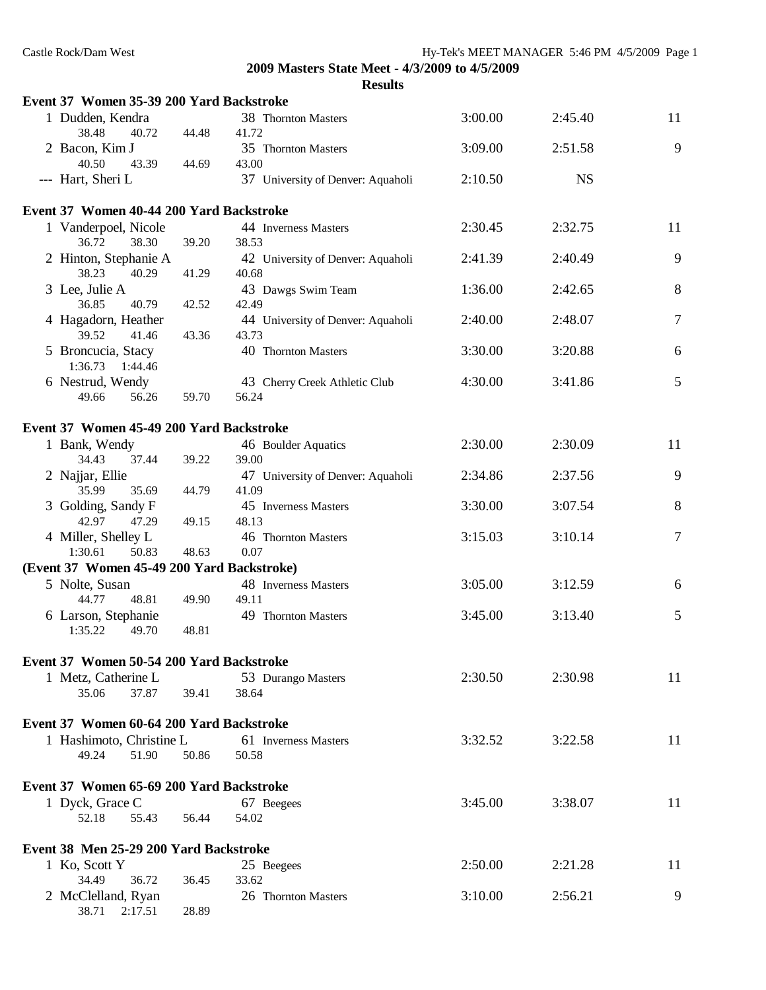| Ш<br>Π<br>п<br>ı<br>w |
|-----------------------|
|-----------------------|

| Event 37 Women 35-39 200 Yard Backstroke   |       |                                            |         |           |                |
|--------------------------------------------|-------|--------------------------------------------|---------|-----------|----------------|
| 1 Dudden, Kendra<br>38.48<br>40.72         | 44.48 | 38 Thornton Masters<br>41.72               | 3:00.00 | 2:45.40   | 11             |
| 2 Bacon, Kim J<br>40.50<br>43.39           | 44.69 | 35 Thornton Masters<br>43.00               | 3:09.00 | 2:51.58   | 9              |
| --- Hart, Sheri L                          |       | 37 University of Denver: Aquaholi          | 2:10.50 | <b>NS</b> |                |
| Event 37 Women 40-44 200 Yard Backstroke   |       |                                            |         |           |                |
| 1 Vanderpoel, Nicole<br>36.72<br>38.30     | 39.20 | 44 Inverness Masters<br>38.53              | 2:30.45 | 2:32.75   | 11             |
| 2 Hinton, Stephanie A<br>38.23<br>40.29    | 41.29 | 42 University of Denver: Aquaholi<br>40.68 | 2:41.39 | 2:40.49   | 9              |
| 3 Lee, Julie A<br>36.85<br>40.79           | 42.52 | 43 Dawgs Swim Team<br>42.49                | 1:36.00 | 2:42.65   | 8              |
| 4 Hagadorn, Heather<br>41.46               |       | 44 University of Denver: Aquaholi<br>43.73 | 2:40.00 | 2:48.07   | $\overline{7}$ |
| 39.52<br>5 Broncucia, Stacy                | 43.36 | 40 Thornton Masters                        | 3:30.00 | 3:20.88   | 6              |
| 1:36.73<br>1:44.46<br>6 Nestrud, Wendy     |       | 43 Cherry Creek Athletic Club              | 4:30.00 | 3:41.86   | 5              |
| 49.66<br>56.26                             | 59.70 | 56.24                                      |         |           |                |
| Event 37 Women 45-49 200 Yard Backstroke   |       |                                            |         |           |                |
| 1 Bank, Wendy<br>34.43<br>37.44            | 39.22 | 46 Boulder Aquatics<br>39.00               | 2:30.00 | 2:30.09   | 11             |
| 2 Najjar, Ellie<br>35.99<br>35.69          | 44.79 | 47 University of Denver: Aquaholi<br>41.09 | 2:34.86 | 2:37.56   | 9              |
| 3 Golding, Sandy F<br>42.97<br>47.29       | 49.15 | 45 Inverness Masters<br>48.13              | 3:30.00 | 3:07.54   | 8              |
| 4 Miller, Shelley L<br>1:30.61<br>50.83    | 48.63 | 46 Thornton Masters<br>0.07                | 3:15.03 | 3:10.14   | $\overline{7}$ |
| (Event 37 Women 45-49 200 Yard Backstroke) |       |                                            |         |           |                |
| 5 Nolte, Susan                             |       | 48 Inverness Masters                       | 3:05.00 | 3:12.59   | 6              |
| 48.81<br>44.77                             | 49.90 | 49.11                                      |         |           |                |
| 6 Larson, Stephanie<br>1:35.22<br>49.70    | 48.81 | 49 Thornton Masters                        | 3:45.00 | 3:13.40   | 5              |
| Event 37 Women 50-54 200 Yard Backstroke   |       |                                            |         |           |                |
| 1 Metz, Catherine L                        |       | 53 Durango Masters                         | 2:30.50 | 2:30.98   | 11             |
| 37.87<br>35.06                             | 39.41 | 38.64                                      |         |           |                |
| Event 37 Women 60-64 200 Yard Backstroke   |       |                                            |         |           |                |
| 1 Hashimoto, Christine L                   |       | 61 Inverness Masters                       | 3:32.52 | 3:22.58   | 11             |
| 49.24<br>51.90                             | 50.86 | 50.58                                      |         |           |                |
| Event 37 Women 65-69 200 Yard Backstroke   |       |                                            |         |           |                |
| 1 Dyck, Grace C                            |       | 67 Beegees                                 | 3:45.00 | 3:38.07   | 11             |
| 52.18<br>55.43                             | 56.44 | 54.02                                      |         |           |                |
| Event 38 Men 25-29 200 Yard Backstroke     |       |                                            |         |           |                |
| 1 Ko, Scott Y                              |       | 25 Beegees                                 | 2:50.00 | 2:21.28   | 11             |
| 34.49<br>36.72                             | 36.45 | 33.62                                      |         | 2:56.21   | 9              |
| 2 McClelland, Ryan<br>38.71<br>2:17.51     | 28.89 | 26 Thornton Masters                        | 3:10.00 |           |                |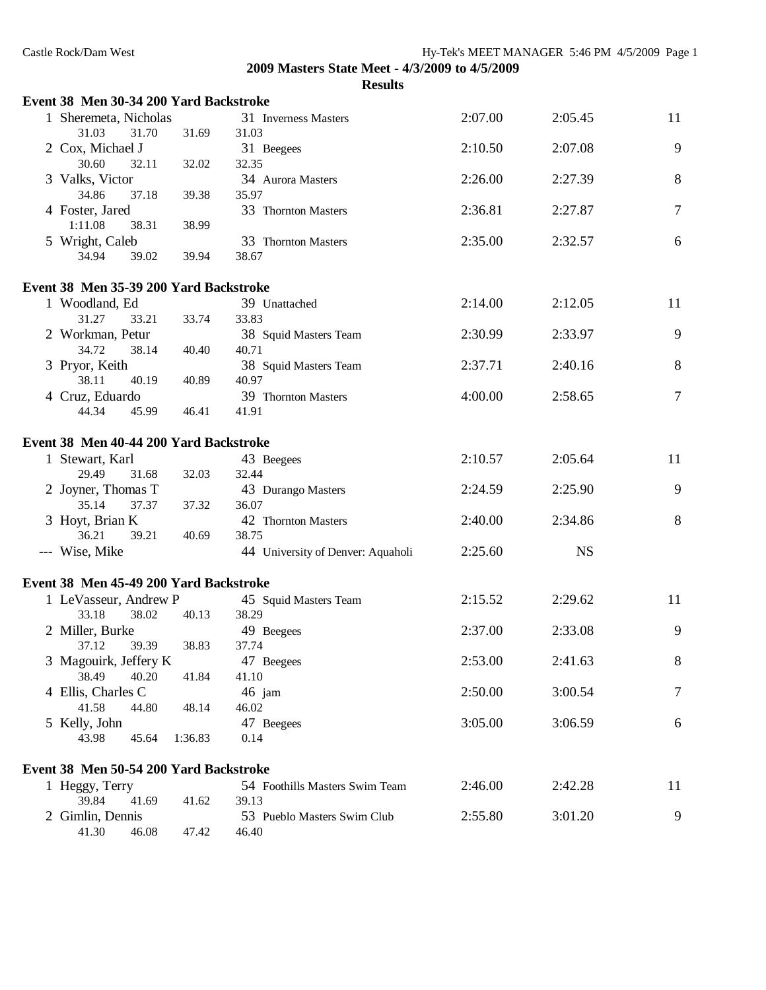| Event 38 Men 30-34 200 Yard Backstroke |         |                                   |         |           |        |
|----------------------------------------|---------|-----------------------------------|---------|-----------|--------|
| 1 Sheremeta, Nicholas                  |         | 31 Inverness Masters              | 2:07.00 | 2:05.45   | 11     |
| 31.03<br>31.70                         | 31.69   | 31.03                             |         |           |        |
| 2 Cox, Michael J                       |         | 31 Beegees                        | 2:10.50 | 2:07.08   | 9      |
| 30.60<br>32.11                         | 32.02   | 32.35                             |         |           |        |
| 3 Valks, Victor                        |         | 34 Aurora Masters                 | 2:26.00 | 2:27.39   | 8      |
| 34.86<br>37.18                         | 39.38   | 35.97                             |         |           |        |
| 4 Foster, Jared                        |         | 33 Thornton Masters               | 2:36.81 | 2:27.87   | $\tau$ |
| 1:11.08<br>38.31                       | 38.99   |                                   |         |           |        |
| 5 Wright, Caleb                        |         | 33 Thornton Masters               | 2:35.00 | 2:32.57   | 6      |
| 34.94<br>39.02                         | 39.94   | 38.67                             |         |           |        |
| Event 38 Men 35-39 200 Yard Backstroke |         |                                   |         |           |        |
| 1 Woodland, Ed                         |         | 39 Unattached                     | 2:14.00 | 2:12.05   | 11     |
| 31.27<br>33.21                         | 33.74   | 33.83                             |         |           |        |
| 2 Workman, Petur                       |         | 38 Squid Masters Team             | 2:30.99 | 2:33.97   | 9      |
| 34.72<br>38.14                         | 40.40   | 40.71                             |         |           |        |
| 3 Pryor, Keith                         |         | 38 Squid Masters Team             | 2:37.71 | 2:40.16   | 8      |
| 38.11<br>40.19                         | 40.89   | 40.97                             |         |           |        |
| 4 Cruz, Eduardo                        |         | 39 Thornton Masters               | 4:00.00 | 2:58.65   | $\tau$ |
| 44.34<br>45.99                         | 46.41   | 41.91                             |         |           |        |
| Event 38 Men 40-44 200 Yard Backstroke |         |                                   |         |           |        |
|                                        |         |                                   |         | 2:05.64   | 11     |
| 1 Stewart, Karl<br>29.49               |         | 43 Beegees<br>32.44               | 2:10.57 |           |        |
| 31.68                                  | 32.03   |                                   |         |           | 9      |
| 2 Joyner, Thomas T<br>35.14<br>37.37   |         | 43 Durango Masters<br>36.07       | 2:24.59 | 2:25.90   |        |
|                                        | 37.32   | 42 Thornton Masters               | 2:40.00 | 2:34.86   | 8      |
| 3 Hoyt, Brian K<br>36.21<br>39.21      | 40.69   | 38.75                             |         |           |        |
| --- Wise, Mike                         |         | 44 University of Denver: Aquaholi | 2:25.60 | <b>NS</b> |        |
|                                        |         |                                   |         |           |        |
| Event 38 Men 45-49 200 Yard Backstroke |         |                                   |         |           |        |
| 1 LeVasseur, Andrew P                  |         | 45 Squid Masters Team             | 2:15.52 | 2:29.62   | 11     |
| 33.18<br>38.02                         | 40.13   | 38.29                             |         |           |        |
| 2 Miller, Burke                        |         | 49 Beegees                        | 2:37.00 | 2:33.08   | 9      |
| 37.12<br>39.39                         | 38.83   | 37.74                             |         |           |        |
| 3 Magouirk, Jeffery K                  |         | 47 Beegees                        | 2:53.00 | 2:41.63   | 8      |
| 38.49<br>40.20                         | 41.84   | 41.10                             |         |           |        |
| 4 Ellis, Charles C                     |         | 46 jam                            | 2:50.00 | 3:00.54   | $\tau$ |
| 41.58<br>44.80                         | 48.14   | 46.02                             |         |           |        |
| 5 Kelly, John                          |         | 47 Beegees                        | 3:05.00 | 3:06.59   | 6      |
| 43.98<br>45.64                         | 1:36.83 | 0.14                              |         |           |        |
| Event 38 Men 50-54 200 Yard Backstroke |         |                                   |         |           |        |
| 1 Heggy, Terry                         |         | 54 Foothills Masters Swim Team    | 2:46.00 | 2:42.28   | 11     |
| 39.84<br>41.69                         | 41.62   | 39.13                             |         |           |        |
| 2 Gimlin, Dennis                       |         | 53 Pueblo Masters Swim Club       | 2:55.80 | 3:01.20   | 9      |
| 41.30<br>46.08                         | 47.42   | 46.40                             |         |           |        |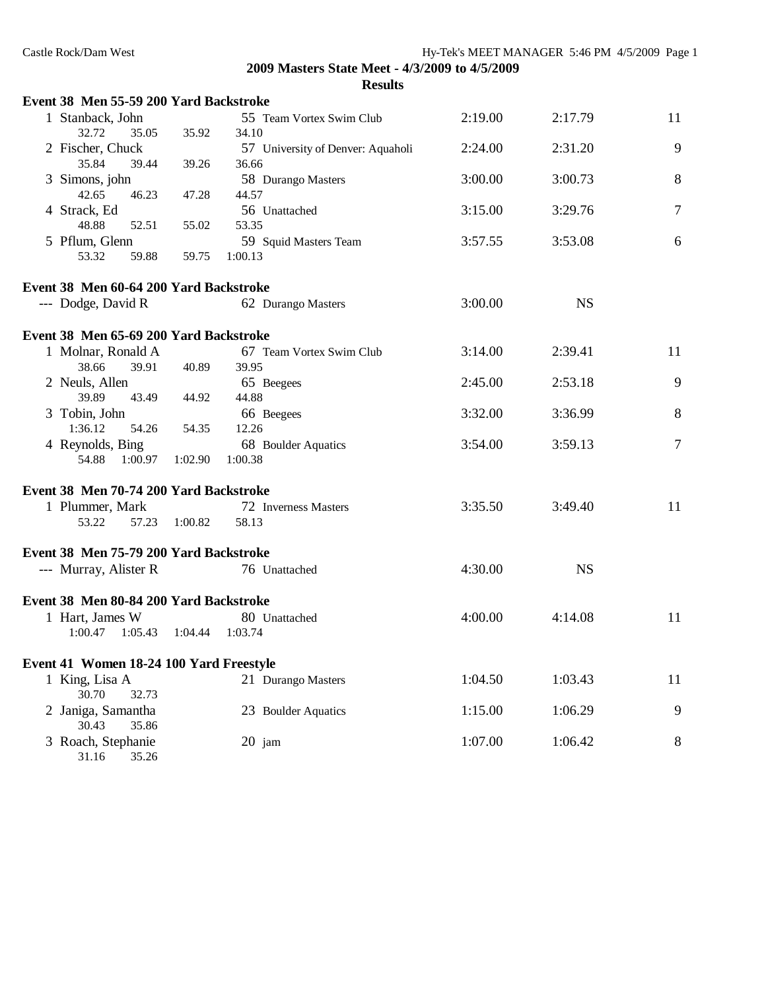|  | Castle Rock/Dam West                   |                               |                                                | Hy-Tek's MEET MANAGER 5:46 PM 4/5/2009 Page 1 |           |    |
|--|----------------------------------------|-------------------------------|------------------------------------------------|-----------------------------------------------|-----------|----|
|  |                                        |                               | 2009 Masters State Meet - 4/3/2009 to 4/5/2009 |                                               |           |    |
|  |                                        |                               | <b>Results</b>                                 |                                               |           |    |
|  | Event 38 Men 55-59 200 Yard Backstroke |                               |                                                |                                               |           |    |
|  | 1 Stanback, John                       |                               | 55 Team Vortex Swim Club                       | 2:19.00                                       | 2:17.79   | 11 |
|  | 32.72<br>35.05                         | 35.92                         | 34.10                                          |                                               |           |    |
|  | 2 Fischer, Chuck                       |                               | 57 University of Denver: Aquaholi              | 2:24.00                                       | 2:31.20   | 9  |
|  | 35.84<br>39.44                         | 39.26                         | 36.66                                          |                                               |           |    |
|  | 3 Simons, john                         |                               | 58 Durango Masters                             | 3:00.00                                       | 3:00.73   | 8  |
|  | 42.65<br>46.23                         | 47.28                         | 44.57                                          |                                               |           |    |
|  | 4 Strack, Ed                           |                               | 56 Unattached                                  | 3:15.00                                       | 3:29.76   | 7  |
|  | 48.88<br>52.51                         | 55.02                         | 53.35                                          |                                               |           |    |
|  | 5 Pflum, Glenn                         |                               | 59 Squid Masters Team                          | 3:57.55                                       | 3:53.08   | 6  |
|  | 53.32<br>59.88                         | 59.75                         | 1:00.13                                        |                                               |           |    |
|  | Event 38 Men 60-64 200 Yard Backstroke |                               |                                                |                                               |           |    |
|  | --- Dodge, David R                     |                               | 62 Durango Masters                             | 3:00.00                                       | <b>NS</b> |    |
|  | Event 38 Men 65-69 200 Yard Backstroke |                               |                                                |                                               |           |    |
|  | 1 Molnar, Ronald A                     |                               | 67 Team Vortex Swim Club                       | 3:14.00                                       | 2:39.41   | 11 |
|  | 38.66<br>39.91                         | 40.89                         | 39.95                                          |                                               |           |    |
|  | 2 Neuls, Allen                         |                               | 65 Beegees                                     | 2:45.00                                       | 2:53.18   | 9  |
|  | 39.89<br>43.49                         | 44.92                         | 44.88                                          |                                               |           |    |
|  | 3 Tobin, John                          |                               | 66 Beegees                                     | 3:32.00                                       | 3:36.99   | 8  |
|  | 1:36.12<br>54.26                       | 54.35                         | 12.26                                          |                                               |           |    |
|  | 4 Reynolds, Bing                       |                               | 68 Boulder Aquatics                            | 3:54.00                                       | 3:59.13   | 7  |
|  | 54.88<br>1:00.97                       | 1:02.90                       | 1:00.38                                        |                                               |           |    |
|  | Event 38 Men 70-74 200 Yard Backstroke |                               |                                                |                                               |           |    |
|  | 1 Plummer, Mark                        |                               | 72 Inverness Masters                           | 3:35.50                                       | 3:49.40   | 11 |
|  | 53.22                                  | 57.23 1:00.82                 | 58.13                                          |                                               |           |    |
|  | Event 38 Men 75-79 200 Yard Backstroke |                               |                                                |                                               |           |    |
|  | --- Murray, Alister R                  |                               | 76 Unattached                                  | 4:30.00                                       | <b>NS</b> |    |
|  | Event 38 Men 80-84 200 Yard Backstroke |                               |                                                |                                               |           |    |
|  | 1 Hart, James W                        |                               | 80 Unattached                                  | 4:00.00                                       | 4:14.08   | 11 |
|  | 1:00.47                                | $1:05.43$ $1:04.44$ $1:03.74$ |                                                |                                               |           |    |

# **Event 41 Women 18-24 100 Yard Freestyle**

| $\frac{1}{2}$ and $\frac{1}{2}$ are $\frac{1}{2}$ and $\frac{1}{2}$ and $\frac{1}{2}$ and $\frac{1}{2}$ are $\frac{1}{2}$ |                     |         |         |    |
|---------------------------------------------------------------------------------------------------------------------------|---------------------|---------|---------|----|
| King, Lisa A                                                                                                              | 21 Durango Masters  | 1:04.50 | 1:03.43 | 11 |
| 32.73<br>30.70                                                                                                            |                     |         |         |    |
| 2 Janiga, Samantha<br>30.43                                                                                               | 23 Boulder Aquatics | 1:15.00 | 1:06.29 | 9  |
| 35.86<br>3 Roach, Stephanie                                                                                               | $20$ jam            | 1:07.00 | 1:06.42 | 8  |
| 35.26<br>31.16                                                                                                            |                     |         |         |    |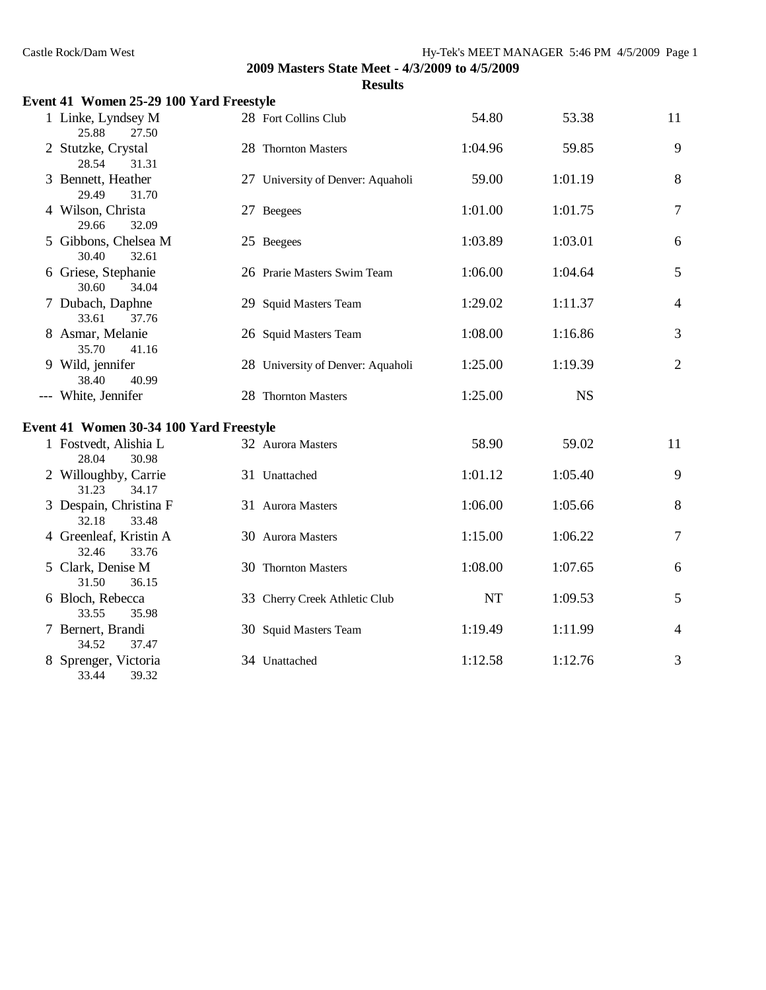| Castle Rock/Dam West                     |                                                |         | Hy-Tek's MEET MANAGER 5:46 PM 4/5/2009 Page 1 |                |  |  |
|------------------------------------------|------------------------------------------------|---------|-----------------------------------------------|----------------|--|--|
|                                          | 2009 Masters State Meet - 4/3/2009 to 4/5/2009 |         |                                               |                |  |  |
|                                          | <b>Results</b>                                 |         |                                               |                |  |  |
| Event 41 Women 25-29 100 Yard Freestyle  |                                                |         |                                               |                |  |  |
| 1 Linke, Lyndsey M<br>25.88<br>27.50     | 28 Fort Collins Club                           | 54.80   | 53.38                                         | 11             |  |  |
| 2 Stutzke, Crystal<br>31.31<br>28.54     | 28 Thornton Masters                            | 1:04.96 | 59.85                                         | 9              |  |  |
| 3 Bennett, Heather<br>29.49<br>31.70     | 27 University of Denver: Aquaholi              | 59.00   | 1:01.19                                       | 8              |  |  |
| 4 Wilson, Christa<br>29.66<br>32.09      | 27 Beegees                                     | 1:01.00 | 1:01.75                                       | $\overline{7}$ |  |  |
| 5 Gibbons, Chelsea M<br>30.40<br>32.61   | 25 Beegees                                     | 1:03.89 | 1:03.01                                       | 6              |  |  |
| 6 Griese, Stephanie<br>30.60<br>34.04    | 26 Prarie Masters Swim Team                    | 1:06.00 | 1:04.64                                       | 5              |  |  |
| 7 Dubach, Daphne<br>33.61<br>37.76       | 29 Squid Masters Team                          | 1:29.02 | 1:11.37                                       | $\overline{4}$ |  |  |
| 8 Asmar, Melanie<br>35.70<br>41.16       | 26 Squid Masters Team                          | 1:08.00 | 1:16.86                                       | 3              |  |  |
| 9 Wild, jennifer<br>38.40<br>40.99       | 28 University of Denver: Aquaholi              | 1:25.00 | 1:19.39                                       | $\overline{2}$ |  |  |
| --- White, Jennifer                      | 28 Thornton Masters                            | 1:25.00 | <b>NS</b>                                     |                |  |  |
| Event 41 Women 30-34 100 Yard Freestyle  |                                                |         |                                               |                |  |  |
| 1 Fostvedt, Alishia L<br>28.04<br>30.98  | 32 Aurora Masters                              | 58.90   | 59.02                                         | 11             |  |  |
| 2 Willoughby, Carrie<br>31.23<br>34.17   | 31 Unattached                                  | 1:01.12 | 1:05.40                                       | 9              |  |  |
| 3 Despain, Christina F<br>32.18<br>33.48 | 31 Aurora Masters                              | 1:06.00 | 1:05.66                                       | 8              |  |  |
| 4 Greenleaf, Kristin A<br>32.46<br>33.76 | 30 Aurora Masters                              | 1:15.00 | 1:06.22                                       | $\overline{7}$ |  |  |
| 5 Clark, Denise M<br>31.50<br>36.15      | 30 Thornton Masters                            | 1:08.00 | 1:07.65                                       | 6              |  |  |
| 6 Bloch, Rebecca<br>33.55<br>35.98       | 33 Cherry Creek Athletic Club                  | NT      | 1:09.53                                       | 5              |  |  |
| 7 Bernert, Brandi<br>34.52<br>37.47      | 30 Squid Masters Team                          | 1:19.49 | 1:11.99                                       | 4              |  |  |
| 8 Sprenger, Victoria                     | 34 Unattached                                  | 1:12.58 | 1:12.76                                       | 3              |  |  |

33.44 39.32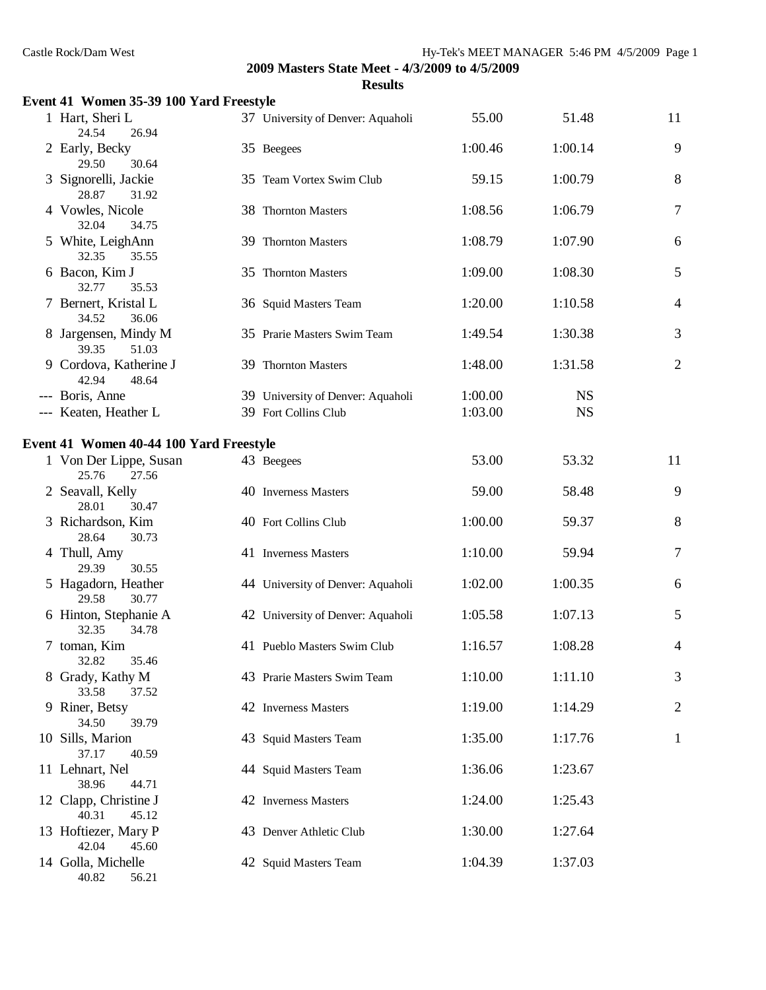| Event 41 Women 35-39 100 Yard Freestyle  |                                   |         |           |                |
|------------------------------------------|-----------------------------------|---------|-----------|----------------|
| 1 Hart, Sheri L<br>24.54<br>26.94        | 37 University of Denver: Aquaholi | 55.00   | 51.48     | 11             |
| 2 Early, Becky<br>29.50<br>30.64         | 35 Beegees                        | 1:00.46 | 1:00.14   | 9              |
| 3 Signorelli, Jackie<br>28.87<br>31.92   | 35 Team Vortex Swim Club          | 59.15   | 1:00.79   | 8              |
| 4 Vowles, Nicole<br>32.04<br>34.75       | 38 Thornton Masters               | 1:08.56 | 1:06.79   | $\tau$         |
| 5 White, LeighAnn<br>32.35<br>35.55      | 39 Thornton Masters               | 1:08.79 | 1:07.90   | 6              |
| 6 Bacon, Kim J<br>32.77<br>35.53         | 35 Thornton Masters               | 1:09.00 | 1:08.30   | 5              |
| 7 Bernert, Kristal L<br>34.52<br>36.06   | 36 Squid Masters Team             | 1:20.00 | 1:10.58   | $\overline{4}$ |
| 8 Jargensen, Mindy M<br>39.35<br>51.03   | 35 Prarie Masters Swim Team       | 1:49.54 | 1:30.38   | 3              |
| 9 Cordova, Katherine J<br>42.94<br>48.64 | 39 Thornton Masters               | 1:48.00 | 1:31.58   | $\mathbf{2}$   |
| --- Boris, Anne                          | 39 University of Denver: Aquaholi | 1:00.00 | <b>NS</b> |                |
| --- Keaten, Heather L                    | 39 Fort Collins Club              | 1:03.00 | <b>NS</b> |                |
| Event 41 Women 40-44 100 Yard Freestyle  |                                   |         |           |                |
| 1 Von Der Lippe, Susan<br>25.76<br>27.56 | 43 Beegees                        | 53.00   | 53.32     | 11             |
| 2 Seavall, Kelly<br>28.01<br>30.47       | 40 Inverness Masters              | 59.00   | 58.48     | 9              |
| 3 Richardson, Kim<br>28.64<br>30.73      | 40 Fort Collins Club              | 1:00.00 | 59.37     | 8              |
| 4 Thull, Amy<br>29.39<br>30.55           | 41 Inverness Masters              | 1:10.00 | 59.94     | 7              |
| 5 Hagadorn, Heather<br>29.58<br>30.77    | 44 University of Denver: Aquaholi | 1:02.00 | 1:00.35   | 6              |
| 6 Hinton, Stephanie A<br>32.35<br>34.78  | 42 University of Denver: Aquaholi | 1:05.58 | 1:07.13   | 5              |
| 7 toman, Kim<br>32.82<br>35.46           | 41 Pueblo Masters Swim Club       | 1:16.57 | 1:08.28   | 4              |
| 8 Grady, Kathy M<br>37.52<br>33.58       | 43 Prarie Masters Swim Team       | 1:10.00 | 1:11.10   | 3              |
| 9 Riner, Betsy<br>34.50<br>39.79         | 42 Inverness Masters              | 1:19.00 | 1:14.29   | 2              |
| 10 Sills, Marion<br>37.17<br>40.59       | 43 Squid Masters Team             | 1:35.00 | 1:17.76   | $\mathbf 1$    |
| 11 Lehnart, Nel<br>38.96<br>44.71        | 44 Squid Masters Team             | 1:36.06 | 1:23.67   |                |
| 12 Clapp, Christine J<br>40.31<br>45.12  | 42 Inverness Masters              | 1:24.00 | 1:25.43   |                |
| 13 Hoftiezer, Mary P<br>42.04<br>45.60   | 43 Denver Athletic Club           | 1:30.00 | 1:27.64   |                |
| 14 Golla, Michelle<br>40.82<br>56.21     | 42 Squid Masters Team             | 1:04.39 | 1:37.03   |                |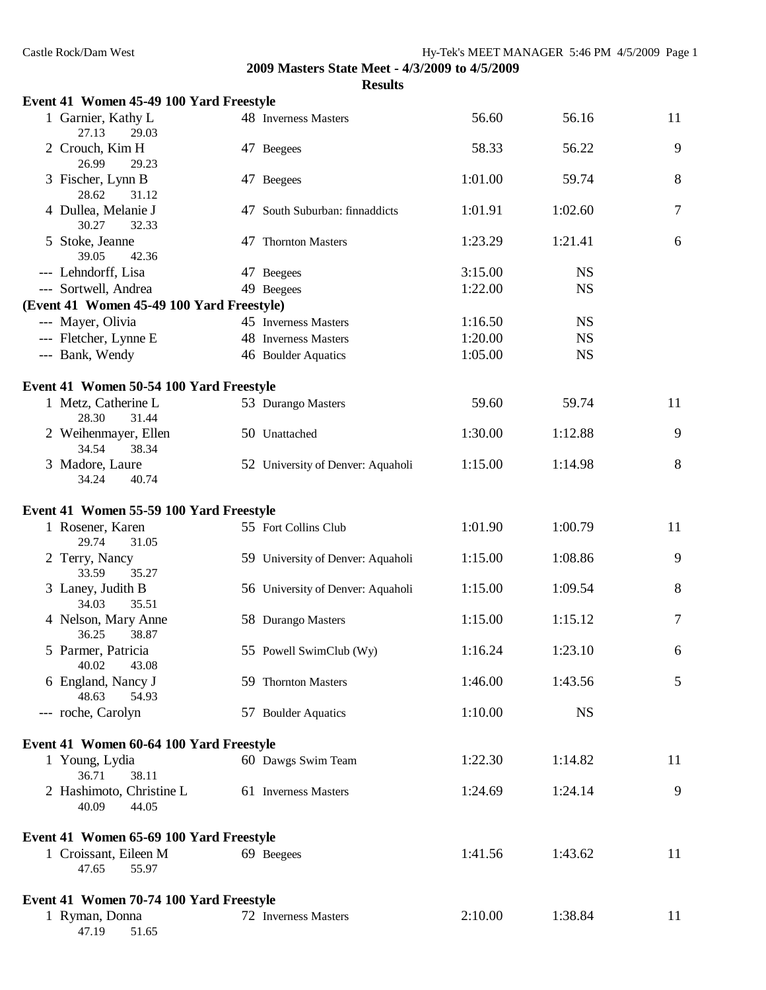| Event 41 Women 45-49 100 Yard Freestyle    |                                   |         |           |        |
|--------------------------------------------|-----------------------------------|---------|-----------|--------|
| 1 Garnier, Kathy L<br>27.13<br>29.03       | 48 Inverness Masters              | 56.60   | 56.16     | 11     |
| 2 Crouch, Kim H<br>26.99<br>29.23          | 47 Beegees                        | 58.33   | 56.22     | 9      |
| 3 Fischer, Lynn B<br>28.62<br>31.12        | 47 Beegees                        | 1:01.00 | 59.74     | 8      |
| 4 Dullea, Melanie J<br>30.27<br>32.33      | 47 South Suburban: finnaddicts    | 1:01.91 | 1:02.60   | $\tau$ |
| 5 Stoke, Jeanne<br>39.05<br>42.36          | 47 Thornton Masters               | 1:23.29 | 1:21.41   | 6      |
| --- Lehndorff, Lisa                        | 47 Beegees                        | 3:15.00 | <b>NS</b> |        |
| --- Sortwell, Andrea                       | 49 Beegees                        | 1:22.00 | <b>NS</b> |        |
| (Event 41 Women 45-49 100 Yard Freestyle)  |                                   |         |           |        |
| --- Mayer, Olivia                          | 45 Inverness Masters              | 1:16.50 | <b>NS</b> |        |
| --- Fletcher, Lynne E                      | 48 Inverness Masters              | 1:20.00 | <b>NS</b> |        |
| --- Bank, Wendy                            | 46 Boulder Aquatics               | 1:05.00 | <b>NS</b> |        |
| Event 41 Women 50-54 100 Yard Freestyle    |                                   |         |           |        |
| 1 Metz, Catherine L<br>28.30<br>31.44      | 53 Durango Masters                | 59.60   | 59.74     | 11     |
| 2 Weihenmayer, Ellen<br>34.54<br>38.34     | 50 Unattached                     | 1:30.00 | 1:12.88   | 9      |
| 3 Madore, Laure<br>34.24<br>40.74          | 52 University of Denver: Aquaholi | 1:15.00 | 1:14.98   | $8\,$  |
| Event 41 Women 55-59 100 Yard Freestyle    |                                   |         |           |        |
| 1 Rosener, Karen<br>29.74<br>31.05         | 55 Fort Collins Club              | 1:01.90 | 1:00.79   | 11     |
| 2 Terry, Nancy<br>33.59<br>35.27           | 59 University of Denver: Aquaholi | 1:15.00 | 1:08.86   | 9      |
| 3 Laney, Judith B<br>35.51<br>34.03        | 56 University of Denver: Aquaholi | 1:15.00 | 1:09.54   | 8      |
| 4 Nelson, Mary Anne<br>38.87<br>36.25      | 58 Durango Masters                | 1:15.00 | 1:15.12   | 7      |
| 5 Parmer, Patricia<br>40.02<br>43.08       | 55 Powell SwimClub (Wy)           | 1:16.24 | 1:23.10   | 6      |
| 6 England, Nancy J<br>48.63<br>54.93       | 59 Thornton Masters               | 1:46.00 | 1:43.56   | 5      |
| --- roche, Carolyn                         | 57 Boulder Aquatics               | 1:10.00 | <b>NS</b> |        |
| Event 41 Women 60-64 100 Yard Freestyle    |                                   |         |           |        |
| 1 Young, Lydia<br>36.71<br>38.11           | 60 Dawgs Swim Team                | 1:22.30 | 1:14.82   | 11     |
| 2 Hashimoto, Christine L<br>40.09<br>44.05 | 61 Inverness Masters              | 1:24.69 | 1:24.14   | 9      |
| Event 41 Women 65-69 100 Yard Freestyle    |                                   |         |           |        |
| 1 Croissant, Eileen M<br>55.97<br>47.65    | 69 Beegees                        | 1:41.56 | 1:43.62   | 11     |
| Event 41 Women 70-74 100 Yard Freestyle    |                                   |         |           |        |
| 1 Ryman, Donna<br>47.19<br>51.65           | 72 Inverness Masters              | 2:10.00 | 1:38.84   | 11     |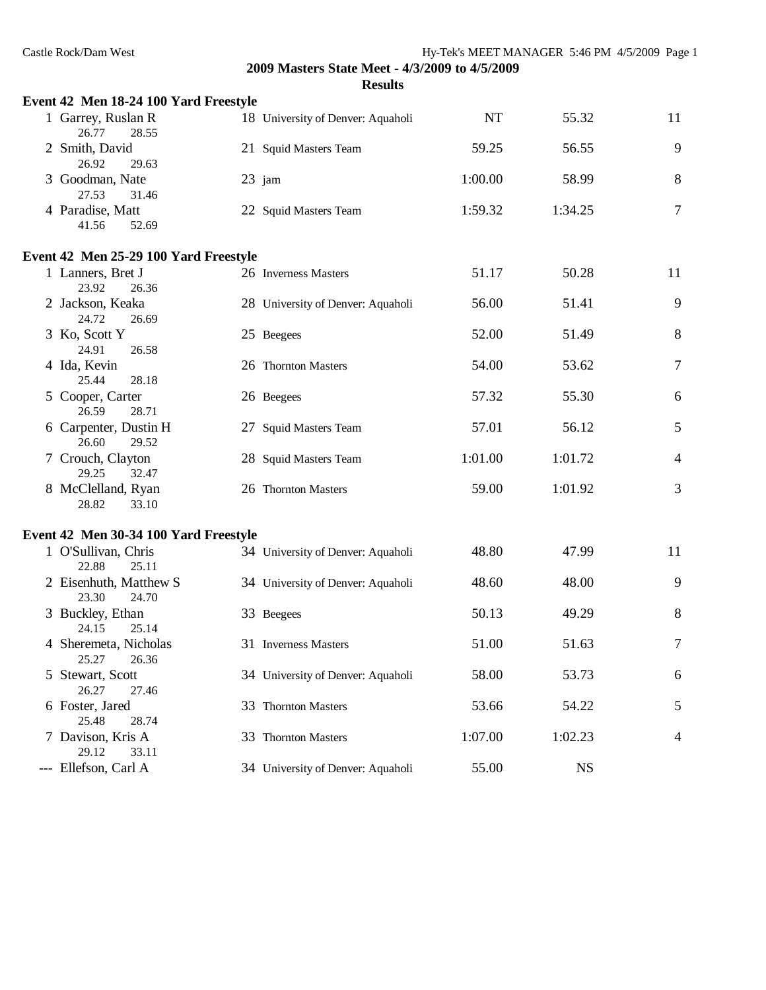| Event 42 Men 18-24 100 Yard Freestyle    |                                   |         |           |                |
|------------------------------------------|-----------------------------------|---------|-----------|----------------|
| 1 Garrey, Ruslan R<br>26.77<br>28.55     | 18 University of Denver: Aquaholi | NT      | 55.32     | 11             |
| 2 Smith, David<br>26.92<br>29.63         | 21 Squid Masters Team             | 59.25   | 56.55     | 9              |
| 3 Goodman, Nate<br>27.53<br>31.46        | $23$ jam                          | 1:00.00 | 58.99     | 8              |
| 4 Paradise, Matt<br>41.56<br>52.69       | 22 Squid Masters Team             | 1:59.32 | 1:34.25   | $\overline{7}$ |
| Event 42 Men 25-29 100 Yard Freestyle    |                                   |         |           |                |
| 1 Lanners, Bret J<br>23.92<br>26.36      | 26 Inverness Masters              | 51.17   | 50.28     | 11             |
| 2 Jackson, Keaka<br>24.72<br>26.69       | 28 University of Denver: Aquaholi | 56.00   | 51.41     | 9              |
| 3 Ko, Scott Y<br>24.91<br>26.58          | 25 Beegees                        | 52.00   | 51.49     | $8\,$          |
| 4 Ida, Kevin<br>28.18<br>25.44           | 26 Thornton Masters               | 54.00   | 53.62     | $\tau$         |
| 5 Cooper, Carter<br>26.59<br>28.71       | 26 Beegees                        | 57.32   | 55.30     | 6              |
| 6 Carpenter, Dustin H<br>26.60<br>29.52  | 27 Squid Masters Team             | 57.01   | 56.12     | 5              |
| 7 Crouch, Clayton<br>29.25<br>32.47      | 28 Squid Masters Team             | 1:01.00 | 1:01.72   | $\overline{4}$ |
| 8 McClelland, Ryan<br>28.82<br>33.10     | 26 Thornton Masters               | 59.00   | 1:01.92   | 3              |
| Event 42 Men 30-34 100 Yard Freestyle    |                                   |         |           |                |
| 1 O'Sullivan, Chris<br>22.88<br>25.11    | 34 University of Denver: Aquaholi | 48.80   | 47.99     | 11             |
| 2 Eisenhuth, Matthew S<br>23.30<br>24.70 | 34 University of Denver: Aquaholi | 48.60   | 48.00     | 9              |
| 3 Buckley, Ethan<br>24.15<br>25.14       | 33 Beegees                        | 50.13   | 49.29     | $8\phantom{1}$ |
| 4 Sheremeta, Nicholas<br>25.27<br>26.36  | 31 Inverness Masters              | 51.00   | 51.63     | 7              |
| 5 Stewart, Scott<br>26.27<br>27.46       | 34 University of Denver: Aquaholi | 58.00   | 53.73     | 6              |
| 6 Foster, Jared<br>25.48<br>28.74        | 33 Thornton Masters               | 53.66   | 54.22     | 5              |
| 7 Davison, Kris A<br>29.12<br>33.11      | 33 Thornton Masters               | 1:07.00 | 1:02.23   | $\overline{4}$ |
| --- Ellefson, Carl A                     | 34 University of Denver: Aquaholi | 55.00   | <b>NS</b> |                |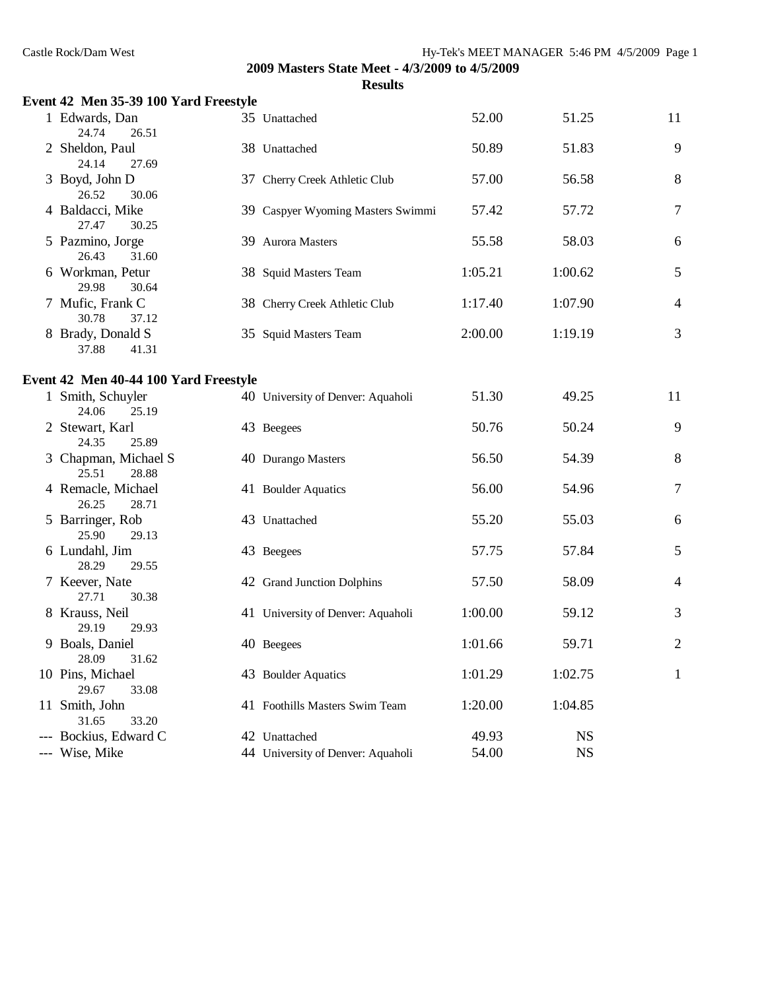| Event 42 Men 35-39 100 Yard Freestyle  |                                   |         |           |                |
|----------------------------------------|-----------------------------------|---------|-----------|----------------|
| 1 Edwards, Dan<br>24.74<br>26.51       | 35 Unattached                     | 52.00   | 51.25     | 11             |
| 2 Sheldon, Paul<br>24.14<br>27.69      | 38 Unattached                     | 50.89   | 51.83     | 9              |
| 3 Boyd, John D<br>26.52<br>30.06       | 37 Cherry Creek Athletic Club     | 57.00   | 56.58     | $8\,$          |
| 4 Baldacci, Mike<br>27.47<br>30.25     | 39 Caspyer Wyoming Masters Swimmi | 57.42   | 57.72     | $\overline{7}$ |
| 5 Pazmino, Jorge<br>26.43<br>31.60     | 39 Aurora Masters                 | 55.58   | 58.03     | 6              |
| 6 Workman, Petur<br>29.98<br>30.64     | 38 Squid Masters Team             | 1:05.21 | 1:00.62   | $\mathfrak{S}$ |
| 7 Mufic, Frank C<br>30.78<br>37.12     | 38 Cherry Creek Athletic Club     | 1:17.40 | 1:07.90   | $\overline{4}$ |
| 8 Brady, Donald S<br>37.88<br>41.31    | 35 Squid Masters Team             | 2:00.00 | 1:19.19   | 3              |
| Event 42 Men 40-44 100 Yard Freestyle  |                                   |         |           |                |
| 1 Smith, Schuyler<br>24.06<br>25.19    | 40 University of Denver: Aquaholi | 51.30   | 49.25     | 11             |
| 2 Stewart, Karl<br>25.89<br>24.35      | 43 Beegees                        | 50.76   | 50.24     | 9              |
| 3 Chapman, Michael S<br>25.51<br>28.88 | 40 Durango Masters                | 56.50   | 54.39     | 8              |
| 4 Remacle, Michael<br>26.25<br>28.71   | 41 Boulder Aquatics               | 56.00   | 54.96     | $\tau$         |
| 5 Barringer, Rob<br>25.90<br>29.13     | 43 Unattached                     | 55.20   | 55.03     | 6              |
| 6 Lundahl, Jim<br>28.29<br>29.55       | 43 Beegees                        | 57.75   | 57.84     | 5              |
| 7 Keever, Nate<br>27.71<br>30.38       | 42 Grand Junction Dolphins        | 57.50   | 58.09     | $\overline{4}$ |
| 8 Krauss, Neil<br>29.19<br>29.93       | 41 University of Denver: Aquaholi | 1:00.00 | 59.12     | 3              |
| 9 Boals, Daniel<br>31.62<br>28.09      | 40 Beegees                        | 1:01.66 | 59.71     | $\mathfrak{2}$ |
| 10 Pins, Michael<br>29.67<br>33.08     | 43 Boulder Aquatics               | 1:01.29 | 1:02.75   | $\mathbf{1}$   |
| 11 Smith, John<br>31.65<br>33.20       | 41 Foothills Masters Swim Team    | 1:20.00 | 1:04.85   |                |
| --- Bockius, Edward C                  | 42 Unattached                     | 49.93   | <b>NS</b> |                |
| --- Wise, Mike                         | 44 University of Denver: Aquaholi | 54.00   | <b>NS</b> |                |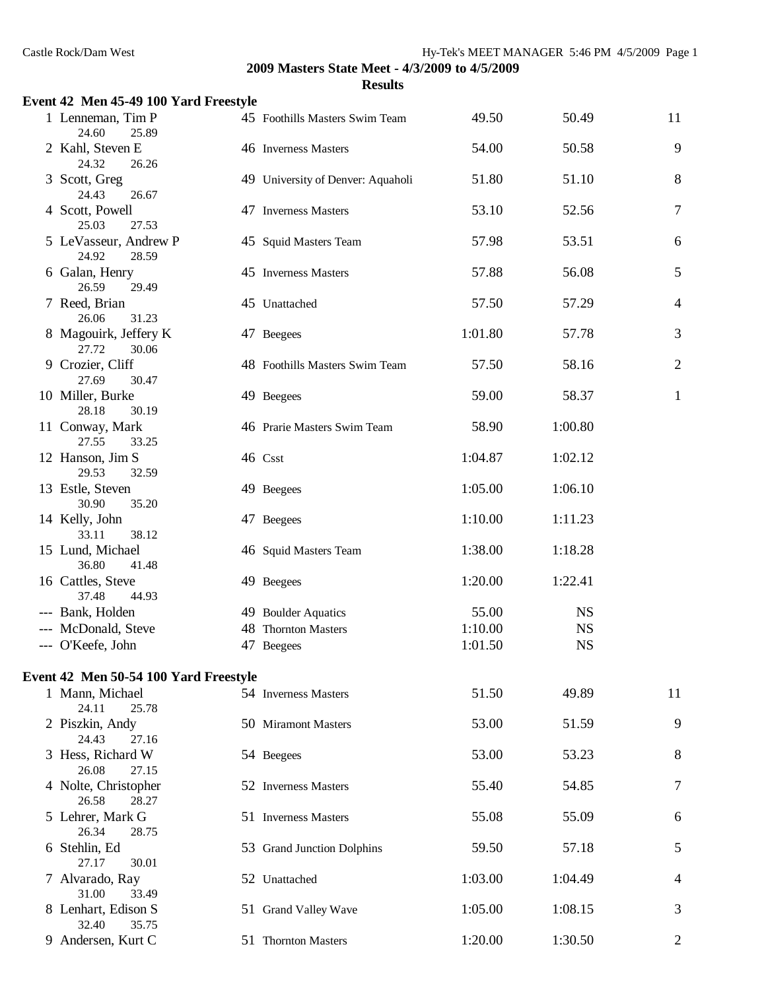| Event 42 Men 45-49 100 Yard Freestyle   |                                   |         |           |                |
|-----------------------------------------|-----------------------------------|---------|-----------|----------------|
| 1 Lenneman, Tim P<br>24.60<br>25.89     | 45 Foothills Masters Swim Team    | 49.50   | 50.49     | 11             |
| 2 Kahl, Steven E<br>24.32<br>26.26      | 46 Inverness Masters              | 54.00   | 50.58     | 9              |
| 3 Scott, Greg<br>24.43<br>26.67         | 49 University of Denver: Aquaholi | 51.80   | 51.10     | 8              |
| 4 Scott, Powell<br>25.03<br>27.53       | 47 Inverness Masters              | 53.10   | 52.56     | $\tau$         |
| 5 LeVasseur, Andrew P<br>24.92<br>28.59 | 45 Squid Masters Team             | 57.98   | 53.51     | 6              |
| 6 Galan, Henry<br>26.59<br>29.49        | 45 Inverness Masters              | 57.88   | 56.08     | 5              |
| 7 Reed, Brian<br>26.06<br>31.23         | 45 Unattached                     | 57.50   | 57.29     | $\overline{4}$ |
| 8 Magouirk, Jeffery K<br>27.72<br>30.06 | 47 Beegees                        | 1:01.80 | 57.78     | 3              |
| 9 Crozier, Cliff<br>27.69<br>30.47      | 48 Foothills Masters Swim Team    | 57.50   | 58.16     | $\mathfrak{2}$ |
| 10 Miller, Burke<br>28.18<br>30.19      | 49 Beegees                        | 59.00   | 58.37     | $\mathbf{1}$   |
| 11 Conway, Mark<br>27.55<br>33.25       | 46 Prarie Masters Swim Team       | 58.90   | 1:00.80   |                |
| 12 Hanson, Jim S<br>29.53<br>32.59      | 46 Csst                           | 1:04.87 | 1:02.12   |                |
| 13 Estle, Steven<br>30.90<br>35.20      | 49 Beegees                        | 1:05.00 | 1:06.10   |                |
| 14 Kelly, John<br>33.11<br>38.12        | 47 Beegees                        | 1:10.00 | 1:11.23   |                |
| 15 Lund, Michael<br>36.80<br>41.48      | 46 Squid Masters Team             | 1:38.00 | 1:18.28   |                |
| 16 Cattles, Steve<br>37.48<br>44.93     | 49 Beegees                        | 1:20.00 | 1:22.41   |                |
| --- Bank, Holden                        | 49 Boulder Aquatics               | 55.00   | <b>NS</b> |                |
| --- McDonald, Steve                     | 48 Thornton Masters               | 1:10.00 | <b>NS</b> |                |
| --- O'Keefe, John                       | 47 Beegees                        | 1:01.50 | <b>NS</b> |                |
| Event 42 Men 50-54 100 Yard Freestyle   |                                   |         |           |                |
| 1 Mann, Michael<br>24.11<br>25.78       | 54 Inverness Masters              | 51.50   | 49.89     | 11             |
| 2 Piszkin, Andy<br>24.43<br>27.16       | 50 Miramont Masters               | 53.00   | 51.59     | 9              |
| 3 Hess, Richard W<br>26.08<br>27.15     | 54 Beegees                        | 53.00   | 53.23     | 8              |
| 4 Nolte, Christopher<br>26.58<br>28.27  | 52 Inverness Masters              | 55.40   | 54.85     | 7              |
| 5 Lehrer, Mark G<br>26.34<br>28.75      | 51 Inverness Masters              | 55.08   | 55.09     | 6              |
| 6 Stehlin, Ed<br>27.17<br>30.01         | 53 Grand Junction Dolphins        | 59.50   | 57.18     | 5              |
| 7 Alvarado, Ray<br>31.00<br>33.49       | 52 Unattached                     | 1:03.00 | 1:04.49   | 4              |
| 8 Lenhart, Edison S<br>35.75<br>32.40   | 51 Grand Valley Wave              | 1:05.00 | 1:08.15   | 3              |
| 9 Andersen, Kurt C                      | 51 Thornton Masters               | 1:20.00 | 1:30.50   | $\overline{2}$ |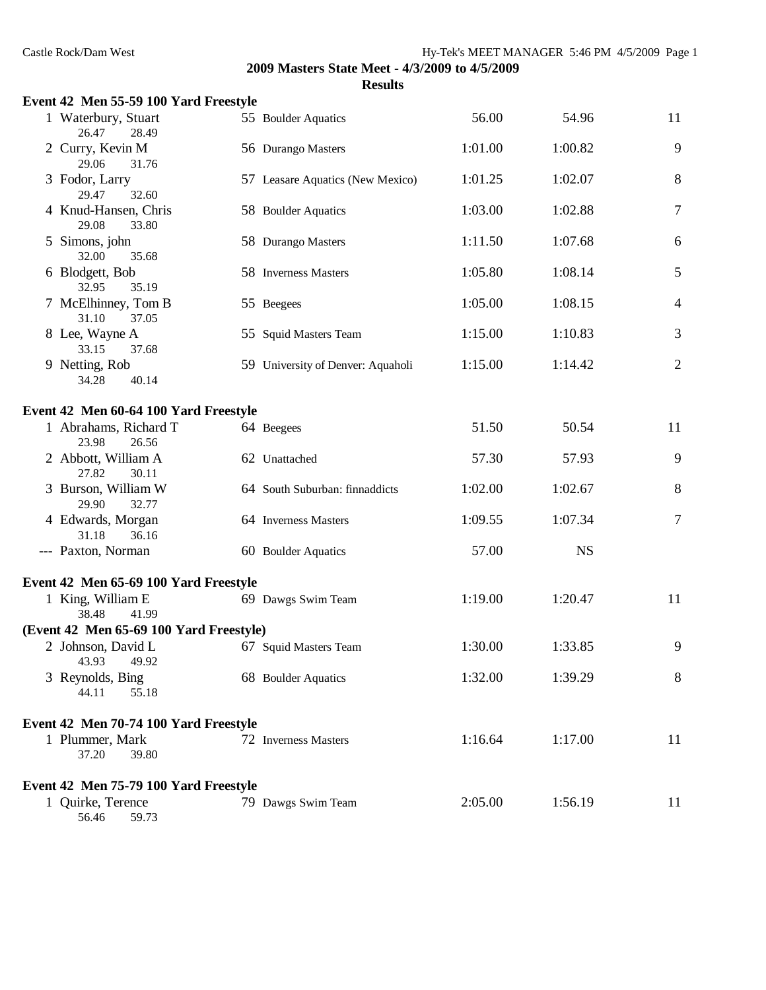| Event 42 Men 55-59 100 Yard Freestyle   |                                   |         |           |                |
|-----------------------------------------|-----------------------------------|---------|-----------|----------------|
| 1 Waterbury, Stuart<br>26.47<br>28.49   | 55 Boulder Aquatics               | 56.00   | 54.96     | 11             |
| 2 Curry, Kevin M<br>29.06<br>31.76      | 56 Durango Masters                | 1:01.00 | 1:00.82   | 9              |
| 3 Fodor, Larry<br>29.47<br>32.60        | 57 Leasare Aquatics (New Mexico)  | 1:01.25 | 1:02.07   | 8              |
| 4 Knud-Hansen, Chris<br>29.08<br>33.80  | 58 Boulder Aquatics               | 1:03.00 | 1:02.88   | $\tau$         |
| 5 Simons, john<br>32.00<br>35.68        | 58 Durango Masters                | 1:11.50 | 1:07.68   | 6              |
| 6 Blodgett, Bob<br>32.95<br>35.19       | 58 Inverness Masters              | 1:05.80 | 1:08.14   | 5              |
| 7 McElhinney, Tom B<br>31.10<br>37.05   | 55 Beegees                        | 1:05.00 | 1:08.15   | $\overline{4}$ |
| 8 Lee, Wayne A<br>33.15<br>37.68        | 55 Squid Masters Team             | 1:15.00 | 1:10.83   | 3              |
| 9 Netting, Rob<br>40.14<br>34.28        | 59 University of Denver: Aquaholi | 1:15.00 | 1:14.42   | $\mathbf{2}$   |
| Event 42 Men 60-64 100 Yard Freestyle   |                                   |         |           |                |
| 1 Abrahams, Richard T<br>23.98<br>26.56 | 64 Beegees                        | 51.50   | 50.54     | 11             |
| 2 Abbott, William A<br>27.82<br>30.11   | 62 Unattached                     | 57.30   | 57.93     | 9              |
| 3 Burson, William W<br>29.90<br>32.77   | 64 South Suburban: finnaddicts    | 1:02.00 | 1:02.67   | 8              |
| 4 Edwards, Morgan<br>31.18<br>36.16     | 64 Inverness Masters              | 1:09.55 | 1:07.34   | $\overline{7}$ |
| --- Paxton, Norman                      | 60 Boulder Aquatics               | 57.00   | <b>NS</b> |                |
| Event 42 Men 65-69 100 Yard Freestyle   |                                   |         |           |                |
| 1 King, William E<br>38.48<br>41.99     | 69 Dawgs Swim Team                | 1:19.00 | 1:20.47   | 11             |
| (Event 42 Men 65-69 100 Yard Freestyle) |                                   |         |           |                |
| 2 Johnson, David L<br>43.93<br>49.92    | 67 Squid Masters Team             | 1:30.00 | 1:33.85   | 9              |
| 3 Reynolds, Bing<br>44.11<br>55.18      | 68 Boulder Aquatics               | 1:32.00 | 1:39.29   | 8              |
| Event 42 Men 70-74 100 Yard Freestyle   |                                   |         |           |                |
| 1 Plummer, Mark<br>37.20<br>39.80       | 72 Inverness Masters              | 1:16.64 | 1:17.00   | 11             |
| Event 42 Men 75-79 100 Yard Freestyle   |                                   |         |           |                |
| 1 Quirke, Terence<br>56.46<br>59.73     | 79 Dawgs Swim Team                | 2:05.00 | 1:56.19   | 11             |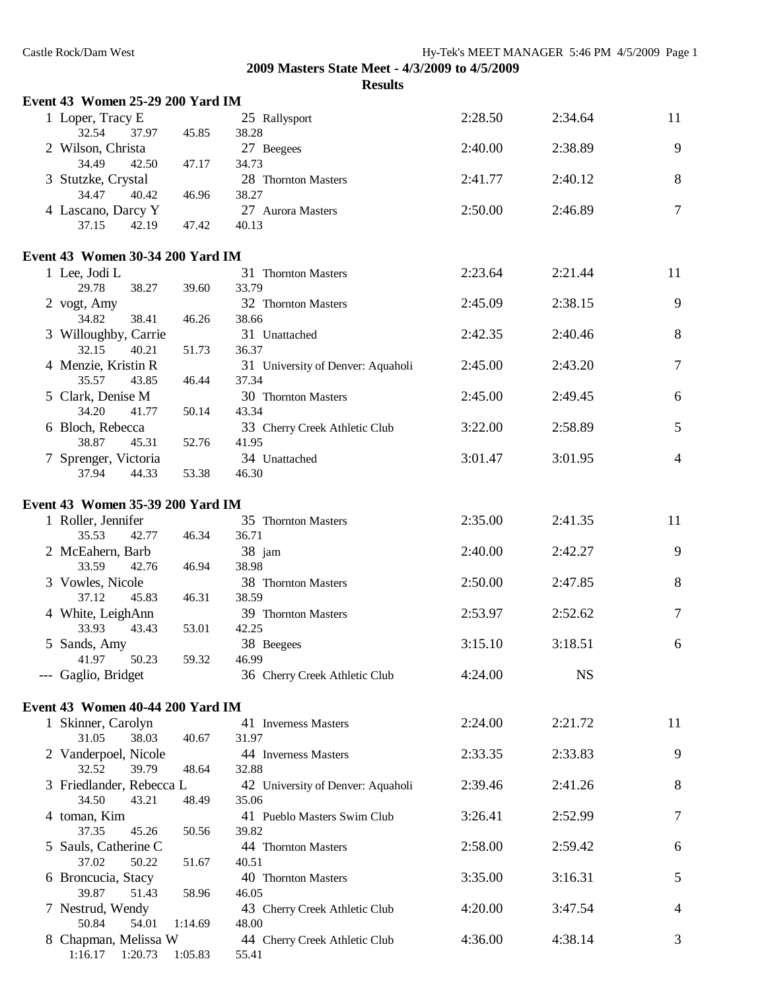| Event 43 Women 25-29 200 Yard IM           |         |                                            |         |           |                |
|--------------------------------------------|---------|--------------------------------------------|---------|-----------|----------------|
| 1 Loper, Tracy E<br>32.54<br>37.97         | 45.85   | 25 Rallysport<br>38.28                     | 2:28.50 | 2:34.64   | 11             |
| 2 Wilson, Christa<br>34.49<br>42.50        | 47.17   | 27 Beegees<br>34.73                        | 2:40.00 | 2:38.89   | 9              |
| 3 Stutzke, Crystal<br>34.47<br>40.42       | 46.96   | 28 Thornton Masters<br>38.27               | 2:41.77 | 2:40.12   | 8              |
| 4 Lascano, Darcy Y<br>37.15<br>42.19       | 47.42   | 27 Aurora Masters<br>40.13                 | 2:50.00 | 2:46.89   | $\tau$         |
| Event 43 Women 30-34 200 Yard IM           |         |                                            |         |           |                |
| 1 Lee, Jodi L<br>38.27<br>29.78            | 39.60   | 31 Thornton Masters<br>33.79               | 2:23.64 | 2:21.44   | 11             |
| 2 vogt, Amy<br>34.82<br>38.41              | 46.26   | 32 Thornton Masters<br>38.66               | 2:45.09 | 2:38.15   | 9              |
| 3 Willoughby, Carrie<br>32.15<br>40.21     | 51.73   | 31 Unattached<br>36.37                     | 2:42.35 | 2:40.46   | 8              |
| 4 Menzie, Kristin R<br>35.57<br>43.85      | 46.44   | 31 University of Denver: Aquaholi<br>37.34 | 2:45.00 | 2:43.20   | $\overline{7}$ |
| 5 Clark, Denise M<br>34.20<br>41.77        | 50.14   | 30 Thornton Masters<br>43.34               | 2:45.00 | 2:49.45   | 6              |
| 6 Bloch, Rebecca<br>38.87<br>45.31         | 52.76   | 33 Cherry Creek Athletic Club<br>41.95     | 3:22.00 | 2:58.89   | 5              |
| 7 Sprenger, Victoria<br>44.33<br>37.94     | 53.38   | 34 Unattached<br>46.30                     | 3:01.47 | 3:01.95   | $\overline{4}$ |
| Event 43 Women 35-39 200 Yard IM           |         |                                            |         |           |                |
| 1 Roller, Jennifer<br>35.53<br>42.77       | 46.34   | 35 Thornton Masters<br>36.71               | 2:35.00 | 2:41.35   | 11             |
| 2 McEahern, Barb<br>33.59<br>42.76         | 46.94   | 38 jam<br>38.98                            | 2:40.00 | 2:42.27   | 9              |
| 3 Vowles, Nicole<br>45.83<br>37.12         | 46.31   | 38 Thornton Masters<br>38.59               | 2:50.00 | 2:47.85   | 8              |
| 4 White, LeighAnn<br>33.93<br>43.43        | 53.01   | 39 Thornton Masters<br>42.25               | 2:53.97 | 2:52.62   | 7              |
| 5 Sands, Amy<br>41.97<br>50.23             | 59.32   | 38 Beegees<br>46.99                        | 3:15.10 | 3:18.51   | 6              |
| --- Gaglio, Bridget                        |         | 36 Cherry Creek Athletic Club              | 4:24.00 | <b>NS</b> |                |
| Event 43 Women 40-44 200 Yard IM           |         |                                            |         |           |                |
| 1 Skinner, Carolyn<br>31.05<br>38.03       | 40.67   | 41 Inverness Masters<br>31.97              | 2:24.00 | 2:21.72   | 11             |
| 2 Vanderpoel, Nicole<br>39.79<br>32.52     | 48.64   | 44 Inverness Masters<br>32.88              | 2:33.35 | 2:33.83   | 9              |
| 3 Friedlander, Rebecca L<br>34.50<br>43.21 | 48.49   | 42 University of Denver: Aquaholi<br>35.06 | 2:39.46 | 2:41.26   | 8              |
| 4 toman, Kim<br>37.35<br>45.26             | 50.56   | 41 Pueblo Masters Swim Club<br>39.82       | 3:26.41 | 2:52.99   | 7              |
| 5 Sauls, Catherine C<br>37.02<br>50.22     | 51.67   | 44 Thornton Masters<br>40.51               | 2:58.00 | 2:59.42   | 6              |
| 6 Broncucia, Stacy<br>39.87<br>51.43       | 58.96   | 40 Thornton Masters<br>46.05               | 3:35.00 | 3:16.31   | 5              |
| 7 Nestrud, Wendy<br>50.84<br>54.01         | 1:14.69 | 43 Cherry Creek Athletic Club<br>48.00     | 4:20.00 | 3:47.54   | $\overline{4}$ |
| 8 Chapman, Melissa W<br>1:16.17<br>1:20.73 | 1:05.83 | 44 Cherry Creek Athletic Club<br>55.41     | 4:36.00 | 4:38.14   | 3              |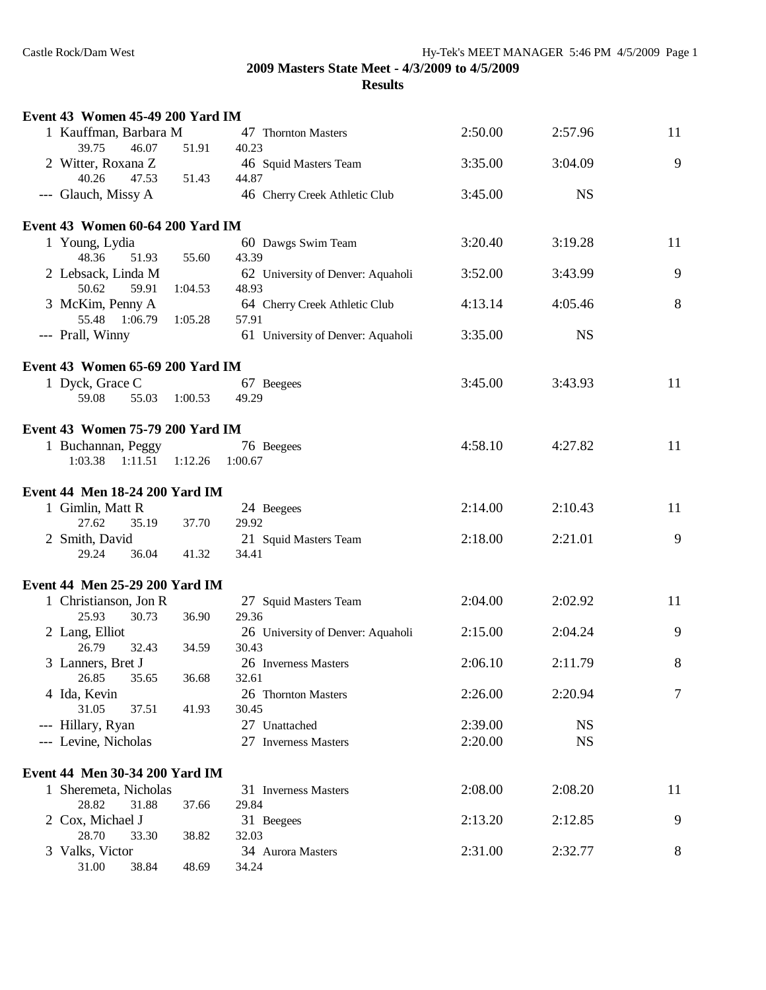| <b>Event 43 Women 45-49 200 Yard IM</b> |         |                                   |         |           |    |
|-----------------------------------------|---------|-----------------------------------|---------|-----------|----|
| 1 Kauffman, Barbara M                   |         | 47 Thornton Masters               | 2:50.00 | 2:57.96   | 11 |
| 39.75<br>46.07                          | 51.91   | 40.23                             |         |           |    |
| 2 Witter, Roxana Z                      |         | 46 Squid Masters Team             | 3:35.00 | 3:04.09   | 9  |
| 40.26<br>47.53                          | 51.43   | 44.87                             |         |           |    |
| --- Glauch, Missy A                     |         | 46 Cherry Creek Athletic Club     | 3:45.00 | <b>NS</b> |    |
| Event 43 Women 60-64 200 Yard IM        |         |                                   |         |           |    |
| 1 Young, Lydia                          |         | 60 Dawgs Swim Team                | 3:20.40 | 3:19.28   | 11 |
| 48.36<br>51.93                          | 55.60   | 43.39                             |         |           |    |
| 2 Lebsack, Linda M                      |         | 62 University of Denver: Aquaholi | 3:52.00 | 3:43.99   | 9  |
| 50.62<br>59.91                          | 1:04.53 | 48.93                             |         |           |    |
| 3 McKim, Penny A                        |         | 64 Cherry Creek Athletic Club     | 4:13.14 | 4:05.46   | 8  |
| 55.48<br>1:06.79                        | 1:05.28 | 57.91                             |         |           |    |
| --- Prall, Winny                        |         | 61 University of Denver: Aquaholi | 3:35.00 | <b>NS</b> |    |
| Event 43 Women 65-69 200 Yard IM        |         |                                   |         |           |    |
| 1 Dyck, Grace C                         |         | 67 Beegees                        | 3:45.00 | 3:43.93   | 11 |
| 59.08<br>55.03                          | 1:00.53 | 49.29                             |         |           |    |
|                                         |         |                                   |         |           |    |
| Event 43 Women 75-79 200 Yard IM        |         |                                   |         |           |    |
| 1 Buchannan, Peggy                      |         | 76 Beegees                        | 4:58.10 | 4:27.82   | 11 |
| 1:03.38<br>1:11.51                      | 1:12.26 | 1:00.67                           |         |           |    |
| Event 44 Men 18-24 200 Yard IM          |         |                                   |         |           |    |
| 1 Gimlin, Matt R                        |         | 24 Beegees                        | 2:14.00 | 2:10.43   | 11 |
| 27.62<br>35.19                          | 37.70   | 29.92                             |         |           |    |
| 2 Smith, David                          |         | 21 Squid Masters Team             | 2:18.00 | 2:21.01   | 9  |
| 29.24<br>36.04                          | 41.32   | 34.41                             |         |           |    |
| Event 44 Men 25-29 200 Yard IM          |         |                                   |         |           |    |
| 1 Christianson, Jon R                   |         | 27 Squid Masters Team             | 2:04.00 | 2:02.92   | 11 |
| 25.93<br>30.73                          | 36.90   | 29.36                             |         |           |    |
| 2 Lang, Elliot                          |         | 26 University of Denver: Aquaholi | 2:15.00 | 2:04.24   | 9  |
| 26.79<br>32.43                          | 34.59   | 30.43                             |         |           |    |
| 3 Lanners, Bret J                       |         | 26 Inverness Masters              | 2:06.10 | 2:11.79   | 8  |
| 26.85<br>35.65                          | 36.68   | 32.61                             |         |           |    |
| 4 Ida, Kevin                            |         | 26 Thornton Masters               | 2:26.00 | 2:20.94   | 7  |
| 31.05<br>37.51                          | 41.93   | 30.45                             |         |           |    |
| --- Hillary, Ryan                       |         | 27 Unattached                     | 2:39.00 | <b>NS</b> |    |
| --- Levine, Nicholas                    |         | 27 Inverness Masters              | 2:20.00 | <b>NS</b> |    |
| Event 44 Men 30-34 200 Yard IM          |         |                                   |         |           |    |
| 1 Sheremeta, Nicholas                   |         | 31 Inverness Masters              | 2:08.00 | 2:08.20   | 11 |
| 28.82<br>31.88                          | 37.66   | 29.84                             |         |           |    |
| 2 Cox, Michael J                        |         | 31 Beegees                        | 2:13.20 | 2:12.85   | 9  |
| 28.70<br>33.30                          | 38.82   | 32.03                             |         |           |    |
| 3 Valks, Victor                         |         | 34 Aurora Masters                 | 2:31.00 | 2:32.77   | 8  |
| 31.00<br>38.84                          | 48.69   | 34.24                             |         |           |    |
|                                         |         |                                   |         |           |    |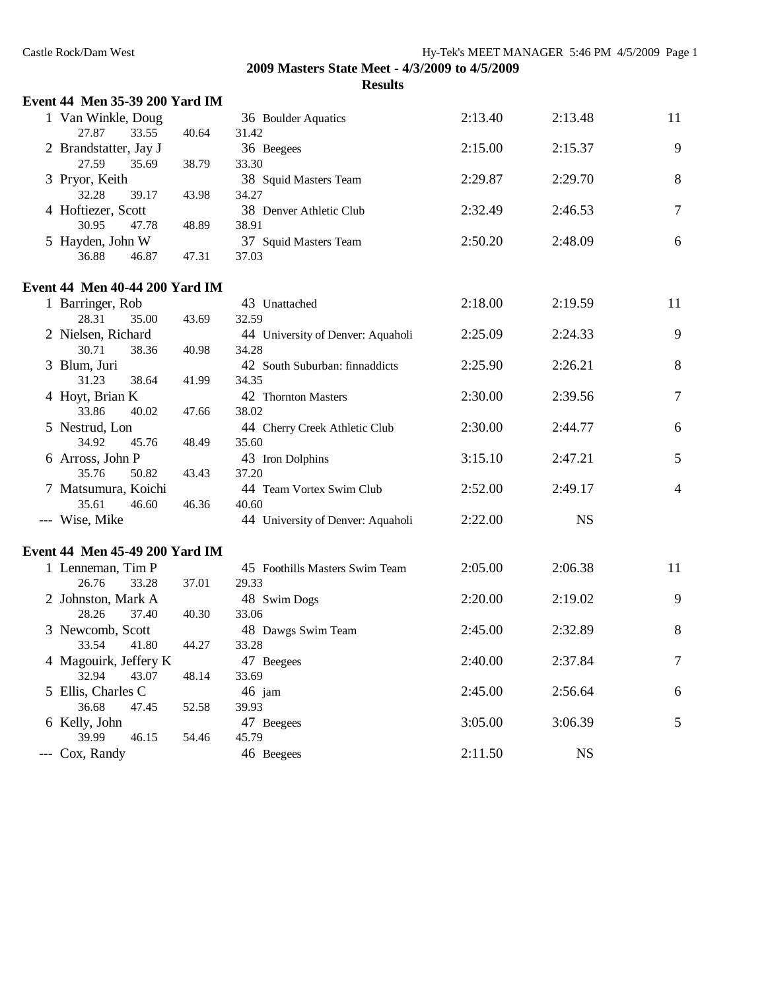| Event 44 Men 35-39 200 Yard IM        |       |                                   |         |           |                |
|---------------------------------------|-------|-----------------------------------|---------|-----------|----------------|
| 1 Van Winkle, Doug                    |       | 36 Boulder Aquatics               | 2:13.40 | 2:13.48   | 11             |
| 27.87<br>33.55                        | 40.64 | 31.42                             |         |           |                |
| 2 Brandstatter, Jay J                 |       | 36 Beegees                        | 2:15.00 | 2:15.37   | 9              |
| 27.59<br>35.69                        | 38.79 | 33.30                             |         |           |                |
| 3 Pryor, Keith                        |       | 38 Squid Masters Team             | 2:29.87 | 2:29.70   | 8              |
| 32.28<br>39.17                        | 43.98 | 34.27                             |         |           |                |
| 4 Hoftiezer, Scott                    |       | 38 Denver Athletic Club           | 2:32.49 | 2:46.53   | $\overline{7}$ |
| 30.95<br>47.78                        | 48.89 | 38.91                             |         |           |                |
| 5 Hayden, John W                      |       | 37 Squid Masters Team             | 2:50.20 | 2:48.09   | 6              |
| 36.88<br>46.87                        | 47.31 | 37.03                             |         |           |                |
| <b>Event 44 Men 40-44 200 Yard IM</b> |       |                                   |         |           |                |
| 1 Barringer, Rob                      |       | 43 Unattached                     | 2:18.00 | 2:19.59   | 11             |
| 28.31<br>35.00                        | 43.69 | 32.59                             |         |           |                |
| 2 Nielsen, Richard                    |       | 44 University of Denver: Aquaholi | 2:25.09 | 2:24.33   | 9              |
| 30.71<br>38.36                        | 40.98 | 34.28                             |         |           |                |
| 3 Blum, Juri                          |       | 42 South Suburban: finnaddicts    | 2:25.90 | 2:26.21   | 8              |
| 38.64<br>31.23                        | 41.99 | 34.35                             |         |           |                |
| 4 Hoyt, Brian K                       |       | 42 Thornton Masters               | 2:30.00 | 2:39.56   | $\overline{7}$ |
| 33.86<br>40.02                        | 47.66 | 38.02                             |         |           |                |
| 5 Nestrud, Lon                        |       | 44 Cherry Creek Athletic Club     | 2:30.00 | 2:44.77   | 6              |
| 34.92<br>45.76                        | 48.49 | 35.60                             |         |           |                |
| 6 Arross, John P                      |       | 43 Iron Dolphins                  | 3:15.10 | 2:47.21   | 5              |
| 35.76<br>50.82                        | 43.43 | 37.20                             |         |           |                |
| 7 Matsumura, Koichi                   |       | 44 Team Vortex Swim Club          | 2:52.00 | 2:49.17   | 4              |
| 35.61<br>46.60                        | 46.36 | 40.60                             |         |           |                |
| --- Wise, Mike                        |       | 44 University of Denver: Aquaholi | 2:22.00 | <b>NS</b> |                |
| Event 44 Men 45-49 200 Yard IM        |       |                                   |         |           |                |
| 1 Lenneman, Tim P                     |       | 45 Foothills Masters Swim Team    | 2:05.00 | 2:06.38   | 11             |
| 26.76<br>33.28                        | 37.01 | 29.33                             |         |           |                |
| 2 Johnston, Mark A                    |       | 48 Swim Dogs                      | 2:20.00 | 2:19.02   | 9              |
| 28.26<br>37.40                        | 40.30 | 33.06                             |         |           |                |
| 3 Newcomb, Scott                      |       | 48 Dawgs Swim Team                | 2:45.00 | 2:32.89   | 8              |
| 33.54<br>41.80                        | 44.27 | 33.28                             |         |           |                |
| 4 Magouirk, Jeffery K                 |       | 47 Beegees                        | 2:40.00 | 2:37.84   | $\tau$         |
| 32.94<br>43.07                        | 48.14 | 33.69                             |         |           |                |
| 5 Ellis, Charles C                    |       | 46 jam                            | 2:45.00 | 2:56.64   | 6              |
| 36.68<br>47.45                        | 52.58 | 39.93                             |         |           |                |
| 6 Kelly, John                         |       | 47 Beegees                        | 3:05.00 | 3:06.39   | 5              |
| 39.99<br>46.15                        | 54.46 | 45.79                             |         |           |                |
| --- Cox, Randy                        |       | 46 Beegees                        | 2:11.50 | <b>NS</b> |                |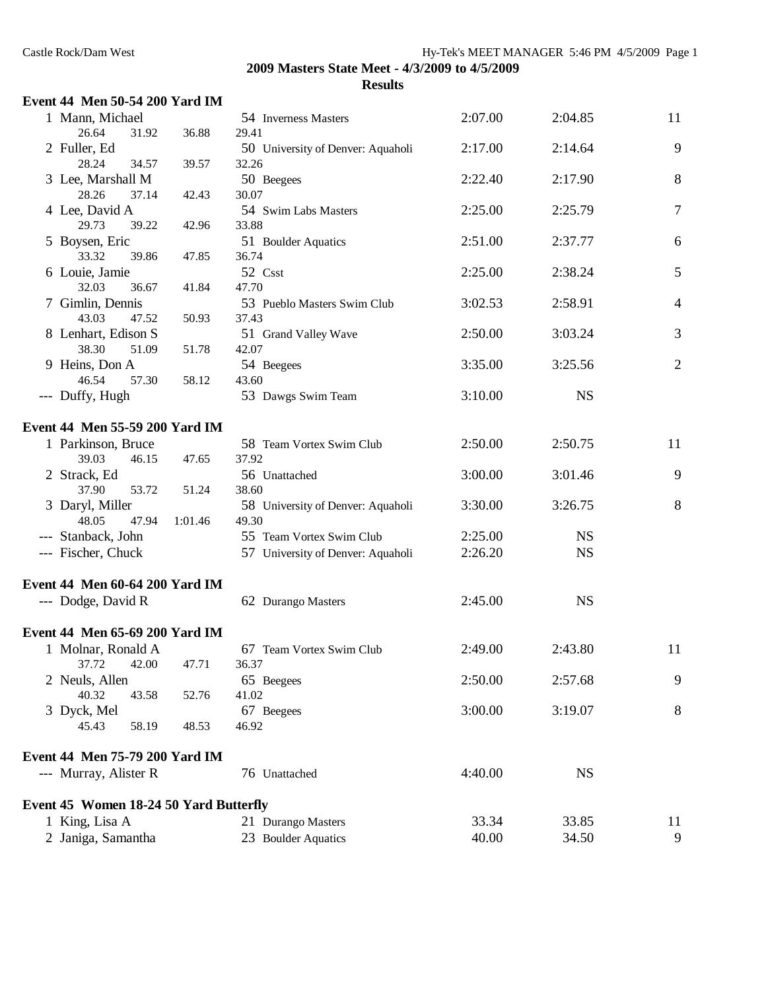| <b>Event 44 Men 50-54 200 Yard IM</b> |  |  |  |  |  |
|---------------------------------------|--|--|--|--|--|
|---------------------------------------|--|--|--|--|--|

| 1 Mann, Michael                               |         | 54 Inverness Masters              | 2:07.00 | 2:04.85   | 11             |
|-----------------------------------------------|---------|-----------------------------------|---------|-----------|----------------|
| 26.64<br>31.92                                | 36.88   | 29.41                             |         |           |                |
| 2 Fuller, Ed                                  |         | 50 University of Denver: Aquaholi | 2:17.00 | 2:14.64   | 9              |
| 28.24<br>34.57                                | 39.57   | 32.26                             |         |           |                |
| 3 Lee, Marshall M                             |         | 50 Beegees                        | 2:22.40 | 2:17.90   | 8              |
| 28.26<br>37.14                                | 42.43   | 30.07                             |         |           |                |
| 4 Lee, David A                                |         | 54 Swim Labs Masters              | 2:25.00 | 2:25.79   | $\tau$         |
| 29.73<br>39.22                                | 42.96   | 33.88                             |         |           |                |
| 5 Boysen, Eric                                |         | 51 Boulder Aquatics               | 2:51.00 | 2:37.77   | 6              |
| 33.32<br>39.86                                | 47.85   | 36.74                             |         |           |                |
| 6 Louie, Jamie                                |         | 52 Csst                           | 2:25.00 | 2:38.24   | 5              |
| 32.03<br>36.67                                | 41.84   | 47.70                             |         |           |                |
| 7 Gimlin, Dennis                              |         | 53 Pueblo Masters Swim Club       | 3:02.53 | 2:58.91   | $\overline{4}$ |
| 43.03<br>47.52                                | 50.93   | 37.43                             |         |           |                |
| 8 Lenhart, Edison S                           |         | 51 Grand Valley Wave              | 2:50.00 | 3:03.24   | 3              |
| 38.30<br>51.09                                | 51.78   | 42.07                             |         |           |                |
| 9 Heins, Don A                                |         | 54 Beegees                        | 3:35.00 | 3:25.56   | $\overline{2}$ |
| 46.54<br>57.30                                | 58.12   | 43.60                             |         |           |                |
| --- Duffy, Hugh                               |         | 53 Dawgs Swim Team                | 3:10.00 | <b>NS</b> |                |
| Event 44 Men 55-59 200 Yard IM                |         |                                   |         |           |                |
| 1 Parkinson, Bruce                            |         | 58 Team Vortex Swim Club          | 2:50.00 | 2:50.75   | 11             |
| 39.03<br>46.15                                | 47.65   | 37.92                             |         |           |                |
| 2 Strack, Ed                                  |         | 56 Unattached                     | 3:00.00 | 3:01.46   | 9              |
| 37.90<br>53.72                                | 51.24   | 38.60                             |         |           |                |
| 3 Daryl, Miller                               |         | 58 University of Denver: Aquaholi | 3:30.00 | 3:26.75   | 8              |
| 48.05<br>47.94                                | 1:01.46 | 49.30                             |         |           |                |
| --- Stanback, John                            |         | 55 Team Vortex Swim Club          | 2:25.00 | <b>NS</b> |                |
| --- Fischer, Chuck                            |         | 57 University of Denver: Aquaholi | 2:26.20 | <b>NS</b> |                |
| Event 44 Men 60-64 200 Yard IM                |         |                                   |         |           |                |
| --- Dodge, David R                            |         | 62 Durango Masters                | 2:45.00 | <b>NS</b> |                |
|                                               |         |                                   |         |           |                |
| Event 44 Men 65-69 200 Yard IM                |         |                                   |         |           |                |
| 1 Molnar, Ronald A                            |         | 67 Team Vortex Swim Club          | 2:49.00 | 2:43.80   | 11             |
| 37.72<br>42.00                                | 47.71   | 36.37                             |         |           |                |
| 2 Neuls, Allen                                |         | 65 Beegees                        | 2:50.00 | 2:57.68   | 9              |
| 40.32<br>43.58                                | 52.76   | 41.02                             |         |           |                |
| 3 Dyck, Mel                                   |         | 67 Beegees                        | 3:00.00 | 3:19.07   | 8              |
| 45.43<br>58.19                                | 48.53   | 46.92                             |         |           |                |
| Event 44 Men 75-79 200 Yard IM                |         |                                   |         |           |                |
| --- Murray, Alister R                         |         | 76 Unattached                     | 4:40.00 | <b>NS</b> |                |
| <b>Event 45 Women 18-24 50 Yard Butterfly</b> |         |                                   |         |           |                |
| 1 King, Lisa A                                |         | 21 Durango Masters                | 33.34   | 33.85     | 11             |
| 2 Janiga, Samantha                            |         | 23 Boulder Aquatics               | 40.00   | 34.50     | 9              |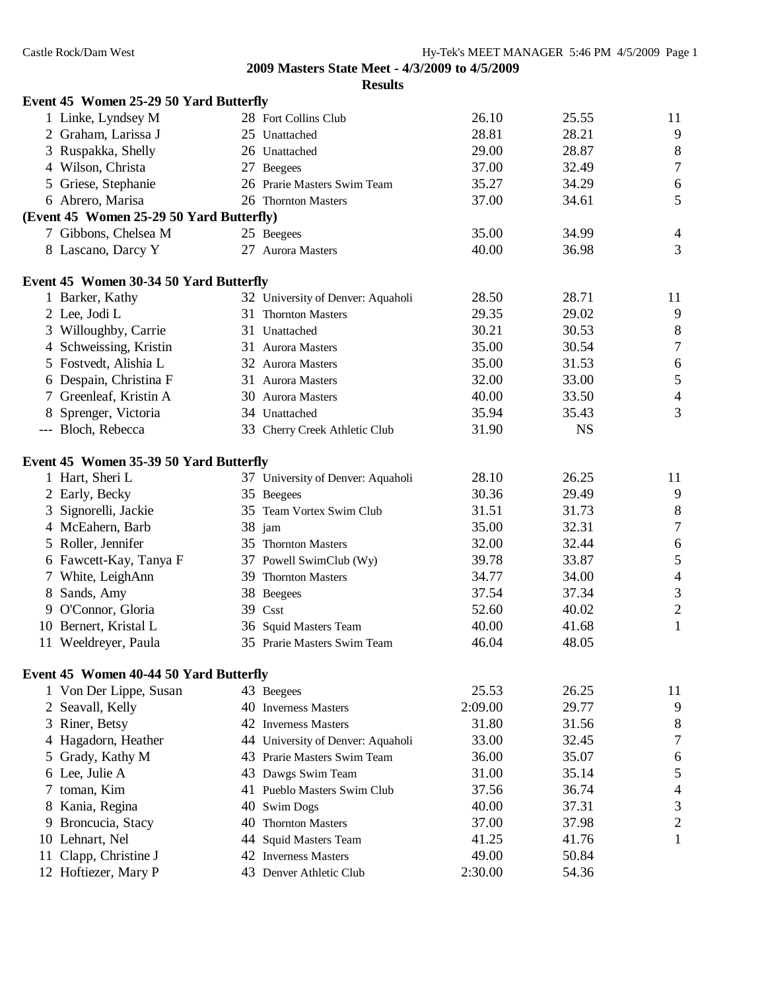|               | Event 45 Women 25-29 50 Yard Butterfly   |                                   |         |           |                             |
|---------------|------------------------------------------|-----------------------------------|---------|-----------|-----------------------------|
|               | 1 Linke, Lyndsey M                       | 28 Fort Collins Club              | 26.10   | 25.55     | 11                          |
|               | 2 Graham, Larissa J                      | 25 Unattached                     | 28.81   | 28.21     | 9                           |
|               | 3 Ruspakka, Shelly                       | 26 Unattached                     | 29.00   | 28.87     | $\,8\,$                     |
|               | 4 Wilson, Christa                        | 27 Beegees                        | 37.00   | 32.49     | $\tau$                      |
|               | 5 Griese, Stephanie                      | 26 Prarie Masters Swim Team       | 35.27   | 34.29     | 6                           |
|               | 6 Abrero, Marisa                         | 26 Thornton Masters               | 37.00   | 34.61     | 5                           |
|               | (Event 45 Women 25-29 50 Yard Butterfly) |                                   |         |           |                             |
|               | 7 Gibbons, Chelsea M                     | 25 Beegees                        | 35.00   | 34.99     | $\overline{4}$              |
|               | 8 Lascano, Darcy Y                       | 27 Aurora Masters                 | 40.00   | 36.98     | 3                           |
|               | Event 45 Women 30-34 50 Yard Butterfly   |                                   |         |           |                             |
|               | 1 Barker, Kathy                          | 32 University of Denver: Aquaholi | 28.50   | 28.71     | 11                          |
|               | 2 Lee, Jodi L                            | 31 Thornton Masters               | 29.35   | 29.02     | 9                           |
|               | 3 Willoughby, Carrie                     | 31 Unattached                     | 30.21   | 30.53     | $\,8\,$                     |
|               | 4 Schweissing, Kristin                   | 31 Aurora Masters                 | 35.00   | 30.54     | $\tau$                      |
|               | 5 Fostvedt, Alishia L                    | 32 Aurora Masters                 | 35.00   | 31.53     | 6                           |
|               | 6 Despain, Christina F                   | 31 Aurora Masters                 | 32.00   | 33.00     | 5                           |
|               | 7 Greenleaf, Kristin A                   | 30 Aurora Masters                 | 40.00   | 33.50     | $\overline{4}$              |
|               | 8 Sprenger, Victoria                     | 34 Unattached                     | 35.94   | 35.43     | 3                           |
|               | --- Bloch, Rebecca                       | 33 Cherry Creek Athletic Club     | 31.90   | <b>NS</b> |                             |
|               | Event 45 Women 35-39 50 Yard Butterfly   |                                   |         |           |                             |
|               | 1 Hart, Sheri L                          | 37 University of Denver: Aquaholi | 28.10   | 26.25     | 11                          |
|               | 2 Early, Becky                           | 35 Beegees                        | 30.36   | 29.49     | 9                           |
|               | 3 Signorelli, Jackie                     | 35 Team Vortex Swim Club          | 31.51   | 31.73     | $\,8\,$                     |
|               | 4 McEahern, Barb                         | $38$ jam                          | 35.00   | 32.31     | $\tau$                      |
|               | 5 Roller, Jennifer                       | 35 Thornton Masters               | 32.00   | 32.44     | 6                           |
|               | 6 Fawcett-Kay, Tanya F                   | 37 Powell SwimClub (Wy)           | 39.78   | 33.87     | 5                           |
|               | 7 White, LeighAnn                        | 39 Thornton Masters               | 34.77   | 34.00     | $\overline{4}$              |
|               | 8 Sands, Amy                             | 38 Beegees                        | 37.54   | 37.34     | $\ensuremath{\mathfrak{Z}}$ |
|               | 9 O'Connor, Gloria                       | 39 Csst                           | 52.60   | 40.02     | $\overline{c}$              |
|               | 10 Bernert, Kristal L                    | 36 Squid Masters Team             | 40.00   | 41.68     | $\mathbf{1}$                |
|               | 11 Weeldreyer, Paula                     | 35 Prarie Masters Swim Team       | 46.04   | 48.05     |                             |
|               | Event 45 Women 40-44 50 Yard Butterfly   |                                   |         |           |                             |
|               | 1 Von Der Lippe, Susan                   | 43 Beegees                        | 25.53   | 26.25     | 11                          |
|               | 2 Seavall, Kelly                         | 40 Inverness Masters              | 2:09.00 | 29.77     | 9                           |
|               | 3 Riner, Betsy                           | 42 Inverness Masters              | 31.80   | 31.56     | 8                           |
|               | 4 Hagadorn, Heather                      | 44 University of Denver: Aquaholi | 33.00   | 32.45     | 7                           |
|               | 5 Grady, Kathy M                         | 43 Prarie Masters Swim Team       | 36.00   | 35.07     | 6                           |
|               | 6 Lee, Julie A                           | 43 Dawgs Swim Team                | 31.00   | 35.14     | 5                           |
| $\mathcal{L}$ | toman, Kim                               | 41 Pueblo Masters Swim Club       | 37.56   | 36.74     | 4                           |
| 8.            | Kania, Regina                            | 40 Swim Dogs                      | 40.00   | 37.31     | 3                           |
|               | 9 Broncucia, Stacy                       | 40 Thornton Masters               | 37.00   | 37.98     | $\overline{c}$              |
|               | 10 Lehnart, Nel                          | 44 Squid Masters Team             | 41.25   | 41.76     | 1                           |
|               | 11 Clapp, Christine J                    | 42 Inverness Masters              | 49.00   | 50.84     |                             |
|               | 12 Hoftiezer, Mary P                     | 43 Denver Athletic Club           | 2:30.00 | 54.36     |                             |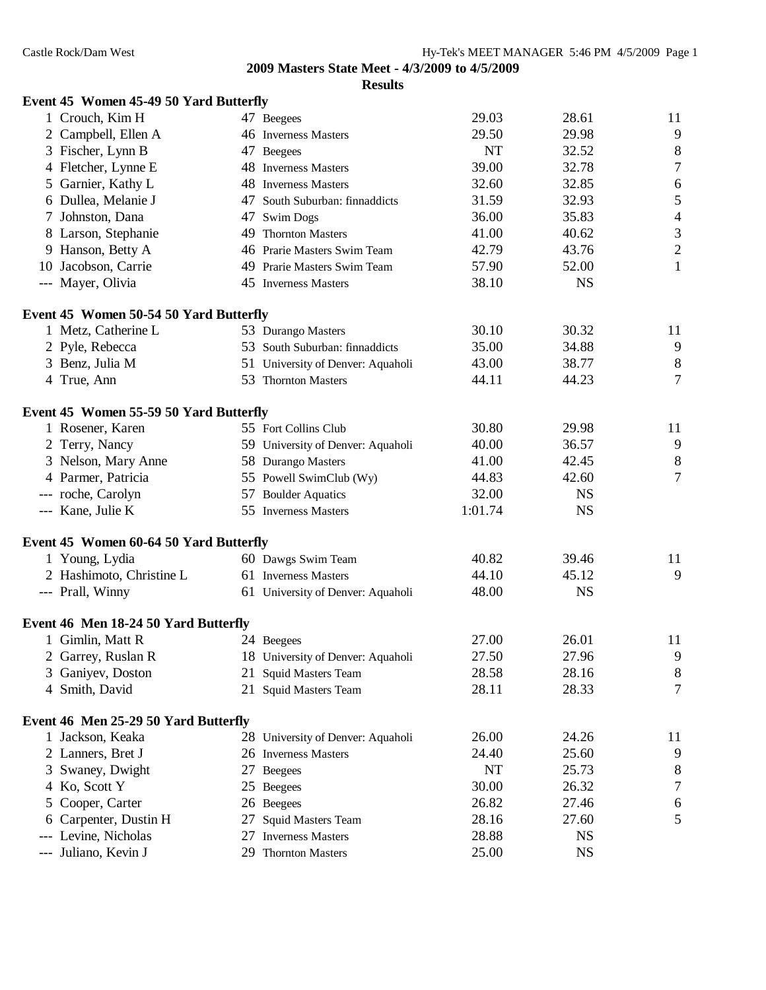| <b>Event 45 Women 45-49 50 Yard Butterfly</b> |  |  |
|-----------------------------------------------|--|--|
|                                               |  |  |

|   | 1 Crouch, Kim H                               |    | 47 Beegees                        | 29.03   | 28.61     | 11                          |
|---|-----------------------------------------------|----|-----------------------------------|---------|-----------|-----------------------------|
|   | 2 Campbell, Ellen A                           |    | 46 Inverness Masters              | 29.50   | 29.98     | $\overline{9}$              |
|   | 3 Fischer, Lynn B                             |    | 47 Beegees                        | NT      | 32.52     | $\,8\,$                     |
|   | 4 Fletcher, Lynne E                           |    | 48 Inverness Masters              | 39.00   | 32.78     | $\boldsymbol{7}$            |
|   | 5 Garnier, Kathy L                            |    | 48 Inverness Masters              | 32.60   | 32.85     | $\sqrt{6}$                  |
|   | 6 Dullea, Melanie J                           |    | 47 South Suburban: finnaddicts    | 31.59   | 32.93     | $\sqrt{5}$                  |
|   | 7 Johnston, Dana                              |    | 47 Swim Dogs                      | 36.00   | 35.83     | $\overline{4}$              |
|   | 8 Larson, Stephanie                           |    | 49 Thornton Masters               | 41.00   | 40.62     | $\ensuremath{\mathfrak{Z}}$ |
|   | 9 Hanson, Betty A                             |    | 46 Prarie Masters Swim Team       | 42.79   | 43.76     | $\sqrt{2}$                  |
|   | 10 Jacobson, Carrie                           |    | 49 Prarie Masters Swim Team       | 57.90   | 52.00     | $\mathbf{1}$                |
|   | --- Mayer, Olivia                             |    | 45 Inverness Masters              | 38.10   | <b>NS</b> |                             |
|   | Event 45 Women 50-54 50 Yard Butterfly        |    |                                   |         |           |                             |
|   | 1 Metz, Catherine L                           |    | 53 Durango Masters                | 30.10   | 30.32     | 11                          |
|   | 2 Pyle, Rebecca                               |    | 53 South Suburban: finnaddicts    | 35.00   | 34.88     | 9                           |
|   | 3 Benz, Julia M                               |    | 51 University of Denver: Aquaholi | 43.00   | 38.77     | $\,8\,$                     |
|   | 4 True, Ann                                   |    | 53 Thornton Masters               | 44.11   | 44.23     | $\tau$                      |
|   | <b>Event 45 Women 55-59 50 Yard Butterfly</b> |    |                                   |         |           |                             |
|   | 1 Rosener, Karen                              |    | 55 Fort Collins Club              | 30.80   | 29.98     | 11                          |
|   | 2 Terry, Nancy                                |    | 59 University of Denver: Aquaholi | 40.00   | 36.57     | 9                           |
|   | 3 Nelson, Mary Anne                           |    | 58 Durango Masters                | 41.00   | 42.45     | $\,8\,$                     |
|   | 4 Parmer, Patricia                            |    | 55 Powell SwimClub (Wy)           | 44.83   | 42.60     | $\tau$                      |
|   | --- roche, Carolyn                            |    | 57 Boulder Aquatics               | 32.00   | <b>NS</b> |                             |
|   | --- Kane, Julie K                             |    | 55 Inverness Masters              | 1:01.74 | <b>NS</b> |                             |
|   | Event 45 Women 60-64 50 Yard Butterfly        |    |                                   |         |           |                             |
|   | 1 Young, Lydia                                |    | 60 Dawgs Swim Team                | 40.82   | 39.46     | 11                          |
|   | 2 Hashimoto, Christine L                      |    | 61 Inverness Masters              | 44.10   | 45.12     | 9                           |
|   | --- Prall, Winny                              |    | 61 University of Denver: Aquaholi | 48.00   | <b>NS</b> |                             |
|   | Event 46 Men 18-24 50 Yard Butterfly          |    |                                   |         |           |                             |
|   | 1 Gimlin, Matt R                              |    | 24 Beegees                        | 27.00   | 26.01     | 11                          |
|   | 2 Garrey, Ruslan R                            |    | 18 University of Denver: Aquaholi | 27.50   | 27.96     | 9                           |
|   | 3 Ganiyev, Doston                             |    | 21 Squid Masters Team             | 28.58   | 28.16     | 8                           |
|   | 4 Smith, David                                |    | 21 Squid Masters Team             | 28.11   | 28.33     | 7                           |
|   | Event 46 Men 25-29 50 Yard Butterfly          |    |                                   |         |           |                             |
|   | 1 Jackson, Keaka                              |    | 28 University of Denver: Aquaholi | 26.00   | 24.26     | 11                          |
|   | 2 Lanners, Bret J                             |    | 26 Inverness Masters              | 24.40   | 25.60     | 9                           |
| 3 | Swaney, Dwight                                |    | 27 Beegees                        | NT      | 25.73     | 8                           |
|   | 4 Ko, Scott Y                                 |    | 25 Beegees                        | 30.00   | 26.32     | 7                           |
|   | 5 Cooper, Carter                              |    | 26 Beegees                        | 26.82   | 27.46     | 6                           |
|   | 6 Carpenter, Dustin H                         | 27 | <b>Squid Masters Team</b>         | 28.16   | 27.60     | 5                           |
|   | Levine, Nicholas                              | 27 | <b>Inverness Masters</b>          | 28.88   | <b>NS</b> |                             |
|   | --- Juliano, Kevin J                          |    | 29 Thornton Masters               | 25.00   | <b>NS</b> |                             |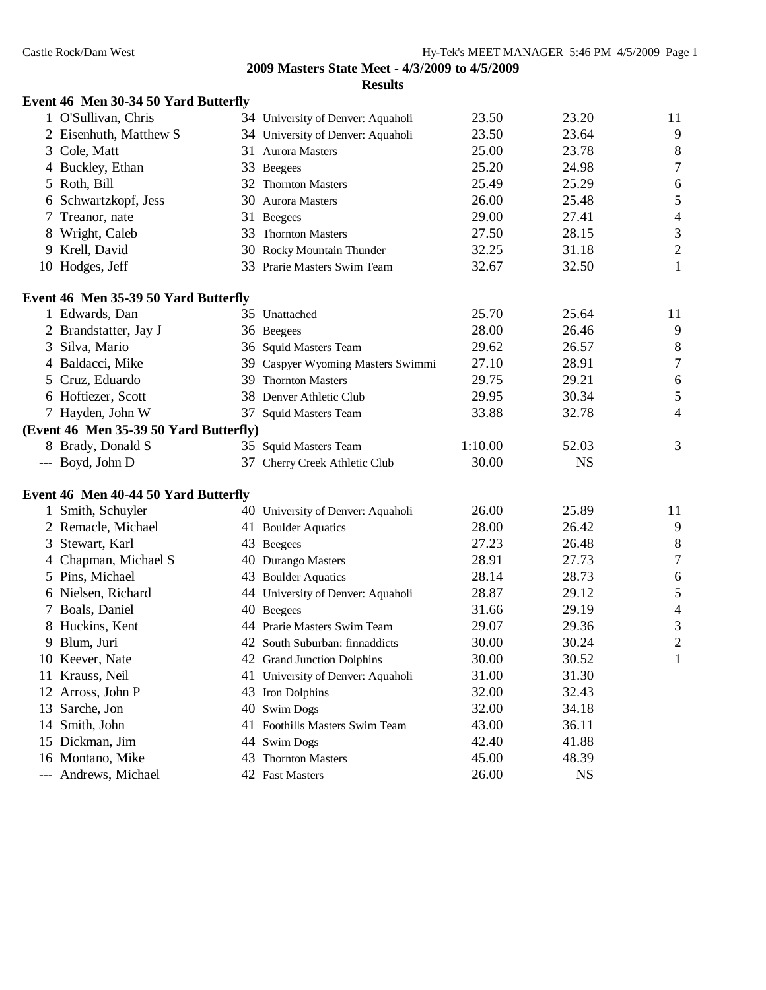|    | Event 46 Men 30-34 50 Yard Butterfly   |                                   |         |           |                          |
|----|----------------------------------------|-----------------------------------|---------|-----------|--------------------------|
|    | 1 O'Sullivan, Chris                    | 34 University of Denver: Aquaholi | 23.50   | 23.20     | 11                       |
|    | 2 Eisenhuth, Matthew S                 | 34 University of Denver: Aquaholi | 23.50   | 23.64     | 9                        |
|    | 3 Cole, Matt                           | 31 Aurora Masters                 | 25.00   | 23.78     | 8                        |
|    | 4 Buckley, Ethan                       | 33 Beegees                        | 25.20   | 24.98     | $\overline{7}$           |
|    | 5 Roth, Bill                           | 32 Thornton Masters               | 25.49   | 25.29     | 6                        |
|    | 6 Schwartzkopf, Jess                   | 30 Aurora Masters                 | 26.00   | 25.48     | 5                        |
|    | Treanor, nate                          | 31 Beegees                        | 29.00   | 27.41     | $\overline{\mathcal{L}}$ |
| 8  | Wright, Caleb                          | 33 Thornton Masters               | 27.50   | 28.15     | 3                        |
| 9. | Krell, David                           | 30 Rocky Mountain Thunder         | 32.25   | 31.18     | $\overline{c}$           |
|    | 10 Hodges, Jeff                        | 33 Prarie Masters Swim Team       | 32.67   | 32.50     | $\mathbf{1}$             |
|    | Event 46 Men 35-39 50 Yard Butterfly   |                                   |         |           |                          |
|    | 1 Edwards, Dan                         | 35 Unattached                     | 25.70   | 25.64     | 11                       |
|    | 2 Brandstatter, Jay J                  | 36 Beegees                        | 28.00   | 26.46     | 9                        |
|    | 3 Silva, Mario                         | 36 Squid Masters Team             | 29.62   | 26.57     | 8                        |
|    | 4 Baldacci, Mike                       | 39 Caspyer Wyoming Masters Swimmi | 27.10   | 28.91     | $\overline{7}$           |
|    | 5 Cruz, Eduardo                        | 39 Thornton Masters               | 29.75   | 29.21     | 6                        |
|    | 6 Hoftiezer, Scott                     | 38 Denver Athletic Club           | 29.95   | 30.34     | 5                        |
|    | 7 Hayden, John W                       | 37 Squid Masters Team             | 33.88   | 32.78     | 4                        |
|    | (Event 46 Men 35-39 50 Yard Butterfly) |                                   |         |           |                          |
|    | 8 Brady, Donald S                      | 35 Squid Masters Team             | 1:10.00 | 52.03     | 3                        |
|    | --- Boyd, John D                       | 37 Cherry Creek Athletic Club     | 30.00   | <b>NS</b> |                          |
|    | Event 46 Men 40-44 50 Yard Butterfly   |                                   |         |           |                          |
|    | 1 Smith, Schuyler                      | 40 University of Denver: Aquaholi | 26.00   | 25.89     | 11                       |
|    | 2 Remacle, Michael                     | 41 Boulder Aquatics               | 28.00   | 26.42     | 9                        |
|    | 3 Stewart, Karl                        | 43 Beegees                        | 27.23   | 26.48     | 8                        |
|    | 4 Chapman, Michael S                   | 40 Durango Masters                | 28.91   | 27.73     | $\overline{7}$           |
|    | 5 Pins, Michael                        | 43 Boulder Aquatics               | 28.14   | 28.73     | 6                        |
|    | 6 Nielsen, Richard                     | 44 University of Denver: Aquaholi | 28.87   | 29.12     | 5                        |
|    | 7 Boals, Daniel                        | 40 Beegees                        | 31.66   | 29.19     | $\overline{\mathcal{L}}$ |
|    | 8 Huckins, Kent                        | 44 Prarie Masters Swim Team       | 29.07   | 29.36     | 3                        |
|    | 9 Blum, Juri                           | 42 South Suburban: finnaddicts    | 30.00   | 30.24     | $\overline{c}$           |
|    | 10 Keever, Nate                        | 42 Grand Junction Dolphins        | 30.00   | 30.52     | $\mathbf{1}$             |
|    | 11 Krauss, Neil                        | 41 University of Denver: Aquaholi | 31.00   | 31.30     |                          |
| 12 | Arross, John P                         | 43 Iron Dolphins                  | 32.00   | 32.43     |                          |
| 13 | Sarche, Jon                            | 40 Swim Dogs                      | 32.00   | 34.18     |                          |
| 14 | Smith, John                            | 41 Foothills Masters Swim Team    | 43.00   | 36.11     |                          |
| 15 | Dickman, Jim                           | 44 Swim Dogs                      | 42.40   | 41.88     |                          |
|    | 16 Montano, Mike                       | 43 Thornton Masters               | 45.00   | 48.39     |                          |
|    | --- Andrews, Michael                   | 42 Fast Masters                   | 26.00   | <b>NS</b> |                          |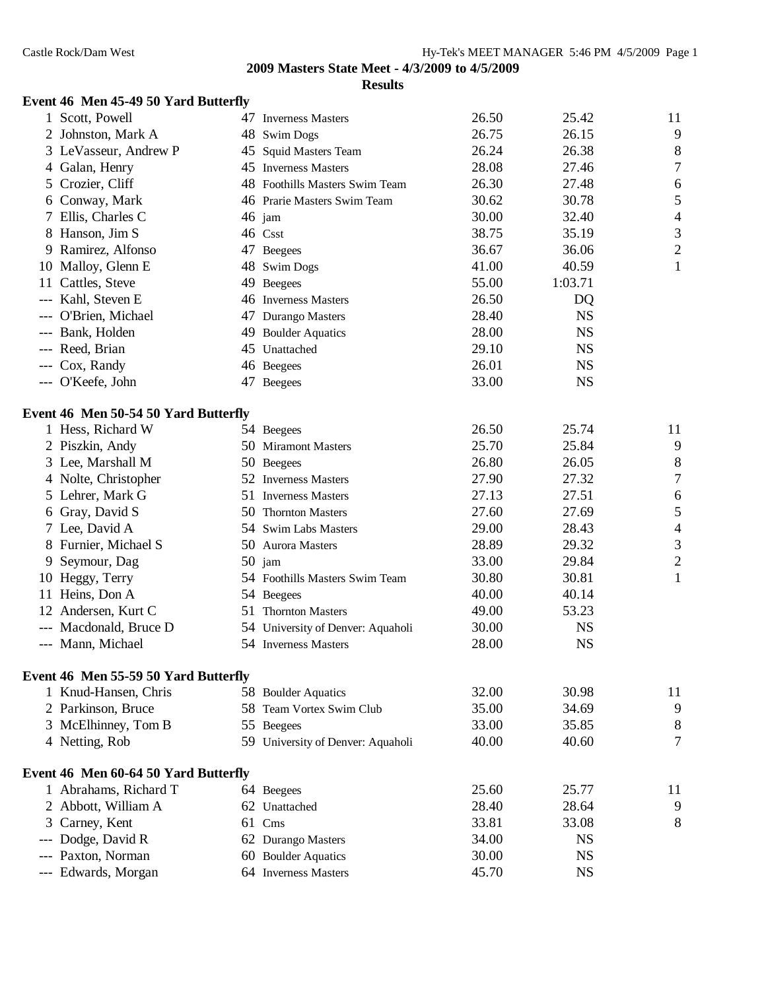# **Event 46 Men 45-49 50 Yard Butterfly**

|   | 1 Scott, Powell                      | 47 Inverness Masters              | 26.50 | 25.42     | 11               |
|---|--------------------------------------|-----------------------------------|-------|-----------|------------------|
|   | 2 Johnston, Mark A                   | 48 Swim Dogs                      | 26.75 | 26.15     | 9                |
|   | 3 LeVasseur, Andrew P                | 45 Squid Masters Team             | 26.24 | 26.38     | 8                |
|   | 4 Galan, Henry                       | 45 Inverness Masters              | 28.08 | 27.46     | $\boldsymbol{7}$ |
|   | 5 Crozier, Cliff                     | 48 Foothills Masters Swim Team    | 26.30 | 27.48     | 6                |
|   | 6 Conway, Mark                       | 46 Prarie Masters Swim Team       | 30.62 | 30.78     | 5                |
|   | 7 Ellis, Charles C                   | $46$ jam                          | 30.00 | 32.40     | $\overline{4}$   |
|   | 8 Hanson, Jim S                      | 46 Csst                           | 38.75 | 35.19     | $\mathfrak{Z}$   |
|   | 9 Ramirez, Alfonso                   | 47 Beegees                        | 36.67 | 36.06     | $\overline{c}$   |
|   | 10 Malloy, Glenn E                   | 48 Swim Dogs                      | 41.00 | 40.59     | $\mathbf{1}$     |
|   | 11 Cattles, Steve                    | 49 Beegees                        | 55.00 | 1:03.71   |                  |
|   | --- Kahl, Steven E                   | 46 Inverness Masters              | 26.50 | DQ        |                  |
|   | --- O'Brien, Michael                 | 47 Durango Masters                | 28.40 | <b>NS</b> |                  |
|   | --- Bank, Holden                     | 49 Boulder Aquatics               | 28.00 | <b>NS</b> |                  |
|   | --- Reed, Brian                      | 45 Unattached                     | 29.10 | <b>NS</b> |                  |
|   | --- Cox, Randy                       | 46 Beegees                        | 26.01 | <b>NS</b> |                  |
|   | --- O'Keefe, John                    | 47 Beegees                        | 33.00 | <b>NS</b> |                  |
|   | Event 46 Men 50-54 50 Yard Butterfly |                                   |       |           |                  |
|   | 1 Hess, Richard W                    | 54 Beegees                        | 26.50 | 25.74     | 11               |
|   | 2 Piszkin, Andy                      | 50 Miramont Masters               | 25.70 | 25.84     | 9                |
|   | 3 Lee, Marshall M                    | 50 Beegees                        | 26.80 | 26.05     | $\,8\,$          |
|   | 4 Nolte, Christopher                 | 52 Inverness Masters              | 27.90 | 27.32     | $\boldsymbol{7}$ |
|   | 5 Lehrer, Mark G                     | 51 Inverness Masters              | 27.13 | 27.51     | 6                |
|   | 6 Gray, David S                      | 50 Thornton Masters               | 27.60 | 27.69     | 5                |
|   | 7 Lee, David A                       | 54 Swim Labs Masters              | 29.00 | 28.43     | $\overline{4}$   |
|   | 8 Furnier, Michael S                 | 50 Aurora Masters                 | 28.89 | 29.32     | $\mathfrak{Z}$   |
| 9 | Seymour, Dag                         | $50$ jam                          | 33.00 | 29.84     | $\overline{c}$   |
|   | 10 Heggy, Terry                      | 54 Foothills Masters Swim Team    | 30.80 | 30.81     | $\mathbf{1}$     |
|   | 11 Heins, Don A                      | 54 Beegees                        | 40.00 | 40.14     |                  |
|   | 12 Andersen, Kurt C                  | 51 Thornton Masters               | 49.00 | 53.23     |                  |
|   | --- Macdonald, Bruce D               | 54 University of Denver: Aquaholi | 30.00 | <b>NS</b> |                  |
|   | --- Mann, Michael                    | 54 Inverness Masters              | 28.00 | <b>NS</b> |                  |
|   | Event 46 Men 55-59 50 Yard Butterfly |                                   |       |           |                  |
|   | 1 Knud-Hansen, Chris                 | 58 Boulder Aquatics               | 32.00 | 30.98     | 11               |
|   | 2 Parkinson, Bruce                   | 58 Team Vortex Swim Club          | 35.00 | 34.69     | 9                |
| 3 | McElhinney, Tom B                    | 55 Beegees                        | 33.00 | 35.85     | 8                |
|   | 4 Netting, Rob                       | 59 University of Denver: Aquaholi | 40.00 | 40.60     | $\overline{7}$   |
|   | Event 46 Men 60-64 50 Yard Butterfly |                                   |       |           |                  |
|   | 1 Abrahams, Richard T                | 64 Beegees                        | 25.60 | 25.77     | 11               |
|   | 2 Abbott, William A                  | 62 Unattached                     | 28.40 | 28.64     | 9                |
|   | 3 Carney, Kent                       | 61 Cms                            | 33.81 | 33.08     | 8                |
|   | Dodge, David R                       | 62 Durango Masters                | 34.00 | <b>NS</b> |                  |
|   | --- Paxton, Norman                   | 60 Boulder Aquatics               | 30.00 | <b>NS</b> |                  |
|   | --- Edwards, Morgan                  | 64 Inverness Masters              | 45.70 | <b>NS</b> |                  |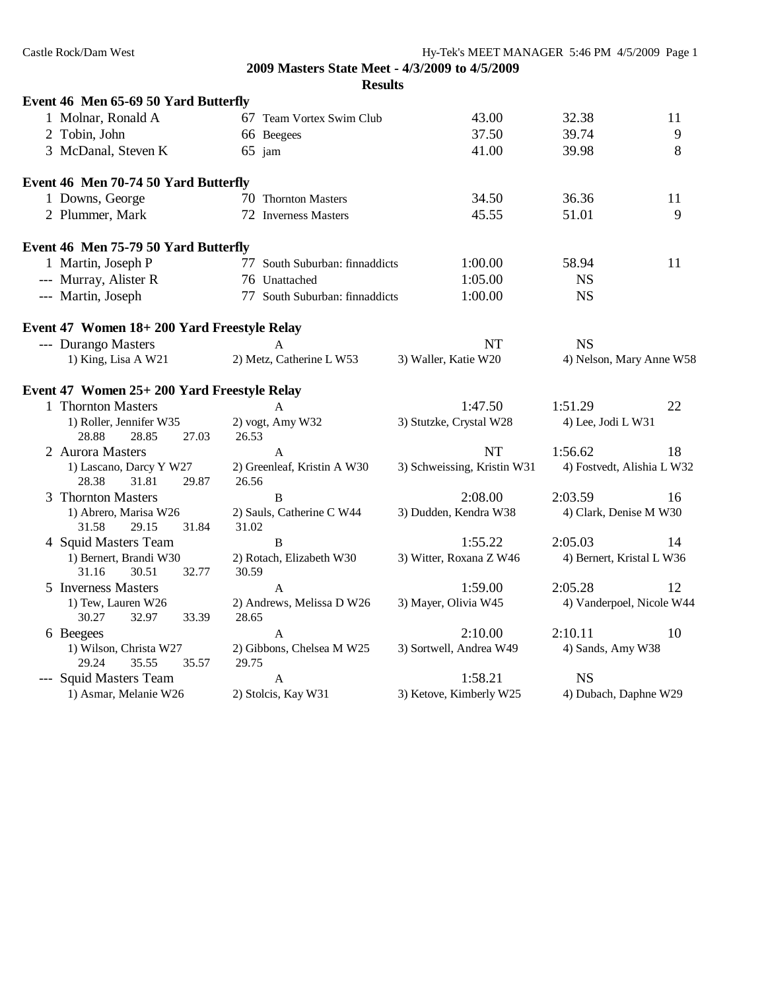| Castle Rock/Dam West |                                                    |                                      |                                                | Hy-Tek's MEET MANAGER 5:46 PM 4/5/2009 Page 1 |                           |                            |
|----------------------|----------------------------------------------------|--------------------------------------|------------------------------------------------|-----------------------------------------------|---------------------------|----------------------------|
|                      |                                                    |                                      | 2009 Masters State Meet - 4/3/2009 to 4/5/2009 |                                               |                           |                            |
|                      |                                                    |                                      | <b>Results</b>                                 |                                               |                           |                            |
|                      | Event 46 Men 65-69 50 Yard Butterfly               |                                      |                                                |                                               |                           |                            |
|                      | 1 Molnar, Ronald A                                 | 67 Team Vortex Swim Club             |                                                | 43.00                                         | 32.38                     | 11                         |
|                      | 2 Tobin, John                                      | 66 Beegees                           |                                                | 37.50                                         | 39.74                     | 9                          |
|                      | 3 McDanal, Steven K                                | $65$ jam                             |                                                | 41.00                                         | 39.98                     | 8                          |
|                      | Event 46 Men 70-74 50 Yard Butterfly               |                                      |                                                |                                               |                           |                            |
|                      | 1 Downs, George                                    | 70 Thornton Masters                  |                                                | 34.50                                         | 36.36                     | 11                         |
|                      | 2 Plummer, Mark                                    | 72 Inverness Masters                 |                                                | 45.55                                         | 51.01                     | 9                          |
|                      | Event 46 Men 75-79 50 Yard Butterfly               |                                      |                                                |                                               |                           |                            |
|                      | 1 Martin, Joseph P                                 | 77 South Suburban: finnaddicts       |                                                | 1:00.00                                       | 58.94                     | 11                         |
|                      | --- Murray, Alister R                              | 76 Unattached                        |                                                | 1:05.00                                       | <b>NS</b>                 |                            |
|                      | --- Martin, Joseph                                 | 77 South Suburban: finnaddicts       |                                                | 1:00.00                                       | <b>NS</b>                 |                            |
|                      | Event 47 Women 18+200 Yard Freestyle Relay         |                                      |                                                |                                               |                           |                            |
|                      | --- Durango Masters                                | A                                    |                                                | <b>NT</b>                                     | <b>NS</b>                 |                            |
|                      | 1) King, Lisa A W21                                | 2) Metz, Catherine L W53             |                                                | 3) Waller, Katie W20                          |                           | 4) Nelson, Mary Anne W58   |
|                      | Event 47 Women 25+ 200 Yard Freestyle Relay        |                                      |                                                |                                               |                           |                            |
|                      | 1 Thornton Masters                                 | A                                    |                                                | 1:47.50                                       | 1:51.29                   | 22                         |
|                      | 1) Roller, Jennifer W35                            | 2) vogt, Amy W32                     |                                                | 3) Stutzke, Crystal W28                       | 4) Lee, Jodi L W31        |                            |
|                      | 27.03<br>28.88<br>28.85                            | 26.53                                |                                                |                                               |                           |                            |
|                      | 2 Aurora Masters                                   | A                                    |                                                | <b>NT</b>                                     | 1:56.62                   | 18                         |
|                      | 1) Lascano, Darcy Y W27<br>28.38<br>31.81<br>29.87 | 2) Greenleaf, Kristin A W30<br>26.56 |                                                | 3) Schweissing, Kristin W31                   |                           | 4) Fostvedt, Alishia L W32 |
|                      | 3 Thornton Masters                                 | B                                    |                                                | 2:08.00                                       | 2:03.59                   | 16                         |
|                      | 1) Abrero, Marisa W26<br>31.84<br>31.58<br>29.15   | 2) Sauls, Catherine C W44<br>31.02   |                                                | 3) Dudden, Kendra W38                         | 4) Clark, Denise M W30    |                            |
|                      | 4 Squid Masters Team                               | B                                    |                                                | 1:55.22                                       | 2:05.03                   | 14                         |
|                      | 1) Bernert, Brandi W30<br>31.16<br>30.51<br>32.77  | 2) Rotach, Elizabeth W30<br>30.59    |                                                | 3) Witter, Roxana Z W46                       | 4) Bernert, Kristal L W36 |                            |
|                      | 5 Inverness Masters                                | A                                    |                                                | 1:59.00                                       | 2:05.28                   | 12                         |
|                      | 1) Tew, Lauren W26<br>30.27<br>32.97<br>33.39      | 2) Andrews, Melissa D W26<br>28.65   |                                                | 3) Mayer, Olivia W45                          |                           | 4) Vanderpoel, Nicole W44  |
| 6 Beegees            |                                                    | $\mathbf{A}$                         |                                                | 2:10.00                                       | 2:10.11                   | 10                         |
|                      | 1) Wilson, Christa W27<br>29.24<br>35.55<br>35.57  | 2) Gibbons, Chelsea M W25<br>29.75   |                                                | 3) Sortwell, Andrea W49                       | 4) Sands, Amy W38         |                            |
|                      | --- Squid Masters Team                             | A                                    |                                                | 1:58.21                                       | <b>NS</b>                 |                            |

1) Asmar, Melanie W26 2) Stolcis, Kay W31 3) Ketove, Kimberly W25 4) Dubach, Daphne W29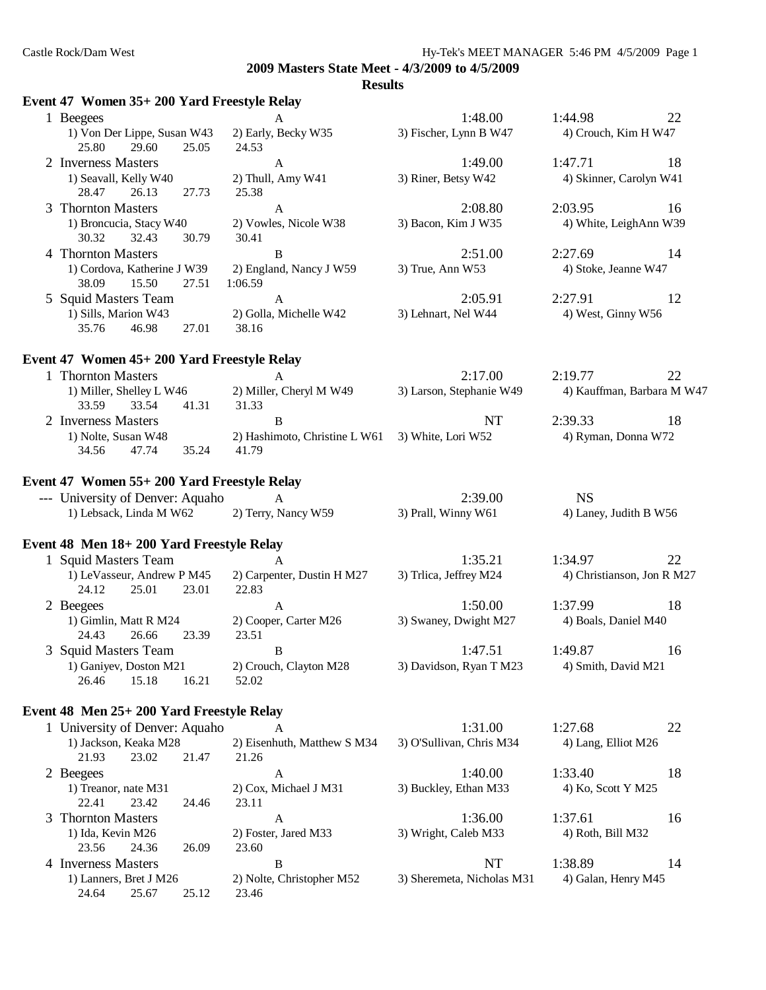#### **Results**

| Event 47 Women 35+200 Yard Freestyle Relay                       |                                     |                                         |                                      |
|------------------------------------------------------------------|-------------------------------------|-----------------------------------------|--------------------------------------|
| 1 Beegees                                                        | A                                   | 1:48.00                                 | 22<br>1:44.98                        |
| 1) Von Der Lippe, Susan W43<br>25.80<br>29.60<br>25.05           | 2) Early, Becky W35<br>24.53        | 3) Fischer, Lynn B W47                  | 4) Crouch, Kim H W47                 |
| 2 Inverness Masters                                              | $\mathbf{A}$                        | 1:49.00                                 | 1:47.71<br>18                        |
| 1) Seavall, Kelly W40<br>28.47<br>26.13<br>27.73                 | 2) Thull, Amy W41<br>25.38          | 3) Riner, Betsy W42                     | 4) Skinner, Carolyn W41              |
| 3 Thornton Masters                                               | $\mathbf{A}$                        | 2:08.80                                 | 2:03.95<br>16                        |
| 1) Broncucia, Stacy W40<br>30.32<br>32.43<br>30.79               | 2) Vowles, Nicole W38<br>30.41      | 3) Bacon, Kim J W35                     | 4) White, LeighAnn W39               |
| 4 Thornton Masters                                               | B                                   | 2:51.00                                 | 2:27.69<br>14                        |
| 1) Cordova, Katherine J W39<br>15.50<br>38.09<br>27.51           | 2) England, Nancy J W59<br>1:06.59  | 3) True, Ann W53                        | 4) Stoke, Jeanne W47                 |
| 5 Squid Masters Team                                             | $\mathbf{A}$                        | 2:05.91                                 | 2:27.91<br>12                        |
| 1) Sills, Marion W43<br>35.76<br>46.98<br>27.01                  | 2) Golla, Michelle W42<br>38.16     | 3) Lehnart, Nel W44                     | 4) West, Ginny W56                   |
| Event 47 Women 45+ 200 Yard Freestyle Relay                      |                                     |                                         |                                      |
| 1 Thornton Masters                                               | A                                   | 2:17.00                                 | 2:19.77<br>22                        |
| 1) Miller, Shelley L W46<br>33.59<br>33.54<br>41.31              | 2) Miller, Cheryl M W49<br>31.33    | 3) Larson, Stephanie W49                | 4) Kauffman, Barbara M W47           |
| 2 Inverness Masters                                              | B                                   | NT                                      | 2:39.33<br>18                        |
| 1) Nolte, Susan W48                                              | 2) Hashimoto, Christine L W61       | 3) White, Lori W52                      | 4) Ryman, Donna W72                  |
| 35.24<br>34.56<br>47.74                                          | 41.79                               |                                         |                                      |
| Event 47 Women 55+ 200 Yard Freestyle Relay                      |                                     |                                         |                                      |
| --- University of Denver: Aquaho                                 | $\mathsf{A}$                        | 2:39.00                                 | <b>NS</b>                            |
| 1) Lebsack, Linda M W62                                          | 2) Terry, Nancy W59                 | 3) Prall, Winny W61                     | 4) Laney, Judith B W56               |
| Event 48 Men 18+200 Yard Freestyle Relay                         |                                     |                                         |                                      |
| 1 Squid Masters Team                                             | $\mathsf{A}$                        | 1:35.21                                 | 1:34.97<br>22                        |
| 1) LeVasseur, Andrew P M45                                       | 2) Carpenter, Dustin H M27          | 3) Trlica, Jeffrey M24                  | 4) Christianson, Jon R M27           |
| 24.12<br>25.01<br>23.01                                          | 22.83                               |                                         |                                      |
| 2 Beegees                                                        | $\mathbf{A}$                        | 1:50.00                                 | 18<br>1:37.99                        |
| 1) Gimlin, Matt R M24                                            | 2) Cooper, Carter M26               | 3) Swaney, Dwight M27                   | 4) Boals, Daniel M40                 |
| 24.43<br>23.39<br>26.66                                          | 23.51                               |                                         |                                      |
| 3 Squid Masters Team                                             | $\overline{B}$                      | 1:47.51                                 | 1:49.87<br>16                        |
| 1) Ganiyev, Doston M21<br>15.18<br>16.21<br>26.46                | 2) Crouch, Clayton M28<br>52.02     | 3) Davidson, Ryan T M23                 | 4) Smith, David M21                  |
|                                                                  |                                     |                                         |                                      |
| Event 48 Men 25+ 200 Yard Freestyle Relay                        |                                     |                                         |                                      |
| 1 University of Denver: Aquaho<br>1) Jackson, Keaka M28<br>23.02 | A<br>2) Eisenhuth, Matthew S M34    | 1:31.00<br>3) O'Sullivan, Chris M34     | 1:27.68<br>22<br>4) Lang, Elliot M26 |
| 21.93<br>21.47                                                   | 21.26                               |                                         |                                      |
| 2 Beegees<br>1) Treanor, nate M31<br>22.41<br>23.42<br>24.46     | A<br>2) Cox, Michael J M31<br>23.11 | 1:40.00<br>3) Buckley, Ethan M33        | 1:33.40<br>18<br>4) Ko, Scott Y M25  |
| 3 Thornton Masters                                               |                                     |                                         | 16                                   |
| 1) Ida, Kevin M26<br>23.56<br>24.36<br>26.09                     | A<br>2) Foster, Jared M33           | 1:36.00<br>3) Wright, Caleb M33         | 1:37.61<br>4) Roth, Bill M32         |
|                                                                  | 23.60                               |                                         |                                      |
| 4 Inverness Masters<br>1) Lanners, Bret J M26                    | B<br>2) Nolte, Christopher M52      | <b>NT</b><br>3) Sheremeta, Nicholas M31 | 1:38.89<br>14<br>4) Galan, Henry M45 |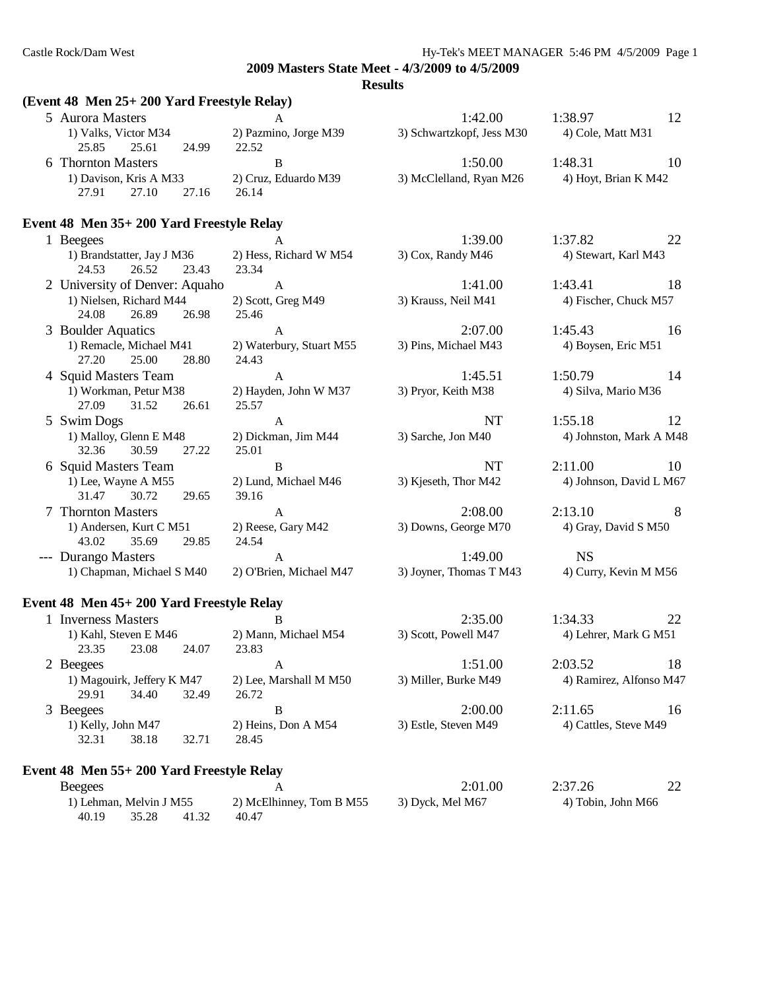#### **Results**

# **(Event 48 Men 25+ 200 Yard Freestyle Relay)**

| 5 Aurora Masters<br>1) Valks, Victor M34              | A<br>2) Pazmino, Jorge M39        | 1:42.00<br>3) Schwartzkopf, Jess M30       | 1:38.97<br>4) Cole, Matt M31   | 12  |
|-------------------------------------------------------|-----------------------------------|--------------------------------------------|--------------------------------|-----|
| 25.85<br>25.61<br>24.99                               | 22.52                             |                                            |                                |     |
| 6 Thornton Masters                                    | $\bf{B}$                          | 1:50.00                                    | 1:48.31                        | 10  |
| 1) Davison, Kris A M33<br>27.10<br>27.91<br>27.16     | 2) Cruz, Eduardo M39<br>26.14     | 3) McClelland, Ryan M26                    | 4) Hoyt, Brian K M42           |     |
| Event 48 Men 35+ 200 Yard Freestyle Relay             |                                   |                                            |                                |     |
| 1 Beegees                                             | $\overline{A}$                    | 1:39.00                                    | 1:37.82                        | 22  |
| 1) Brandstatter, Jay J M36<br>24.53<br>26.52<br>23.43 | 2) Hess, Richard W M54<br>23.34   | 3) Cox, Randy M46                          | 4) Stewart, Karl M43           |     |
| 2 University of Denver: Aquaho                        | $\mathbf{A}$                      | 1:41.00                                    | 1:43.41                        | 18  |
| 1) Nielsen, Richard M44<br>24.08<br>26.89<br>26.98    | 2) Scott, Greg M49<br>25.46       | 3) Krauss, Neil M41                        | 4) Fischer, Chuck M57          |     |
| 3 Boulder Aquatics                                    | $\mathbf{A}$                      | 2:07.00                                    | 1:45.43                        | -16 |
| 1) Remacle, Michael M41<br>27.20<br>25.00<br>28.80    | 2) Waterbury, Stuart M55<br>24.43 | 3) Pins, Michael M43                       | 4) Boysen, Eric M51            |     |
| 4 Squid Masters Team                                  | $\mathbf{A}$                      | 1:45.51                                    | 1:50.79                        | 14  |
| 1) Workman, Petur M38<br>27.09<br>31.52<br>26.61      | 2) Hayden, John W M37<br>25.57    | 3) Pryor, Keith M38                        | 4) Silva, Mario M36            |     |
| 5 Swim Dogs                                           | $\mathbf{A}$                      | <b>NT</b>                                  | 1:55.18                        | 12  |
| 1) Malloy, Glenn E M48<br>32.36<br>30.59<br>27.22     | 2) Dickman, Jim M44<br>25.01      | 3) Sarche, Jon M40                         | 4) Johnston, Mark A M48        |     |
| 6 Squid Masters Team                                  | B                                 | <b>NT</b>                                  | 2:11.00                        | 10  |
| 1) Lee, Wayne A M55<br>31.47<br>30.72<br>29.65        | 2) Lund, Michael M46<br>39.16     | 3) Kjeseth, Thor M42                       | 4) Johnson, David L M67        |     |
| 7 Thornton Masters                                    | $\mathsf{A}$                      | 2:08.00                                    | 2:13.10                        | 8   |
| 1) Andersen, Kurt C M51<br>43.02<br>35.69<br>29.85    | 2) Reese, Gary M42<br>24.54       | 3) Downs, George M70                       | 4) Gray, David S M50           |     |
| --- Durango Masters                                   | $\mathbf{A}$                      | 1:49.00                                    | <b>NS</b>                      |     |
| 1) Chapman, Michael S M40                             | 2) O'Brien, Michael M47           | 3) Joyner, Thomas T M43                    | 4) Curry, Kevin M M56          |     |
| Event 48 Men 45+ 200 Yard Freestyle Relay             |                                   |                                            |                                |     |
| 1 Inverness Masters                                   | B                                 | 2:35.00                                    | 1:34.33                        | 22  |
| $1)$ Kebl Stoven E M46 $2)$ Menn Michael M54          |                                   | $2)$ $\sqrt{60}$ $\sqrt{100}$ $\sqrt{147}$ | $\triangle$ L obror Mork C M51 |     |

| 1) Kahl, Steven E M46 |                    | 2) Mann, Michael M54       | 3) Scott, Powell M47 | 4) Lehrer, Mark G M51  |                      |                         |    |
|-----------------------|--------------------|----------------------------|----------------------|------------------------|----------------------|-------------------------|----|
|                       | 23.35              | 23.08                      | 24.07                | 23.83                  |                      |                         |    |
|                       | 2 Beegees          |                            |                      | А                      | 1:51.00              | 2:03.52                 | 18 |
|                       |                    | 1) Magouirk, Jeffery K M47 |                      | 2) Lee, Marshall M M50 | 3) Miller, Burke M49 | 4) Ramirez, Alfonso M47 |    |
|                       | 29.91              | 34.40                      | 32.49                | 26.72                  |                      |                         |    |
|                       | 3 Beegees          |                            |                      | В                      | 2:00.00              | 2:11.65                 | 16 |
|                       | 1) Kelly, John M47 |                            |                      | 2) Heins, Don A M54    | 3) Estle, Steven M49 | 4) Cattles, Steve M49   |    |
|                       | 32.31              | 38.18                      | 32.71                | 28.45                  |                      |                         |    |
|                       |                    |                            |                      |                        |                      |                         |    |

# **Event 48 Men 55+ 200 Yard Freestyle Relay**

| <b>Beegees</b>          |       |       |                          | 2:01.00          | 2:37.26            | 22 |
|-------------------------|-------|-------|--------------------------|------------------|--------------------|----|
| 1) Lehman, Melvin J M55 |       |       | 2) McElhinney, Tom B M55 | 3) Dyck, Mel M67 | 4) Tobin, John M66 |    |
| 40.19                   | 35.28 | 41.32 | 40.47                    |                  |                    |    |